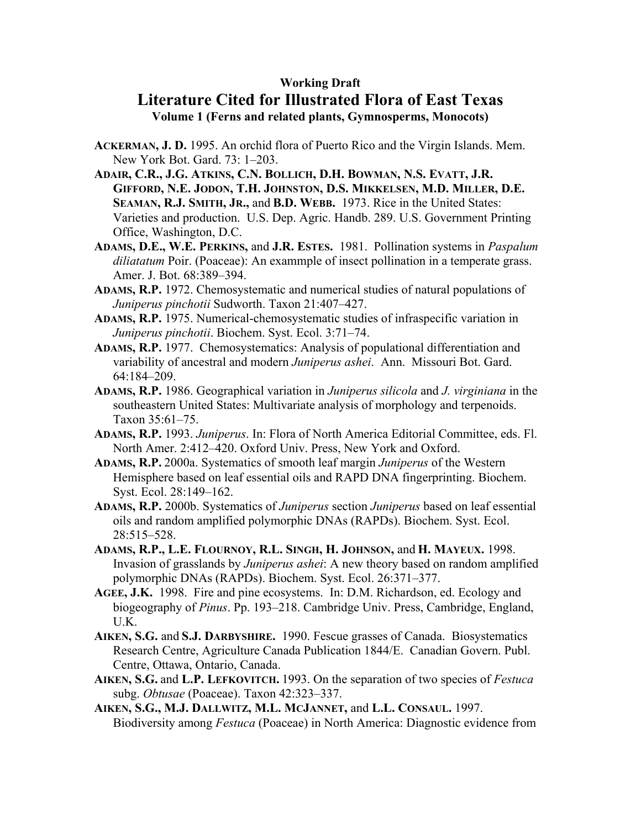## **Working Draft**

## **Literature Cited for Illustrated Flora of East Texas Volume 1 (Ferns and related plants, Gymnosperms, Monocots)**

- **ACKERMAN, J. D.** 1995. An orchid flora of Puerto Rico and the Virgin Islands. Mem. New York Bot. Gard. 73: 1–203.
- **ADAIR, C.R., J.G. ATKINS, C.N. BOLLICH, D.H. BOWMAN, N.S. EVATT, J.R. GIFFORD, N.E. JODON, T.H. JOHNSTON, D.S. MIKKELSEN, M.D. MILLER, D.E. SEAMAN, R.J. SMITH, JR.,** and **B.D. WEBB.** 1973. Rice in the United States: Varieties and production. U.S. Dep. Agric. Handb. 289. U.S. Government Printing Office, Washington, D.C.
- **ADAMS, D.E., W.E. PERKINS,** and **J.R. ESTES.** 1981. Pollination systems in *Paspalum diliatatum* Poir. (Poaceae): An exammple of insect pollination in a temperate grass. Amer. J. Bot. 68:389–394.
- **ADAMS, R.P.** 1972. Chemosystematic and numerical studies of natural populations of *Juniperus pinchotii* Sudworth. Taxon 21:407–427.
- **ADAMS, R.P.** 1975. Numerical-chemosystematic studies of infraspecific variation in *Juniperus pinchotii*. Biochem. Syst. Ecol. 3:71–74.
- **ADAMS, R.P.** 1977. Chemosystematics: Analysis of populational differentiation and variability of ancestral and modern *Juniperus ashei*. Ann. Missouri Bot. Gard. 64:184–209.
- **ADAMS, R.P.** 1986. Geographical variation in *Juniperus silicola* and *J. virginiana* in the southeastern United States: Multivariate analysis of morphology and terpenoids. Taxon 35:61–75.
- **ADAMS, R.P.** 1993. *Juniperus*. In: Flora of North America Editorial Committee, eds. Fl. North Amer. 2:412–420. Oxford Univ. Press, New York and Oxford.
- **ADAMS, R.P.** 2000a. Systematics of smooth leaf margin *Juniperus* of the Western Hemisphere based on leaf essential oils and RAPD DNA fingerprinting. Biochem. Syst. Ecol. 28:149–162.
- **ADAMS, R.P.** 2000b. Systematics of *Juniperus* section *Juniperus* based on leaf essential oils and random amplified polymorphic DNAs (RAPDs). Biochem. Syst. Ecol. 28:515–528.
- **ADAMS, R.P., L.E. FLOURNOY, R.L. SINGH, H. JOHNSON,** and **H. MAYEUX.** 1998. Invasion of grasslands by *Juniperus ashei*: A new theory based on random amplified polymorphic DNAs (RAPDs). Biochem. Syst. Ecol. 26:371–377.
- **AGEE, J.K.** 1998. Fire and pine ecosystems. In: D.M. Richardson, ed. Ecology and biogeography of *Pinus*. Pp. 193–218. Cambridge Univ. Press, Cambridge, England, U.K.
- **AIKEN, S.G.** and **S.J. DARBYSHIRE.** 1990. Fescue grasses of Canada. Biosystematics Research Centre, Agriculture Canada Publication 1844/E. Canadian Govern. Publ. Centre, Ottawa, Ontario, Canada.
- **AIKEN, S.G.** and **L.P. LEFKOVITCH.** 1993. On the separation of two species of *Festuca* subg. *Obtusae* (Poaceae). Taxon 42:323–337.
- **AIKEN, S.G., M.J. DALLWITZ, M.L. MCJANNET,** and **L.L. CONSAUL.** 1997. Biodiversity among *Festuca* (Poaceae) in North America: Diagnostic evidence from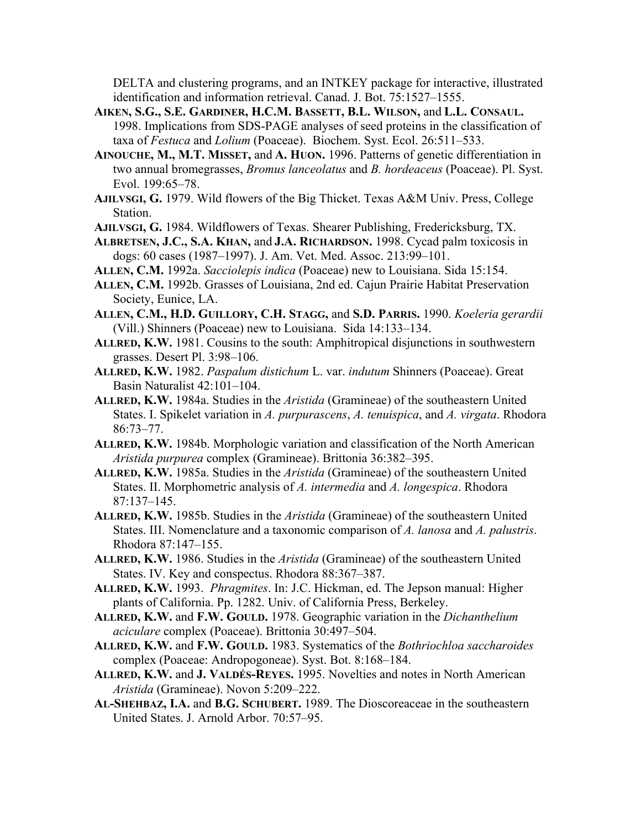DELTA and clustering programs, and an INTKEY package for interactive, illustrated identification and information retrieval. Canad. J. Bot. 75:1527–1555.

- **AIKEN, S.G., S.E. GARDINER, H.C.M. BASSETT, B.L. WILSON,** and **L.L. CONSAUL.**  1998. Implications from SDS-PAGE analyses of seed proteins in the classification of taxa of *Festuca* and *Lolium* (Poaceae). Biochem. Syst. Ecol. 26:511–533.
- **AINOUCHE, M., M.T. MISSET,** and **A. HUON.** 1996. Patterns of genetic differentiation in two annual bromegrasses, *Bromus lanceolatus* and *B. hordeaceus* (Poaceae). Pl. Syst. Evol. 199:65–78.
- **AJILVSGI, G.** 1979. Wild flowers of the Big Thicket. Texas A&M Univ. Press, College Station.
- **AJILVSGI, G.** 1984. Wildflowers of Texas. Shearer Publishing, Fredericksburg, TX.
- **ALBRETSEN, J.C., S.A. KHAN,** and **J.A. RICHARDSON.** 1998. Cycad palm toxicosis in dogs: 60 cases (1987–1997). J. Am. Vet. Med. Assoc. 213:99–101.
- **ALLEN, C.M.** 1992a. *Sacciolepis indica* (Poaceae) new to Louisiana. Sida 15:154.
- **ALLEN, C.M.** 1992b. Grasses of Louisiana, 2nd ed. Cajun Prairie Habitat Preservation Society, Eunice, LA.
- **ALLEN, C.M., H.D. GUILLORY, C.H. STAGG,** and **S.D. PARRIS.** 1990. *Koeleria gerardii* (Vill.) Shinners (Poaceae) new to Louisiana. Sida 14:133–134.
- **ALLRED, K.W.** 1981. Cousins to the south: Amphitropical disjunctions in southwestern grasses. Desert Pl. 3:98–106.
- **ALLRED, K.W.** 1982. *Paspalum distichum* L. var. *indutum* Shinners (Poaceae). Great Basin Naturalist 42:101–104.
- **ALLRED, K.W.** 1984a. Studies in the *Aristida* (Gramineae) of the southeastern United States. I. Spikelet variation in *A. purpurascens*, *A. tenuispica*, and *A. virgata*. Rhodora 86:73–77.
- **ALLRED, K.W.** 1984b. Morphologic variation and classification of the North American *Aristida purpurea* complex (Gramineae). Brittonia 36:382–395.
- **ALLRED, K.W.** 1985a. Studies in the *Aristida* (Gramineae) of the southeastern United States. II. Morphometric analysis of *A. intermedia* and *A. longespica*. Rhodora 87:137–145.
- **ALLRED, K.W.** 1985b. Studies in the *Aristida* (Gramineae) of the southeastern United States. III. Nomenclature and a taxonomic comparison of *A. lanosa* and *A. palustris*. Rhodora 87:147–155.
- **ALLRED, K.W.** 1986. Studies in the *Aristida* (Gramineae) of the southeastern United States. IV. Key and conspectus. Rhodora 88:367–387.
- **ALLRED, K.W.** 1993. *Phragmites*. In: J.C. Hickman, ed. The Jepson manual: Higher plants of California. Pp. 1282. Univ. of California Press, Berkeley.
- **ALLRED, K.W.** and **F.W. GOULD.** 1978. Geographic variation in the *Dichanthelium aciculare* complex (Poaceae). Brittonia 30:497–504.
- **ALLRED, K.W.** and **F.W. GOULD.** 1983. Systematics of the *Bothriochloa saccharoides* complex (Poaceae: Andropogoneae). Syst. Bot. 8:168–184.
- **ALLRED, K.W.** and **J. VALDÉS-REYES.** 1995. Novelties and notes in North American *Aristida* (Gramineae). Novon 5:209–222.
- **AL-SHEHBAZ, I.A.** and **B.G. SCHUBERT.** 1989. The Dioscoreaceae in the southeastern United States. J. Arnold Arbor. 70:57–95.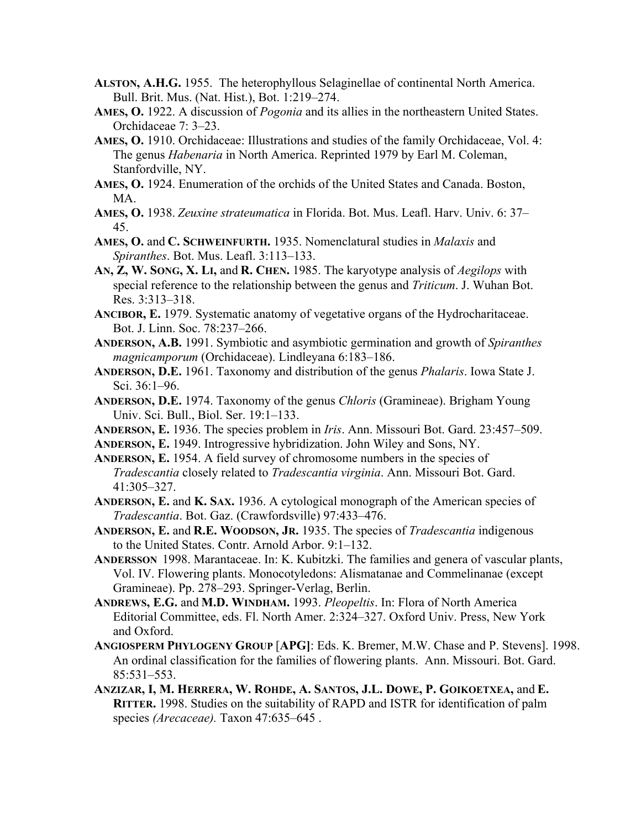- **ALSTON, A.H.G.** 1955. The heterophyllous Selaginellae of continental North America. Bull. Brit. Mus. (Nat. Hist.), Bot. 1:219–274.
- **AMES, O.** 1922. A discussion of *Pogonia* and its allies in the northeastern United States. Orchidaceae 7: 3–23.
- **AMES, O.** 1910. Orchidaceae: Illustrations and studies of the family Orchidaceae, Vol. 4: The genus *Habenaria* in North America. Reprinted 1979 by Earl M. Coleman, Stanfordville, NY.
- **AMES, O.** 1924. Enumeration of the orchids of the United States and Canada. Boston, MA.
- **AMES, O.** 1938. *Zeuxine strateumatica* in Florida. Bot. Mus. Leafl. Harv. Univ. 6: 37– 45.
- **AMES, O.** and **C. SCHWEINFURTH.** 1935. Nomenclatural studies in *Malaxis* and *Spiranthes*. Bot. Mus. Leafl. 3:113–133.
- **AN, Z, W. SONG, X. LI,** and **R. CHEN.** 1985. The karyotype analysis of *Aegilops* with special reference to the relationship between the genus and *Triticum*. J. Wuhan Bot. Res. 3:313–318.
- **ANCIBOR, E.** 1979. Systematic anatomy of vegetative organs of the Hydrocharitaceae. Bot. J. Linn. Soc. 78:237–266.
- **ANDERSON, A.B.** 1991. Symbiotic and asymbiotic germination and growth of *Spiranthes magnicamporum* (Orchidaceae). Lindleyana 6:183–186.
- **ANDERSON, D.E.** 1961. Taxonomy and distribution of the genus *Phalaris*. Iowa State J. Sci. 36:1–96.
- **ANDERSON, D.E.** 1974. Taxonomy of the genus *Chloris* (Gramineae). Brigham Young Univ. Sci. Bull., Biol. Ser. 19:1–133.
- **ANDERSON, E.** 1936. The species problem in *Iris*. Ann. Missouri Bot. Gard. 23:457–509.
- **ANDERSON, E.** 1949. Introgressive hybridization. John Wiley and Sons, NY.
- **ANDERSON, E.** 1954. A field survey of chromosome numbers in the species of *Tradescantia* closely related to *Tradescantia virginia*. Ann. Missouri Bot. Gard. 41:305–327.
- **ANDERSON, E.** and **K. SAX.** 1936. A cytological monograph of the American species of *Tradescantia*. Bot. Gaz. (Crawfordsville) 97:433–476.
- **ANDERSON, E.** and **R.E. WOODSON, JR.** 1935. The species of *Tradescantia* indigenous to the United States. Contr. Arnold Arbor. 9:1–132.
- **ANDERSSON** 1998. Marantaceae. In: K. Kubitzki. The families and genera of vascular plants, Vol. IV. Flowering plants. Monocotyledons: Alismatanae and Commelinanae (except Gramineae). Pp. 278–293. Springer-Verlag, Berlin.
- **ANDREWS, E.G.** and **M.D. WINDHAM.** 1993. *Pleopeltis*. In: Flora of North America Editorial Committee, eds. Fl. North Amer. 2:324–327. Oxford Univ. Press, New York and Oxford.
- **ANGIOSPERM PHYLOGENY GROUP** [**APG]**: Eds. K. Bremer, M.W. Chase and P. Stevens]. 1998. An ordinal classification for the families of flowering plants. Ann. Missouri. Bot. Gard. 85:531–553.
- **ANZIZAR, I, M. HERRERA, W. ROHDE, A. SANTOS, J.L. DOWE, P. GOIKOETXEA,** and **E. RITTER.** 1998. Studies on the suitability of RAPD and ISTR for identification of palm species (Arecaceae). Taxon 47:635-645.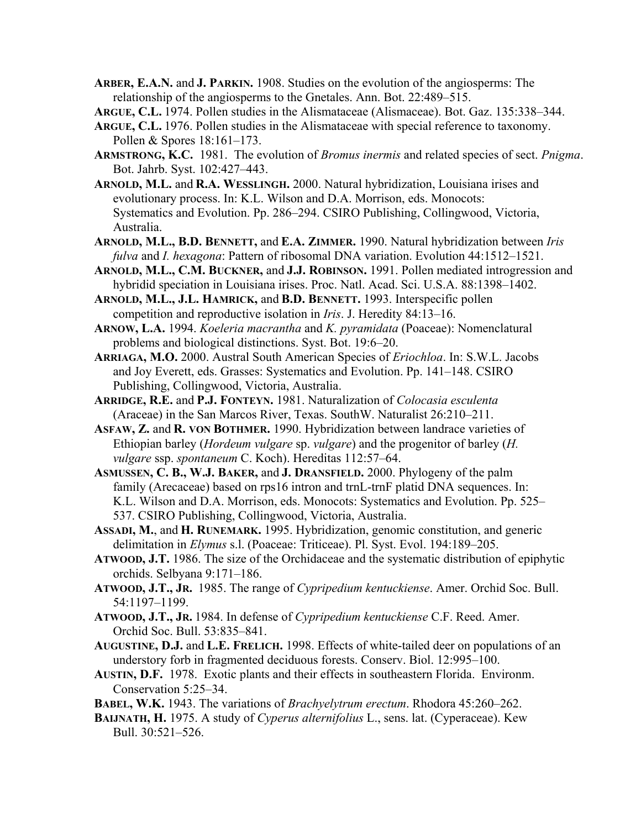**ARBER, E.A.N.** and **J. PARKIN.** 1908. Studies on the evolution of the angiosperms: The relationship of the angiosperms to the Gnetales. Ann. Bot. 22:489–515.

**ARGUE, C.L.** 1974. Pollen studies in the Alismataceae (Alismaceae). Bot. Gaz. 135:338–344.

- **ARGUE, C.L.** 1976. Pollen studies in the Alismataceae with special reference to taxonomy. Pollen & Spores 18:161–173.
- **ARMSTRONG, K.C.** 1981. The evolution of *Bromus inermis* and related species of sect. *Pnigma*. Bot. Jahrb. Syst. 102:427–443.
- **ARNOLD, M.L.** and **R.A. WESSLINGH.** 2000. Natural hybridization, Louisiana irises and evolutionary process. In: K.L. Wilson and D.A. Morrison, eds. Monocots: Systematics and Evolution. Pp. 286–294. CSIRO Publishing, Collingwood, Victoria, Australia.
- **ARNOLD, M.L., B.D. BENNETT,** and **E.A. ZIMMER.** 1990. Natural hybridization between *Iris fulva* and *I. hexagona*: Pattern of ribosomal DNA variation. Evolution 44:1512–1521.
- **ARNOLD, M.L., C.M. BUCKNER,** and **J.J. ROBINSON.** 1991. Pollen mediated introgression and hybridid speciation in Louisiana irises. Proc. Natl. Acad. Sci. U.S.A. 88:1398–1402.
- **ARNOLD, M.L., J.L. HAMRICK,** and **B.D. BENNETT.** 1993. Interspecific pollen competition and reproductive isolation in *Iris*. J. Heredity 84:13–16.
- **ARNOW, L.A.** 1994. *Koeleria macrantha* and *K. pyramidata* (Poaceae): Nomenclatural problems and biological distinctions. Syst. Bot. 19:6–20.
- **ARRIAGA, M.O.** 2000. Austral South American Species of *Eriochloa*. In: S.W.L. Jacobs and Joy Everett, eds. Grasses: Systematics and Evolution. Pp. 141–148. CSIRO Publishing, Collingwood, Victoria, Australia.
- **ARRIDGE, R.E.** and **P.J. FONTEYN.** 1981. Naturalization of *Colocasia esculenta* (Araceae) in the San Marcos River, Texas. SouthW. Naturalist 26:210–211.
- **ASFAW, Z.** and **R. VON BOTHMER.** 1990. Hybridization between landrace varieties of Ethiopian barley (*Hordeum vulgare* sp. *vulgare*) and the progenitor of barley (*H. vulgare* ssp. *spontaneum* C. Koch). Hereditas 112:57–64.
- **ASMUSSEN, C. B., W.J. BAKER,** and **J. DRANSFIELD.** 2000. Phylogeny of the palm family (Arecaceae) based on rps16 intron and trnL-trnF platid DNA sequences. In: K.L. Wilson and D.A. Morrison, eds. Monocots: Systematics and Evolution. Pp. 525– 537. CSIRO Publishing, Collingwood, Victoria, Australia.
- **ASSADI, M.**, and **H. RUNEMARK.** 1995. Hybridization, genomic constitution, and generic delimitation in *Elymus* s.l. (Poaceae: Triticeae). Pl. Syst. Evol. 194:189–205.
- **ATWOOD, J.T.** 1986. The size of the Orchidaceae and the systematic distribution of epiphytic orchids. Selbyana 9:171–186.
- **ATWOOD, J.T., JR.** 1985. The range of *Cypripedium kentuckiense*. Amer. Orchid Soc. Bull. 54:1197–1199.
- **ATWOOD, J.T., JR.** 1984. In defense of *Cypripedium kentuckiense* C.F. Reed. Amer. Orchid Soc. Bull. 53:835–841.
- **AUGUSTINE, D.J.** and **L.E. FRELICH.** 1998. Effects of white-tailed deer on populations of an understory forb in fragmented deciduous forests. Conserv. Biol. 12:995–100.
- **AUSTIN, D.F.** 1978. Exotic plants and their effects in southeastern Florida. Environm. Conservation 5:25–34.
- **BABEL, W.K.** 1943. The variations of *Brachyelytrum erectum*. Rhodora 45:260–262.
- **BAIJNATH, H.** 1975. A study of *Cyperus alternifolius* L., sens. lat. (Cyperaceae). Kew Bull. 30:521–526.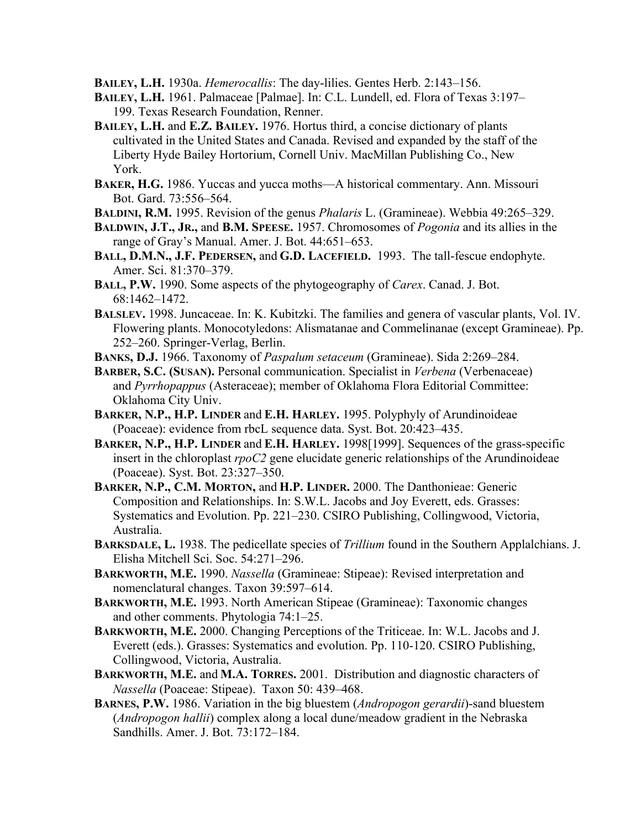**BAILEY, L.H.** 1930a. *Hemerocallis*: The day-lilies. Gentes Herb. 2:143–156.

- **BAILEY, L.H.** 1961. Palmaceae [Palmae]. In: C.L. Lundell, ed. Flora of Texas 3:197– 199. Texas Research Foundation, Renner.
- **BAILEY, L.H.** and **E.Z. BAILEY.** 1976. Hortus third, a concise dictionary of plants cultivated in the United States and Canada. Revised and expanded by the staff of the Liberty Hyde Bailey Hortorium, Cornell Univ. MacMillan Publishing Co., New York.
- **BAKER, H.G.** 1986. Yuccas and yucca moths—A historical commentary. Ann. Missouri Bot. Gard. 73:556–564.
- **BALDINI, R.M.** 1995. Revision of the genus *Phalaris* L. (Gramineae). Webbia 49:265–329.
- **BALDWIN, J.T., JR.,** and **B.M. SPEESE.** 1957. Chromosomes of *Pogonia* and its allies in the range of Gray's Manual. Amer. J. Bot. 44:651–653.
- **BALL, D.M.N., J.F. PEDERSEN,** and **G.D. LACEFIELD.** 1993. The tall-fescue endophyte. Amer. Sci. 81:370–379.
- **BALL, P.W.** 1990. Some aspects of the phytogeography of *Carex*. Canad. J. Bot. 68:1462–1472.
- **BALSLEV.** 1998. Juncaceae. In: K. Kubitzki. The families and genera of vascular plants, Vol. IV. Flowering plants. Monocotyledons: Alismatanae and Commelinanae (except Gramineae). Pp. 252–260. Springer-Verlag, Berlin.
- **BANKS, D.J.** 1966. Taxonomy of *Paspalum setaceum* (Gramineae). Sida 2:269–284.
- **BARBER, S.C. (SUSAN).** Personal communication. Specialist in *Verbena* (Verbenaceae) and *Pyrrhopappus* (Asteraceae); member of Oklahoma Flora Editorial Committee: Oklahoma City Univ.
- **BARKER, N.P., H.P. LINDER** and **E.H. HARLEY.** 1995. Polyphyly of Arundinoideae (Poaceae): evidence from rbcL sequence data. Syst. Bot. 20:423–435.
- **BARKER, N.P., H.P. LINDER** and **E.H. HARLEY.** 1998[1999]. Sequences of the grass-specific insert in the chloroplast *rpoC2* gene elucidate generic relationships of the Arundinoideae (Poaceae). Syst. Bot. 23:327–350.
- **BARKER, N.P., C.M. MORTON,** and **H.P. LINDER.** 2000. The Danthonieae: Generic Composition and Relationships. In: S.W.L. Jacobs and Joy Everett, eds. Grasses: Systematics and Evolution. Pp. 221–230. CSIRO Publishing, Collingwood, Victoria, Australia.
- **BARKSDALE, L.** 1938. The pedicellate species of *Trillium* found in the Southern Applalchians. J. Elisha Mitchell Sci. Soc. 54:271–296.
- **BARKWORTH, M.E.** 1990. *Nassella* (Gramineae: Stipeae): Revised interpretation and nomenclatural changes. Taxon 39:597–614.
- **BARKWORTH, M.E.** 1993. North American Stipeae (Gramineae): Taxonomic changes and other comments. Phytologia 74:1–25.
- **BARKWORTH, M.E.** 2000. Changing Perceptions of the Triticeae. In: W.L. Jacobs and J. Everett (eds.). Grasses: Systematics and evolution. Pp. 110-120. CSIRO Publishing, Collingwood, Victoria, Australia.
- **BARKWORTH, M.E.** and **M.A. TORRES.** 2001. Distribution and diagnostic characters of *Nassella* (Poaceae: Stipeae). Taxon 50: 439–468.
- **BARNES, P.W.** 1986. Variation in the big bluestem (*Andropogon gerardii*)-sand bluestem (*Andropogon hallii*) complex along a local dune/meadow gradient in the Nebraska Sandhills. Amer. J. Bot. 73:172–184.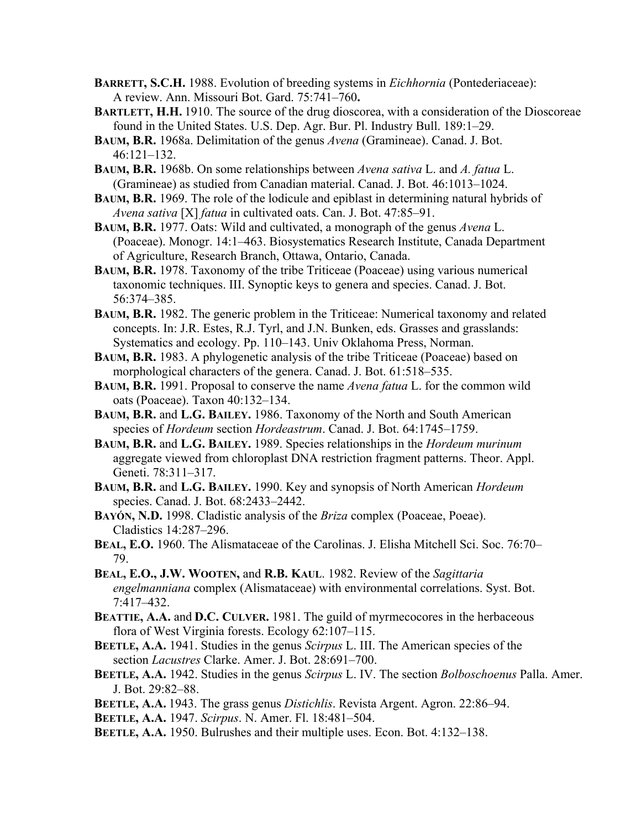- **BARRETT, S.C.H.** 1988. Evolution of breeding systems in *Eichhornia* (Pontederiaceae): A review. Ann. Missouri Bot. Gard. 75:741–760**.**
- **BARTLETT, H.H.** 1910. The source of the drug dioscorea, with a consideration of the Dioscoreae found in the United States. U.S. Dep. Agr. Bur. Pl. Industry Bull. 189:1–29.
- **BAUM, B.R.** 1968a. Delimitation of the genus *Avena* (Gramineae). Canad. J. Bot. 46:121–132.
- **BAUM, B.R.** 1968b. On some relationships between *Avena sativa* L. and *A. fatua* L. (Gramineae) as studied from Canadian material. Canad. J. Bot. 46:1013–1024.
- **BAUM, B.R.** 1969. The role of the lodicule and epiblast in determining natural hybrids of *Avena sativa* [X] *fatua* in cultivated oats. Can. J. Bot. 47:85–91.
- **BAUM, B.R.** 1977. Oats: Wild and cultivated, a monograph of the genus *Avena* L. (Poaceae). Monogr. 14:1–463. Biosystematics Research Institute, Canada Department of Agriculture, Research Branch, Ottawa, Ontario, Canada.
- **BAUM, B.R.** 1978. Taxonomy of the tribe Triticeae (Poaceae) using various numerical taxonomic techniques. III. Synoptic keys to genera and species. Canad. J. Bot. 56:374–385.
- **BAUM, B.R.** 1982. The generic problem in the Triticeae: Numerical taxonomy and related concepts. In: J.R. Estes, R.J. Tyrl, and J.N. Bunken, eds. Grasses and grasslands: Systematics and ecology. Pp. 110–143. Univ Oklahoma Press, Norman.
- **BAUM, B.R.** 1983. A phylogenetic analysis of the tribe Triticeae (Poaceae) based on morphological characters of the genera. Canad. J. Bot. 61:518–535.
- **BAUM, B.R.** 1991. Proposal to conserve the name *Avena fatua* L. for the common wild oats (Poaceae). Taxon 40:132–134.
- **BAUM, B.R.** and **L.G. BAILEY.** 1986. Taxonomy of the North and South American species of *Hordeum* section *Hordeastrum*. Canad. J. Bot. 64:1745–1759.
- **BAUM, B.R.** and **L.G. BAILEY.** 1989. Species relationships in the *Hordeum murinum* aggregate viewed from chloroplast DNA restriction fragment patterns. Theor. Appl. Geneti. 78:311–317.
- **BAUM, B.R.** and **L.G. BAILEY.** 1990. Key and synopsis of North American *Hordeum* species. Canad. J. Bot. 68:2433–2442.
- **BAYÓN, N.D.** 1998. Cladistic analysis of the *Briza* complex (Poaceae, Poeae). Cladistics 14:287–296.
- **BEAL, E.O.** 1960. The Alismataceae of the Carolinas. J. Elisha Mitchell Sci. Soc. 76:70– 79.
- **BEAL, E.O., J.W. WOOTEN,** and **R.B. KAUL**. 1982. Review of the *Sagittaria engelmanniana* complex (Alismataceae) with environmental correlations. Syst. Bot. 7:417–432.
- **BEATTIE, A.A. and D.C. CULVER.** 1981. The guild of myrmecocores in the herbaceous flora of West Virginia forests. Ecology 62:107–115.
- **BEETLE, A.A.** 1941. Studies in the genus *Scirpus* L. III. The American species of the section *Lacustres* Clarke. Amer. J. Bot. 28:691–700.
- **BEETLE, A.A.** 1942. Studies in the genus *Scirpus* L. IV. The section *Bolboschoenus* Palla. Amer. J. Bot. 29:82–88.
- **BEETLE, A.A.** 1943. The grass genus *Distichlis*. Revista Argent. Agron. 22:86–94.
- **BEETLE, A.A.** 1947. *Scirpus*. N. Amer. Fl. 18:481–504.
- **BEETLE, A.A.** 1950. Bulrushes and their multiple uses. Econ. Bot. 4:132–138.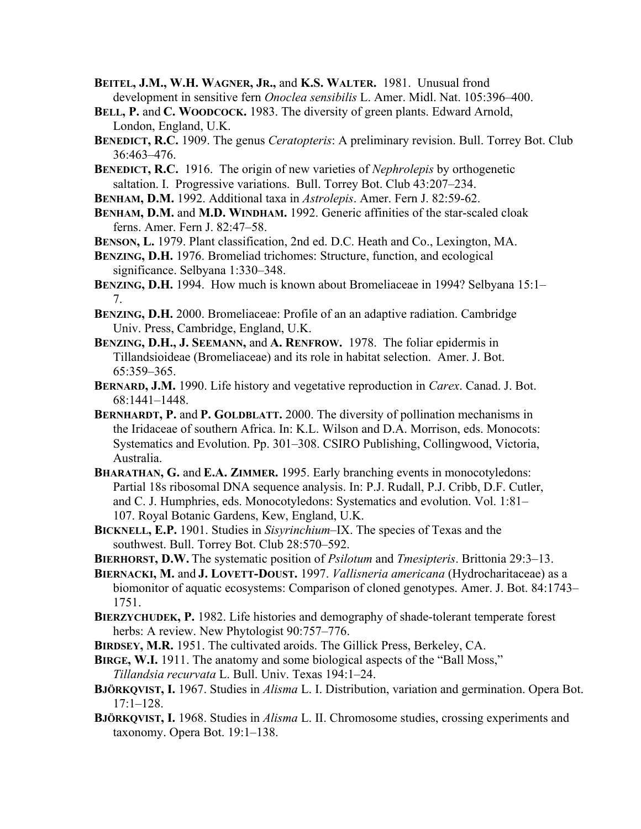- **BEITEL, J.M., W.H. WAGNER, JR.,** and **K.S. WALTER.** 1981. Unusual frond development in sensitive fern *Onoclea sensibilis* L. Amer. Midl. Nat. 105:396–400.
- **BELL, P.** and **C. WOODCOCK.** 1983. The diversity of green plants. Edward Arnold, London, England, U.K.
- **BENEDICT, R.C.** 1909. The genus *Ceratopteris*: A preliminary revision. Bull. Torrey Bot. Club 36:463–476.
- **BENEDICT, R.C.** 1916. The origin of new varieties of *Nephrolepis* by orthogenetic saltation. I. Progressive variations. Bull. Torrey Bot. Club 43:207–234.
- **BENHAM, D.M.** 1992. Additional taxa in *Astrolepis*. Amer. Fern J. 82:59-62.
- **BENHAM, D.M.** and **M.D. WINDHAM.** 1992. Generic affinities of the star-scaled cloak ferns. Amer. Fern J. 82:47–58.
- **BENSON, L.** 1979. Plant classification, 2nd ed. D.C. Heath and Co., Lexington, MA.
- **BENZING, D.H.** 1976. Bromeliad trichomes: Structure, function, and ecological significance. Selbyana 1:330–348.
- **BENZING, D.H.** 1994. How much is known about Bromeliaceae in 1994? Selbyana 15:1– 7.
- **BENZING, D.H.** 2000. Bromeliaceae: Profile of an an adaptive radiation. Cambridge Univ. Press, Cambridge, England, U.K.
- **BENZING, D.H., J. SEEMANN,** and **A. RENFROW.** 1978. The foliar epidermis in Tillandsioideae (Bromeliaceae) and its role in habitat selection. Amer. J. Bot. 65:359–365.
- **BERNARD, J.M.** 1990. Life history and vegetative reproduction in *Carex*. Canad. J. Bot. 68:1441–1448.
- **BERNHARDT, P.** and **P. GOLDBLATT.** 2000. The diversity of pollination mechanisms in the Iridaceae of southern Africa. In: K.L. Wilson and D.A. Morrison, eds. Monocots: Systematics and Evolution. Pp. 301–308. CSIRO Publishing, Collingwood, Victoria, Australia.
- **BHARATHAN, G.** and **E.A. ZIMMER.** 1995. Early branching events in monocotyledons: Partial 18s ribosomal DNA sequence analysis. In: P.J. Rudall, P.J. Cribb, D.F. Cutler, and C. J. Humphries, eds. Monocotyledons: Systematics and evolution. Vol. 1:81– 107. Royal Botanic Gardens, Kew, England, U.K.
- **BICKNELL, E.P.** 1901. Studies in *Sisyrinchium*–IX. The species of Texas and the southwest. Bull. Torrey Bot. Club 28:570–592.
- **BIERHORST, D.W.** The systematic position of *Psilotum* and *Tmesipteris*. Brittonia 29:3–13.
- **BIERNACKI, M.** and **J. LOVETT-DOUST.** 1997. *Vallisneria americana* (Hydrocharitaceae) as a biomonitor of aquatic ecosystems: Comparison of cloned genotypes. Amer. J. Bot. 84:1743– 1751.
- **BIERZYCHUDEK, P.** 1982. Life histories and demography of shade-tolerant temperate forest herbs: A review. New Phytologist 90:757–776.
- **BIRDSEY, M.R.** 1951. The cultivated aroids. The Gillick Press, Berkeley, CA.
- **BIRGE, W.I.** 1911. The anatomy and some biological aspects of the "Ball Moss," *Tillandsia recurvata* L. Bull. Univ. Texas 194:1–24.
- **BJÖRKQVIST, I.** 1967. Studies in *Alisma* L. I. Distribution, variation and germination. Opera Bot. 17:1–128.
- **BJÖRKQVIST, I.** 1968. Studies in *Alisma* L. II. Chromosome studies, crossing experiments and taxonomy. Opera Bot. 19:1–138.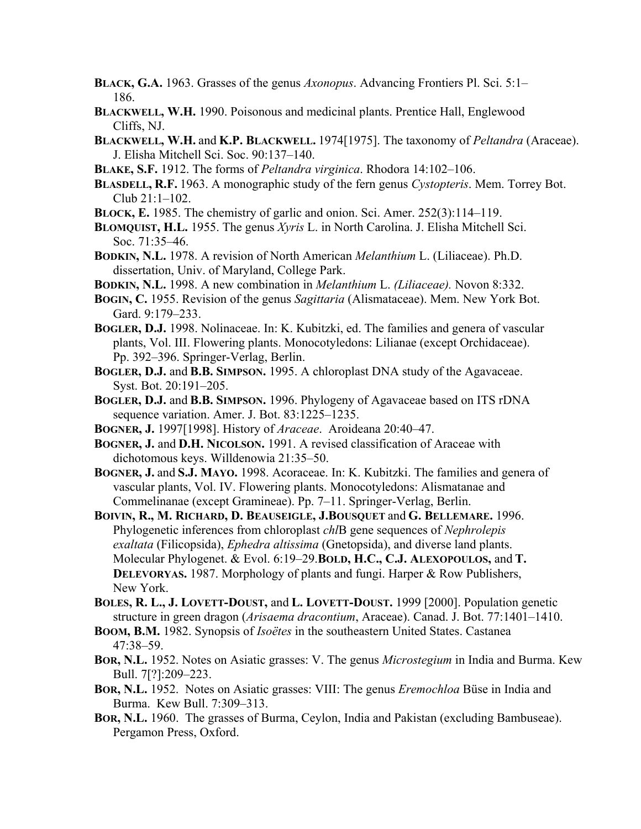- **BLACK, G.A.** 1963. Grasses of the genus *Axonopus*. Advancing Frontiers Pl. Sci. 5:1– 186.
- **BLACKWELL, W.H.** 1990. Poisonous and medicinal plants. Prentice Hall, Englewood Cliffs, NJ.
- **BLACKWELL, W.H.** and **K.P. BLACKWELL.** 1974[1975]. The taxonomy of *Peltandra* (Araceae). J. Elisha Mitchell Sci. Soc. 90:137–140.
- **BLAKE, S.F.** 1912. The forms of *Peltandra virginica*. Rhodora 14:102–106.
- **BLASDELL, R.F.** 1963. A monographic study of the fern genus *Cystopteris*. Mem. Torrey Bot. Club 21:1–102.
- **BLOCK, E.** 1985. The chemistry of garlic and onion. Sci. Amer. 252(3):114–119.
- **BLOMQUIST, H.L.** 1955. The genus *Xyris* L. in North Carolina. J. Elisha Mitchell Sci. Soc. 71:35–46.
- **BODKIN, N.L.** 1978. A revision of North American *Melanthium* L. (Liliaceae). Ph.D. dissertation, Univ. of Maryland, College Park.
- **BODKIN, N.L.** 1998. A new combination in *Melanthium* L. *(Liliaceae).* Novon 8:332.
- **BOGIN, C.** 1955. Revision of the genus *Sagittaria* (Alismataceae). Mem. New York Bot. Gard. 9:179–233.
- **BOGLER, D.J.** 1998. Nolinaceae. In: K. Kubitzki, ed. The families and genera of vascular plants, Vol. III. Flowering plants. Monocotyledons: Lilianae (except Orchidaceae). Pp. 392–396. Springer-Verlag, Berlin.
- **BOGLER, D.J.** and **B.B. SIMPSON.** 1995. A chloroplast DNA study of the Agavaceae. Syst. Bot. 20:191–205.
- **BOGLER, D.J.** and **B.B. SIMPSON.** 1996. Phylogeny of Agavaceae based on ITS rDNA sequence variation. Amer. J. Bot. 83:1225–1235.
- **BOGNER, J.** 1997[1998]. History of *Araceae*. Aroideana 20:40–47.
- **BOGNER, J.** and **D.H. NICOLSON.** 1991. A revised classification of Araceae with dichotomous keys. Willdenowia 21:35–50.
- **BOGNER, J.** and **S.J. MAYO.** 1998. Acoraceae. In: K. Kubitzki. The families and genera of vascular plants, Vol. IV. Flowering plants. Monocotyledons: Alismatanae and Commelinanae (except Gramineae). Pp. 7–11. Springer-Verlag, Berlin.
- **BOIVIN, R., M. RICHARD, D. BEAUSEIGLE, J.BOUSQUET** and **G. BELLEMARE.** 1996. Phylogenetic inferences from chloroplast *chl*B gene sequences of *Nephrolepis exaltata* (Filicopsida), *Ephedra altissima* (Gnetopsida), and diverse land plants. Molecular Phylogenet. & Evol. 6:19–29.**BOLD, H.C., C.J. ALEXOPOULOS,** and **T. DELEVORYAS.** 1987. Morphology of plants and fungi. Harper & Row Publishers, New York.
- **BOLES, R. L., J. LOVETT-DOUST,** and **L. LOVETT-DOUST.** 1999 [2000]. Population genetic structure in green dragon (*Arisaema dracontium*, Araceae). Canad. J. Bot. 77:1401–1410.
- **BOOM, B.M.** 1982. Synopsis of *Isoëtes* in the southeastern United States. Castanea 47:38–59.
- **BOR, N.L.** 1952. Notes on Asiatic grasses: V. The genus *Microstegium* in India and Burma. Kew Bull. 7[?]:209–223.
- **BOR, N.L.** 1952. Notes on Asiatic grasses: VIII: The genus *Eremochloa* Büse in India and Burma. Kew Bull. 7:309–313.
- **BOR, N.L.** 1960. The grasses of Burma, Ceylon, India and Pakistan (excluding Bambuseae). Pergamon Press, Oxford.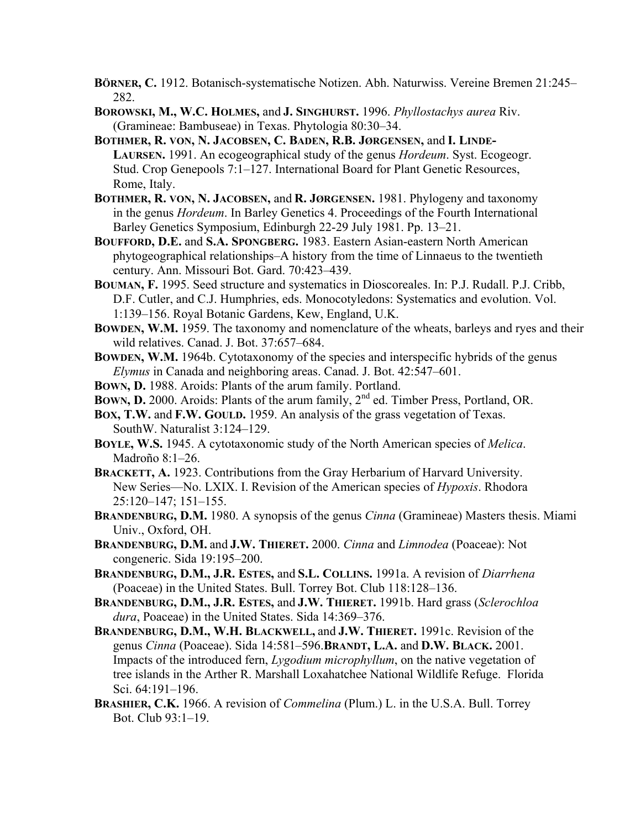- **BÖRNER, C.** 1912. Botanisch-systematische Notizen. Abh. Naturwiss. Vereine Bremen 21:245– 282.
- **BOROWSKI, M., W.C. HOLMES,** and **J. SINGHURST.** 1996. *Phyllostachys aurea* Riv. (Gramineae: Bambuseae) in Texas. Phytologia 80:30–34.
- **BOTHMER, R. VON, N. JACOBSEN, C. BADEN, R.B. JØRGENSEN,** and **I. LINDE-LAURSEN.** 1991. An ecogeographical study of the genus *Hordeum*. Syst. Ecogeogr. Stud. Crop Genepools 7:1–127. International Board for Plant Genetic Resources, Rome, Italy.
- **BOTHMER, R. VON, N. JACOBSEN,** and **R. JØRGENSEN.** 1981. Phylogeny and taxonomy in the genus *Hordeum*. In Barley Genetics 4. Proceedings of the Fourth International Barley Genetics Symposium, Edinburgh 22-29 July 1981. Pp. 13–21.
- **BOUFFORD, D.E.** and **S.A. SPONGBERG.** 1983. Eastern Asian-eastern North American phytogeographical relationships–A history from the time of Linnaeus to the twentieth century. Ann. Missouri Bot. Gard. 70:423–439.
- **BOUMAN, F.** 1995. Seed structure and systematics in Dioscoreales. In: P.J. Rudall. P.J. Cribb, D.F. Cutler, and C.J. Humphries, eds. Monocotyledons: Systematics and evolution. Vol. 1:139–156. Royal Botanic Gardens, Kew, England, U.K.
- **BOWDEN, W.M.** 1959. The taxonomy and nomenclature of the wheats, barleys and ryes and their wild relatives. Canad. J. Bot. 37:657–684.
- **BOWDEN, W.M.** 1964b. Cytotaxonomy of the species and interspecific hybrids of the genus *Elymus* in Canada and neighboring areas. Canad. J. Bot. 42:547–601.
- **BOWN, D.** 1988. Aroids: Plants of the arum family. Portland.
- **BOWN, D.** 2000. Aroids: Plants of the arum family, 2<sup>nd</sup> ed. Timber Press, Portland, OR.
- **BOX, T.W.** and **F.W. GOULD.** 1959. An analysis of the grass vegetation of Texas. SouthW. Naturalist 3:124–129.
- **BOYLE, W.S.** 1945. A cytotaxonomic study of the North American species of *Melica*. Madroño 8:1–26.
- **BRACKETT, A.** 1923. Contributions from the Gray Herbarium of Harvard University. New Series—No. LXIX. I. Revision of the American species of *Hypoxis*. Rhodora 25:120–147; 151–155.
- **BRANDENBURG, D.M.** 1980. A synopsis of the genus *Cinna* (Gramineae) Masters thesis. Miami Univ., Oxford, OH.
- **BRANDENBURG, D.M.** and **J.W. THIERET.** 2000. *Cinna* and *Limnodea* (Poaceae): Not congeneric. Sida 19:195–200.
- **BRANDENBURG, D.M., J.R. ESTES,** and **S.L. COLLINS.** 1991a. A revision of *Diarrhena* (Poaceae) in the United States. Bull. Torrey Bot. Club 118:128–136.
- **BRANDENBURG, D.M., J.R. ESTES,** and **J.W. THIERET.** 1991b. Hard grass (*Sclerochloa dura*, Poaceae) in the United States. Sida 14:369–376.
- **BRANDENBURG, D.M., W.H. BLACKWELL,** and **J.W. THIERET.** 1991c. Revision of the genus *Cinna* (Poaceae). Sida 14:581–596.**BRANDT, L.A.** and **D.W. BLACK.** 2001. Impacts of the introduced fern, *Lygodium microphyllum*, on the native vegetation of tree islands in the Arther R. Marshall Loxahatchee National Wildlife Refuge. Florida Sci. 64:191–196.
- **BRASHIER, C.K.** 1966. A revision of *Commelina* (Plum.) L. in the U.S.A. Bull. Torrey Bot. Club 93:1–19.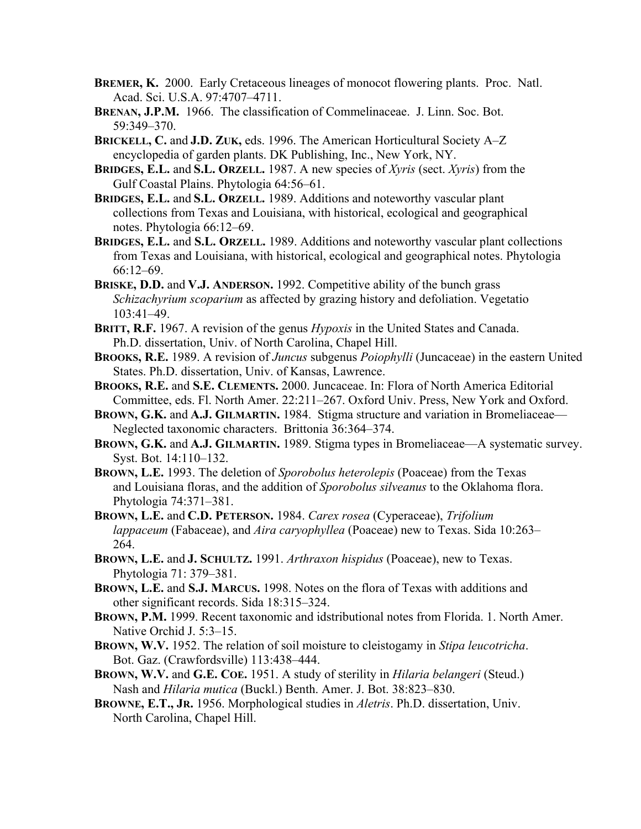- **BREMER, K.** 2000. Early Cretaceous lineages of monocot flowering plants. Proc. Natl. Acad. Sci. U.S.A. 97:4707–4711.
- **BRENAN, J.P.M.** 1966. The classification of Commelinaceae. J. Linn. Soc. Bot. 59:349–370.
- **BRICKELL, C.** and **J.D. ZUK,** eds. 1996. The American Horticultural Society A–Z encyclopedia of garden plants. DK Publishing, Inc., New York, NY.
- **BRIDGES, E.L.** and **S.L. ORZELL.** 1987. A new species of *Xyris* (sect. *Xyris*) from the Gulf Coastal Plains. Phytologia 64:56–61.
- **BRIDGES, E.L.** and **S.L. ORZELL.** 1989. Additions and noteworthy vascular plant collections from Texas and Louisiana, with historical, ecological and geographical notes. Phytologia 66:12–69.
- **BRIDGES, E.L.** and **S.L. ORZELL.** 1989. Additions and noteworthy vascular plant collections from Texas and Louisiana, with historical, ecological and geographical notes. Phytologia 66:12–69.
- **BRISKE, D.D.** and **V.J. ANDERSON.** 1992. Competitive ability of the bunch grass *Schizachyrium scoparium* as affected by grazing history and defoliation. Vegetatio 103:41–49.
- **BRITT, R.F.** 1967. A revision of the genus *Hypoxis* in the United States and Canada. Ph.D. dissertation, Univ. of North Carolina, Chapel Hill.
- **BROOKS, R.E.** 1989. A revision of *Juncus* subgenus *Poiophylli* (Juncaceae) in the eastern United States. Ph.D. dissertation, Univ. of Kansas, Lawrence.
- **BROOKS, R.E.** and **S.E. CLEMENTS.** 2000. Juncaceae. In: Flora of North America Editorial Committee, eds. Fl. North Amer. 22:211–267. Oxford Univ. Press, New York and Oxford.
- **BROWN, G.K.** and **A.J. GILMARTIN.** 1984. Stigma structure and variation in Bromeliaceae— Neglected taxonomic characters. Brittonia 36:364–374.
- **BROWN, G.K.** and **A.J. GILMARTIN.** 1989. Stigma types in Bromeliaceae—A systematic survey. Syst. Bot. 14:110–132.
- **BROWN, L.E.** 1993. The deletion of *Sporobolus heterolepis* (Poaceae) from the Texas and Louisiana floras, and the addition of *Sporobolus silveanus* to the Oklahoma flora. Phytologia 74:371–381.
- **BROWN, L.E.** and **C.D. PETERSON.** 1984. *Carex rosea* (Cyperaceae), *Trifolium lappaceum* (Fabaceae), and *Aira caryophyllea* (Poaceae) new to Texas. Sida 10:263– 264.
- **BROWN, L.E.** and **J. SCHULTZ.** 1991. *Arthraxon hispidus* (Poaceae), new to Texas. Phytologia 71: 379–381.
- **BROWN, L.E.** and **S.J. MARCUS.** 1998. Notes on the flora of Texas with additions and other significant records. Sida 18:315–324.
- **BROWN, P.M.** 1999. Recent taxonomic and idstributional notes from Florida. 1. North Amer. Native Orchid J. 5:3–15.
- **BROWN, W.V.** 1952. The relation of soil moisture to cleistogamy in *Stipa leucotricha*. Bot. Gaz. (Crawfordsville) 113:438–444.
- **BROWN, W.V.** and **G.E. COE.** 1951. A study of sterility in *Hilaria belangeri* (Steud.) Nash and *Hilaria mutica* (Buckl.) Benth. Amer. J. Bot. 38:823–830.
- **BROWNE, E.T., JR.** 1956. Morphological studies in *Aletris*. Ph.D. dissertation, Univ. North Carolina, Chapel Hill.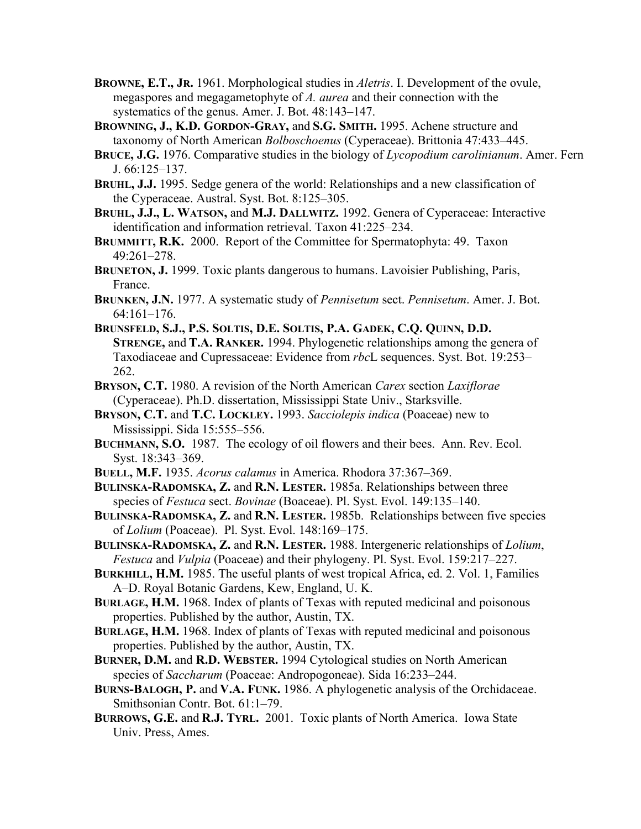- **BROWNE, E.T., JR.** 1961. Morphological studies in *Aletris*. I. Development of the ovule, megaspores and megagametophyte of *A. aurea* and their connection with the systematics of the genus. Amer. J. Bot. 48:143–147.
- **BROWNING, J., K.D. GORDON-GRAY,** and **S.G. SMITH.** 1995. Achene structure and taxonomy of North American *Bolboschoenus* (Cyperaceae). Brittonia 47:433–445.
- **BRUCE, J.G.** 1976. Comparative studies in the biology of *Lycopodium carolinianum*. Amer. Fern J. 66:125–137.
- **BRUHL, J.J.** 1995. Sedge genera of the world: Relationships and a new classification of the Cyperaceae. Austral. Syst. Bot. 8:125–305.
- **BRUHL, J.J., L. WATSON,** and **M.J. DALLWITZ.** 1992. Genera of Cyperaceae: Interactive identification and information retrieval. Taxon 41:225–234.
- **BRUMMITT, R.K.** 2000. Report of the Committee for Spermatophyta: 49. Taxon 49:261–278.
- **BRUNETON, J.** 1999. Toxic plants dangerous to humans. Lavoisier Publishing, Paris, France.
- **BRUNKEN, J.N.** 1977. A systematic study of *Pennisetum* sect. *Pennisetum*. Amer. J. Bot. 64:161–176.
- **BRUNSFELD, S.J., P.S. SOLTIS, D.E. SOLTIS, P.A. GADEK, C.Q. QUINN, D.D. STRENGE,** and **T.A. RANKER.** 1994. Phylogenetic relationships among the genera of Taxodiaceae and Cupressaceae: Evidence from *rbc*L sequences. Syst. Bot. 19:253– 262.
- **BRYSON, C.T.** 1980. A revision of the North American *Carex* section *Laxiflorae* (Cyperaceae). Ph.D. dissertation, Mississippi State Univ., Starksville.
- **BRYSON, C.T.** and **T.C. LOCKLEY.** 1993. *Sacciolepis indica* (Poaceae) new to Mississippi. Sida 15:555–556.
- **BUCHMANN, S.O.** 1987. The ecology of oil flowers and their bees. Ann. Rev. Ecol. Syst. 18:343–369.
- **BUELL, M.F.** 1935. *Acorus calamus* in America. Rhodora 37:367–369.
- **BULINSKA-RADOMSKA, Z.** and **R.N. LESTER.** 1985a. Relationships between three species of *Festuca* sect. *Bovinae* (Boaceae). Pl. Syst. Evol. 149:135–140.
- **BULINSKA-RADOMSKA, Z.** and **R.N. LESTER.** 1985b. Relationships between five species of *Lolium* (Poaceae). Pl. Syst. Evol. 148:169–175.
- **BULINSKA-RADOMSKA, Z.** and **R.N. LESTER.** 1988. Intergeneric relationships of *Lolium*, *Festuca* and *Vulpia* (Poaceae) and their phylogeny. Pl. Syst. Evol. 159:217–227.
- **BURKHILL, H.M.** 1985. The useful plants of west tropical Africa, ed. 2. Vol. 1, Families A–D. Royal Botanic Gardens, Kew, England, U. K.
- **BURLAGE, H.M.** 1968. Index of plants of Texas with reputed medicinal and poisonous properties. Published by the author, Austin, TX.
- **BURLAGE, H.M.** 1968. Index of plants of Texas with reputed medicinal and poisonous properties. Published by the author, Austin, TX.
- **BURNER, D.M.** and **R.D. WEBSTER.** 1994 Cytological studies on North American species of *Saccharum* (Poaceae: Andropogoneae). Sida 16:233–244.
- **BURNS-BALOGH, P.** and **V.A. FUNK.** 1986. A phylogenetic analysis of the Orchidaceae. Smithsonian Contr. Bot. 61:1–79.
- **BURROWS, G.E.** and **R.J. TYRL.** 2001. Toxic plants of North America. Iowa State Univ. Press, Ames.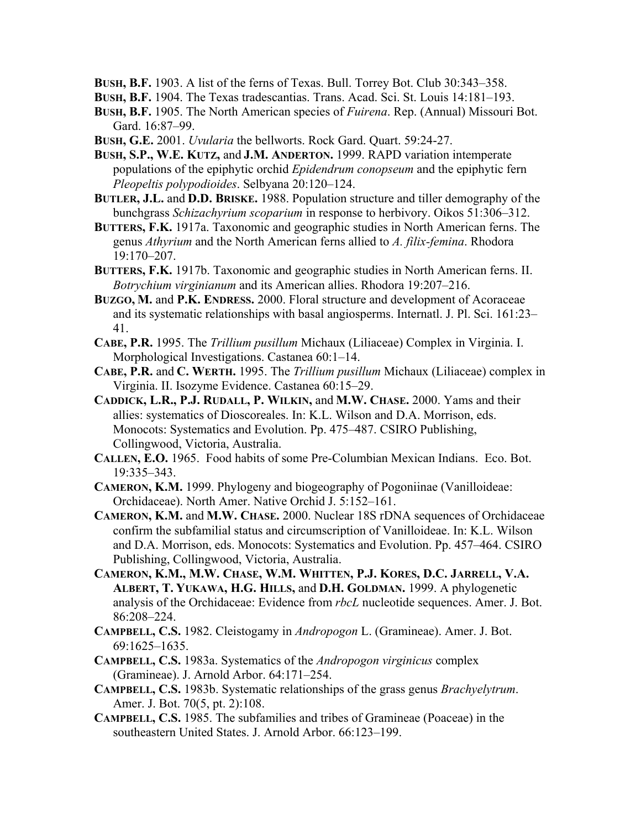**BUSH, B.F.** 1903. A list of the ferns of Texas. Bull. Torrey Bot. Club 30:343–358.

- **BUSH, B.F.** 1904. The Texas tradescantias. Trans. Acad. Sci. St. Louis 14:181–193.
- **BUSH, B.F.** 1905. The North American species of *Fuirena*. Rep. (Annual) Missouri Bot. Gard. 16:87–99.
- **BUSH, G.E.** 2001. *Uvularia* the bellworts. Rock Gard. Quart. 59:24-27.
- **BUSH, S.P., W.E. KUTZ,** and **J.M. ANDERTON.** 1999. RAPD variation intemperate populations of the epiphytic orchid *Epidendrum conopseum* and the epiphytic fern *Pleopeltis polypodioides*. Selbyana 20:120–124.
- **BUTLER, J.L.** and **D.D. BRISKE.** 1988. Population structure and tiller demography of the bunchgrass *Schizachyrium scoparium* in response to herbivory. Oikos 51:306–312.
- **BUTTERS, F.K.** 1917a. Taxonomic and geographic studies in North American ferns. The genus *Athyrium* and the North American ferns allied to *A. filix-femina*. Rhodora 19:170–207.
- **BUTTERS, F.K.** 1917b. Taxonomic and geographic studies in North American ferns. II. *Botrychium virginianum* and its American allies. Rhodora 19:207–216.
- **BUZGO, M.** and **P.K. ENDRESS.** 2000. Floral structure and development of Acoraceae and its systematic relationships with basal angiosperms. Internatl. J. Pl. Sci. 161:23– 41.
- **CABE, P.R.** 1995. The *Trillium pusillum* Michaux (Liliaceae) Complex in Virginia. I. Morphological Investigations. Castanea 60:1–14.
- **CABE, P.R.** and **C. WERTH.** 1995. The *Trillium pusillum* Michaux (Liliaceae) complex in Virginia. II. Isozyme Evidence. Castanea 60:15–29.
- **CADDICK, L.R., P.J. RUDALL, P. WILKIN,** and **M.W. CHASE.** 2000. Yams and their allies: systematics of Dioscoreales. In: K.L. Wilson and D.A. Morrison, eds. Monocots: Systematics and Evolution. Pp. 475–487. CSIRO Publishing, Collingwood, Victoria, Australia.
- **CALLEN, E.O.** 1965. Food habits of some Pre-Columbian Mexican Indians. Eco. Bot. 19:335–343.
- **CAMERON, K.M.** 1999. Phylogeny and biogeography of Pogoniinae (Vanilloideae: Orchidaceae). North Amer. Native Orchid J. 5:152–161.
- **CAMERON, K.M.** and **M.W. CHASE.** 2000. Nuclear 18S rDNA sequences of Orchidaceae confirm the subfamilial status and circumscription of Vanilloideae. In: K.L. Wilson and D.A. Morrison, eds. Monocots: Systematics and Evolution. Pp. 457–464. CSIRO Publishing, Collingwood, Victoria, Australia.
- **CAMERON, K.M., M.W. CHASE, W.M. WHITTEN, P.J. KORES, D.C. JARRELL, V.A. ALBERT, T. YUKAWA, H.G. HILLS,** and **D.H. GOLDMAN.** 1999. A phylogenetic analysis of the Orchidaceae: Evidence from *rbcL* nucleotide sequences. Amer. J. Bot. 86:208–224.
- **CAMPBELL, C.S.** 1982. Cleistogamy in *Andropogon* L. (Gramineae). Amer. J. Bot. 69:1625–1635.
- **CAMPBELL, C.S.** 1983a. Systematics of the *Andropogon virginicus* complex (Gramineae). J. Arnold Arbor. 64:171–254.
- **CAMPBELL, C.S.** 1983b. Systematic relationships of the grass genus *Brachyelytrum*. Amer. J. Bot. 70(5, pt. 2):108.
- **CAMPBELL, C.S.** 1985. The subfamilies and tribes of Gramineae (Poaceae) in the southeastern United States. J. Arnold Arbor. 66:123–199.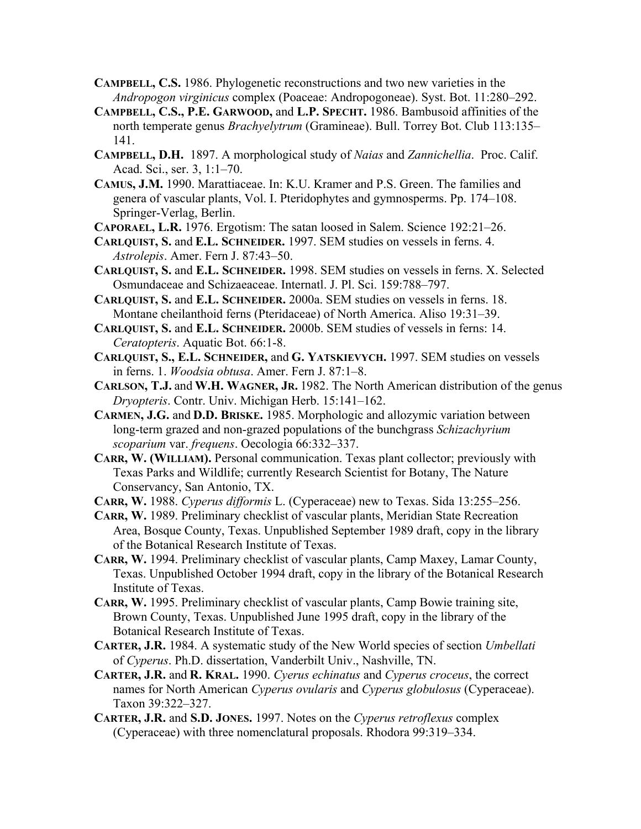- **CAMPBELL, C.S.** 1986. Phylogenetic reconstructions and two new varieties in the *Andropogon virginicus* complex (Poaceae: Andropogoneae). Syst. Bot. 11:280–292.
- **CAMPBELL, C.S., P.E. GARWOOD,** and **L.P. SPECHT.** 1986. Bambusoid affinities of the north temperate genus *Brachyelytrum* (Gramineae). Bull. Torrey Bot. Club 113:135– 141.
- **CAMPBELL, D.H.** 1897. A morphological study of *Naias* and *Zannichellia*. Proc. Calif. Acad. Sci., ser. 3, 1:1–70.
- **CAMUS, J.M.** 1990. Marattiaceae. In: K.U. Kramer and P.S. Green. The families and genera of vascular plants, Vol. I. Pteridophytes and gymnosperms. Pp. 174–108. Springer-Verlag, Berlin.
- **CAPORAEL, L.R.** 1976. Ergotism: The satan loosed in Salem. Science 192:21–26.
- **CARLQUIST, S.** and **E.L. SCHNEIDER.** 1997. SEM studies on vessels in ferns. 4. *Astrolepis*. Amer. Fern J. 87:43–50.
- **CARLQUIST, S.** and **E.L. SCHNEIDER.** 1998. SEM studies on vessels in ferns. X. Selected Osmundaceae and Schizaeaceae. Internatl. J. Pl. Sci. 159:788–797.
- **CARLQUIST, S.** and **E.L. SCHNEIDER.** 2000a. SEM studies on vessels in ferns. 18. Montane cheilanthoid ferns (Pteridaceae) of North America. Aliso 19:31–39.
- **CARLQUIST, S.** and **E.L. SCHNEIDER.** 2000b. SEM studies of vessels in ferns: 14. *Ceratopteris*. Aquatic Bot. 66:1-8.
- **CARLQUIST, S., E.L. SCHNEIDER,** and **G. YATSKIEVYCH.** 1997. SEM studies on vessels in ferns. 1. *Woodsia obtusa*. Amer. Fern J. 87:1–8.
- **CARLSON, T.J.** and **W.H. WAGNER, JR.** 1982. The North American distribution of the genus *Dryopteris*. Contr. Univ. Michigan Herb. 15:141–162.
- **CARMEN, J.G.** and **D.D. BRISKE.** 1985. Morphologic and allozymic variation between long-term grazed and non-grazed populations of the bunchgrass *Schizachyrium scoparium* var. *frequens*. Oecologia 66:332–337.
- **CARR, W. (WILLIAM).** Personal communication. Texas plant collector; previously with Texas Parks and Wildlife; currently Research Scientist for Botany, The Nature Conservancy, San Antonio, TX.
- **CARR, W.** 1988. *Cyperus difformis* L. (Cyperaceae) new to Texas. Sida 13:255–256.
- **CARR, W.** 1989. Preliminary checklist of vascular plants, Meridian State Recreation Area, Bosque County, Texas. Unpublished September 1989 draft, copy in the library of the Botanical Research Institute of Texas.
- **CARR, W.** 1994. Preliminary checklist of vascular plants, Camp Maxey, Lamar County, Texas. Unpublished October 1994 draft, copy in the library of the Botanical Research Institute of Texas.
- **CARR, W.** 1995. Preliminary checklist of vascular plants, Camp Bowie training site, Brown County, Texas. Unpublished June 1995 draft, copy in the library of the Botanical Research Institute of Texas.
- **CARTER, J.R.** 1984. A systematic study of the New World species of section *Umbellati* of *Cyperus*. Ph.D. dissertation, Vanderbilt Univ., Nashville, TN.
- **CARTER, J.R.** and **R. KRAL.** 1990. *Cyerus echinatus* and *Cyperus croceus*, the correct names for North American *Cyperus ovularis* and *Cyperus globulosus* (Cyperaceae). Taxon 39:322–327.
- **CARTER, J.R.** and **S.D. JONES.** 1997. Notes on the *Cyperus retroflexus* complex (Cyperaceae) with three nomenclatural proposals. Rhodora 99:319–334.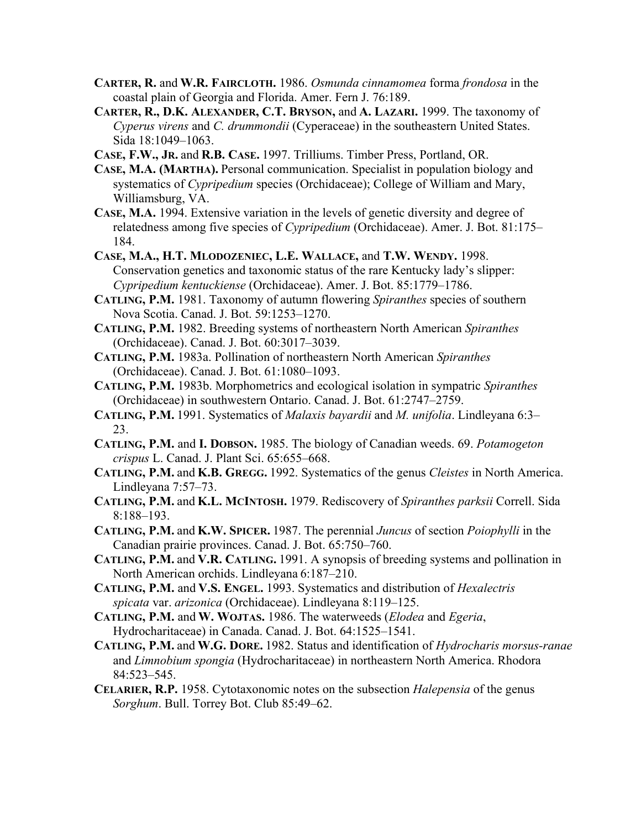- **CARTER, R.** and **W.R. FAIRCLOTH.** 1986. *Osmunda cinnamomea* forma *frondosa* in the coastal plain of Georgia and Florida. Amer. Fern J. 76:189.
- **CARTER, R., D.K. ALEXANDER, C.T. BRYSON,** and **A. LAZARI.** 1999. The taxonomy of *Cyperus virens* and *C. drummondii* (Cyperaceae) in the southeastern United States. Sida 18:1049–1063.
- **CASE, F.W., JR.** and **R.B. CASE.** 1997. Trilliums. Timber Press, Portland, OR.
- **CASE, M.A. (MARTHA).** Personal communication. Specialist in population biology and systematics of *Cypripedium* species (Orchidaceae); College of William and Mary, Williamsburg, VA.
- **CASE, M.A.** 1994. Extensive variation in the levels of genetic diversity and degree of relatedness among five species of *Cypripedium* (Orchidaceae). Amer. J. Bot. 81:175– 184.
- **CASE, M.A., H.T. MLODOZENIEC, L.E. WALLACE,** and **T.W. WENDY.** 1998. Conservation genetics and taxonomic status of the rare Kentucky lady's slipper: *Cypripedium kentuckiense* (Orchidaceae). Amer. J. Bot. 85:1779–1786.
- **CATLING, P.M.** 1981. Taxonomy of autumn flowering *Spiranthes* species of southern Nova Scotia. Canad. J. Bot. 59:1253–1270.
- **CATLING, P.M.** 1982. Breeding systems of northeastern North American *Spiranthes* (Orchidaceae). Canad. J. Bot. 60:3017–3039.
- **CATLING, P.M.** 1983a. Pollination of northeastern North American *Spiranthes* (Orchidaceae). Canad. J. Bot. 61:1080–1093.
- **CATLING, P.M.** 1983b. Morphometrics and ecological isolation in sympatric *Spiranthes* (Orchidaceae) in southwestern Ontario. Canad. J. Bot. 61:2747–2759.
- **CATLING, P.M.** 1991. Systematics of *Malaxis bayardii* and *M. unifolia*. Lindleyana 6:3– 23.
- **CATLING, P.M.** and **I. DOBSON.** 1985. The biology of Canadian weeds. 69. *Potamogeton crispus* L. Canad. J. Plant Sci. 65:655–668.
- **CATLING, P.M.** and **K.B. GREGG.** 1992. Systematics of the genus *Cleistes* in North America. Lindleyana 7:57–73.
- **CATLING, P.M.** and **K.L. MCINTOSH.** 1979. Rediscovery of *Spiranthes parksii* Correll. Sida 8:188–193.
- **CATLING, P.M.** and **K.W. SPICER.** 1987. The perennial *Juncus* of section *Poiophylli* in the Canadian prairie provinces. Canad. J. Bot. 65:750–760.
- **CATLING, P.M.** and **V.R. CATLING.** 1991. A synopsis of breeding systems and pollination in North American orchids. Lindleyana 6:187–210.
- **CATLING, P.M.** and **V.S. ENGEL.** 1993. Systematics and distribution of *Hexalectris spicata* var. *arizonica* (Orchidaceae). Lindleyana 8:119–125.
- **CATLING, P.M.** and **W. WOJTAS.** 1986. The waterweeds (*Elodea* and *Egeria*, Hydrocharitaceae) in Canada. Canad. J. Bot. 64:1525–1541.
- **CATLING, P.M.** and **W.G. DORE.** 1982. Status and identification of *Hydrocharis morsus-ranae* and *Limnobium spongia* (Hydrocharitaceae) in northeastern North America. Rhodora 84:523–545.
- **CELARIER, R.P.** 1958. Cytotaxonomic notes on the subsection *Halepensia* of the genus *Sorghum*. Bull. Torrey Bot. Club 85:49–62.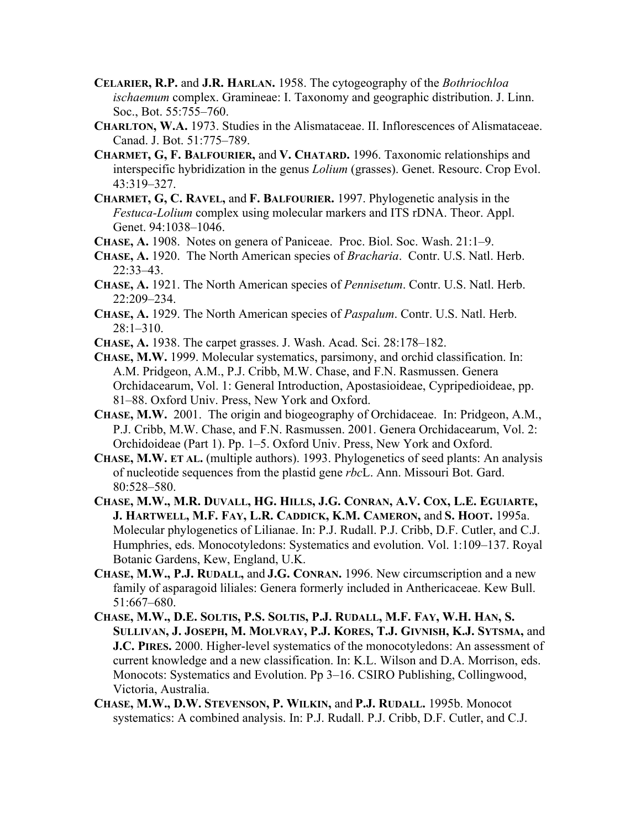- **CELARIER, R.P.** and **J.R. HARLAN.** 1958. The cytogeography of the *Bothriochloa ischaemum* complex. Gramineae: I. Taxonomy and geographic distribution. J. Linn. Soc., Bot. 55:755–760.
- **CHARLTON, W.A.** 1973. Studies in the Alismataceae. II. Inflorescences of Alismataceae. Canad. J. Bot. 51:775–789.
- **CHARMET, G, F. BALFOURIER,** and **V. CHATARD.** 1996. Taxonomic relationships and interspecific hybridization in the genus *Lolium* (grasses). Genet. Resourc. Crop Evol. 43:319–327.
- **CHARMET, G, C. RAVEL,** and **F. BALFOURIER.** 1997. Phylogenetic analysis in the *Festuca-Lolium* complex using molecular markers and ITS rDNA. Theor. Appl. Genet. 94:1038–1046.
- **CHASE, A.** 1908. Notes on genera of Paniceae. Proc. Biol. Soc. Wash. 21:1–9.
- **CHASE, A.** 1920. The North American species of *Bracharia*. Contr. U.S. Natl. Herb. 22:33–43.
- **CHASE, A.** 1921. The North American species of *Pennisetum*. Contr. U.S. Natl. Herb. 22:209–234.
- **CHASE, A.** 1929. The North American species of *Paspalum*. Contr. U.S. Natl. Herb.  $28:1-310.$
- **CHASE, A.** 1938. The carpet grasses. J. Wash. Acad. Sci. 28:178–182.
- **CHASE, M.W.** 1999. Molecular systematics, parsimony, and orchid classification. In: A.M. Pridgeon, A.M., P.J. Cribb, M.W. Chase, and F.N. Rasmussen. Genera Orchidacearum, Vol. 1: General Introduction, Apostasioideae, Cypripedioideae, pp. 81–88. Oxford Univ. Press, New York and Oxford.
- **CHASE, M.W.** 2001. The origin and biogeography of Orchidaceae. In: Pridgeon, A.M., P.J. Cribb, M.W. Chase, and F.N. Rasmussen. 2001. Genera Orchidacearum, Vol. 2: Orchidoideae (Part 1). Pp. 1–5. Oxford Univ. Press, New York and Oxford.
- **CHASE, M.W. ET AL.** (multiple authors). 1993. Phylogenetics of seed plants: An analysis of nucleotide sequences from the plastid gene *rbc*L. Ann. Missouri Bot. Gard. 80:528–580.
- **CHASE, M.W., M.R. DUVALL, HG. HILLS, J.G. CONRAN, A.V. COX, L.E. EGUIARTE, J. HARTWELL, M.F. FAY, L.R. CADDICK, K.M. CAMERON,** and **S. HOOT.** 1995a. Molecular phylogenetics of Lilianae. In: P.J. Rudall. P.J. Cribb, D.F. Cutler, and C.J. Humphries, eds. Monocotyledons: Systematics and evolution. Vol. 1:109–137. Royal Botanic Gardens, Kew, England, U.K.
- **CHASE, M.W., P.J. RUDALL,** and **J.G. CONRAN.** 1996. New circumscription and a new family of asparagoid liliales: Genera formerly included in Anthericaceae. Kew Bull. 51:667–680.
- **CHASE, M.W., D.E. SOLTIS, P.S. SOLTIS, P.J. RUDALL, M.F. FAY, W.H. HAN, S. SULLIVAN, J. JOSEPH, M. MOLVRAY, P.J. KORES, T.J. GIVNISH, K.J. SYTSMA,** and **J.C. PIRES.** 2000. Higher-level systematics of the monocotyledons: An assessment of current knowledge and a new classification. In: K.L. Wilson and D.A. Morrison, eds. Monocots: Systematics and Evolution. Pp 3–16. CSIRO Publishing, Collingwood, Victoria, Australia.
- **CHASE, M.W., D.W. STEVENSON, P. WILKIN,** and **P.J. RUDALL.** 1995b. Monocot systematics: A combined analysis. In: P.J. Rudall. P.J. Cribb, D.F. Cutler, and C.J.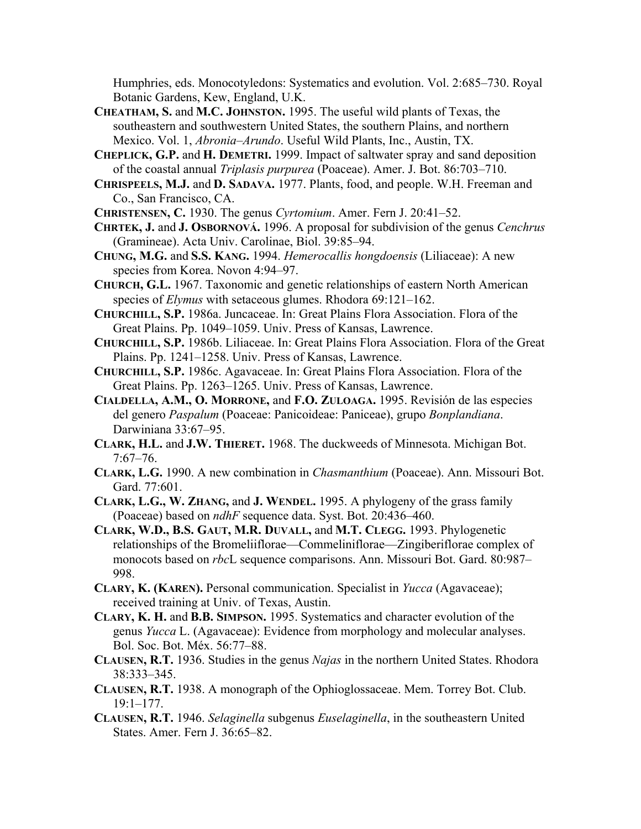Humphries, eds. Monocotyledons: Systematics and evolution. Vol. 2:685–730. Royal Botanic Gardens, Kew, England, U.K.

**CHEATHAM, S.** and **M.C. JOHNSTON.** 1995. The useful wild plants of Texas, the southeastern and southwestern United States, the southern Plains, and northern Mexico. Vol. 1, *Abronia*–*Arundo*. Useful Wild Plants, Inc., Austin, TX.

**CHEPLICK, G.P.** and **H. DEMETRI.** 1999. Impact of saltwater spray and sand deposition of the coastal annual *Triplasis purpurea* (Poaceae). Amer. J. Bot. 86:703–710.

**CHRISPEELS, M.J.** and **D. SADAVA.** 1977. Plants, food, and people. W.H. Freeman and Co., San Francisco, CA.

**CHRISTENSEN, C.** 1930. The genus *Cyrtomium*. Amer. Fern J. 20:41–52.

**CHRTEK, J.** and **J. OSBORNOVÁ.** 1996. A proposal for subdivision of the genus *Cenchrus* (Gramineae). Acta Univ. Carolinae, Biol. 39:85–94.

- **CHUNG, M.G.** and **S.S. KANG.** 1994. *Hemerocallis hongdoensis* (Liliaceae): A new species from Korea. Novon 4:94–97.
- **CHURCH, G.L.** 1967. Taxonomic and genetic relationships of eastern North American species of *Elymus* with setaceous glumes. Rhodora 69:121–162.
- **CHURCHILL, S.P.** 1986a. Juncaceae. In: Great Plains Flora Association. Flora of the Great Plains. Pp. 1049–1059. Univ. Press of Kansas, Lawrence.

**CHURCHILL, S.P.** 1986b. Liliaceae. In: Great Plains Flora Association. Flora of the Great Plains. Pp. 1241–1258. Univ. Press of Kansas, Lawrence.

**CHURCHILL, S.P.** 1986c. Agavaceae. In: Great Plains Flora Association. Flora of the Great Plains. Pp. 1263–1265. Univ. Press of Kansas, Lawrence.

- **CIALDELLA, A.M., O. MORRONE,** and **F.O. ZULOAGA.** 1995. Revisión de las especies del genero *Paspalum* (Poaceae: Panicoideae: Paniceae), grupo *Bonplandiana*. Darwiniana 33:67–95.
- **CLARK, H.L.** and **J.W. THIERET.** 1968. The duckweeds of Minnesota. Michigan Bot. 7:67–76.
- **CLARK, L.G.** 1990. A new combination in *Chasmanthium* (Poaceae). Ann. Missouri Bot. Gard. 77:601.
- **CLARK, L.G., W. ZHANG,** and **J. WENDEL.** 1995. A phylogeny of the grass family (Poaceae) based on *ndhF* sequence data. Syst. Bot. 20:436–460.

**CLARK, W.D., B.S. GAUT, M.R. DUVALL,** and **M.T. CLEGG.** 1993. Phylogenetic relationships of the Bromeliiflorae—Commeliniflorae—Zingiberiflorae complex of monocots based on *rbc*L sequence comparisons. Ann. Missouri Bot. Gard. 80:987– 998.

- **CLARY, K. (KAREN).** Personal communication. Specialist in *Yucca* (Agavaceae); received training at Univ. of Texas, Austin.
- **CLARY, K. H.** and **B.B. SIMPSON.** 1995. Systematics and character evolution of the genus *Yucca* L. (Agavaceae): Evidence from morphology and molecular analyses. Bol. Soc. Bot. Méx. 56:77–88.
- **CLAUSEN, R.T.** 1936. Studies in the genus *Najas* in the northern United States. Rhodora 38:333–345.
- **CLAUSEN, R.T.** 1938. A monograph of the Ophioglossaceae. Mem. Torrey Bot. Club. 19:1–177.
- **CLAUSEN, R.T.** 1946. *Selaginella* subgenus *Euselaginella*, in the southeastern United States. Amer. Fern J. 36:65–82.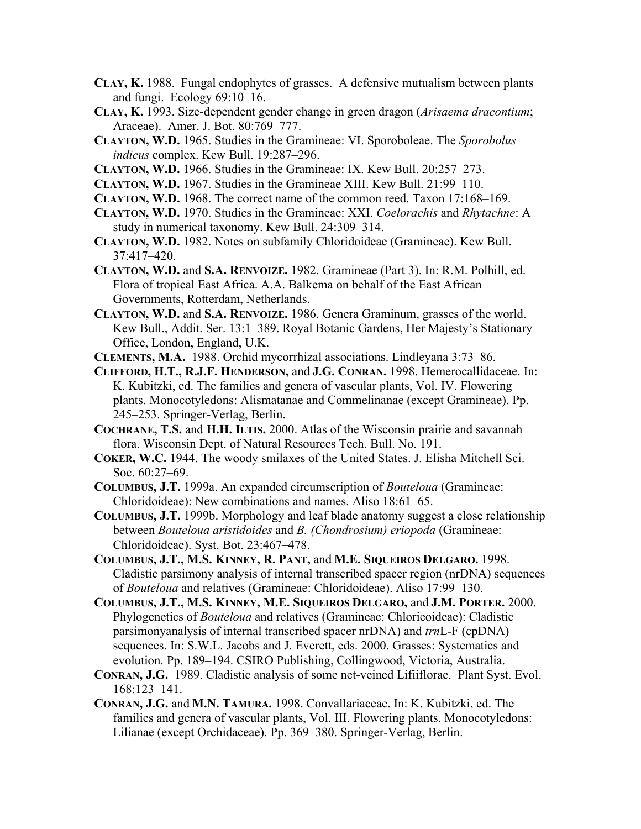- **CLAY, K.** 1988. Fungal endophytes of grasses. A defensive mutualism between plants and fungi. Ecology 69:10–16.
- **CLAY, K.** 1993. Size-dependent gender change in green dragon (*Arisaema dracontium*; Araceae). Amer. J. Bot. 80:769–777.
- **CLAYTON, W.D.** 1965. Studies in the Gramineae: VI. Sporoboleae. The *Sporobolus indicus* complex. Kew Bull. 19:287–296.
- **CLAYTON, W.D.** 1966. Studies in the Gramineae: IX. Kew Bull. 20:257–273.
- **CLAYTON, W.D.** 1967. Studies in the Gramineae XIII. Kew Bull. 21:99–110.
- **CLAYTON, W.D.** 1968. The correct name of the common reed. Taxon 17:168–169.
- **CLAYTON, W.D.** 1970. Studies in the Gramineae: XXI. *Coelorachis* and *Rhytachne*: A study in numerical taxonomy. Kew Bull. 24:309–314.
- **CLAYTON, W.D.** 1982. Notes on subfamily Chloridoideae (Gramineae). Kew Bull. 37:417–420.
- **CLAYTON, W.D.** and **S.A. RENVOIZE.** 1982. Gramineae (Part 3). In: R.M. Polhill, ed. Flora of tropical East Africa. A.A. Balkema on behalf of the East African Governments, Rotterdam, Netherlands.
- **CLAYTON, W.D.** and **S.A. RENVOIZE.** 1986. Genera Graminum, grasses of the world. Kew Bull., Addit. Ser. 13:1–389. Royal Botanic Gardens, Her Majesty's Stationary Office, London, England, U.K.
- **CLEMENTS, M.A.** 1988. Orchid mycorrhizal associations. Lindleyana 3:73–86.
- **CLIFFORD, H.T., R.J.F. HENDERSON,** and **J.G. CONRAN.** 1998. Hemerocallidaceae. In: K. Kubitzki, ed. The families and genera of vascular plants, Vol. IV. Flowering plants. Monocotyledons: Alismatanae and Commelinanae (except Gramineae). Pp. 245–253. Springer-Verlag, Berlin.
- **COCHRANE, T.S.** and **H.H. ILTIS.** 2000. Atlas of the Wisconsin prairie and savannah flora. Wisconsin Dept. of Natural Resources Tech. Bull. No. 191.
- **COKER, W.C.** 1944. The woody smilaxes of the United States. J. Elisha Mitchell Sci. Soc. 60:27–69.
- **COLUMBUS, J.T.** 1999a. An expanded circumscription of *Bouteloua* (Gramineae: Chloridoideae): New combinations and names. Aliso 18:61–65.
- **COLUMBUS, J.T.** 1999b. Morphology and leaf blade anatomy suggest a close relationship between *Bouteloua aristidoides* and *B. (Chondrosium) eriopoda* (Gramineae: Chloridoideae). Syst. Bot. 23:467–478.
- **COLUMBUS, J.T., M.S. KINNEY, R. PANT,** and **M.E. SIQUEIROS DELGARO.** 1998. Cladistic parsimony analysis of internal transcribed spacer region (nrDNA) sequences of *Bouteloua* and relatives (Gramineae: Chloridoideae). Aliso 17:99–130.
- **COLUMBUS, J.T., M.S. KINNEY, M.E. SIQUEIROS DELGARO,** and **J.M. PORTER.** 2000. Phylogenetics of *Bouteloua* and relatives (Gramineae: Chlorieoideae): Cladistic parsimonyanalysis of internal transcribed spacer nrDNA) and *trn*L-F (cpDNA) sequences. In: S.W.L. Jacobs and J. Everett, eds. 2000. Grasses: Systematics and evolution. Pp. 189–194. CSIRO Publishing, Collingwood, Victoria, Australia.
- **CONRAN, J.G.** 1989. Cladistic analysis of some net-veined Lifiiflorae. Plant Syst. Evol. 168:123–141.
- **CONRAN, J.G.** and **M.N. TAMURA.** 1998. Convallariaceae. In: K. Kubitzki, ed. The families and genera of vascular plants, Vol. III. Flowering plants. Monocotyledons: Lilianae (except Orchidaceae). Pp. 369–380. Springer-Verlag, Berlin.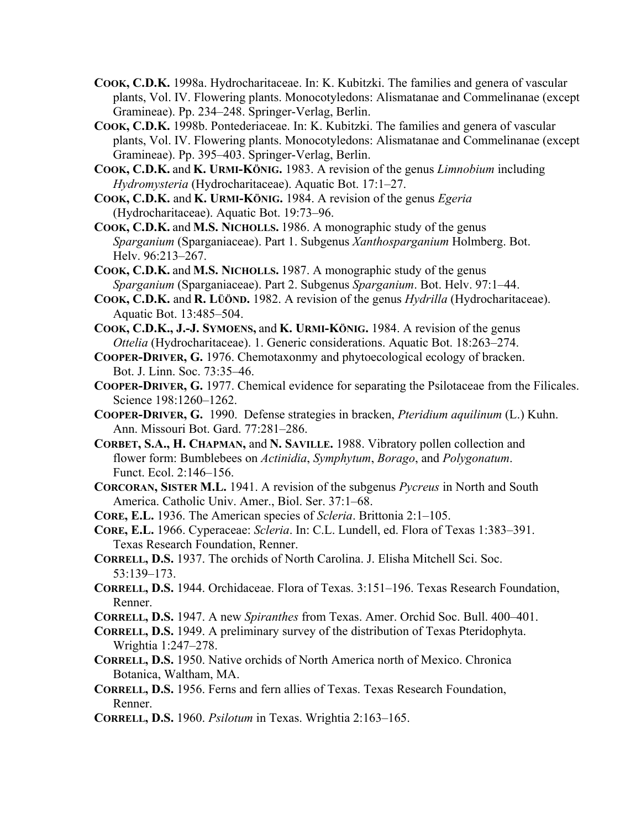- **COOK, C.D.K.** 1998a. Hydrocharitaceae. In: K. Kubitzki. The families and genera of vascular plants, Vol. IV. Flowering plants. Monocotyledons: Alismatanae and Commelinanae (except Gramineae). Pp. 234–248. Springer-Verlag, Berlin.
- **COOK, C.D.K.** 1998b. Pontederiaceae. In: K. Kubitzki. The families and genera of vascular plants, Vol. IV. Flowering plants. Monocotyledons: Alismatanae and Commelinanae (except Gramineae). Pp. 395–403. Springer-Verlag, Berlin.
- **COOK, C.D.K.** and **K. URMI-KÖNIG.** 1983. A revision of the genus *Limnobium* including *Hydromysteria* (Hydrocharitaceae). Aquatic Bot. 17:1–27.
- **COOK, C.D.K.** and **K. URMI-KÖNIG.** 1984. A revision of the genus *Egeria* (Hydrocharitaceae). Aquatic Bot. 19:73–96.
- **COOK, C.D.K.** and **M.S. NICHOLLS.** 1986. A monographic study of the genus *Sparganium* (Sparganiaceae). Part 1. Subgenus *Xanthosparganium* Holmberg. Bot. Helv. 96:213–267.
- **COOK, C.D.K.** and **M.S. NICHOLLS.** 1987. A monographic study of the genus *Sparganium* (Sparganiaceae). Part 2. Subgenus *Sparganium*. Bot. Helv. 97:1–44.
- **COOK, C.D.K.** and **R. LÜÖND.** 1982. A revision of the genus *Hydrilla* (Hydrocharitaceae). Aquatic Bot. 13:485–504.
- **COOK, C.D.K., J.-J. SYMOENS,** and **K. URMI-KÖNIG.** 1984. A revision of the genus *Ottelia* (Hydrocharitaceae). 1. Generic considerations. Aquatic Bot. 18:263–274.
- **COOPER-DRIVER, G.** 1976. Chemotaxonmy and phytoecological ecology of bracken. Bot. J. Linn. Soc. 73:35–46.
- **COOPER-DRIVER, G.** 1977. Chemical evidence for separating the Psilotaceae from the Filicales. Science 198:1260–1262.
- **COOPER-DRIVER, G.** 1990. Defense strategies in bracken, *Pteridium aquilinum* (L.) Kuhn. Ann. Missouri Bot. Gard. 77:281–286.
- **CORBET, S.A., H. CHAPMAN,** and **N. SAVILLE.** 1988. Vibratory pollen collection and flower form: Bumblebees on *Actinidia*, *Symphytum*, *Borago*, and *Polygonatum*. Funct. Ecol. 2:146–156.
- **CORCORAN, SISTER M.L.** 1941. A revision of the subgenus *Pycreus* in North and South America. Catholic Univ. Amer., Biol. Ser. 37:1–68.
- **CORE, E.L.** 1936. The American species of *Scleria*. Brittonia 2:1–105.
- **CORE, E.L.** 1966. Cyperaceae: *Scleria*. In: C.L. Lundell, ed. Flora of Texas 1:383–391. Texas Research Foundation, Renner.
- **CORRELL, D.S.** 1937. The orchids of North Carolina. J. Elisha Mitchell Sci. Soc. 53:139–173.
- **CORRELL, D.S.** 1944. Orchidaceae. Flora of Texas. 3:151–196. Texas Research Foundation, Renner.
- **CORRELL, D.S.** 1947. A new *Spiranthes* from Texas. Amer. Orchid Soc. Bull. 400–401.
- **CORRELL, D.S.** 1949. A preliminary survey of the distribution of Texas Pteridophyta. Wrightia 1:247–278.
- **CORRELL, D.S.** 1950. Native orchids of North America north of Mexico. Chronica Botanica, Waltham, MA.
- **CORRELL, D.S.** 1956. Ferns and fern allies of Texas. Texas Research Foundation, Renner.
- **CORRELL, D.S.** 1960. *Psilotum* in Texas. Wrightia 2:163–165.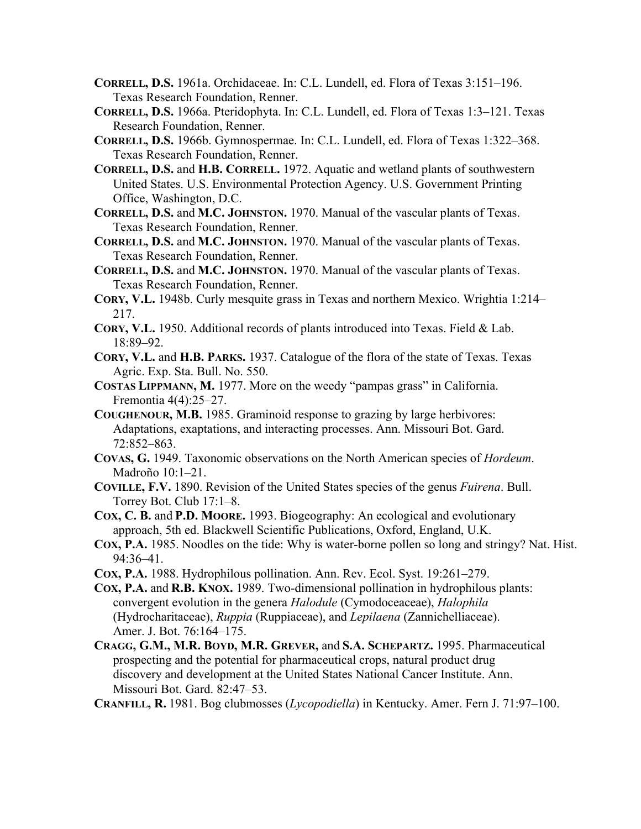- **CORRELL, D.S.** 1961a. Orchidaceae. In: C.L. Lundell, ed. Flora of Texas 3:151–196. Texas Research Foundation, Renner.
- **CORRELL, D.S.** 1966a. Pteridophyta. In: C.L. Lundell, ed. Flora of Texas 1:3–121. Texas Research Foundation, Renner.
- **CORRELL, D.S.** 1966b. Gymnospermae. In: C.L. Lundell, ed. Flora of Texas 1:322–368. Texas Research Foundation, Renner.
- **CORRELL, D.S.** and **H.B. CORRELL.** 1972. Aquatic and wetland plants of southwestern United States. U.S. Environmental Protection Agency. U.S. Government Printing Office, Washington, D.C.
- **CORRELL, D.S.** and **M.C. JOHNSTON.** 1970. Manual of the vascular plants of Texas. Texas Research Foundation, Renner.
- **CORRELL, D.S.** and **M.C. JOHNSTON.** 1970. Manual of the vascular plants of Texas. Texas Research Foundation, Renner.
- **CORRELL, D.S.** and **M.C. JOHNSTON.** 1970. Manual of the vascular plants of Texas. Texas Research Foundation, Renner.
- **CORY, V.L.** 1948b. Curly mesquite grass in Texas and northern Mexico. Wrightia 1:214– 217.
- **CORY, V.L.** 1950. Additional records of plants introduced into Texas. Field & Lab. 18:89–92.
- **CORY, V.L.** and **H.B. PARKS.** 1937. Catalogue of the flora of the state of Texas. Texas Agric. Exp. Sta. Bull. No. 550.
- **COSTAS LIPPMANN, M.** 1977. More on the weedy "pampas grass" in California. Fremontia 4(4):25–27.
- **COUGHENOUR, M.B.** 1985. Graminoid response to grazing by large herbivores: Adaptations, exaptations, and interacting processes. Ann. Missouri Bot. Gard. 72:852–863.
- **COVAS, G.** 1949. Taxonomic observations on the North American species of *Hordeum*. Madroño 10:1–21.
- **COVILLE, F.V.** 1890. Revision of the United States species of the genus *Fuirena*. Bull. Torrey Bot. Club 17:1–8.
- **COX, C. B.** and **P.D. MOORE.** 1993. Biogeography: An ecological and evolutionary approach, 5th ed. Blackwell Scientific Publications, Oxford, England, U.K.
- **COX, P.A.** 1985. Noodles on the tide: Why is water-borne pollen so long and stringy? Nat. Hist. 94:36–41.
- **COX, P.A.** 1988. Hydrophilous pollination. Ann. Rev. Ecol. Syst. 19:261–279.
- **COX, P.A.** and **R.B. KNOX.** 1989. Two-dimensional pollination in hydrophilous plants: convergent evolution in the genera *Halodule* (Cymodoceaceae), *Halophila* (Hydrocharitaceae), *Ruppia* (Ruppiaceae), and *Lepilaena* (Zannichelliaceae). Amer. J. Bot. 76:164–175.
- **CRAGG, G.M., M.R. BOYD, M.R. GREVER,** and **S.A. SCHEPARTZ.** 1995. Pharmaceutical prospecting and the potential for pharmaceutical crops, natural product drug discovery and development at the United States National Cancer Institute. Ann. Missouri Bot. Gard. 82:47–53.

**CRANFILL, R.** 1981. Bog clubmosses (*Lycopodiella*) in Kentucky. Amer. Fern J. 71:97–100.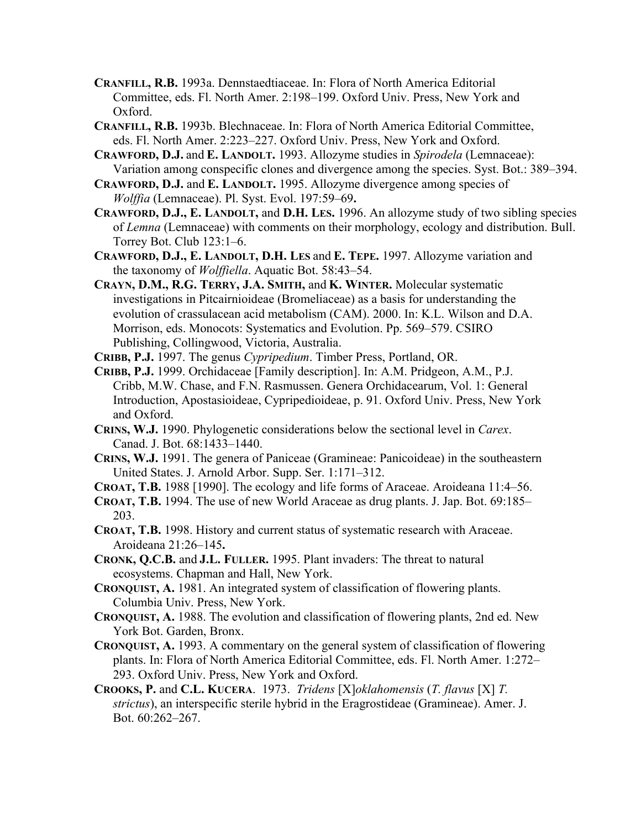- **CRANFILL, R.B.** 1993a. Dennstaedtiaceae. In: Flora of North America Editorial Committee, eds. Fl. North Amer. 2:198–199. Oxford Univ. Press, New York and Oxford.
- **CRANFILL, R.B.** 1993b. Blechnaceae. In: Flora of North America Editorial Committee, eds. Fl. North Amer. 2:223–227. Oxford Univ. Press, New York and Oxford.
- **CRAWFORD, D.J.** and **E. LANDOLT.** 1993. Allozyme studies in *Spirodela* (Lemnaceae): Variation among conspecific clones and divergence among the species. Syst. Bot.: 389–394.
- **CRAWFORD, D.J.** and **E. LANDOLT.** 1995. Allozyme divergence among species of *Wolffia* (Lemnaceae). Pl. Syst. Evol. 197:59–69**.**
- **CRAWFORD, D.J., E. LANDOLT,** and **D.H. LES.** 1996. An allozyme study of two sibling species of *Lemna* (Lemnaceae) with comments on their morphology, ecology and distribution. Bull. Torrey Bot. Club 123:1–6.
- **CRAWFORD, D.J., E. LANDOLT, D.H. LES** and **E. TEPE.** 1997. Allozyme variation and the taxonomy of *Wolffiella*. Aquatic Bot. 58:43–54.
- **CRAYN, D.M., R.G. TERRY, J.A. SMITH,** and **K. WINTER.** Molecular systematic investigations in Pitcairnioideae (Bromeliaceae) as a basis for understanding the evolution of crassulacean acid metabolism (CAM). 2000. In: K.L. Wilson and D.A. Morrison, eds. Monocots: Systematics and Evolution. Pp. 569–579. CSIRO Publishing, Collingwood, Victoria, Australia.
- **CRIBB, P.J.** 1997. The genus *Cypripedium*. Timber Press, Portland, OR.
- **CRIBB, P.J.** 1999. Orchidaceae [Family description]. In: A.M. Pridgeon, A.M., P.J. Cribb, M.W. Chase, and F.N. Rasmussen. Genera Orchidacearum, Vol. 1: General Introduction, Apostasioideae, Cypripedioideae, p. 91. Oxford Univ. Press, New York and Oxford.
- **CRINS, W.J.** 1990. Phylogenetic considerations below the sectional level in *Carex*. Canad. J. Bot. 68:1433–1440.
- **CRINS, W.J.** 1991. The genera of Paniceae (Gramineae: Panicoideae) in the southeastern United States. J. Arnold Arbor. Supp. Ser. 1:171–312.
- **CROAT, T.B.** 1988 [1990]. The ecology and life forms of Araceae. Aroideana 11:4–56.
- **CROAT, T.B.** 1994. The use of new World Araceae as drug plants. J. Jap. Bot. 69:185– 203.
- **CROAT, T.B.** 1998. History and current status of systematic research with Araceae. Aroideana 21:26–145**.**
- **CRONK, Q.C.B.** and **J.L. FULLER.** 1995. Plant invaders: The threat to natural ecosystems. Chapman and Hall, New York.
- **CRONQUIST, A.** 1981. An integrated system of classification of flowering plants. Columbia Univ. Press, New York.
- **CRONQUIST, A.** 1988. The evolution and classification of flowering plants, 2nd ed. New York Bot. Garden, Bronx.
- **CRONQUIST, A.** 1993. A commentary on the general system of classification of flowering plants. In: Flora of North America Editorial Committee, eds. Fl. North Amer. 1:272– 293. Oxford Univ. Press, New York and Oxford.
- **CROOKS, P.** and **C.L. KUCERA**. 1973. *Tridens* [X]*oklahomensis* (*T. flavus* [X] *T. strictus*), an interspecific sterile hybrid in the Eragrostideae (Gramineae). Amer. J. Bot. 60:262–267.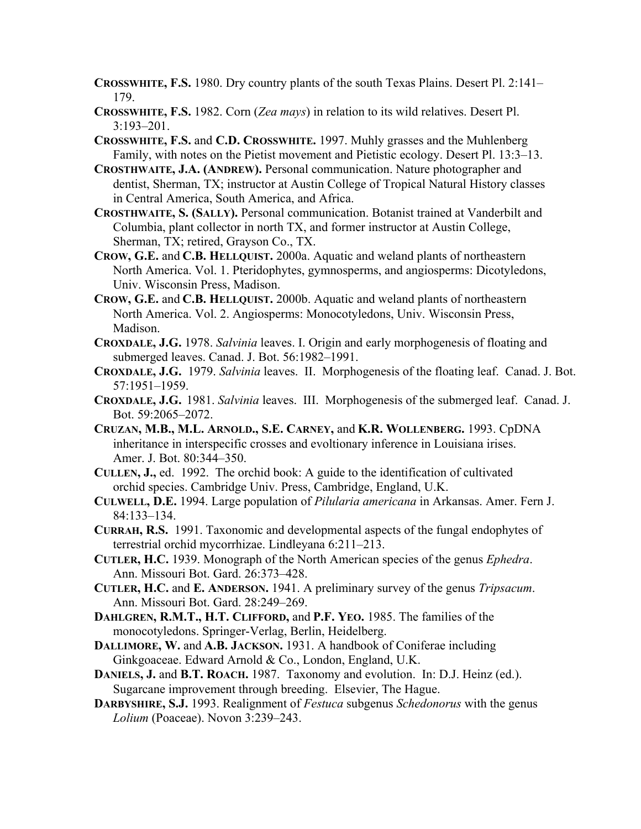- **CROSSWHITE, F.S.** 1980. Dry country plants of the south Texas Plains. Desert Pl. 2:141– 179.
- **CROSSWHITE, F.S.** 1982. Corn (*Zea mays*) in relation to its wild relatives. Desert Pl. 3:193–201.
- **CROSSWHITE, F.S.** and **C.D. CROSSWHITE.** 1997. Muhly grasses and the Muhlenberg Family, with notes on the Pietist movement and Pietistic ecology. Desert Pl. 13:3–13.
- **CROSTHWAITE, J.A. (ANDREW).** Personal communication. Nature photographer and dentist, Sherman, TX; instructor at Austin College of Tropical Natural History classes in Central America, South America, and Africa.
- **CROSTHWAITE, S. (SALLY).** Personal communication. Botanist trained at Vanderbilt and Columbia, plant collector in north TX, and former instructor at Austin College, Sherman, TX; retired, Grayson Co., TX.
- **CROW, G.E.** and **C.B. HELLQUIST.** 2000a. Aquatic and weland plants of northeastern North America. Vol. 1. Pteridophytes, gymnosperms, and angiosperms: Dicotyledons, Univ. Wisconsin Press, Madison.
- **CROW, G.E.** and **C.B. HELLQUIST.** 2000b. Aquatic and weland plants of northeastern North America. Vol. 2. Angiosperms: Monocotyledons, Univ. Wisconsin Press, Madison.
- **CROXDALE, J.G.** 1978. *Salvinia* leaves. I. Origin and early morphogenesis of floating and submerged leaves. Canad. J. Bot. 56:1982–1991.
- **CROXDALE, J.G.** 1979. *Salvinia* leaves. II. Morphogenesis of the floating leaf. Canad. J. Bot. 57:1951–1959.
- **CROXDALE, J.G.** 1981. *Salvinia* leaves. III. Morphogenesis of the submerged leaf. Canad. J. Bot. 59:2065–2072.
- **CRUZAN, M.B., M.L. ARNOLD., S.E. CARNEY,** and **K.R. WOLLENBERG.** 1993. CpDNA inheritance in interspecific crosses and evoltionary inference in Louisiana irises. Amer. J. Bot. 80:344–350.
- **CULLEN, J.,** ed. 1992. The orchid book: A guide to the identification of cultivated orchid species. Cambridge Univ. Press, Cambridge, England, U.K.
- **CULWELL, D.E.** 1994. Large population of *Pilularia americana* in Arkansas. Amer. Fern J. 84:133–134.
- **CURRAH, R.S.** 1991. Taxonomic and developmental aspects of the fungal endophytes of terrestrial orchid mycorrhizae. Lindleyana 6:211–213.
- **CUTLER, H.C.** 1939. Monograph of the North American species of the genus *Ephedra*. Ann. Missouri Bot. Gard. 26:373–428.
- **CUTLER, H.C.** and **E. ANDERSON.** 1941. A preliminary survey of the genus *Tripsacum*. Ann. Missouri Bot. Gard. 28:249–269.
- **DAHLGREN, R.M.T., H.T. CLIFFORD,** and **P.F. YEO.** 1985. The families of the monocotyledons. Springer-Verlag, Berlin, Heidelberg.
- **DALLIMORE, W.** and **A.B. JACKSON.** 1931. A handbook of Coniferae including Ginkgoaceae. Edward Arnold & Co., London, England, U.K.
- **DANIELS, J.** and **B.T. ROACH.** 1987. Taxonomy and evolution. In: D.J. Heinz (ed.). Sugarcane improvement through breeding. Elsevier, The Hague.
- **DARBYSHIRE, S.J.** 1993. Realignment of *Festuca* subgenus *Schedonorus* with the genus *Lolium* (Poaceae). Novon 3:239–243.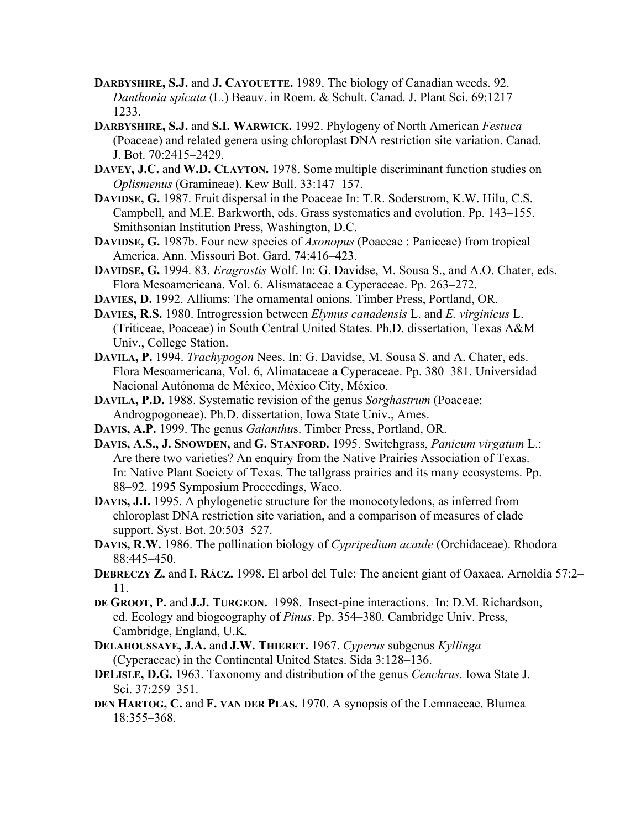- **DARBYSHIRE, S.J.** and **J. CAYOUETTE.** 1989. The biology of Canadian weeds. 92. *Danthonia spicata* (L.) Beauv. in Roem. & Schult. Canad. J. Plant Sci. 69:1217– 1233.
- **DARBYSHIRE, S.J.** and **S.I. WARWICK.** 1992. Phylogeny of North American *Festuca* (Poaceae) and related genera using chloroplast DNA restriction site variation. Canad. J. Bot. 70:2415–2429.
- **DAVEY, J.C.** and **W.D. CLAYTON.** 1978. Some multiple discriminant function studies on *Oplismenus* (Gramineae). Kew Bull. 33:147–157.
- **DAVIDSE, G.** 1987. Fruit dispersal in the Poaceae In: T.R. Soderstrom, K.W. Hilu, C.S. Campbell, and M.E. Barkworth, eds. Grass systematics and evolution. Pp. 143–155. Smithsonian Institution Press, Washington, D.C.
- **DAVIDSE, G.** 1987b. Four new species of *Axonopus* (Poaceae : Paniceae) from tropical America. Ann. Missouri Bot. Gard. 74:416–423.
- **DAVIDSE, G.** 1994. 83. *Eragrostis* Wolf. In: G. Davidse, M. Sousa S., and A.O. Chater, eds. Flora Mesoamericana. Vol. 6. Alismataceae a Cyperaceae. Pp. 263–272.
- **DAVIES, D.** 1992. Alliums: The ornamental onions. Timber Press, Portland, OR.
- **DAVIES, R.S.** 1980. Introgression between *Elymus canadensis* L. and *E. virginicus* L. (Triticeae, Poaceae) in South Central United States. Ph.D. dissertation, Texas A&M Univ., College Station.
- **DAVILA, P.** 1994. *Trachypogon* Nees. In: G. Davidse, M. Sousa S. and A. Chater, eds. Flora Mesoamericana, Vol. 6, Alimataceae a Cyperaceae. Pp. 380–381. Universidad Nacional Autónoma de México, México City, México.
- **DAVILA, P.D.** 1988. Systematic revision of the genus *Sorghastrum* (Poaceae: Androgpogoneae). Ph.D. dissertation, Iowa State Univ., Ames.
- **DAVIS, A.P.** 1999. The genus *Galanthu*s. Timber Press, Portland, OR.
- **DAVIS, A.S., J. SNOWDEN,** and **G. STANFORD.** 1995. Switchgrass, *Panicum virgatum* L.: Are there two varieties? An enquiry from the Native Prairies Association of Texas. In: Native Plant Society of Texas. The tallgrass prairies and its many ecosystems. Pp. 88–92. 1995 Symposium Proceedings, Waco.
- **DAVIS, J.I.** 1995. A phylogenetic structure for the monocotyledons, as inferred from chloroplast DNA restriction site variation, and a comparison of measures of clade support. Syst. Bot. 20:503–527.
- **DAVIS, R.W.** 1986. The pollination biology of *Cypripedium acaule* (Orchidaceae). Rhodora 88:445–450.
- **DEBRECZY Z.** and **I. RÁCZ.** 1998. El arbol del Tule: The ancient giant of Oaxaca. Arnoldia 57:2– 11.
- **DE GROOT, P.** and **J.J. TURGEON.** 1998. Insect-pine interactions. In: D.M. Richardson, ed. Ecology and biogeography of *Pinus*. Pp. 354–380. Cambridge Univ. Press, Cambridge, England, U.K.
- **DELAHOUSSAYE, J.A.** and **J.W. THIERET.** 1967. *Cyperus* subgenus *Kyllinga* (Cyperaceae) in the Continental United States. Sida 3:128–136.
- **DELISLE, D.G.** 1963. Taxonomy and distribution of the genus *Cenchrus*. Iowa State J. Sci. 37:259–351.
- **DEN HARTOG, C.** and **F. VAN DER PLAS.** 1970. A synopsis of the Lemnaceae. Blumea 18:355–368.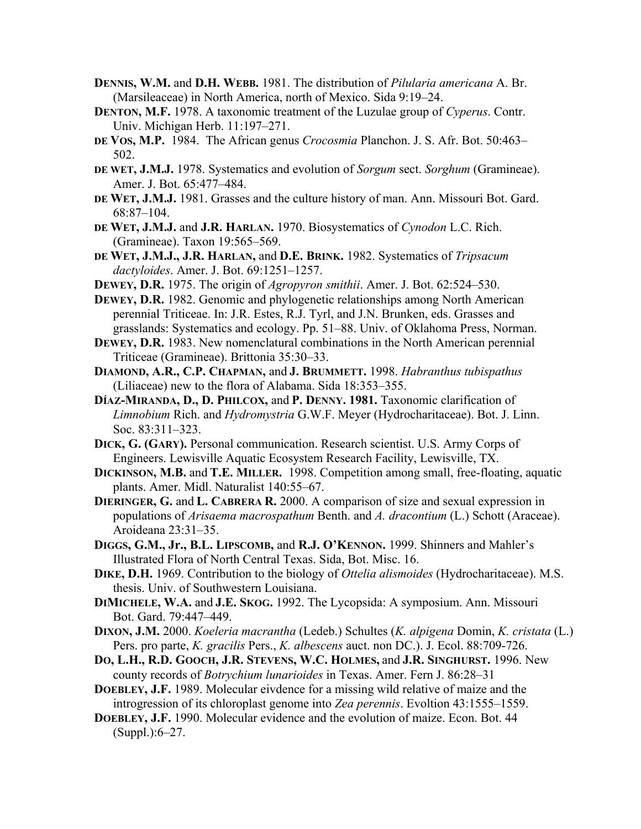- **DENNIS, W.M.** and **D.H. WEBB.** 1981. The distribution of *Pilularia americana* A. Br. (Marsileaceae) in North America, north of Mexico. Sida 9:19–24.
- **DENTON, M.F.** 1978. A taxonomic treatment of the Luzulae group of *Cyperus*. Contr. Univ. Michigan Herb. 11:197–271.
- **DE VOS, M.P.** 1984. The African genus *Crocosmia* Planchon. J. S. Afr. Bot. 50:463– 502.
- **DE WET, J.M.J.** 1978. Systematics and evolution of *Sorgum* sect. *Sorghum* (Gramineae). Amer. J. Bot. 65:477–484.
- **DE WET, J.M.J.** 1981. Grasses and the culture history of man. Ann. Missouri Bot. Gard. 68:87–104.
- **DE WET, J.M.J.** and **J.R. HARLAN.** 1970. Biosystematics of *Cynodon* L.C. Rich. (Gramineae). Taxon 19:565–569.
- **DE WET, J.M.J., J.R. HARLAN,** and **D.E. BRINK.** 1982. Systematics of *Tripsacum dactyloides*. Amer. J. Bot. 69:1251–1257.
- **DEWEY, D.R.** 1975. The origin of *Agropyron smithii*. Amer. J. Bot. 62:524–530.
- **DEWEY, D.R.** 1982. Genomic and phylogenetic relationships among North American perennial Triticeae. In: J.R. Estes, R.J. Tyrl, and J.N. Brunken, eds. Grasses and grasslands: Systematics and ecology. Pp. 51–88. Univ. of Oklahoma Press, Norman.
- **DEWEY, D.R.** 1983. New nomenclatural combinations in the North American perennial Triticeae (Gramineae). Brittonia 35:30–33.
- **DIAMOND, A.R., C.P. CHAPMAN,** and **J. BRUMMETT.** 1998. *Habranthus tubispathus*  (Liliaceae) new to the flora of Alabama. Sida 18:353–355.
- **DÍAZ-MIRANDA, D., D. PHILCOX,** and **P. DENNY. 1981.** Taxonomic clarification of *Limnobium* Rich. and *Hydromystria* G.W.F. Meyer (Hydrocharitaceae). Bot. J. Linn. Soc. 83:311–323.
- **DICK, G. (GARY).** Personal communication. Research scientist. U.S. Army Corps of Engineers. Lewisville Aquatic Ecosystem Research Facility, Lewisville, TX.
- **DICKINSON, M.B.** and **T.E. MILLER.** 1998. Competition among small, free-floating, aquatic plants. Amer. Midl. Naturalist 140:55–67.
- **DIERINGER, G.** and **L. CABRERA R.** 2000. A comparison of size and sexual expression in populations of *Arisaema macrospathum* Benth. and *A. dracontium* (L.) Schott (Araceae). Aroideana 23:31–35.
- **DIGGS, G.M., Jr., B.L. LIPSCOMB,** and **R.J. O'KENNON.** 1999. Shinners and Mahler's Illustrated Flora of North Central Texas. Sida, Bot. Misc. 16.
- **DIKE, D.H.** 1969. Contribution to the biology of *Ottelia alismoides* (Hydrocharitaceae). M.S. thesis. Univ. of Southwestern Louisiana.
- **DIMICHELE, W.A.** and **J.E. SKOG.** 1992. The Lycopsida: A symposium. Ann. Missouri Bot. Gard. 79:447–449.
- **DIXON, J.M.** 2000. *Koeleria macrantha* (Ledeb.) Schultes (*K. alpigena* Domin, *K. cristata* (L.) Pers. pro parte, *K. gracilis* Pers., *K. albescens* auct. non DC.). J. Ecol. 88:709-726.
- **DO, L.H., R.D. GOOCH, J.R. STEVENS, W.C. HOLMES,** and **J.R. SINGHURST.** 1996. New county records of *Botrychium lunarioides* in Texas. Amer. Fern J. 86:28–31
- **DOEBLEY, J.F.** 1989. Molecular eivdence for a missing wild relative of maize and the introgression of its chloroplast genome into *Zea perennis*. Evoltion 43:1555–1559.
- **DOEBLEY, J.F.** 1990. Molecular evidence and the evolution of maize. Econ. Bot. 44 (Suppl.):6–27.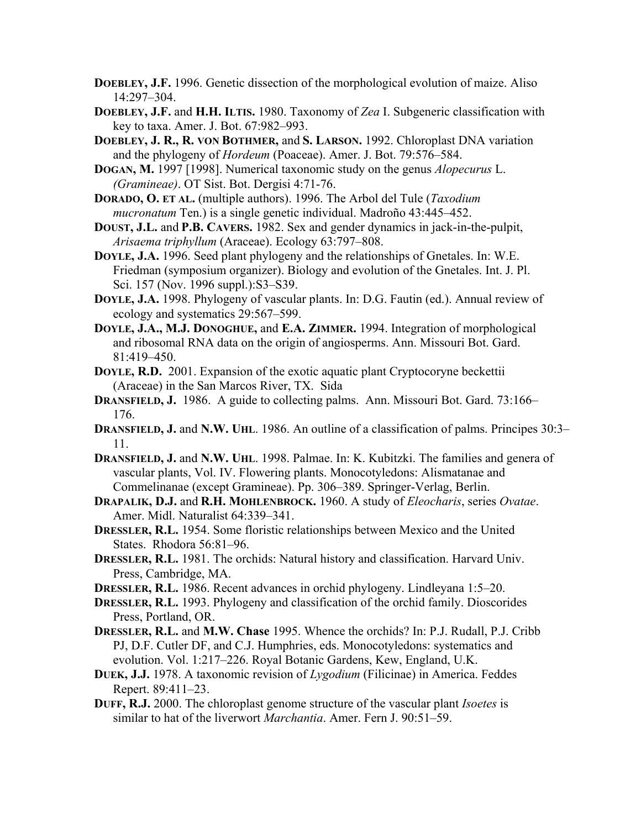- **DOEBLEY, J.F.** 1996. Genetic dissection of the morphological evolution of maize. Aliso 14:297–304.
- **DOEBLEY, J.F.** and **H.H. ILTIS.** 1980. Taxonomy of *Zea* I. Subgeneric classification with key to taxa. Amer. J. Bot. 67:982–993.
- **DOEBLEY, J. R., R. VON BOTHMER,** and **S. LARSON.** 1992. Chloroplast DNA variation and the phylogeny of *Hordeum* (Poaceae). Amer. J. Bot. 79:576–584.
- **DOGAN, M.** 1997 [1998]. Numerical taxonomic study on the genus *Alopecurus* L. *(Gramineae)*. OT Sist. Bot. Dergisi 4:71-76.
- **DORADO, O. ET AL.** (multiple authors). 1996. The Arbol del Tule (*Taxodium mucronatum* Ten.) is a single genetic individual. Madroño 43:445–452.
- **DOUST, J.L.** and **P.B. CAVERS.** 1982. Sex and gender dynamics in jack-in-the-pulpit, *Arisaema triphyllum* (Araceae). Ecology 63:797–808.
- **DOYLE, J.A.** 1996. Seed plant phylogeny and the relationships of Gnetales. In: W.E. Friedman (symposium organizer). Biology and evolution of the Gnetales. Int. J. Pl. Sci. 157 (Nov. 1996 suppl.):S3–S39.
- **DOYLE, J.A.** 1998. Phylogeny of vascular plants. In: D.G. Fautin (ed.). Annual review of ecology and systematics 29:567–599.
- **DOYLE, J.A., M.J. DONOGHUE,** and **E.A. ZIMMER.** 1994. Integration of morphological and ribosomal RNA data on the origin of angiosperms. Ann. Missouri Bot. Gard. 81:419–450.
- **DOYLE, R.D.** 2001. Expansion of the exotic aquatic plant Cryptocoryne beckettii (Araceae) in the San Marcos River, TX. Sida
- **DRANSFIELD, J.** 1986. A guide to collecting palms. Ann. Missouri Bot. Gard. 73:166– 176.
- **DRANSFIELD, J.** and **N.W. UHL**. 1986. An outline of a classification of palms. Principes 30:3– 11.
- **DRANSFIELD, J.** and **N.W. UHL**. 1998. Palmae. In: K. Kubitzki. The families and genera of vascular plants, Vol. IV. Flowering plants. Monocotyledons: Alismatanae and Commelinanae (except Gramineae). Pp. 306–389. Springer-Verlag, Berlin.
- **DRAPALIK, D.J.** and **R.H. MOHLENBROCK.** 1960. A study of *Eleocharis*, series *Ovatae*. Amer. Midl. Naturalist 64:339–341.
- **DRESSLER, R.L.** 1954. Some floristic relationships between Mexico and the United States. Rhodora 56:81–96.
- **DRESSLER, R.L.** 1981. The orchids: Natural history and classification. Harvard Univ. Press, Cambridge, MA.
- **DRESSLER, R.L.** 1986. Recent advances in orchid phylogeny. Lindleyana 1:5–20.
- **DRESSLER, R.L.** 1993. Phylogeny and classification of the orchid family. Dioscorides Press, Portland, OR.
- **DRESSLER, R.L.** and **M.W. Chase** 1995. Whence the orchids? In: P.J. Rudall, P.J. Cribb PJ, D.F. Cutler DF, and C.J. Humphries, eds. Monocotyledons: systematics and evolution. Vol. 1:217–226. Royal Botanic Gardens, Kew, England, U.K.
- **DUEK, J.J.** 1978. A taxonomic revision of *Lygodium* (Filicinae) in America. Feddes Repert. 89:411–23.
- **DUFF, R.J.** 2000. The chloroplast genome structure of the vascular plant *Isoetes* is similar to hat of the liverwort *Marchantia*. Amer. Fern J. 90:51–59.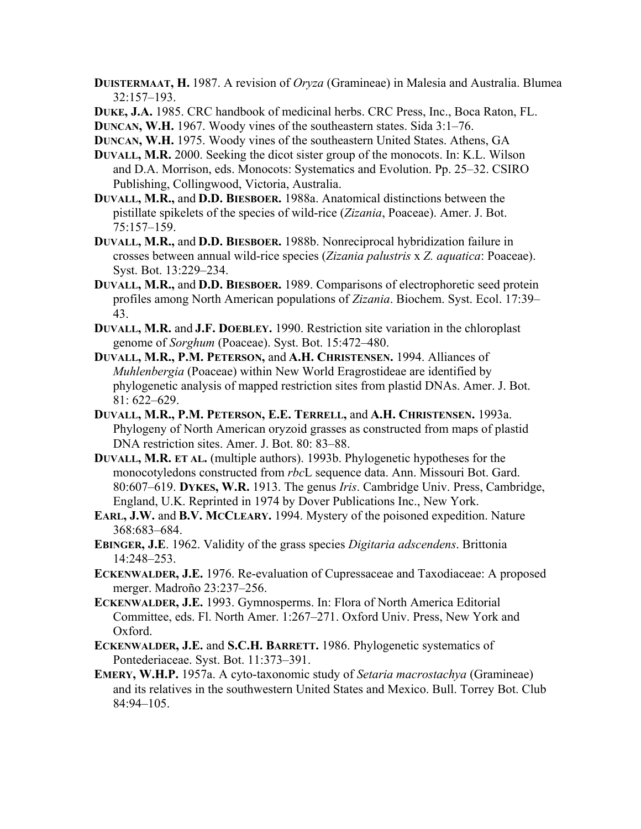- **DUISTERMAAT, H.** 1987. A revision of *Oryza* (Gramineae) in Malesia and Australia. Blumea 32:157–193.
- **DUKE, J.A.** 1985. CRC handbook of medicinal herbs. CRC Press, Inc., Boca Raton, FL.

**DUNCAN, W.H.** 1967. Woody vines of the southeastern states. Sida 3:1–76.

- **DUNCAN, W.H.** 1975. Woody vines of the southeastern United States. Athens, GA
- **DUVALL, M.R.** 2000. Seeking the dicot sister group of the monocots. In: K.L. Wilson and D.A. Morrison, eds. Monocots: Systematics and Evolution. Pp. 25–32. CSIRO Publishing, Collingwood, Victoria, Australia.
- **DUVALL, M.R.,** and **D.D. BIESBOER.** 1988a. Anatomical distinctions between the pistillate spikelets of the species of wild-rice (*Zizania*, Poaceae). Amer. J. Bot. 75:157–159.
- **DUVALL, M.R.,** and **D.D. BIESBOER.** 1988b. Nonreciprocal hybridization failure in crosses between annual wild-rice species (*Zizania palustris* x *Z. aquatica*: Poaceae). Syst. Bot. 13:229–234.
- **DUVALL, M.R.,** and **D.D. BIESBOER.** 1989. Comparisons of electrophoretic seed protein profiles among North American populations of *Zizania*. Biochem. Syst. Ecol. 17:39– 43.
- **DUVALL, M.R.** and **J.F. DOEBLEY.** 1990. Restriction site variation in the chloroplast genome of *Sorghum* (Poaceae). Syst. Bot. 15:472–480.
- **DUVALL, M.R., P.M. PETERSON,** and **A.H. CHRISTENSEN.** 1994. Alliances of *Muhlenbergia* (Poaceae) within New World Eragrostideae are identified by phylogenetic analysis of mapped restriction sites from plastid DNAs. Amer. J. Bot. 81: 622–629.
- **DUVALL, M.R., P.M. PETERSON, E.E. TERRELL,** and **A.H. CHRISTENSEN.** 1993a. Phylogeny of North American oryzoid grasses as constructed from maps of plastid DNA restriction sites. Amer. J. Bot. 80: 83–88.
- **DUVALL, M.R. ET AL.** (multiple authors). 1993b. Phylogenetic hypotheses for the monocotyledons constructed from *rbc*L sequence data. Ann. Missouri Bot. Gard. 80:607–619. **DYKES, W.R.** 1913. The genus *Iris*. Cambridge Univ. Press, Cambridge, England, U.K. Reprinted in 1974 by Dover Publications Inc., New York.
- **EARL, J.W.** and **B.V. MCCLEARY.** 1994. Mystery of the poisoned expedition. Nature 368:683–684.
- **EBINGER, J.E**. 1962. Validity of the grass species *Digitaria adscendens*. Brittonia 14:248–253.
- **ECKENWALDER, J.E.** 1976. Re-evaluation of Cupressaceae and Taxodiaceae: A proposed merger. Madroño 23:237–256.
- **ECKENWALDER, J.E.** 1993. Gymnosperms. In: Flora of North America Editorial Committee, eds. Fl. North Amer. 1:267–271. Oxford Univ. Press, New York and Oxford.
- **ECKENWALDER, J.E.** and **S.C.H. BARRETT.** 1986. Phylogenetic systematics of Pontederiaceae. Syst. Bot. 11:373–391.
- **EMERY, W.H.P.** 1957a. A cyto-taxonomic study of *Setaria macrostachya* (Gramineae) and its relatives in the southwestern United States and Mexico. Bull. Torrey Bot. Club 84:94–105.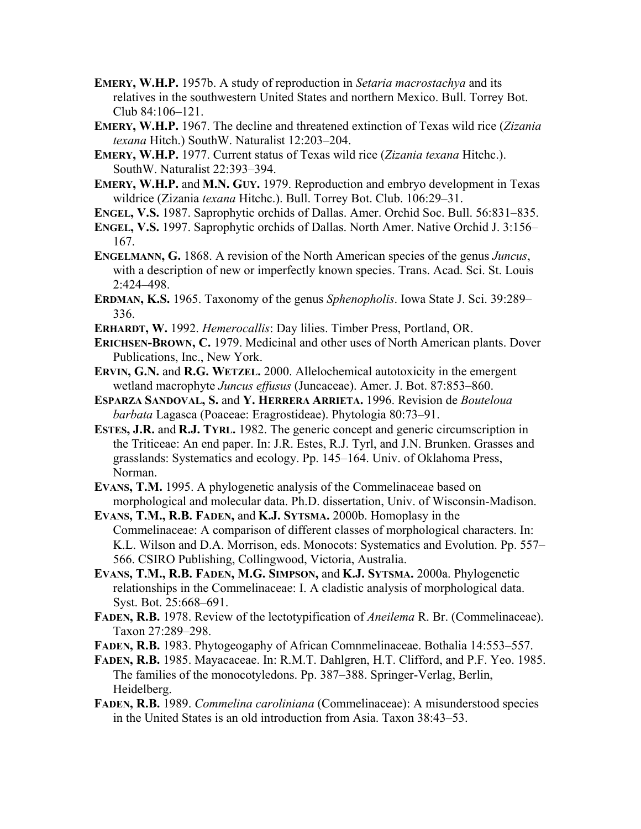- **EMERY, W.H.P.** 1957b. A study of reproduction in *Setaria macrostachya* and its relatives in the southwestern United States and northern Mexico. Bull. Torrey Bot. Club 84:106–121.
- **EMERY, W.H.P.** 1967. The decline and threatened extinction of Texas wild rice (*Zizania texana* Hitch.) SouthW. Naturalist 12:203–204.
- **EMERY, W.H.P.** 1977. Current status of Texas wild rice (*Zizania texana* Hitchc.). SouthW. Naturalist 22:393–394.
- **EMERY, W.H.P.** and **M.N. GUY.** 1979. Reproduction and embryo development in Texas wildrice (Zizania *texana* Hitchc.). Bull. Torrey Bot. Club. 106:29–31.
- **ENGEL, V.S.** 1987. Saprophytic orchids of Dallas. Amer. Orchid Soc. Bull. 56:831–835.
- **ENGEL, V.S.** 1997. Saprophytic orchids of Dallas. North Amer. Native Orchid J. 3:156– 167.
- **ENGELMANN, G.** 1868. A revision of the North American species of the genus *Juncus*, with a description of new or imperfectly known species. Trans. Acad. Sci. St. Louis 2:424–498.
- **ERDMAN, K.S.** 1965. Taxonomy of the genus *Sphenopholis*. Iowa State J. Sci. 39:289– 336.
- **ERHARDT, W.** 1992. *Hemerocallis*: Day lilies. Timber Press, Portland, OR.
- **ERICHSEN-BROWN, C.** 1979. Medicinal and other uses of North American plants. Dover Publications, Inc., New York.
- **ERVIN, G.N.** and **R.G. WETZEL.** 2000. Allelochemical autotoxicity in the emergent wetland macrophyte *Juncus effusus* (Juncaceae). Amer. J. Bot. 87:853–860.
- **ESPARZA SANDOVAL, S.** and **Y. HERRERA ARRIETA.** 1996. Revision de *Bouteloua barbata* Lagasca (Poaceae: Eragrostideae). Phytologia 80:73–91.
- **ESTES, J.R.** and **R.J. TYRL.** 1982. The generic concept and generic circumscription in the Triticeae: An end paper. In: J.R. Estes, R.J. Tyrl, and J.N. Brunken. Grasses and grasslands: Systematics and ecology. Pp. 145–164. Univ. of Oklahoma Press, Norman.
- **EVANS, T.M.** 1995. A phylogenetic analysis of the Commelinaceae based on morphological and molecular data. Ph.D. dissertation, Univ. of Wisconsin-Madison.
- **EVANS, T.M., R.B. FADEN,** and **K.J. SYTSMA.** 2000b. Homoplasy in the Commelinaceae: A comparison of different classes of morphological characters. In: K.L. Wilson and D.A. Morrison, eds. Monocots: Systematics and Evolution. Pp. 557– 566. CSIRO Publishing, Collingwood, Victoria, Australia.
- **EVANS, T.M., R.B. FADEN, M.G. SIMPSON,** and **K.J. SYTSMA.** 2000a. Phylogenetic relationships in the Commelinaceae: I. A cladistic analysis of morphological data. Syst. Bot. 25:668–691.
- **FADEN, R.B.** 1978. Review of the lectotypification of *Aneilema* R. Br. (Commelinaceae). Taxon 27:289–298.
- **FADEN, R.B.** 1983. Phytogeogaphy of African Comnmelinaceae. Bothalia 14:553–557.
- **FADEN, R.B.** 1985. Mayacaceae. In: R.M.T. Dahlgren, H.T. Clifford, and P.F. Yeo. 1985. The families of the monocotyledons. Pp. 387–388. Springer-Verlag, Berlin, Heidelberg.
- **FADEN, R.B.** 1989. *Commelina caroliniana* (Commelinaceae): A misunderstood species in the United States is an old introduction from Asia. Taxon 38:43–53.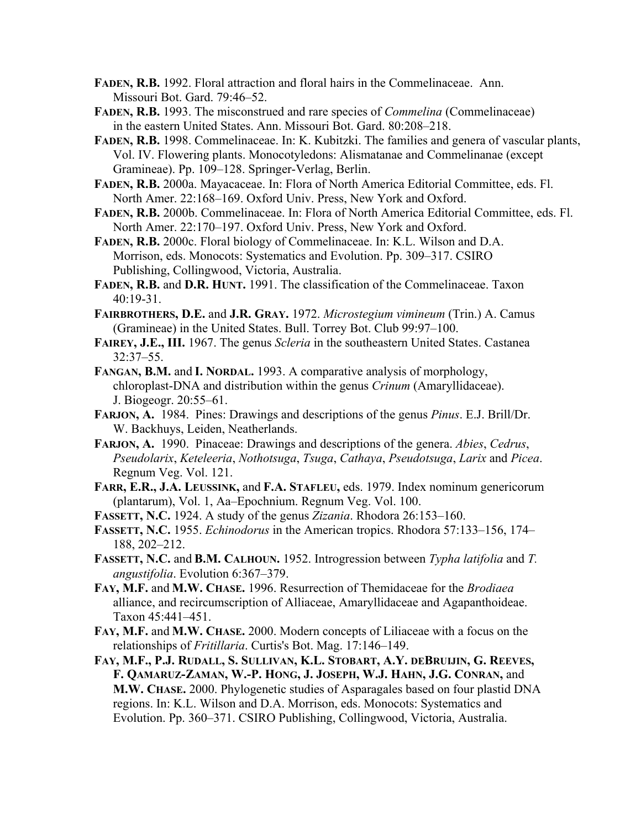**FADEN, R.B.** 1992. Floral attraction and floral hairs in the Commelinaceae. Ann. Missouri Bot. Gard. 79:46–52.

**FADEN, R.B.** 1993. The misconstrued and rare species of *Commelina* (Commelinaceae) in the eastern United States. Ann. Missouri Bot. Gard. 80:208–218.

**FADEN, R.B.** 1998. Commelinaceae. In: K. Kubitzki. The families and genera of vascular plants, Vol. IV. Flowering plants. Monocotyledons: Alismatanae and Commelinanae (except Gramineae). Pp. 109–128. Springer-Verlag, Berlin.

**FADEN, R.B.** 2000a. Mayacaceae. In: Flora of North America Editorial Committee, eds. Fl. North Amer. 22:168–169. Oxford Univ. Press, New York and Oxford.

**FADEN, R.B.** 2000b. Commelinaceae. In: Flora of North America Editorial Committee, eds. Fl. North Amer. 22:170–197. Oxford Univ. Press, New York and Oxford.

**FADEN, R.B.** 2000c. Floral biology of Commelinaceae. In: K.L. Wilson and D.A. Morrison, eds. Monocots: Systematics and Evolution. Pp. 309–317. CSIRO Publishing, Collingwood, Victoria, Australia.

**FADEN, R.B.** and **D.R. HUNT.** 1991. The classification of the Commelinaceae. Taxon 40:19-31.

**FAIRBROTHERS, D.E.** and **J.R. GRAY.** 1972. *Microstegium vimineum* (Trin.) A. Camus (Gramineae) in the United States. Bull. Torrey Bot. Club 99:97–100.

**FAIREY, J.E., III.** 1967. The genus *Scleria* in the southeastern United States. Castanea 32:37–55.

**FANGAN, B.M.** and **I. NORDAL.** 1993. A comparative analysis of morphology, chloroplast-DNA and distribution within the genus *Crinum* (Amaryllidaceae). J. Biogeogr. 20:55–61.

- **FARJON, A.** 1984. Pines: Drawings and descriptions of the genus *Pinus*. E.J. Brill/Dr. W. Backhuys, Leiden, Neatherlands.
- **FARJON, A.** 1990. Pinaceae: Drawings and descriptions of the genera. *Abies*, *Cedrus*, *Pseudolarix*, *Keteleeria*, *Nothotsuga*, *Tsuga*, *Cathaya*, *Pseudotsuga*, *Larix* and *Picea*. Regnum Veg. Vol. 121.

**FARR, E.R., J.A. LEUSSINK,** and **F.A. STAFLEU,** eds. 1979. Index nominum genericorum (plantarum), Vol. 1, Aa–Epochnium. Regnum Veg. Vol. 100.

**FASSETT, N.C.** 1924. A study of the genus *Zizania*. Rhodora 26:153–160.

**FASSETT, N.C.** 1955. *Echinodorus* in the American tropics. Rhodora 57:133–156, 174– 188, 202–212.

**FASSETT, N.C.** and **B.M. CALHOUN.** 1952. Introgression between *Typha latifolia* and *T. angustifolia*. Evolution 6:367–379.

**FAY, M.F.** and **M.W. CHASE.** 1996. Resurrection of Themidaceae for the *Brodiaea* alliance, and recircumscription of Alliaceae, Amaryllidaceae and Agapanthoideae. Taxon 45:441–451.

**FAY, M.F.** and **M.W. CHASE.** 2000. Modern concepts of Liliaceae with a focus on the relationships of *Fritillaria*. Curtis's Bot. Mag. 17:146–149.

**FAY, M.F., P.J. RUDALL, S. SULLIVAN, K.L. STOBART, A.Y. DEBRUIJIN, G. REEVES, F. QAMARUZ-ZAMAN, W.-P. HONG, J. JOSEPH, W.J. HAHN, J.G. CONRAN,** and **M.W. CHASE.** 2000. Phylogenetic studies of Asparagales based on four plastid DNA regions. In: K.L. Wilson and D.A. Morrison, eds. Monocots: Systematics and Evolution. Pp. 360–371. CSIRO Publishing, Collingwood, Victoria, Australia.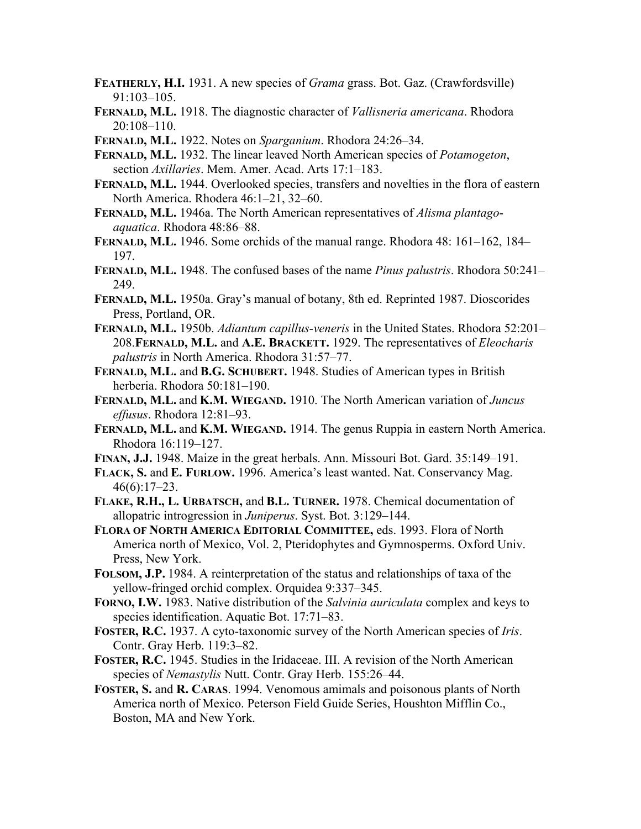- **FEATHERLY, H.I.** 1931. A new species of *Grama* grass. Bot. Gaz. (Crawfordsville) 91:103–105.
- **FERNALD, M.L.** 1918. The diagnostic character of *Vallisneria americana*. Rhodora 20:108–110.
- **FERNALD, M.L.** 1922. Notes on *Sparganium*. Rhodora 24:26–34.

**FERNALD, M.L.** 1932. The linear leaved North American species of *Potamogeton*, section *Axillaries*. Mem. Amer. Acad. Arts 17:1–183.

- **FERNALD, M.L.** 1944. Overlooked species, transfers and novelties in the flora of eastern North America. Rhodera 46:1–21, 32–60.
- **FERNALD, M.L.** 1946a. The North American representatives of *Alisma plantagoaquatica*. Rhodora 48:86–88.
- **FERNALD, M.L.** 1946. Some orchids of the manual range. Rhodora 48: 161–162, 184– 197.
- **FERNALD, M.L.** 1948. The confused bases of the name *Pinus palustris*. Rhodora 50:241– 249.
- **FERNALD, M.L.** 1950a. Gray's manual of botany, 8th ed. Reprinted 1987. Dioscorides Press, Portland, OR.
- **FERNALD, M.L.** 1950b. *Adiantum capillus*-*veneris* in the United States. Rhodora 52:201– 208.**FERNALD, M.L.** and **A.E. BRACKETT.** 1929. The representatives of *Eleocharis palustris* in North America. Rhodora 31:57–77.
- **FERNALD, M.L.** and **B.G. SCHUBERT.** 1948. Studies of American types in British herberia. Rhodora 50:181–190.
- **FERNALD, M.L.** and **K.M. WIEGAND.** 1910. The North American variation of *Juncus effusus*. Rhodora 12:81–93.
- **FERNALD, M.L.** and **K.M. WIEGAND.** 1914. The genus Ruppia in eastern North America. Rhodora 16:119–127.
- **FINAN, J.J.** 1948. Maize in the great herbals. Ann. Missouri Bot. Gard. 35:149–191.
- **FLACK, S.** and **E. FURLOW.** 1996. America's least wanted. Nat. Conservancy Mag. 46(6):17–23.
- **FLAKE, R.H., L. URBATSCH,** and **B.L. TURNER.** 1978. Chemical documentation of allopatric introgression in *Juniperus*. Syst. Bot. 3:129–144.
- **FLORA OF NORTH AMERICA EDITORIAL COMMITTEE,** eds. 1993. Flora of North America north of Mexico, Vol. 2, Pteridophytes and Gymnosperms. Oxford Univ. Press, New York.
- **FOLSOM, J.P.** 1984. A reinterpretation of the status and relationships of taxa of the yellow-fringed orchid complex. Orquidea 9:337–345.
- **FORNO, I.W.** 1983. Native distribution of the *Salvinia auriculata* complex and keys to species identification. Aquatic Bot. 17:71–83.
- **FOSTER, R.C.** 1937. A cyto-taxonomic survey of the North American species of *Iris*. Contr. Gray Herb. 119:3–82.
- **FOSTER, R.C.** 1945. Studies in the Iridaceae. III. A revision of the North American species of *Nemastylis* Nutt. Contr. Gray Herb. 155:26–44.
- **FOSTER, S.** and **R. CARAS**. 1994. Venomous amimals and poisonous plants of North America north of Mexico. Peterson Field Guide Series, Houshton Mifflin Co., Boston, MA and New York.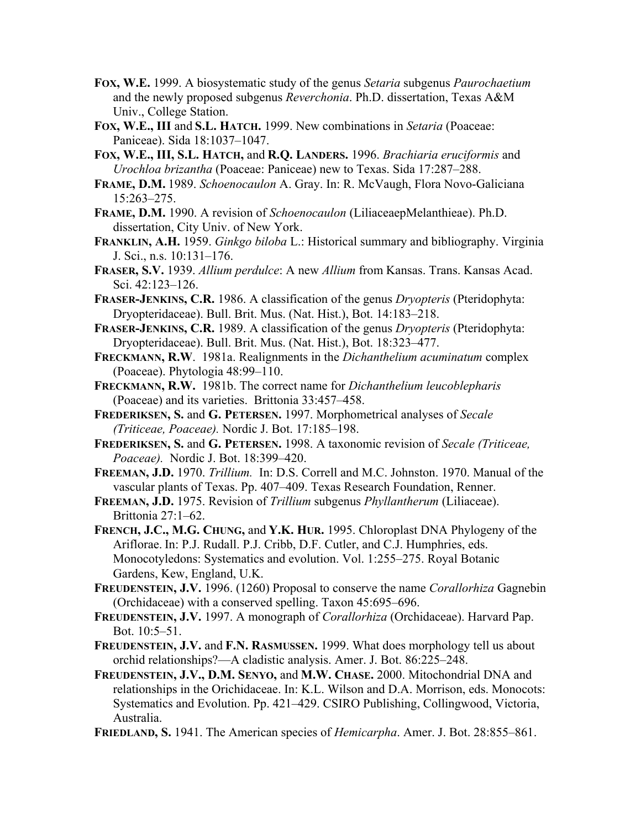- **FOX, W.E.** 1999. A biosystematic study of the genus *Setaria* subgenus *Paurochaetium* and the newly proposed subgenus *Reverchonia*. Ph.D. dissertation, Texas A&M Univ., College Station.
- **FOX, W.E., III** and **S.L. HATCH.** 1999. New combinations in *Setaria* (Poaceae: Paniceae). Sida 18:1037–1047.
- **FOX, W.E., III, S.L. HATCH,** and **R.Q. LANDERS.** 1996. *Brachiaria eruciformis* and *Urochloa brizantha* (Poaceae: Paniceae) new to Texas. Sida 17:287–288.
- **FRAME, D.M.** 1989. *Schoenocaulon* A. Gray. In: R. McVaugh, Flora Novo-Galiciana 15:263–275.
- **FRAME, D.M.** 1990. A revision of *Schoenocaulon* (LiliaceaepMelanthieae). Ph.D. dissertation, City Univ. of New York.
- **FRANKLIN, A.H.** 1959. *Ginkgo biloba* L.: Historical summary and bibliography. Virginia J. Sci., n.s. 10:131–176.
- **FRASER, S.V.** 1939. *Allium perdulce*: A new *Allium* from Kansas. Trans. Kansas Acad. Sci. 42:123–126.
- **FRASER-JENKINS, C.R.** 1986. A classification of the genus *Dryopteris* (Pteridophyta: Dryopteridaceae). Bull. Brit. Mus. (Nat. Hist.), Bot. 14:183–218.
- **FRASER-JENKINS, C.R.** 1989. A classification of the genus *Dryopteris* (Pteridophyta: Dryopteridaceae). Bull. Brit. Mus. (Nat. Hist.), Bot. 18:323–477.
- **FRECKMANN, R.W**. 1981a. Realignments in the *Dichanthelium acuminatum* complex (Poaceae). Phytologia 48:99–110.
- **FRECKMANN, R.W.** 1981b. The correct name for *Dichanthelium leucoblepharis* (Poaceae) and its varieties. Brittonia 33:457–458.
- **FREDERIKSEN, S.** and **G. PETERSEN.** 1997. Morphometrical analyses of *Secale (Triticeae, Poaceae).* Nordic J. Bot. 17:185–198.
- **FREDERIKSEN, S.** and **G. PETERSEN.** 1998. A taxonomic revision of *Secale (Triticeae, Poaceae).* Nordic J. Bot. 18:399–420.
- **FREEMAN, J.D.** 1970. *Trillium.* In: D.S. Correll and M.C. Johnston. 1970. Manual of the vascular plants of Texas. Pp. 407–409. Texas Research Foundation, Renner.
- **FREEMAN, J.D.** 1975. Revision of *Trillium* subgenus *Phyllantherum* (Liliaceae). Brittonia 27:1–62.
- **FRENCH, J.C., M.G. CHUNG,** and **Y.K. HUR.** 1995. Chloroplast DNA Phylogeny of the Ariflorae. In: P.J. Rudall. P.J. Cribb, D.F. Cutler, and C.J. Humphries, eds. Monocotyledons: Systematics and evolution. Vol. 1:255–275. Royal Botanic Gardens, Kew, England, U.K.
- **FREUDENSTEIN, J.V.** 1996. (1260) Proposal to conserve the name *Corallorhiza* Gagnebin (Orchidaceae) with a conserved spelling. Taxon 45:695–696.
- **FREUDENSTEIN, J.V.** 1997. A monograph of *Corallorhiza* (Orchidaceae). Harvard Pap. Bot. 10:5–51.
- **FREUDENSTEIN, J.V.** and **F.N. RASMUSSEN.** 1999. What does morphology tell us about orchid relationships?—A cladistic analysis. Amer. J. Bot. 86:225–248.
- **FREUDENSTEIN, J.V., D.M. SENYO,** and **M.W. CHASE.** 2000. Mitochondrial DNA and relationships in the Orichidaceae. In: K.L. Wilson and D.A. Morrison, eds. Monocots: Systematics and Evolution. Pp. 421–429. CSIRO Publishing, Collingwood, Victoria, Australia.
- **FRIEDLAND, S.** 1941. The American species of *Hemicarpha*. Amer. J. Bot. 28:855–861.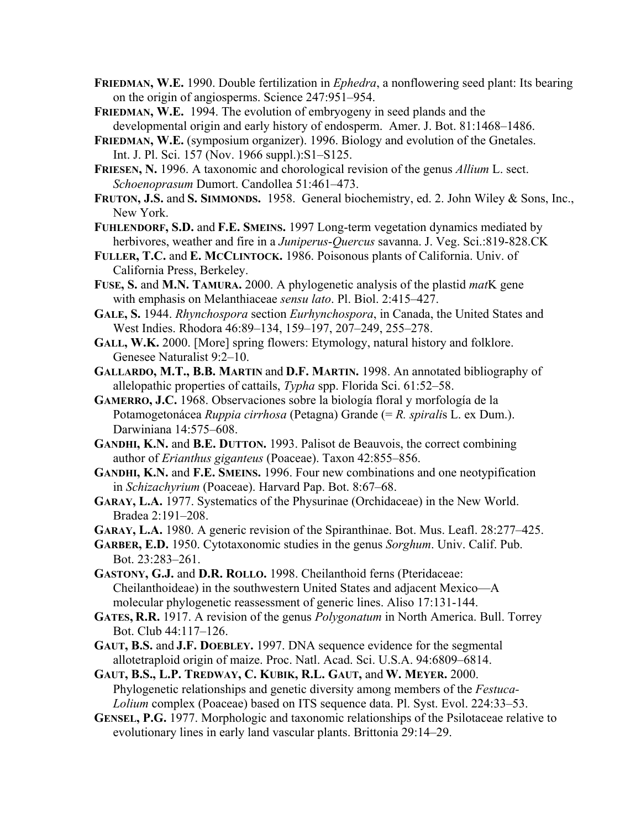- **FRIEDMAN, W.E.** 1990. Double fertilization in *Ephedra*, a nonflowering seed plant: Its bearing on the origin of angiosperms. Science 247:951–954.
- **FRIEDMAN, W.E.** 1994. The evolution of embryogeny in seed plands and the developmental origin and early history of endosperm. Amer. J. Bot. 81:1468–1486.
- **FRIEDMAN, W.E.** (symposium organizer). 1996. Biology and evolution of the Gnetales. Int. J. Pl. Sci. 157 (Nov. 1966 suppl.):S1–S125.
- **FRIESEN, N.** 1996. A taxonomic and chorological revision of the genus *Allium* L. sect. *Schoenoprasum* Dumort. Candollea 51:461–473.
- **FRUTON, J.S.** and **S. SIMMONDS.** 1958. General biochemistry, ed. 2. John Wiley & Sons, Inc., New York.
- **FUHLENDORF, S.D.** and **F.E. SMEINS.** 1997 Long-term vegetation dynamics mediated by herbivores, weather and fire in a *Juniperus*-*Quercus* savanna. J. Veg. Sci.:819-828.CK
- **FULLER, T.C.** and **E. MCCLINTOCK.** 1986. Poisonous plants of California. Univ. of California Press, Berkeley.
- **FUSE, S.** and **M.N. TAMURA.** 2000. A phylogenetic analysis of the plastid *mat*K gene with emphasis on Melanthiaceae *sensu lato*. Pl. Biol. 2:415–427.
- **GALE, S.** 1944. *Rhynchospora* section *Eurhynchospora*, in Canada, the United States and West Indies. Rhodora 46:89–134, 159–197, 207–249, 255–278.
- **GALL, W.K.** 2000. [More] spring flowers: Etymology, natural history and folklore. Genesee Naturalist 9:2–10.
- **GALLARDO, M.T., B.B. MARTIN** and **D.F. MARTIN.** 1998. An annotated bibliography of allelopathic properties of cattails, *Typha* spp. Florida Sci. 61:52–58.
- **GAMERRO, J.C.** 1968. Observaciones sobre la biología floral y morfología de la Potamogetonácea *Ruppia cirrhosa* (Petagna) Grande (= *R. spirali*s L. ex Dum.). Darwiniana 14:575–608.
- **GANDHI, K.N.** and **B.E. DUTTON.** 1993. Palisot de Beauvois, the correct combining author of *Erianthus giganteus* (Poaceae). Taxon 42:855–856.
- **GANDHI, K.N.** and **F.E. SMEINS.** 1996. Four new combinations and one neotypification in *Schizachyrium* (Poaceae). Harvard Pap. Bot. 8:67–68.
- **GARAY, L.A.** 1977. Systematics of the Physurinae (Orchidaceae) in the New World. Bradea 2:191–208.
- **GARAY, L.A.** 1980. A generic revision of the Spiranthinae. Bot. Mus. Leafl. 28:277–425.
- **GARBER, E.D.** 1950. Cytotaxonomic studies in the genus *Sorghum*. Univ. Calif. Pub. Bot. 23:283–261.
- **GASTONY, G.J.** and **D.R. ROLLO.** 1998. Cheilanthoid ferns (Pteridaceae: Cheilanthoideae) in the southwestern United States and adjacent Mexico—A molecular phylogenetic reassessment of generic lines. Aliso 17:131-144.
- **GATES, R.R.** 1917. A revision of the genus *Polygonatum* in North America. Bull. Torrey Bot. Club 44:117–126.
- **GAUT, B.S.** and **J.F. DOEBLEY.** 1997. DNA sequence evidence for the segmental allotetraploid origin of maize. Proc. Natl. Acad. Sci. U.S.A. 94:6809–6814.
- **GAUT, B.S., L.P. TREDWAY, C. KUBIK, R.L. GAUT,** and **W. MEYER.** 2000. Phylogenetic relationships and genetic diversity among members of the *Festuca-Lolium* complex (Poaceae) based on ITS sequence data. Pl. Syst. Evol. 224:33–53.
- **GENSEL, P.G.** 1977. Morphologic and taxonomic relationships of the Psilotaceae relative to evolutionary lines in early land vascular plants. Brittonia 29:14–29.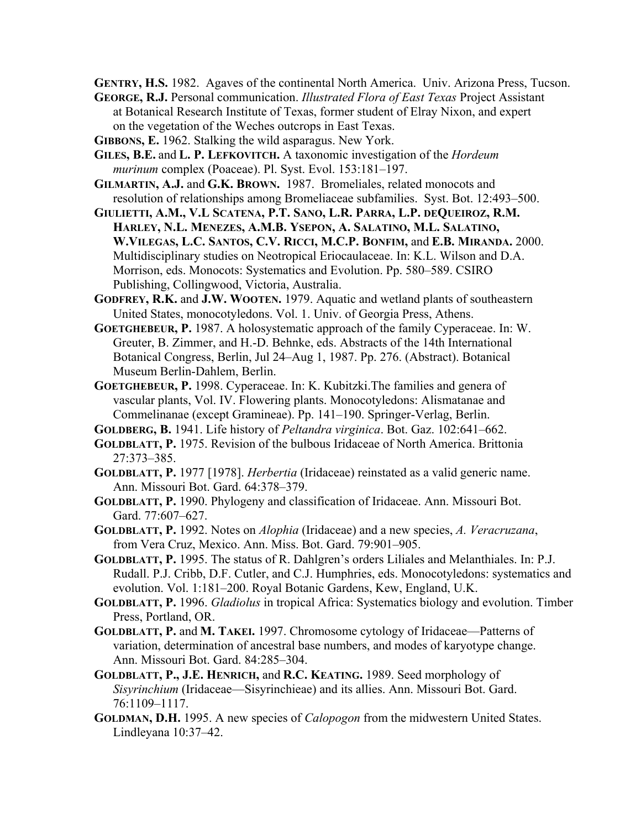**GENTRY, H.S.** 1982. Agaves of the continental North America. Univ. Arizona Press, Tucson.

- **GEORGE, R.J.** Personal communication. *Illustrated Flora of East Texas* Project Assistant at Botanical Research Institute of Texas, former student of Elray Nixon, and expert on the vegetation of the Weches outcrops in East Texas.
- **GIBBONS, E.** 1962. Stalking the wild asparagus. New York.
- **GILES, B.E.** and **L. P. LEFKOVITCH.** A taxonomic investigation of the *Hordeum murinum* complex (Poaceae). Pl. Syst. Evol. 153:181–197.
- **GILMARTIN, A.J.** and **G.K. BROWN.** 1987. Bromeliales, related monocots and resolution of relationships among Bromeliaceae subfamilies. Syst. Bot. 12:493–500.
- **GIULIETTI, A.M., V.L SCATENA, P.T. SANO, L.R. PARRA, L.P. DEQUEIROZ, R.M. HARLEY, N.L. MENEZES, A.M.B. YSEPON, A. SALATINO, M.L. SALATINO, W.VILEGAS, L.C. SANTOS, C.V. RICCI, M.C.P. BONFIM,** and **E.B. MIRANDA.** 2000. Multidisciplinary studies on Neotropical Eriocaulaceae. In: K.L. Wilson and D.A. Morrison, eds. Monocots: Systematics and Evolution. Pp. 580–589. CSIRO Publishing, Collingwood, Victoria, Australia.
- **GODFREY, R.K.** and **J.W. WOOTEN.** 1979. Aquatic and wetland plants of southeastern United States, monocotyledons. Vol. 1. Univ. of Georgia Press, Athens.
- **GOETGHEBEUR, P.** 1987. A holosystematic approach of the family Cyperaceae. In: W. Greuter, B. Zimmer, and H.-D. Behnke, eds. Abstracts of the 14th International Botanical Congress, Berlin, Jul 24–Aug 1, 1987. Pp. 276. (Abstract). Botanical Museum Berlin-Dahlem, Berlin.
- **GOETGHEBEUR, P.** 1998. Cyperaceae. In: K. Kubitzki.The families and genera of vascular plants, Vol. IV. Flowering plants. Monocotyledons: Alismatanae and Commelinanae (except Gramineae). Pp. 141–190. Springer-Verlag, Berlin.
- **GOLDBERG, B.** 1941. Life history of *Peltandra virginica*. Bot. Gaz. 102:641–662.
- **GOLDBLATT, P.** 1975. Revision of the bulbous Iridaceae of North America. Brittonia 27:373–385.
- **GOLDBLATT, P.** 1977 [1978]. *Herbertia* (Iridaceae) reinstated as a valid generic name. Ann. Missouri Bot. Gard. 64:378–379.
- **GOLDBLATT, P.** 1990. Phylogeny and classification of Iridaceae. Ann. Missouri Bot. Gard. 77:607–627.
- **GOLDBLATT, P.** 1992. Notes on *Alophia* (Iridaceae) and a new species, *A. Veracruzana*, from Vera Cruz, Mexico. Ann. Miss. Bot. Gard. 79:901–905.
- **GOLDBLATT, P.** 1995. The status of R. Dahlgren's orders Liliales and Melanthiales. In: P.J. Rudall. P.J. Cribb, D.F. Cutler, and C.J. Humphries, eds. Monocotyledons: systematics and evolution. Vol. 1:181–200. Royal Botanic Gardens, Kew, England, U.K.
- **GOLDBLATT, P.** 1996. *Gladiolus* in tropical Africa: Systematics biology and evolution. Timber Press, Portland, OR.
- **GOLDBLATT, P.** and **M. TAKEI.** 1997. Chromosome cytology of Iridaceae—Patterns of variation, determination of ancestral base numbers, and modes of karyotype change. Ann. Missouri Bot. Gard. 84:285–304.
- **GOLDBLATT, P., J.E. HENRICH,** and **R.C. KEATING.** 1989. Seed morphology of *Sisyrinchium* (Iridaceae—Sisyrinchieae) and its allies. Ann. Missouri Bot. Gard. 76:1109–1117.
- **GOLDMAN, D.H.** 1995. A new species of *Calopogon* from the midwestern United States. Lindleyana 10:37–42.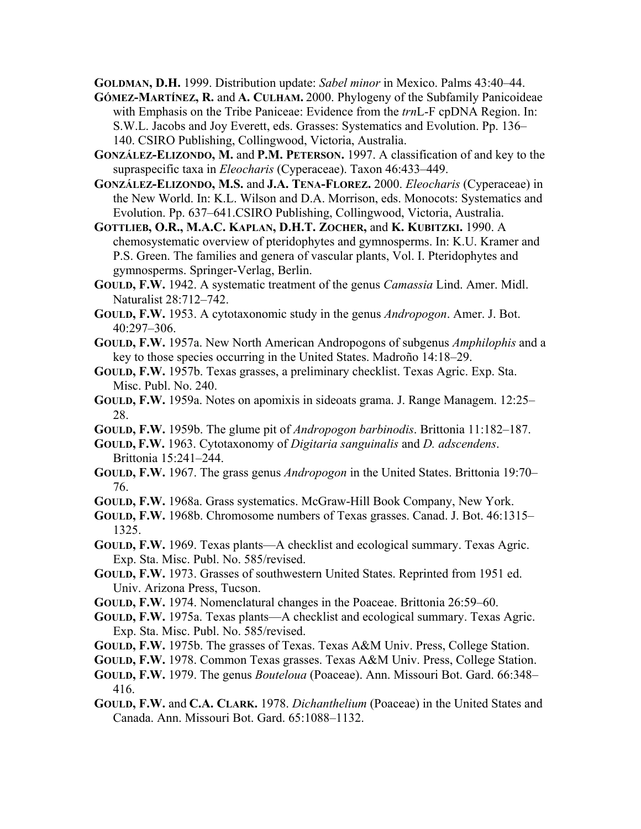**GOLDMAN, D.H.** 1999. Distribution update: *Sabel minor* in Mexico. Palms 43:40–44.

- **GÓMEZ-MARTÍNEZ, R.** and **A. CULHAM.** 2000. Phylogeny of the Subfamily Panicoideae with Emphasis on the Tribe Paniceae: Evidence from the *trn*L-F cpDNA Region. In: S.W.L. Jacobs and Joy Everett, eds. Grasses: Systematics and Evolution. Pp. 136– 140. CSIRO Publishing, Collingwood, Victoria, Australia.
- **GONZÁLEZ-ELIZONDO, M.** and **P.M. PETERSON.** 1997. A classification of and key to the supraspecific taxa in *Eleocharis* (Cyperaceae). Taxon 46:433–449.
- **GONZÁLEZ-ELIZONDO, M.S.** and **J.A. TENA-FLOREZ.** 2000. *Eleocharis* (Cyperaceae) in the New World. In: K.L. Wilson and D.A. Morrison, eds. Monocots: Systematics and Evolution. Pp. 637–641.CSIRO Publishing, Collingwood, Victoria, Australia.
- **GOTTLIEB, O.R., M.A.C. KAPLAN, D.H.T. ZOCHER,** and **K. KUBITZKI.** 1990. A chemosystematic overview of pteridophytes and gymnosperms. In: K.U. Kramer and P.S. Green. The families and genera of vascular plants, Vol. I. Pteridophytes and gymnosperms. Springer-Verlag, Berlin.
- **GOULD, F.W.** 1942. A systematic treatment of the genus *Camassia* Lind. Amer. Midl. Naturalist 28:712–742.
- **GOULD, F.W.** 1953. A cytotaxonomic study in the genus *Andropogon*. Amer. J. Bot. 40:297–306.
- **GOULD, F.W.** 1957a. New North American Andropogons of subgenus *Amphilophis* and a key to those species occurring in the United States. Madroño 14:18–29.
- **GOULD, F.W.** 1957b. Texas grasses, a preliminary checklist. Texas Agric. Exp. Sta. Misc. Publ. No. 240.
- **GOULD, F.W.** 1959a. Notes on apomixis in sideoats grama. J. Range Managem. 12:25– 28.
- **GOULD, F.W.** 1959b. The glume pit of *Andropogon barbinodis*. Brittonia 11:182–187.
- **GOULD, F.W.** 1963. Cytotaxonomy of *Digitaria sanguinalis* and *D. adscendens*. Brittonia 15:241–244.
- **GOULD, F.W.** 1967. The grass genus *Andropogon* in the United States. Brittonia 19:70– 76.
- **GOULD, F.W.** 1968a. Grass systematics. McGraw-Hill Book Company, New York.
- **GOULD, F.W.** 1968b. Chromosome numbers of Texas grasses. Canad. J. Bot. 46:1315– 1325.
- **GOULD, F.W.** 1969. Texas plants—A checklist and ecological summary. Texas Agric. Exp. Sta. Misc. Publ. No. 585/revised.
- **GOULD, F.W.** 1973. Grasses of southwestern United States. Reprinted from 1951 ed. Univ. Arizona Press, Tucson.
- **GOULD, F.W.** 1974. Nomenclatural changes in the Poaceae. Brittonia 26:59–60.
- **GOULD, F.W.** 1975a. Texas plants—A checklist and ecological summary. Texas Agric. Exp. Sta. Misc. Publ. No. 585/revised.
- **GOULD, F.W.** 1975b. The grasses of Texas. Texas A&M Univ. Press, College Station.
- **GOULD, F.W.** 1978. Common Texas grasses. Texas A&M Univ. Press, College Station.
- **GOULD, F.W.** 1979. The genus *Bouteloua* (Poaceae). Ann. Missouri Bot. Gard. 66:348– 416.
- **GOULD, F.W.** and **C.A. CLARK.** 1978. *Dichanthelium* (Poaceae) in the United States and Canada. Ann. Missouri Bot. Gard. 65:1088–1132.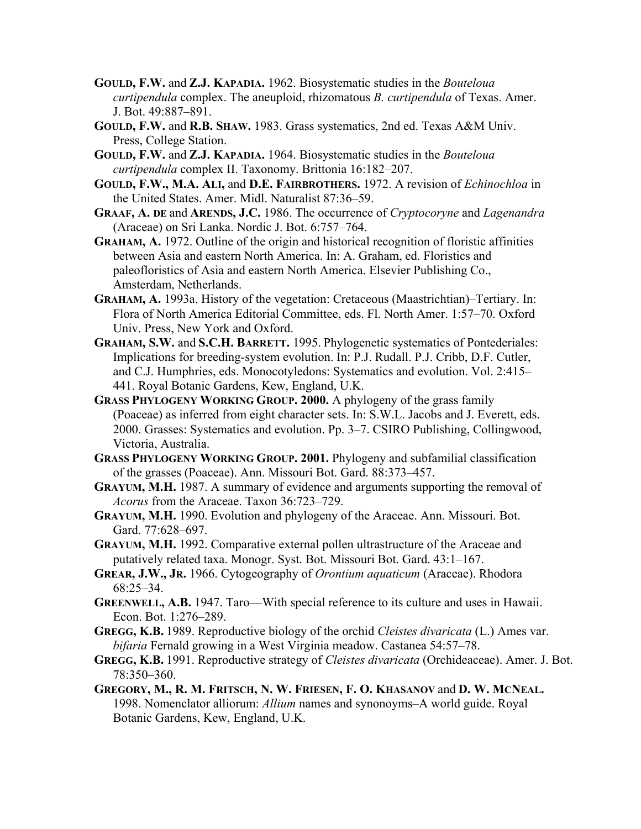- **GOULD, F.W.** and **Z.J. KAPADIA.** 1962. Biosystematic studies in the *Bouteloua curtipendula* complex. The aneuploid, rhizomatous *B. curtipendula* of Texas. Amer. J. Bot. 49:887–891.
- **GOULD, F.W.** and **R.B. SHAW.** 1983. Grass systematics, 2nd ed. Texas A&M Univ. Press, College Station.
- **GOULD, F.W.** and **Z.J. KAPADIA.** 1964. Biosystematic studies in the *Bouteloua curtipendula* complex II. Taxonomy. Brittonia 16:182–207.
- **GOULD, F.W., M.A. ALI,** and **D.E. FAIRBROTHERS.** 1972. A revision of *Echinochloa* in the United States. Amer. Midl. Naturalist 87:36–59.
- **GRAAF, A. DE** and **ARENDS, J.C.** 1986. The occurrence of *Cryptocoryne* and *Lagenandra* (Araceae) on Sri Lanka. Nordic J. Bot. 6:757–764.
- **GRAHAM, A.** 1972. Outline of the origin and historical recognition of floristic affinities between Asia and eastern North America. In: A. Graham, ed. Floristics and paleofloristics of Asia and eastern North America. Elsevier Publishing Co., Amsterdam, Netherlands.
- **GRAHAM, A.** 1993a. History of the vegetation: Cretaceous (Maastrichtian)–Tertiary. In: Flora of North America Editorial Committee, eds. Fl. North Amer. 1:57–70. Oxford Univ. Press, New York and Oxford.
- **GRAHAM, S.W.** and **S.C.H. BARRETT.** 1995. Phylogenetic systematics of Pontederiales: Implications for breeding-system evolution. In: P.J. Rudall. P.J. Cribb, D.F. Cutler, and C.J. Humphries, eds. Monocotyledons: Systematics and evolution. Vol. 2:415– 441. Royal Botanic Gardens, Kew, England, U.K.
- **GRASS PHYLOGENY WORKING GROUP. 2000.** A phylogeny of the grass family (Poaceae) as inferred from eight character sets. In: S.W.L. Jacobs and J. Everett, eds. 2000. Grasses: Systematics and evolution. Pp. 3–7. CSIRO Publishing, Collingwood, Victoria, Australia.
- **GRASS PHYLOGENY WORKING GROUP. 2001.** Phylogeny and subfamilial classification of the grasses (Poaceae). Ann. Missouri Bot. Gard. 88:373–457.
- **GRAYUM, M.H.** 1987. A summary of evidence and arguments supporting the removal of *Acorus* from the Araceae. Taxon 36:723–729.
- **GRAYUM, M.H.** 1990. Evolution and phylogeny of the Araceae. Ann. Missouri. Bot. Gard. 77:628-697.
- **GRAYUM, M.H.** 1992. Comparative external pollen ultrastructure of the Araceae and putatively related taxa. Monogr. Syst. Bot. Missouri Bot. Gard. 43:1–167.
- **GREAR, J.W., JR.** 1966. Cytogeography of *Orontium aquaticum* (Araceae). Rhodora 68:25–34.
- **GREENWELL, A.B.** 1947. Taro—With special reference to its culture and uses in Hawaii. Econ. Bot. 1:276–289.
- **GREGG, K.B.** 1989. Reproductive biology of the orchid *Cleistes divaricata* (L.) Ames var. *bifaria* Fernald growing in a West Virginia meadow. Castanea 54:57–78.
- **GREGG, K.B.** 1991. Reproductive strategy of *Cleistes divaricata* (Orchideaceae). Amer. J. Bot. 78:350–360.
- **GREGORY, M., R. M. FRITSCH, N. W. FRIESEN, F. O. KHASANOV** and **D. W. MCNEAL.**  1998. Nomenclator alliorum: *Allium* names and synonoyms–A world guide. Royal Botanic Gardens, Kew, England, U.K.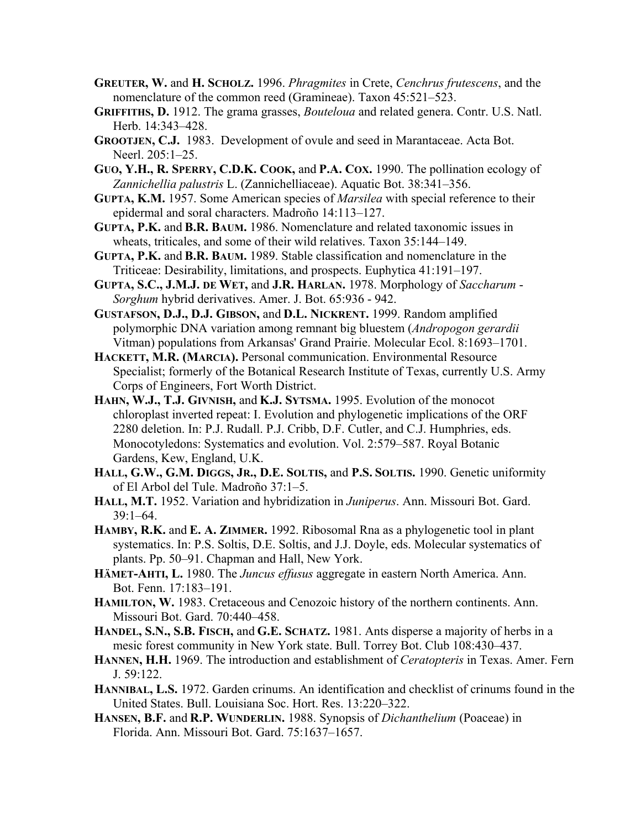- **GREUTER, W.** and **H. SCHOLZ.** 1996. *Phragmites* in Crete, *Cenchrus frutescens*, and the nomenclature of the common reed (Gramineae). Taxon 45:521–523.
- **GRIFFITHS, D.** 1912. The grama grasses, *Bouteloua* and related genera. Contr. U.S. Natl. Herb. 14:343–428.
- **GROOTJEN, C.J.** 1983. Development of ovule and seed in Marantaceae. Acta Bot. Neerl. 205:1–25.
- **GUO, Y.H., R. SPERRY, C.D.K. COOK,** and **P.A. COX.** 1990. The pollination ecology of *Zannichellia palustris* L. (Zannichelliaceae). Aquatic Bot. 38:341–356.
- **GUPTA, K.M.** 1957. Some American species of *Marsilea* with special reference to their epidermal and soral characters. Madroño 14:113–127.
- **GUPTA, P.K.** and **B.R. BAUM.** 1986. Nomenclature and related taxonomic issues in wheats, triticales, and some of their wild relatives. Taxon 35:144–149.
- **GUPTA, P.K.** and **B.R. BAUM.** 1989. Stable classification and nomenclature in the Triticeae: Desirability, limitations, and prospects. Euphytica 41:191–197.
- **GUPTA, S.C., J.M.J. DE WET,** and **J.R. HARLAN.** 1978. Morphology of *Saccharum Sorghum* hybrid derivatives. Amer. J. Bot. 65:936 - 942.
- **GUSTAFSON, D.J., D.J. GIBSON,** and **D.L. NICKRENT.** 1999. Random amplified polymorphic DNA variation among remnant big bluestem (*Andropogon gerardii* Vitman) populations from Arkansas' Grand Prairie. Molecular Ecol. 8:1693–1701.
- **HACKETT, M.R. (MARCIA).** Personal communication. Environmental Resource Specialist; formerly of the Botanical Research Institute of Texas, currently U.S. Army Corps of Engineers, Fort Worth District.
- **HAHN, W.J., T.J. GIVNISH,** and **K.J. SYTSMA.** 1995. Evolution of the monocot chloroplast inverted repeat: I. Evolution and phylogenetic implications of the ORF 2280 deletion. In: P.J. Rudall. P.J. Cribb, D.F. Cutler, and C.J. Humphries, eds. Monocotyledons: Systematics and evolution. Vol. 2:579–587. Royal Botanic Gardens, Kew, England, U.K.
- **HALL, G.W., G.M. DIGGS, JR., D.E. SOLTIS,** and **P.S. SOLTIS.** 1990. Genetic uniformity of El Arbol del Tule. Madroño 37:1–5.
- **HALL, M.T.** 1952. Variation and hybridization in *Juniperus*. Ann. Missouri Bot. Gard. 39:1–64.
- **HAMBY, R.K.** and **E. A. ZIMMER.** 1992. Ribosomal Rna as a phylogenetic tool in plant systematics. In: P.S. Soltis, D.E. Soltis, and J.J. Doyle, eds. Molecular systematics of plants. Pp. 50–91. Chapman and Hall, New York.
- **HÄMET-AHTI, L.** 1980. The *Juncus effusus* aggregate in eastern North America. Ann. Bot. Fenn. 17:183–191.
- **HAMILTON, W.** 1983. Cretaceous and Cenozoic history of the northern continents. Ann. Missouri Bot. Gard. 70:440–458.
- **HANDEL, S.N., S.B. FISCH,** and **G.E. SCHATZ.** 1981. Ants disperse a majority of herbs in a mesic forest community in New York state. Bull. Torrey Bot. Club 108:430–437.
- **HANNEN, H.H.** 1969. The introduction and establishment of *Ceratopteris* in Texas. Amer. Fern J. 59:122.
- **HANNIBAL, L.S.** 1972. Garden crinums. An identification and checklist of crinums found in the United States. Bull. Louisiana Soc. Hort. Res. 13:220–322.
- **HANSEN, B.F.** and **R.P. WUNDERLIN.** 1988. Synopsis of *Dichanthelium* (Poaceae) in Florida. Ann. Missouri Bot. Gard. 75:1637–1657.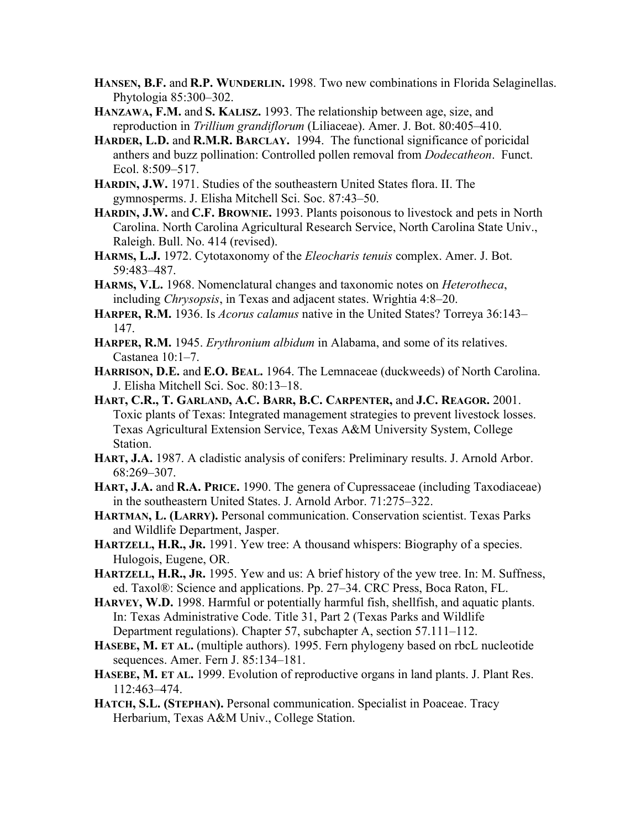- **HANSEN, B.F.** and **R.P. WUNDERLIN.** 1998. Two new combinations in Florida Selaginellas. Phytologia 85:300–302.
- **HANZAWA, F.M.** and **S. KALISZ.** 1993. The relationship between age, size, and reproduction in *Trillium grandiflorum* (Liliaceae). Amer. J. Bot. 80:405–410.
- **HARDER, L.D.** and **R.M.R. BARCLAY.** 1994. The functional significance of poricidal anthers and buzz pollination: Controlled pollen removal from *Dodecatheon*. Funct. Ecol. 8:509–517.
- **HARDIN, J.W.** 1971. Studies of the southeastern United States flora. II. The gymnosperms. J. Elisha Mitchell Sci. Soc. 87:43–50.
- **HARDIN, J.W.** and **C.F. BROWNIE.** 1993. Plants poisonous to livestock and pets in North Carolina. North Carolina Agricultural Research Service, North Carolina State Univ., Raleigh. Bull. No. 414 (revised).
- **HARMS, L.J.** 1972. Cytotaxonomy of the *Eleocharis tenuis* complex. Amer. J. Bot. 59:483–487.
- **HARMS, V.L.** 1968. Nomenclatural changes and taxonomic notes on *Heterotheca*, including *Chrysopsis*, in Texas and adjacent states. Wrightia 4:8–20.
- **HARPER, R.M.** 1936. Is *Acorus calamus* native in the United States? Torreya 36:143– 147.
- **HARPER, R.M.** 1945. *Erythronium albidum* in Alabama, and some of its relatives. Castanea 10:1–7.
- **HARRISON, D.E.** and **E.O. BEAL.** 1964. The Lemnaceae (duckweeds) of North Carolina. J. Elisha Mitchell Sci. Soc. 80:13–18.
- **HART, C.R., T. GARLAND, A.C. BARR, B.C. CARPENTER,** and **J.C. REAGOR.** 2001. Toxic plants of Texas: Integrated management strategies to prevent livestock losses. Texas Agricultural Extension Service, Texas A&M University System, College Station.
- **HART, J.A.** 1987. A cladistic analysis of conifers: Preliminary results. J. Arnold Arbor. 68:269–307.
- **HART, J.A.** and **R.A. PRICE.** 1990. The genera of Cupressaceae (including Taxodiaceae) in the southeastern United States. J. Arnold Arbor. 71:275–322.
- **HARTMAN, L. (LARRY).** Personal communication. Conservation scientist. Texas Parks and Wildlife Department, Jasper.
- **HARTZELL, H.R., JR.** 1991. Yew tree: A thousand whispers: Biography of a species. Hulogois, Eugene, OR.
- **HARTZELL, H.R., JR.** 1995. Yew and us: A brief history of the yew tree. In: M. Suffness, ed. Taxol®: Science and applications. Pp. 27–34. CRC Press, Boca Raton, FL.
- **HARVEY, W.D.** 1998. Harmful or potentially harmful fish, shellfish, and aquatic plants. In: Texas Administrative Code. Title 31, Part 2 (Texas Parks and Wildlife Department regulations). Chapter 57, subchapter A, section 57.111–112.
- **HASEBE, M. ET AL.** (multiple authors). 1995. Fern phylogeny based on rbcL nucleotide sequences. Amer. Fern J. 85:134–181.
- **HASEBE, M. ET AL.** 1999. Evolution of reproductive organs in land plants. J. Plant Res. 112:463–474.
- **HATCH, S.L. (STEPHAN).** Personal communication. Specialist in Poaceae. Tracy Herbarium, Texas A&M Univ., College Station.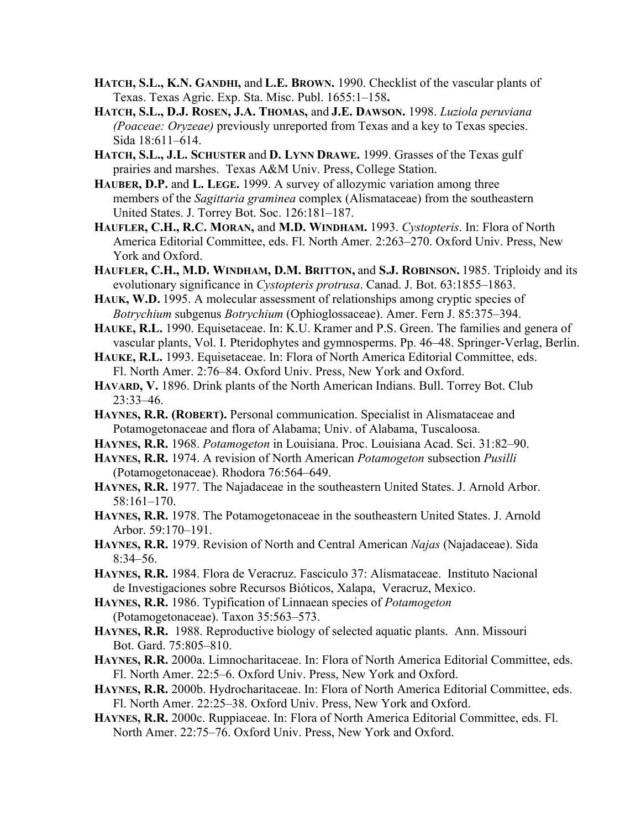- **HATCH, S.L., K.N. GANDHI,** and **L.E. BROWN.** 1990. Checklist of the vascular plants of Texas. Texas Agric. Exp. Sta. Misc. Publ. 1655:1–158**.**
- **HATCH, S.L., D.J. ROSEN, J.A. THOMAS,** and **J.E. DAWSON.** 1998. *Luziola peruviana (Poaceae: Oryzeae)* previously unreported from Texas and a key to Texas species. Sida 18:611–614.
- **HATCH, S.L., J.L. SCHUSTER** and **D. LYNN DRAWE.** 1999. Grasses of the Texas gulf prairies and marshes. Texas A&M Univ. Press, College Station.
- **HAUBER, D.P.** and **L. LEGE.** 1999. A survey of allozymic variation among three members of the *Sagittaria graminea* complex (Alismataceae) from the southeastern United States. J. Torrey Bot. Soc. 126:181–187.
- **HAUFLER, C.H., R.C. MORAN,** and **M.D. WINDHAM.** 1993. *Cystopteris*. In: Flora of North America Editorial Committee, eds. Fl. North Amer. 2:263–270. Oxford Univ. Press, New York and Oxford.
- **HAUFLER, C.H., M.D. WINDHAM, D.M. BRITTON,** and **S.J. ROBINSON.** 1985. Triploidy and its evolutionary significance in *Cystopteris protrusa*. Canad. J. Bot. 63:1855–1863.
- HAUK, W.D. 1995. A molecular assessment of relationships among cryptic species of *Botrychium* subgenus *Botrychium* (Ophioglossaceae). Amer. Fern J. 85:375–394.
- **HAUKE, R.L.** 1990. Equisetaceae. In: K.U. Kramer and P.S. Green. The families and genera of vascular plants, Vol. I. Pteridophytes and gymnosperms. Pp. 46–48. Springer-Verlag, Berlin.
- **HAUKE, R.L.** 1993. Equisetaceae. In: Flora of North America Editorial Committee, eds. Fl. North Amer. 2:76–84. Oxford Univ. Press, New York and Oxford.
- **HAVARD, V.** 1896. Drink plants of the North American Indians. Bull. Torrey Bot. Club 23:33–46.
- **HAYNES, R.R. (ROBERT).** Personal communication. Specialist in Alismataceae and Potamogetonaceae and flora of Alabama; Univ. of Alabama, Tuscaloosa.
- **HAYNES, R.R.** 1968. *Potamogeton* in Louisiana. Proc. Louisiana Acad. Sci. 31:82–90.
- **HAYNES, R.R.** 1974. A revision of North American *Potamogeton* subsection *Pusilli* (Potamogetonaceae). Rhodora 76:564–649.
- **HAYNES, R.R.** 1977. The Najadaceae in the southeastern United States. J. Arnold Arbor. 58:161–170.
- **HAYNES, R.R.** 1978. The Potamogetonaceae in the southeastern United States. J. Arnold Arbor. 59:170–191.
- **HAYNES, R.R.** 1979. Revision of North and Central American *Najas* (Najadaceae). Sida 8:34–56.
- **HAYNES, R.R.** 1984. Flora de Veracruz. Fasciculo 37: Alismataceae. Instituto Nacional de Investigaciones sobre Recursos Bióticos, Xalapa, Veracruz, Mexico.
- **HAYNES, R.R.** 1986. Typification of Linnaean species of *Potamogeton* (Potamogetonaceae). Taxon 35:563–573.
- **HAYNES, R.R.** 1988. Reproductive biology of selected aquatic plants. Ann. Missouri Bot. Gard. 75:805–810.
- **HAYNES, R.R.** 2000a. Limnocharitaceae. In: Flora of North America Editorial Committee, eds. Fl. North Amer. 22:5–6. Oxford Univ. Press, New York and Oxford.
- **HAYNES, R.R.** 2000b. Hydrocharitaceae. In: Flora of North America Editorial Committee, eds. Fl. North Amer. 22:25–38. Oxford Univ. Press, New York and Oxford.
- **HAYNES, R.R.** 2000c. Ruppiaceae. In: Flora of North America Editorial Committee, eds. Fl. North Amer. 22:75–76. Oxford Univ. Press, New York and Oxford.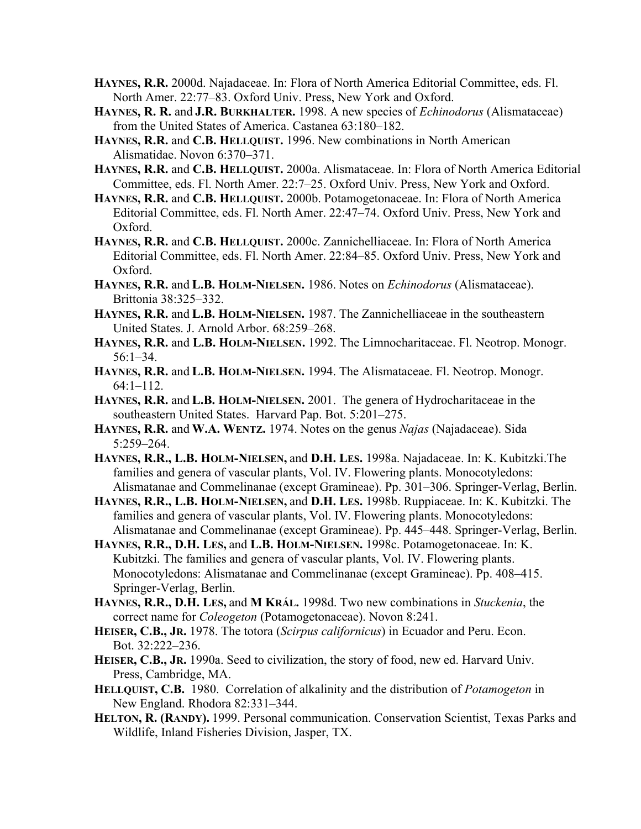- **HAYNES, R.R.** 2000d. Najadaceae. In: Flora of North America Editorial Committee, eds. Fl. North Amer. 22:77–83. Oxford Univ. Press, New York and Oxford.
- **HAYNES, R. R.** and **J.R. BURKHALTER.** 1998. A new species of *Echinodorus* (Alismataceae) from the United States of America. Castanea 63:180–182.
- **HAYNES, R.R.** and **C.B. HELLQUIST.** 1996. New combinations in North American Alismatidae. Novon 6:370–371.
- **HAYNES, R.R.** and **C.B. HELLQUIST.** 2000a. Alismataceae. In: Flora of North America Editorial Committee, eds. Fl. North Amer. 22:7–25. Oxford Univ. Press, New York and Oxford.
- **HAYNES, R.R.** and **C.B. HELLQUIST.** 2000b. Potamogetonaceae. In: Flora of North America Editorial Committee, eds. Fl. North Amer. 22:47–74. Oxford Univ. Press, New York and Oxford.
- **HAYNES, R.R.** and **C.B. HELLQUIST.** 2000c. Zannichelliaceae. In: Flora of North America Editorial Committee, eds. Fl. North Amer. 22:84–85. Oxford Univ. Press, New York and Oxford.
- **HAYNES, R.R.** and **L.B. HOLM-NIELSEN.** 1986. Notes on *Echinodorus* (Alismataceae). Brittonia 38:325–332.
- **HAYNES, R.R.** and **L.B. HOLM-NIELSEN.** 1987. The Zannichelliaceae in the southeastern United States. J. Arnold Arbor. 68:259–268.
- **HAYNES, R.R.** and **L.B. HOLM-NIELSEN.** 1992. The Limnocharitaceae. Fl. Neotrop. Monogr. 56:1–34.
- **HAYNES, R.R.** and **L.B. HOLM-NIELSEN.** 1994. The Alismataceae. Fl. Neotrop. Monogr. 64:1–112.
- **HAYNES, R.R.** and **L.B. HOLM-NIELSEN.** 2001. The genera of Hydrocharitaceae in the southeastern United States. Harvard Pap. Bot. 5:201–275.
- **HAYNES, R.R.** and **W.A. WENTZ.** 1974. Notes on the genus *Najas* (Najadaceae). Sida 5:259–264.
- **HAYNES, R.R., L.B. HOLM-NIELSEN,** and **D.H. LES.** 1998a. Najadaceae. In: K. Kubitzki.The families and genera of vascular plants, Vol. IV. Flowering plants. Monocotyledons: Alismatanae and Commelinanae (except Gramineae). Pp. 301–306. Springer-Verlag, Berlin.
- **HAYNES, R.R., L.B. HOLM-NIELSEN,** and **D.H. LES.** 1998b. Ruppiaceae. In: K. Kubitzki. The families and genera of vascular plants, Vol. IV. Flowering plants. Monocotyledons: Alismatanae and Commelinanae (except Gramineae). Pp. 445–448. Springer-Verlag, Berlin.
- **HAYNES, R.R., D.H. LES,** and **L.B. HOLM-NIELSEN.** 1998c. Potamogetonaceae. In: K. Kubitzki. The families and genera of vascular plants, Vol. IV. Flowering plants. Monocotyledons: Alismatanae and Commelinanae (except Gramineae). Pp. 408–415. Springer-Verlag, Berlin.
- **HAYNES, R.R., D.H. LES,** and **M KRÁL.** 1998d. Two new combinations in *Stuckenia*, the correct name for *Coleogeton* (Potamogetonaceae). Novon 8:241.
- **HEISER, C.B., JR.** 1978. The totora (*Scirpus californicus*) in Ecuador and Peru. Econ. Bot. 32:222–236.
- **HEISER, C.B., JR.** 1990a. Seed to civilization, the story of food, new ed. Harvard Univ. Press, Cambridge, MA.
- **HELLQUIST, C.B.** 1980. Correlation of alkalinity and the distribution of *Potamogeton* in New England. Rhodora 82:331–344.
- **HELTON, R. (RANDY).** 1999. Personal communication. Conservation Scientist, Texas Parks and Wildlife, Inland Fisheries Division, Jasper, TX.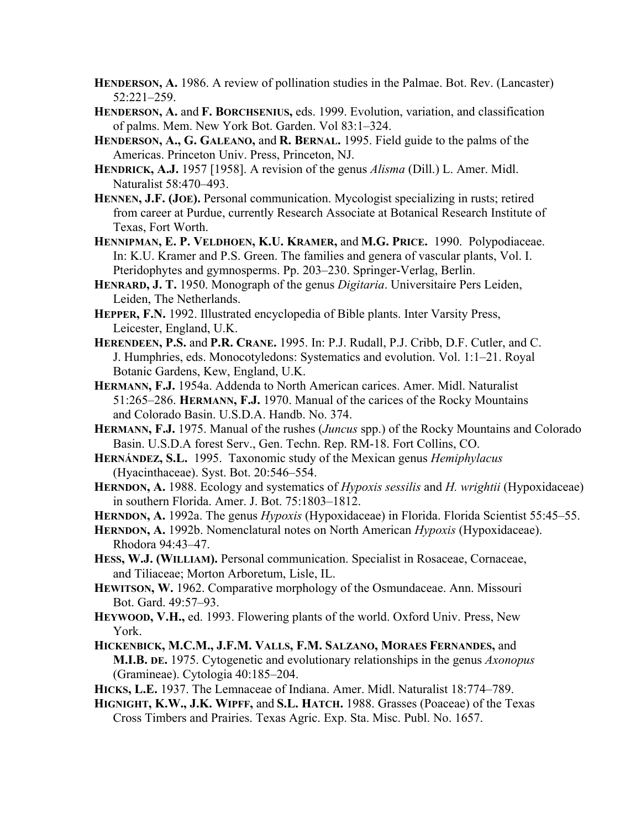- **HENDERSON, A.** 1986. A review of pollination studies in the Palmae. Bot. Rev. (Lancaster) 52:221–259.
- **HENDERSON, A.** and **F. BORCHSENIUS,** eds. 1999. Evolution, variation, and classification of palms. Mem. New York Bot. Garden. Vol 83:1–324.
- **HENDERSON, A., G. GALEANO,** and **R. BERNAL.** 1995. Field guide to the palms of the Americas. Princeton Univ. Press, Princeton, NJ.
- **HENDRICK, A.J.** 1957 [1958]. A revision of the genus *Alisma* (Dill.) L. Amer. Midl. Naturalist 58:470–493.
- **HENNEN, J.F. (JOE).** Personal communication. Mycologist specializing in rusts; retired from career at Purdue, currently Research Associate at Botanical Research Institute of Texas, Fort Worth.
- **HENNIPMAN, E. P. VELDHOEN, K.U. KRAMER,** and **M.G. PRICE.** 1990. Polypodiaceae. In: K.U. Kramer and P.S. Green. The families and genera of vascular plants, Vol. I. Pteridophytes and gymnosperms. Pp. 203–230. Springer-Verlag, Berlin.
- **HENRARD, J. T.** 1950. Monograph of the genus *Digitaria*. Universitaire Pers Leiden, Leiden, The Netherlands.
- **HEPPER, F.N.** 1992. Illustrated encyclopedia of Bible plants. Inter Varsity Press, Leicester, England, U.K.
- **HERENDEEN, P.S.** and **P.R. CRANE.** 1995. In: P.J. Rudall, P.J. Cribb, D.F. Cutler, and C. J. Humphries, eds. Monocotyledons: Systematics and evolution. Vol. 1:1–21. Royal Botanic Gardens, Kew, England, U.K.
- **HERMANN, F.J.** 1954a. Addenda to North American carices. Amer. Midl. Naturalist 51:265–286. **HERMANN, F.J.** 1970. Manual of the carices of the Rocky Mountains and Colorado Basin. U.S.D.A. Handb. No. 374.
- **HERMANN, F.J.** 1975. Manual of the rushes (*Juncus* spp.) of the Rocky Mountains and Colorado Basin. U.S.D.A forest Serv., Gen. Techn. Rep. RM-18. Fort Collins, CO.
- **HERNÁNDEZ, S.L.** 1995. Taxonomic study of the Mexican genus *Hemiphylacus* (Hyacinthaceae). Syst. Bot. 20:546–554.
- **HERNDON, A.** 1988. Ecology and systematics of *Hypoxis sessilis* and *H. wrightii* (Hypoxidaceae) in southern Florida. Amer. J. Bot. 75:1803–1812.
- **HERNDON, A.** 1992a. The genus *Hypoxis* (Hypoxidaceae) in Florida. Florida Scientist 55:45–55.
- **HERNDON, A.** 1992b. Nomenclatural notes on North American *Hypoxis* (Hypoxidaceae). Rhodora 94:43–47.
- **HESS, W.J. (WILLIAM).** Personal communication. Specialist in Rosaceae, Cornaceae, and Tiliaceae; Morton Arboretum, Lisle, IL.
- **HEWITSON, W.** 1962. Comparative morphology of the Osmundaceae. Ann. Missouri Bot. Gard. 49:57–93.
- **HEYWOOD, V.H.,** ed. 1993. Flowering plants of the world. Oxford Univ. Press, New York.
- **HICKENBICK, M.C.M., J.F.M. VALLS, F.M. SALZANO, MORAES FERNANDES,** and **M.I.B. DE.** 1975. Cytogenetic and evolutionary relationships in the genus *Axonopus* (Gramineae). Cytologia 40:185–204.
- **HICKS, L.E.** 1937. The Lemnaceae of Indiana. Amer. Midl. Naturalist 18:774–789.
- **HIGNIGHT, K.W., J.K. WIPFF,** and **S.L. HATCH.** 1988. Grasses (Poaceae) of the Texas Cross Timbers and Prairies. Texas Agric. Exp. Sta. Misc. Publ. No. 1657.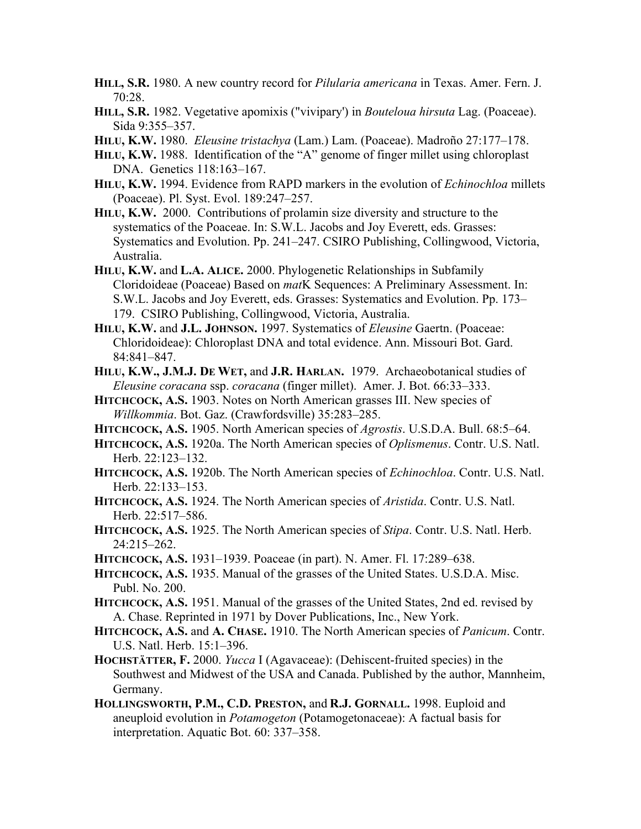- **HILL, S.R.** 1980. A new country record for *Pilularia americana* in Texas. Amer. Fern. J. 70:28.
- **HILL, S.R.** 1982. Vegetative apomixis ("vivipary') in *Bouteloua hirsuta* Lag. (Poaceae). Sida 9:355–357.
- **HILU, K.W.** 1980. *Eleusine tristachya* (Lam.) Lam. (Poaceae). Madroño 27:177–178.
- **HILU, K.W.** 1988. Identification of the "A" genome of finger millet using chloroplast DNA. Genetics 118:163–167.
- **HILU, K.W.** 1994. Evidence from RAPD markers in the evolution of *Echinochloa* millets (Poaceae). Pl. Syst. Evol. 189:247–257.
- **HILU, K.W.** 2000. Contributions of prolamin size diversity and structure to the systematics of the Poaceae. In: S.W.L. Jacobs and Joy Everett, eds. Grasses: Systematics and Evolution. Pp. 241–247. CSIRO Publishing, Collingwood, Victoria, Australia.
- **HILU, K.W.** and **L.A. ALICE.** 2000. Phylogenetic Relationships in Subfamily Cloridoideae (Poaceae) Based on *mat*K Sequences: A Preliminary Assessment. In: S.W.L. Jacobs and Joy Everett, eds. Grasses: Systematics and Evolution. Pp. 173– 179. CSIRO Publishing, Collingwood, Victoria, Australia.
- **HILU, K.W.** and **J.L. JOHNSON.** 1997. Systematics of *Eleusine* Gaertn. (Poaceae: Chloridoideae): Chloroplast DNA and total evidence. Ann. Missouri Bot. Gard. 84:841–847.
- **HILU, K.W., J.M.J. DE WET,** and **J.R. HARLAN.** 1979. Archaeobotanical studies of *Eleusine coracana* ssp. *coracana* (finger millet). Amer. J. Bot. 66:33–333.
- **HITCHCOCK, A.S.** 1903. Notes on North American grasses III. New species of *Willkommia*. Bot. Gaz. (Crawfordsville) 35:283–285.
- **HITCHCOCK, A.S.** 1905. North American species of *Agrostis*. U.S.D.A. Bull. 68:5–64.
- **HITCHCOCK, A.S.** 1920a. The North American species of *Oplismenus*. Contr. U.S. Natl. Herb. 22:123–132.
- **HITCHCOCK, A.S.** 1920b. The North American species of *Echinochloa*. Contr. U.S. Natl. Herb. 22:133–153.
- **HITCHCOCK, A.S.** 1924. The North American species of *Aristida*. Contr. U.S. Natl. Herb. 22:517–586.
- **HITCHCOCK, A.S.** 1925. The North American species of *Stipa*. Contr. U.S. Natl. Herb. 24:215–262.
- **HITCHCOCK, A.S.** 1931–1939. Poaceae (in part). N. Amer. Fl. 17:289–638.
- **HITCHCOCK, A.S.** 1935. Manual of the grasses of the United States. U.S.D.A. Misc. Publ. No. 200.
- **HITCHCOCK, A.S.** 1951. Manual of the grasses of the United States, 2nd ed. revised by A. Chase. Reprinted in 1971 by Dover Publications, Inc., New York.
- **HITCHCOCK, A.S.** and **A. CHASE.** 1910. The North American species of *Panicum*. Contr. U.S. Natl. Herb. 15:1–396.
- **HOCHSTÄTTER, F.** 2000. *Yucca* I (Agavaceae): (Dehiscent-fruited species) in the Southwest and Midwest of the USA and Canada. Published by the author, Mannheim, Germany.
- **HOLLINGSWORTH, P.M., C.D. PRESTON,** and **R.J. GORNALL.** 1998. Euploid and aneuploid evolution in *Potamogeton* (Potamogetonaceae): A factual basis for interpretation. Aquatic Bot. 60: 337–358.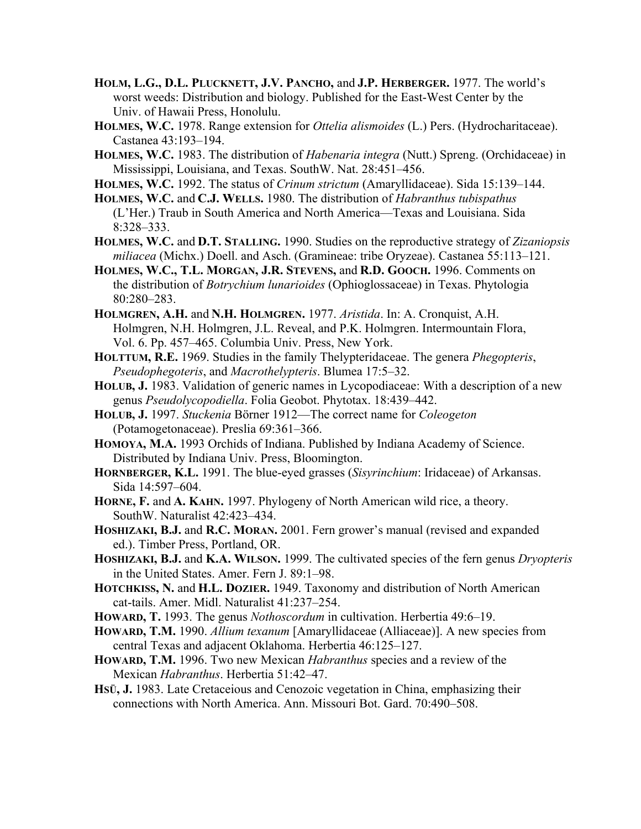- **HOLM, L.G., D.L. PLUCKNETT, J.V. PANCHO,** and **J.P. HERBERGER.** 1977. The world's worst weeds: Distribution and biology. Published for the East-West Center by the Univ. of Hawaii Press, Honolulu.
- **HOLMES, W.C.** 1978. Range extension for *Ottelia alismoides* (L.) Pers. (Hydrocharitaceae). Castanea 43:193–194.
- **HOLMES, W.C.** 1983. The distribution of *Habenaria integra* (Nutt.) Spreng. (Orchidaceae) in Mississippi, Louisiana, and Texas. SouthW. Nat. 28:451–456.
- **HOLMES, W.C.** 1992. The status of *Crinum strictum* (Amaryllidaceae). Sida 15:139–144.
- **HOLMES, W.C.** and **C.J. WELLS.** 1980. The distribution of *Habranthus tubispathus* (L'Her.) Traub in South America and North America—Texas and Louisiana. Sida 8:328–333.
- **HOLMES, W.C.** and **D.T. STALLING.** 1990. Studies on the reproductive strategy of *Zizaniopsis miliacea* (Michx.) Doell. and Asch. (Gramineae: tribe Oryzeae). Castanea 55:113–121.
- **HOLMES, W.C., T.L. MORGAN, J.R. STEVENS,** and **R.D. GOOCH.** 1996. Comments on the distribution of *Botrychium lunarioides* (Ophioglossaceae) in Texas. Phytologia 80:280–283.
- **HOLMGREN, A.H.** and **N.H. HOLMGREN.** 1977. *Aristida*. In: A. Cronquist, A.H. Holmgren, N.H. Holmgren, J.L. Reveal, and P.K. Holmgren. Intermountain Flora, Vol. 6. Pp. 457–465. Columbia Univ. Press, New York.
- **HOLTTUM, R.E.** 1969. Studies in the family Thelypteridaceae. The genera *Phegopteris*, *Pseudophegoteris*, and *Macrothelypteris*. Blumea 17:5–32.
- **HOLUB, J.** 1983. Validation of generic names in Lycopodiaceae: With a description of a new genus *Pseudolycopodiella*. Folia Geobot. Phytotax. 18:439–442.
- **HOLUB, J.** 1997. *Stuckenia* Börner 1912—The correct name for *Coleogeton* (Potamogetonaceae). Preslia 69:361–366.
- **HOMOYA, M.A.** 1993 Orchids of Indiana. Published by Indiana Academy of Science. Distributed by Indiana Univ. Press, Bloomington.
- **HORNBERGER, K.L.** 1991. The blue-eyed grasses (*Sisyrinchium*: Iridaceae) of Arkansas. Sida 14:597–604.
- **HORNE, F.** and **A. KAHN.** 1997. Phylogeny of North American wild rice, a theory. SouthW. Naturalist 42:423–434.
- **HOSHIZAKI, B.J.** and **R.C. MORAN.** 2001. Fern grower's manual (revised and expanded ed.). Timber Press, Portland, OR.
- **HOSHIZAKI, B.J.** and **K.A. WILSON.** 1999. The cultivated species of the fern genus *Dryopteris* in the United States. Amer. Fern J. 89:1–98.
- **HOTCHKISS, N.** and **H.L. DOZIER.** 1949. Taxonomy and distribution of North American cat-tails. Amer. Midl. Naturalist 41:237–254.
- **HOWARD, T.** 1993. The genus *Nothoscordum* in cultivation. Herbertia 49:6–19.
- **HOWARD, T.M.** 1990. *Allium texanum* [Amaryllidaceae (Alliaceae)]. A new species from central Texas and adjacent Oklahoma. Herbertia 46:125–127.
- **HOWARD, T.M.** 1996. Two new Mexican *Habranthus* species and a review of the Mexican *Habranthus*. Herbertia 51:42–47.
- **HSÜ, J.** 1983. Late Cretaceious and Cenozoic vegetation in China, emphasizing their connections with North America. Ann. Missouri Bot. Gard. 70:490–508.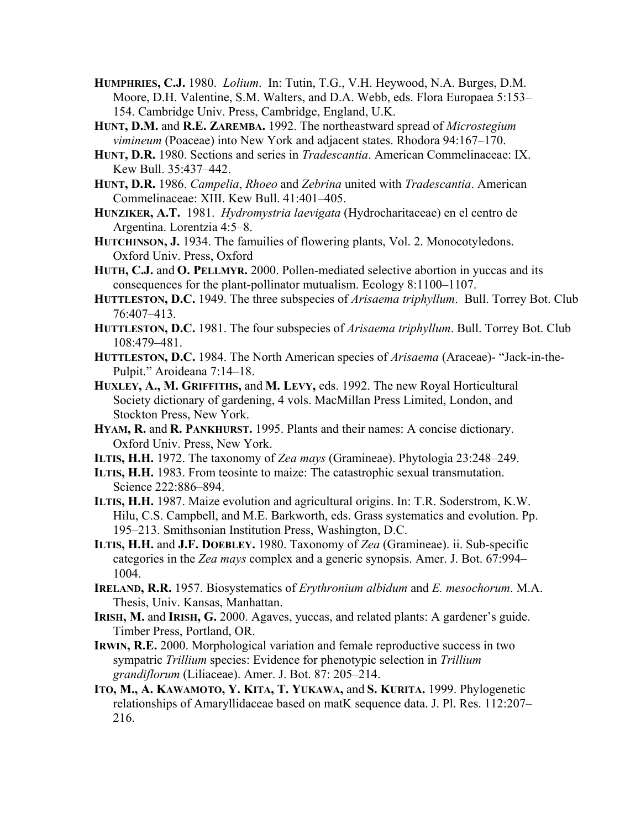- **HUMPHRIES, C.J.** 1980. *Lolium*. In: Tutin, T.G., V.H. Heywood, N.A. Burges, D.M. Moore, D.H. Valentine, S.M. Walters, and D.A. Webb, eds. Flora Europaea 5:153– 154. Cambridge Univ. Press, Cambridge, England, U.K.
- **HUNT, D.M.** and **R.E. ZAREMBA.** 1992. The northeastward spread of *Microstegium vimineum* (Poaceae) into New York and adjacent states. Rhodora 94:167–170.
- **HUNT, D.R.** 1980. Sections and series in *Tradescantia*. American Commelinaceae: IX. Kew Bull. 35:437–442.
- **HUNT, D.R.** 1986. *Campelia*, *Rhoeo* and *Zebrina* united with *Tradescantia*. American Commelinaceae: XIII. Kew Bull. 41:401–405.
- **HUNZIKER, A.T.** 1981. *Hydromystria laevigata* (Hydrocharitaceae) en el centro de Argentina. Lorentzia 4:5–8.
- **HUTCHINSON, J.** 1934. The famuilies of flowering plants, Vol. 2. Monocotyledons. Oxford Univ. Press, Oxford
- **HUTH, C.J.** and **O. PELLMYR.** 2000. Pollen-mediated selective abortion in yuccas and its consequences for the plant-pollinator mutualism. Ecology 8:1100–1107.
- **HUTTLESTON, D.C.** 1949. The three subspecies of *Arisaema triphyllum*. Bull. Torrey Bot. Club 76:407–413.
- **HUTTLESTON, D.C.** 1981. The four subspecies of *Arisaema triphyllum*. Bull. Torrey Bot. Club 108:479–481.
- **HUTTLESTON, D.C.** 1984. The North American species of *Arisaema* (Araceae)- "Jack-in-the-Pulpit." Aroideana 7:14–18.
- **HUXLEY, A., M. GRIFFITHS,** and **M. LEVY,** eds. 1992. The new Royal Horticultural Society dictionary of gardening, 4 vols. MacMillan Press Limited, London, and Stockton Press, New York.
- **HYAM, R.** and **R. PANKHURST.** 1995. Plants and their names: A concise dictionary. Oxford Univ. Press, New York.
- **ILTIS, H.H.** 1972. The taxonomy of *Zea mays* (Gramineae). Phytologia 23:248–249.
- **ILTIS, H.H.** 1983. From teosinte to maize: The catastrophic sexual transmutation. Science 222:886–894.
- **ILTIS, H.H.** 1987. Maize evolution and agricultural origins. In: T.R. Soderstrom, K.W. Hilu, C.S. Campbell, and M.E. Barkworth, eds. Grass systematics and evolution. Pp. 195–213. Smithsonian Institution Press, Washington, D.C.
- **ILTIS, H.H.** and **J.F. DOEBLEY.** 1980. Taxonomy of *Zea* (Gramineae). ii. Sub-specific categories in the *Zea mays* complex and a generic synopsis. Amer. J. Bot. 67:994– 1004.
- **IRELAND, R.R.** 1957. Biosystematics of *Erythronium albidum* and *E. mesochorum*. M.A. Thesis, Univ. Kansas, Manhattan.
- **IRISH, M.** and **IRISH, G.** 2000. Agaves, yuccas, and related plants: A gardener's guide. Timber Press, Portland, OR.
- **IRWIN, R.E.** 2000. Morphological variation and female reproductive success in two sympatric *Trillium* species: Evidence for phenotypic selection in *Trillium grandiflorum* (Liliaceae). Amer. J. Bot. 87: 205–214.
- **ITO, M., A. KAWAMOTO, Y. KITA, T. YUKAWA,** and **S. KURITA.** 1999. Phylogenetic relationships of Amaryllidaceae based on matK sequence data. J. Pl. Res. 112:207– 216.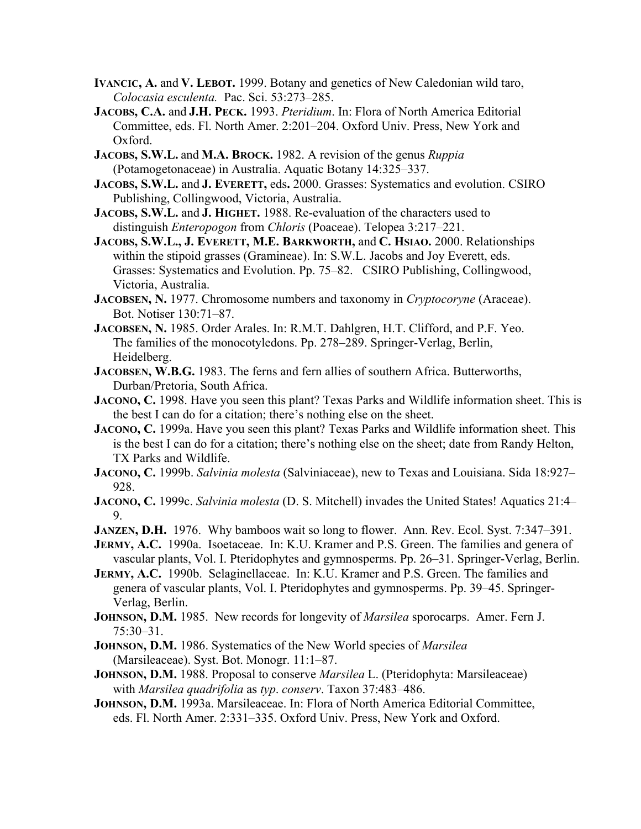- **IVANCIC, A.** and **V. LEBOT.** 1999. Botany and genetics of New Caledonian wild taro, *Colocasia esculenta.* Pac. Sci. 53:273–285.
- **JACOBS, C.A.** and **J.H. PECK.** 1993. *Pteridium*. In: Flora of North America Editorial Committee, eds. Fl. North Amer. 2:201–204. Oxford Univ. Press, New York and Oxford.
- **JACOBS, S.W.L.** and **M.A. BROCK.** 1982. A revision of the genus *Ruppia* (Potamogetonaceae) in Australia. Aquatic Botany 14:325–337.
- **JACOBS, S.W.L.** and **J. EVERETT,** eds**.** 2000. Grasses: Systematics and evolution. CSIRO Publishing, Collingwood, Victoria, Australia.
- **JACOBS, S.W.L.** and **J. HIGHET.** 1988. Re-evaluation of the characters used to distinguish *Enteropogon* from *Chloris* (Poaceae). Telopea 3:217–221.
- **JACOBS, S.W.L., J. EVERETT, M.E. BARKWORTH,** and **C. HSIAO.** 2000. Relationships within the stipoid grasses (Gramineae). In: S.W.L. Jacobs and Joy Everett, eds. Grasses: Systematics and Evolution. Pp. 75–82. CSIRO Publishing, Collingwood, Victoria, Australia.
- **JACOBSEN, N.** 1977. Chromosome numbers and taxonomy in *Cryptocoryne* (Araceae). Bot. Notiser 130:71–87.
- **JACOBSEN, N.** 1985. Order Arales. In: R.M.T. Dahlgren, H.T. Clifford, and P.F. Yeo. The families of the monocotyledons. Pp. 278–289. Springer-Verlag, Berlin, Heidelberg.
- **JACOBSEN, W.B.G.** 1983. The ferns and fern allies of southern Africa. Butterworths, Durban/Pretoria, South Africa.
- **JACONO, C.** 1998. Have you seen this plant? Texas Parks and Wildlife information sheet. This is the best I can do for a citation; there's nothing else on the sheet.
- **JACONO, C.** 1999a. Have you seen this plant? Texas Parks and Wildlife information sheet. This is the best I can do for a citation; there's nothing else on the sheet; date from Randy Helton, TX Parks and Wildlife.
- **JACONO, C.** 1999b. *Salvinia molesta* (Salviniaceae), new to Texas and Louisiana. Sida 18:927– 928.
- **JACONO, C.** 1999c. *Salvinia molesta* (D. S. Mitchell) invades the United States! Aquatics 21:4– 9.
- **JANZEN, D.H.** 1976. Why bamboos wait so long to flower. Ann. Rev. Ecol. Syst. 7:347–391.
- **JERMY, A.C.** 1990a. Isoetaceae. In: K.U. Kramer and P.S. Green. The families and genera of vascular plants, Vol. I. Pteridophytes and gymnosperms. Pp. 26–31. Springer-Verlag, Berlin.
- **JERMY, A.C.** 1990b. Selaginellaceae. In: K.U. Kramer and P.S. Green. The families and genera of vascular plants, Vol. I. Pteridophytes and gymnosperms. Pp. 39–45. Springer-Verlag, Berlin.
- **JOHNSON, D.M.** 1985. New records for longevity of *Marsilea* sporocarps. Amer. Fern J.  $75:30-31$ .
- **JOHNSON, D.M.** 1986. Systematics of the New World species of *Marsilea* (Marsileaceae). Syst. Bot. Monogr. 11:1–87.
- **JOHNSON, D.M.** 1988. Proposal to conserve *Marsilea* L. (Pteridophyta: Marsileaceae) with *Marsilea quadrifolia* as *typ*. *conserv*. Taxon 37:483–486.
- **JOHNSON, D.M.** 1993a. Marsileaceae. In: Flora of North America Editorial Committee, eds. Fl. North Amer. 2:331–335. Oxford Univ. Press, New York and Oxford.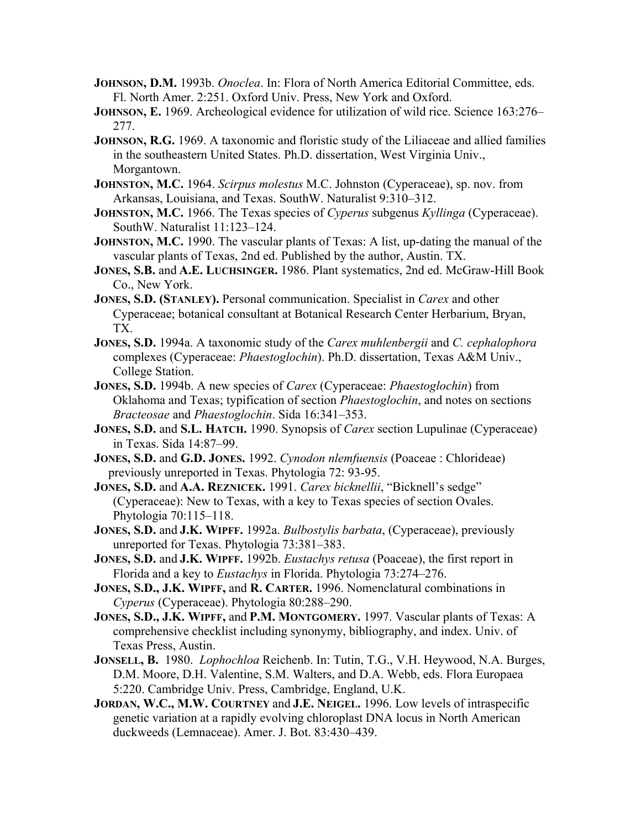- **JOHNSON, D.M.** 1993b. *Onoclea*. In: Flora of North America Editorial Committee, eds. Fl. North Amer. 2:251. Oxford Univ. Press, New York and Oxford.
- **JOHNSON, E.** 1969. Archeological evidence for utilization of wild rice. Science 163:276– 277.
- **JOHNSON, R.G.** 1969. A taxonomic and floristic study of the Liliaceae and allied families in the southeastern United States. Ph.D. dissertation, West Virginia Univ., Morgantown.
- **JOHNSTON, M.C.** 1964. *Scirpus molestus* M.C. Johnston (Cyperaceae), sp. nov. from Arkansas, Louisiana, and Texas. SouthW. Naturalist 9:310–312.
- **JOHNSTON, M.C.** 1966. The Texas species of *Cyperus* subgenus *Kyllinga* (Cyperaceae). SouthW. Naturalist 11:123–124.
- **JOHNSTON, M.C.** 1990. The vascular plants of Texas: A list, up-dating the manual of the vascular plants of Texas, 2nd ed. Published by the author, Austin. TX.
- **JONES, S.B.** and **A.E. LUCHSINGER.** 1986. Plant systematics, 2nd ed. McGraw-Hill Book Co., New York.
- **JONES, S.D. (STANLEY).** Personal communication. Specialist in *Carex* and other Cyperaceae; botanical consultant at Botanical Research Center Herbarium, Bryan, TX.
- **JONES, S.D.** 1994a. A taxonomic study of the *Carex muhlenbergii* and *C. cephalophora* complexes (Cyperaceae: *Phaestoglochin*). Ph.D. dissertation, Texas A&M Univ., College Station.
- **JONES, S.D.** 1994b. A new species of *Carex* (Cyperaceae: *Phaestoglochin*) from Oklahoma and Texas; typification of section *Phaestoglochin*, and notes on sections *Bracteosae* and *Phaestoglochin*. Sida 16:341–353.
- **JONES, S.D.** and **S.L. HATCH.** 1990. Synopsis of *Carex* section Lupulinae (Cyperaceae) in Texas. Sida 14:87–99.
- **JONES, S.D.** and **G.D. JONES.** 1992. *Cynodon nlemfuensis* (Poaceae : Chlorideae) previously unreported in Texas. Phytologia 72: 93-95.
- **JONES, S.D.** and **A.A. REZNICEK.** 1991. *Carex bicknellii*, "Bicknell's sedge" (Cyperaceae): New to Texas, with a key to Texas species of section Ovales. Phytologia 70:115–118.
- **JONES, S.D.** and **J.K. WIPFF.** 1992a. *Bulbostylis barbata*, (Cyperaceae), previously unreported for Texas. Phytologia 73:381–383.
- **JONES, S.D.** and **J.K. WIPFF.** 1992b. *Eustachys retusa* (Poaceae), the first report in Florida and a key to *Eustachys* in Florida. Phytologia 73:274–276.
- **JONES, S.D., J.K. WIPFF,** and **R. CARTER.** 1996. Nomenclatural combinations in *Cyperus* (Cyperaceae). Phytologia 80:288–290.
- **JONES, S.D., J.K. WIPFF,** and **P.M. MONTGOMERY.** 1997. Vascular plants of Texas: A comprehensive checklist including synonymy, bibliography, and index. Univ. of Texas Press, Austin.
- **JONSELL, B.** 1980. *Lophochloa* Reichenb. In: Tutin, T.G., V.H. Heywood, N.A. Burges, D.M. Moore, D.H. Valentine, S.M. Walters, and D.A. Webb, eds. Flora Europaea 5:220. Cambridge Univ. Press, Cambridge, England, U.K.
- **JORDAN, W.C., M.W. COURTNEY** and **J.E. NEIGEL.** 1996. Low levels of intraspecific genetic variation at a rapidly evolving chloroplast DNA locus in North American duckweeds (Lemnaceae). Amer. J. Bot. 83:430–439.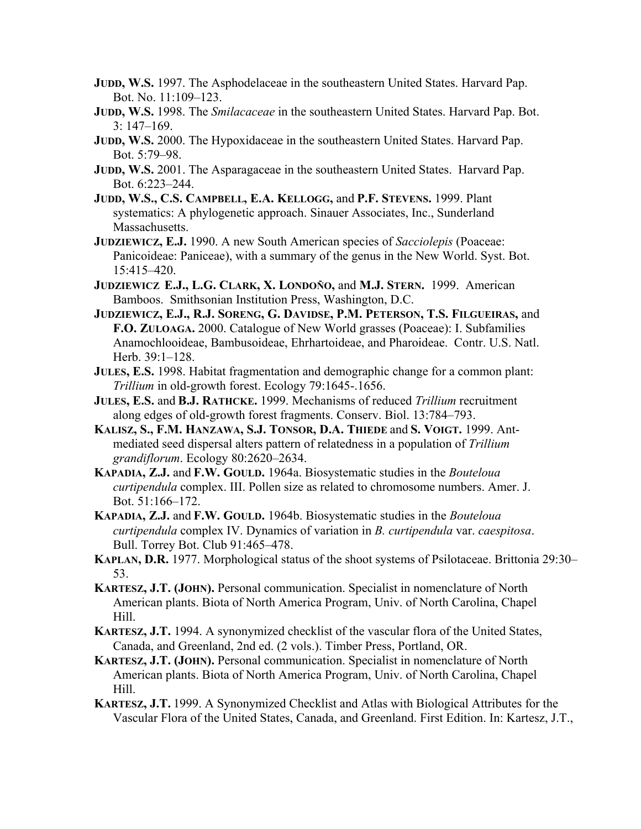- **JUDD, W.S.** 1997. The Asphodelaceae in the southeastern United States. Harvard Pap. Bot. No. 11:109–123.
- **JUDD, W.S.** 1998. The *Smilacaceae* in the southeastern United States. Harvard Pap. Bot. 3: 147–169.
- **JUDD, W.S.** 2000. The Hypoxidaceae in the southeastern United States. Harvard Pap. Bot. 5:79–98.
- **JUDD, W.S.** 2001. The Asparagaceae in the southeastern United States. Harvard Pap. Bot. 6:223–244.
- **JUDD, W.S., C.S. CAMPBELL, E.A. KELLOGG,** and **P.F. STEVENS.** 1999. Plant systematics: A phylogenetic approach. Sinauer Associates, Inc., Sunderland Massachusetts.
- **JUDZIEWICZ, E.J.** 1990. A new South American species of *Sacciolepis* (Poaceae: Panicoideae: Paniceae), with a summary of the genus in the New World. Syst. Bot. 15:415–420.
- **JUDZIEWICZ E.J., L.G. CLARK, X. LONDOÑO,** and **M.J. STERN.** 1999. American Bamboos. Smithsonian Institution Press, Washington, D.C.
- **JUDZIEWICZ, E.J., R.J. SORENG, G. DAVIDSE, P.M. PETERSON, T.S. FILGUEIRAS,** and **F.O. ZULOAGA.** 2000. Catalogue of New World grasses (Poaceae): I. Subfamilies Anamochlooideae, Bambusoideae, Ehrhartoideae, and Pharoideae. Contr. U.S. Natl. Herb. 39:1–128.
- **JULES, E.S.** 1998. Habitat fragmentation and demographic change for a common plant: *Trillium* in old-growth forest. Ecology 79:1645-.1656.
- **JULES, E.S.** and **B.J. RATHCKE.** 1999. Mechanisms of reduced *Trillium* recruitment along edges of old-growth forest fragments. Conserv. Biol. 13:784–793.
- **KALISZ, S., F.M. HANZAWA, S.J. TONSOR, D.A. THIEDE** and **S. VOIGT.** 1999. Antmediated seed dispersal alters pattern of relatedness in a population of *Trillium grandiflorum*. Ecology 80:2620–2634.
- **KAPADIA, Z.J.** and **F.W. GOULD.** 1964a. Biosystematic studies in the *Bouteloua curtipendula* complex. III. Pollen size as related to chromosome numbers. Amer. J. Bot. 51:166–172.
- **KAPADIA, Z.J.** and **F.W. GOULD.** 1964b. Biosystematic studies in the *Bouteloua curtipendula* complex IV. Dynamics of variation in *B. curtipendula* var. *caespitosa*. Bull. Torrey Bot. Club 91:465–478.
- **KAPLAN, D.R.** 1977. Morphological status of the shoot systems of Psilotaceae. Brittonia 29:30– 53.
- **KARTESZ, J.T. (JOHN).** Personal communication. Specialist in nomenclature of North American plants. Biota of North America Program, Univ. of North Carolina, Chapel Hill.
- **KARTESZ, J.T.** 1994. A synonymized checklist of the vascular flora of the United States, Canada, and Greenland, 2nd ed. (2 vols.). Timber Press, Portland, OR.
- **KARTESZ, J.T. (JOHN).** Personal communication. Specialist in nomenclature of North American plants. Biota of North America Program, Univ. of North Carolina, Chapel Hill.
- **KARTESZ, J.T.** 1999. A Synonymized Checklist and Atlas with Biological Attributes for the Vascular Flora of the United States, Canada, and Greenland. First Edition. In: Kartesz, J.T.,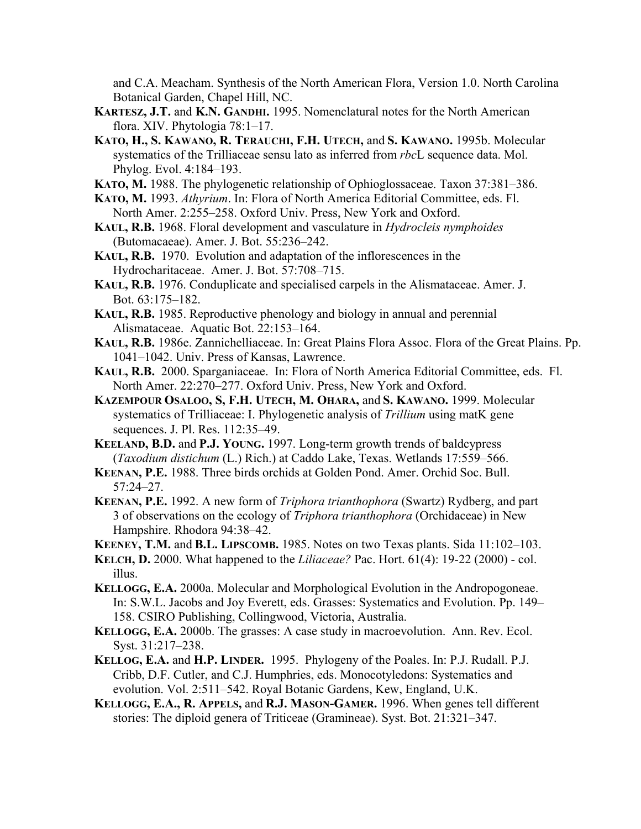and C.A. Meacham. Synthesis of the North American Flora, Version 1.0. North Carolina Botanical Garden, Chapel Hill, NC.

- **KARTESZ, J.T.** and **K.N. GANDHI.** 1995. Nomenclatural notes for the North American flora. XIV. Phytologia 78:1–17.
- **KATO, H., S. KAWANO, R. TERAUCHI, F.H. UTECH,** and **S. KAWANO.** 1995b. Molecular systematics of the Trilliaceae sensu lato as inferred from *rbc*L sequence data. Mol. Phylog. Evol. 4:184–193.
- **KATO, M.** 1988. The phylogenetic relationship of Ophioglossaceae. Taxon 37:381–386.
- **KATO, M.** 1993. *Athyrium*. In: Flora of North America Editorial Committee, eds. Fl. North Amer. 2:255–258. Oxford Univ. Press, New York and Oxford.
- **KAUL, R.B.** 1968. Floral development and vasculature in *Hydrocleis nymphoides* (Butomacaeae). Amer. J. Bot. 55:236–242.
- **KAUL, R.B.** 1970. Evolution and adaptation of the inflorescences in the Hydrocharitaceae. Amer. J. Bot. 57:708–715.
- **KAUL, R.B.** 1976. Conduplicate and specialised carpels in the Alismataceae. Amer. J. Bot. 63:175–182.
- **KAUL, R.B.** 1985. Reproductive phenology and biology in annual and perennial Alismataceae. Aquatic Bot. 22:153–164.
- **KAUL, R.B.** 1986e. Zannichelliaceae. In: Great Plains Flora Assoc. Flora of the Great Plains. Pp. 1041–1042. Univ. Press of Kansas, Lawrence.
- **KAUL, R.B.** 2000. Sparganiaceae. In: Flora of North America Editorial Committee, eds. Fl. North Amer. 22:270–277. Oxford Univ. Press, New York and Oxford.
- **KAZEMPOUR OSALOO, S, F.H. UTECH, M. OHARA,** and **S. KAWANO.** 1999. Molecular systematics of Trilliaceae: I. Phylogenetic analysis of *Trillium* using matK gene sequences. J. Pl. Res. 112:35–49.
- **KEELAND, B.D.** and **P.J. YOUNG.** 1997. Long-term growth trends of baldcypress (*Taxodium distichum* (L.) Rich.) at Caddo Lake, Texas. Wetlands 17:559–566.
- **KEENAN, P.E.** 1988. Three birds orchids at Golden Pond. Amer. Orchid Soc. Bull. 57:24–27.
- **KEENAN, P.E.** 1992. A new form of *Triphora trianthophora* (Swartz) Rydberg, and part 3 of observations on the ecology of *Triphora trianthophora* (Orchidaceae) in New Hampshire. Rhodora 94:38–42.
- **KEENEY, T.M.** and **B.L. LIPSCOMB.** 1985. Notes on two Texas plants. Sida 11:102–103.
- **KELCH, D.** 2000. What happened to the *Liliaceae?* Pac. Hort. 61(4): 19-22 (2000) col. illus.
- **KELLOGG, E.A.** 2000a. Molecular and Morphological Evolution in the Andropogoneae. In: S.W.L. Jacobs and Joy Everett, eds. Grasses: Systematics and Evolution. Pp. 149– 158. CSIRO Publishing, Collingwood, Victoria, Australia.
- **KELLOGG, E.A.** 2000b. The grasses: A case study in macroevolution. Ann. Rev. Ecol. Syst. 31:217–238.
- **KELLOG, E.A.** and **H.P. LINDER.** 1995. Phylogeny of the Poales. In: P.J. Rudall. P.J. Cribb, D.F. Cutler, and C.J. Humphries, eds. Monocotyledons: Systematics and evolution. Vol. 2:511–542. Royal Botanic Gardens, Kew, England, U.K.
- **KELLOGG, E.A., R. APPELS,** and **R.J. MASON-GAMER.** 1996. When genes tell different stories: The diploid genera of Triticeae (Gramineae). Syst. Bot. 21:321–347.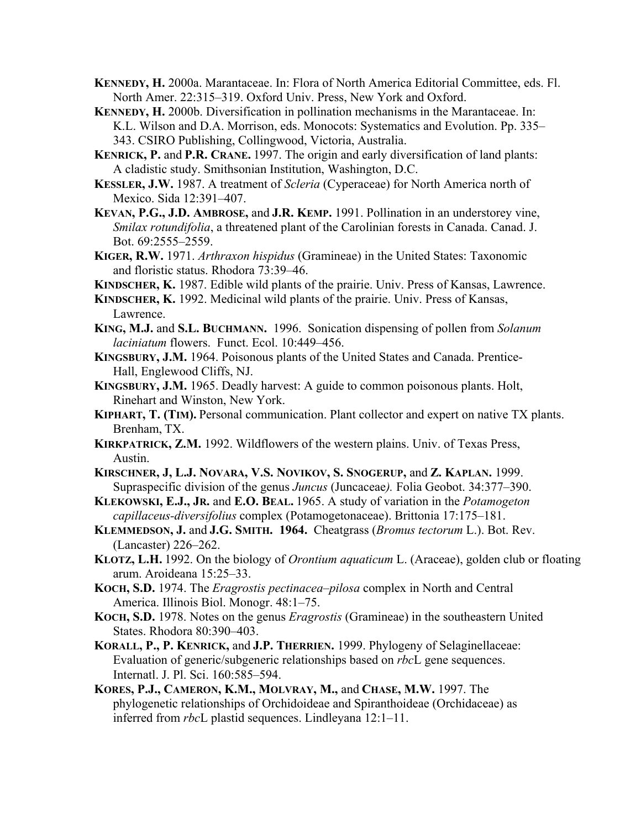- **KENNEDY, H.** 2000a. Marantaceae. In: Flora of North America Editorial Committee, eds. Fl. North Amer. 22:315–319. Oxford Univ. Press, New York and Oxford.
- **KENNEDY, H.** 2000b. Diversification in pollination mechanisms in the Marantaceae. In: K.L. Wilson and D.A. Morrison, eds. Monocots: Systematics and Evolution. Pp. 335– 343. CSIRO Publishing, Collingwood, Victoria, Australia.
- **KENRICK, P.** and **P.R. CRANE.** 1997. The origin and early diversification of land plants: A cladistic study. Smithsonian Institution, Washington, D.C.
- **KESSLER, J.W.** 1987. A treatment of *Scleria* (Cyperaceae) for North America north of Mexico. Sida 12:391–407.
- **KEVAN, P.G., J.D. AMBROSE,** and **J.R. KEMP.** 1991. Pollination in an understorey vine, *Smilax rotundifolia*, a threatened plant of the Carolinian forests in Canada. Canad. J. Bot. 69:2555–2559.
- **KIGER, R.W.** 1971. *Arthraxon hispidus* (Gramineae) in the United States: Taxonomic and floristic status. Rhodora 73:39–46.
- **KINDSCHER, K.** 1987. Edible wild plants of the prairie. Univ. Press of Kansas, Lawrence.
- **KINDSCHER, K.** 1992. Medicinal wild plants of the prairie. Univ. Press of Kansas, Lawrence.
- **KING, M.J.** and **S.L. BUCHMANN.** 1996. Sonication dispensing of pollen from *Solanum laciniatum* flowers. Funct. Ecol. 10:449–456.
- **KINGSBURY, J.M.** 1964. Poisonous plants of the United States and Canada. Prentice-Hall, Englewood Cliffs, NJ.
- **KINGSBURY, J.M.** 1965. Deadly harvest: A guide to common poisonous plants. Holt, Rinehart and Winston, New York.
- **KIPHART, T. (TIM).** Personal communication. Plant collector and expert on native TX plants. Brenham, TX.
- **KIRKPATRICK, Z.M.** 1992. Wildflowers of the western plains. Univ. of Texas Press, Austin.
- **KIRSCHNER, J, L.J. NOVARA, V.S. NOVIKOV, S. SNOGERUP,** and **Z. KAPLAN.** 1999. Supraspecific division of the genus *Juncus* (Juncaceae*).* Folia Geobot. 34:377–390.
- **KLEKOWSKI, E.J., JR.** and **E.O. BEAL.** 1965. A study of variation in the *Potamogeton capillaceus-diversifolius* complex (Potamogetonaceae). Brittonia 17:175–181.
- **KLEMMEDSON, J.** and **J.G. SMITH. 1964.** Cheatgrass (*Bromus tectorum* L.). Bot. Rev. (Lancaster) 226–262.
- **KLOTZ, L.H.** 1992. On the biology of *Orontium aquaticum* L. (Araceae), golden club or floating arum. Aroideana 15:25–33.
- **KOCH, S.D.** 1974. The *Eragrostis pectinacea*–*pilosa* complex in North and Central America. Illinois Biol. Monogr. 48:1–75.
- **KOCH, S.D.** 1978. Notes on the genus *Eragrostis* (Gramineae) in the southeastern United States. Rhodora 80:390–403.
- **KORALL, P., P. KENRICK,** and **J.P. THERRIEN.** 1999. Phylogeny of Selaginellaceae: Evaluation of generic/subgeneric relationships based on *rbc*L gene sequences. Internatl. J. Pl. Sci. 160:585–594.
- **KORES, P.J., CAMERON, K.M., MOLVRAY, M.,** and **CHASE, M.W.** 1997. The phylogenetic relationships of Orchidoideae and Spiranthoideae (Orchidaceae) as inferred from *rbc*L plastid sequences. Lindleyana 12:1–11.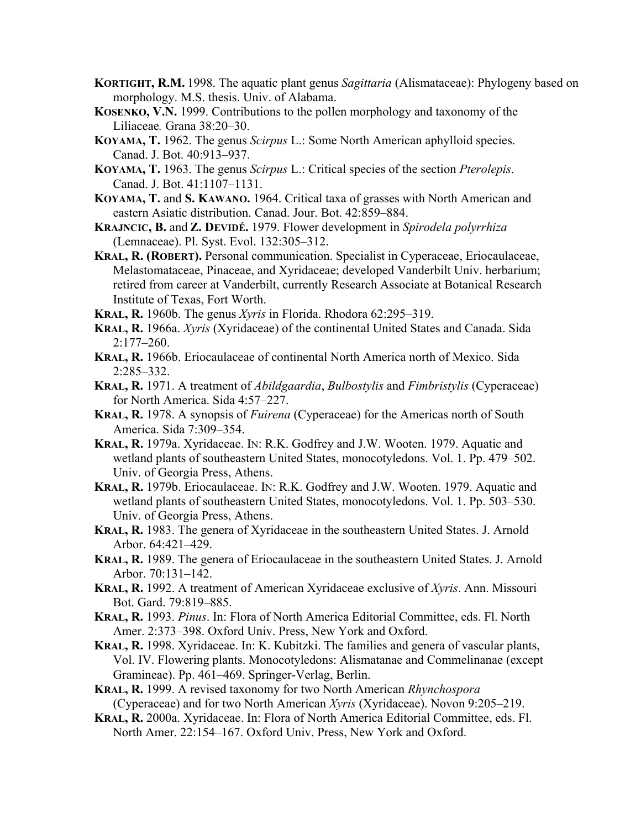- **KORTIGHT, R.M.** 1998. The aquatic plant genus *Sagittaria* (Alismataceae): Phylogeny based on morphology. M.S. thesis. Univ. of Alabama.
- **KOSENKO, V.N.** 1999. Contributions to the pollen morphology and taxonomy of the Liliaceae*.* Grana 38:20–30.
- **KOYAMA, T.** 1962. The genus *Scirpus* L.: Some North American aphylloid species. Canad. J. Bot. 40:913–937.
- **KOYAMA, T.** 1963. The genus *Scirpus* L.: Critical species of the section *Pterolepis*. Canad. J. Bot. 41:1107–1131.
- **KOYAMA, T.** and **S. KAWANO.** 1964. Critical taxa of grasses with North American and eastern Asiatic distribution. Canad. Jour. Bot. 42:859–884.
- **KRAJNCIC, B.** and **Z. DEVIDÉ.** 1979. Flower development in *Spirodela polyrrhiza* (Lemnaceae). Pl. Syst. Evol. 132:305–312.
- **KRAL, R. (ROBERT).** Personal communication. Specialist in Cyperaceae, Eriocaulaceae, Melastomataceae, Pinaceae, and Xyridaceae; developed Vanderbilt Univ. herbarium; retired from career at Vanderbilt, currently Research Associate at Botanical Research Institute of Texas, Fort Worth.
- **KRAL, R.** 1960b. The genus *Xyris* in Florida. Rhodora 62:295–319.
- **KRAL, R.** 1966a. *Xyris* (Xyridaceae) of the continental United States and Canada. Sida 2:177–260.
- **KRAL, R.** 1966b. Eriocaulaceae of continental North America north of Mexico. Sida 2:285–332.
- **KRAL, R.** 1971. A treatment of *Abildgaardia*, *Bulbostylis* and *Fimbristylis* (Cyperaceae) for North America. Sida 4:57–227.
- **KRAL, R.** 1978. A synopsis of *Fuirena* (Cyperaceae) for the Americas north of South America. Sida 7:309–354.
- **KRAL, R.** 1979a. Xyridaceae. IN: R.K. Godfrey and J.W. Wooten. 1979. Aquatic and wetland plants of southeastern United States, monocotyledons. Vol. 1. Pp. 479–502. Univ. of Georgia Press, Athens.
- **KRAL, R.** 1979b. Eriocaulaceae. IN: R.K. Godfrey and J.W. Wooten. 1979. Aquatic and wetland plants of southeastern United States, monocotyledons. Vol. 1. Pp. 503–530. Univ. of Georgia Press, Athens.
- **KRAL, R.** 1983. The genera of Xyridaceae in the southeastern United States. J. Arnold Arbor. 64:421–429.
- **KRAL, R.** 1989. The genera of Eriocaulaceae in the southeastern United States. J. Arnold Arbor. 70:131–142.
- **KRAL, R.** 1992. A treatment of American Xyridaceae exclusive of *Xyris*. Ann. Missouri Bot. Gard. 79:819–885.
- **KRAL, R.** 1993. *Pinus*. In: Flora of North America Editorial Committee, eds. Fl. North Amer. 2:373–398. Oxford Univ. Press, New York and Oxford.
- **KRAL, R.** 1998. Xyridaceae. In: K. Kubitzki. The families and genera of vascular plants, Vol. IV. Flowering plants. Monocotyledons: Alismatanae and Commelinanae (except Gramineae). Pp. 461–469. Springer-Verlag, Berlin.
- **KRAL, R.** 1999. A revised taxonomy for two North American *Rhynchospora* (Cyperaceae) and for two North American *Xyris* (Xyridaceae). Novon 9:205–219.
- **KRAL, R.** 2000a. Xyridaceae. In: Flora of North America Editorial Committee, eds. Fl. North Amer. 22:154–167. Oxford Univ. Press, New York and Oxford.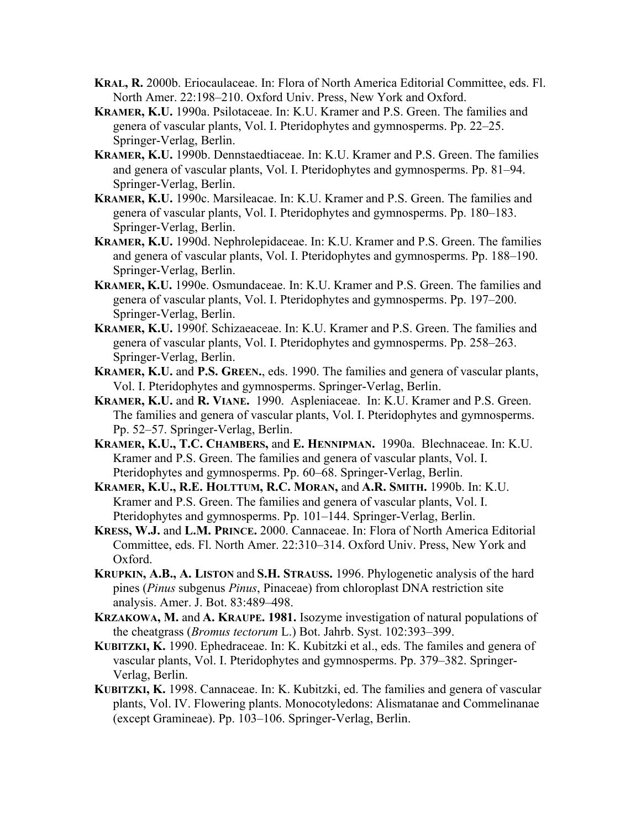- **KRAL, R.** 2000b. Eriocaulaceae. In: Flora of North America Editorial Committee, eds. Fl. North Amer. 22:198–210. Oxford Univ. Press, New York and Oxford.
- **KRAMER, K.U.** 1990a. Psilotaceae. In: K.U. Kramer and P.S. Green. The families and genera of vascular plants, Vol. I. Pteridophytes and gymnosperms. Pp. 22–25. Springer-Verlag, Berlin.
- **KRAMER, K.U.** 1990b. Dennstaedtiaceae. In: K.U. Kramer and P.S. Green. The families and genera of vascular plants, Vol. I. Pteridophytes and gymnosperms. Pp. 81–94. Springer-Verlag, Berlin.
- **KRAMER, K.U.** 1990c. Marsileacae. In: K.U. Kramer and P.S. Green. The families and genera of vascular plants, Vol. I. Pteridophytes and gymnosperms. Pp. 180–183. Springer-Verlag, Berlin.
- **KRAMER, K.U.** 1990d. Nephrolepidaceae. In: K.U. Kramer and P.S. Green. The families and genera of vascular plants, Vol. I. Pteridophytes and gymnosperms. Pp. 188–190. Springer-Verlag, Berlin.
- **KRAMER, K.U.** 1990e. Osmundaceae. In: K.U. Kramer and P.S. Green. The families and genera of vascular plants, Vol. I. Pteridophytes and gymnosperms. Pp. 197–200. Springer-Verlag, Berlin.
- **KRAMER, K.U.** 1990f. Schizaeaceae. In: K.U. Kramer and P.S. Green. The families and genera of vascular plants, Vol. I. Pteridophytes and gymnosperms. Pp. 258–263. Springer-Verlag, Berlin.
- **KRAMER, K.U.** and **P.S. GREEN.**, eds. 1990. The families and genera of vascular plants, Vol. I. Pteridophytes and gymnosperms. Springer-Verlag, Berlin.
- **KRAMER, K.U.** and **R. VIANE.** 1990. Aspleniaceae. In: K.U. Kramer and P.S. Green. The families and genera of vascular plants, Vol. I. Pteridophytes and gymnosperms. Pp. 52–57. Springer-Verlag, Berlin.
- **KRAMER, K.U., T.C. CHAMBERS,** and **E. HENNIPMAN.** 1990a. Blechnaceae. In: K.U. Kramer and P.S. Green. The families and genera of vascular plants, Vol. I. Pteridophytes and gymnosperms. Pp. 60–68. Springer-Verlag, Berlin.
- **KRAMER, K.U., R.E. HOLTTUM, R.C. MORAN,** and **A.R. SMITH.** 1990b. In: K.U. Kramer and P.S. Green. The families and genera of vascular plants, Vol. I. Pteridophytes and gymnosperms. Pp. 101–144. Springer-Verlag, Berlin.
- **KRESS, W.J.** and **L.M. PRINCE.** 2000. Cannaceae. In: Flora of North America Editorial Committee, eds. Fl. North Amer. 22:310–314. Oxford Univ. Press, New York and Oxford.
- **KRUPKIN, A.B., A. LISTON** and **S.H. STRAUSS.** 1996. Phylogenetic analysis of the hard pines (*Pinus* subgenus *Pinus*, Pinaceae) from chloroplast DNA restriction site analysis. Amer. J. Bot. 83:489–498.
- **KRZAKOWA, M.** and **A. KRAUPE. 1981.** Isozyme investigation of natural populations of the cheatgrass (*Bromus tectorum* L.) Bot. Jahrb. Syst. 102:393–399.
- **KUBITZKI, K.** 1990. Ephedraceae. In: K. Kubitzki et al., eds. The familes and genera of vascular plants, Vol. I. Pteridophytes and gymnosperms. Pp. 379–382. Springer-Verlag, Berlin.
- **KUBITZKI, K.** 1998. Cannaceae. In: K. Kubitzki, ed. The families and genera of vascular plants, Vol. IV. Flowering plants. Monocotyledons: Alismatanae and Commelinanae (except Gramineae). Pp. 103–106. Springer-Verlag, Berlin.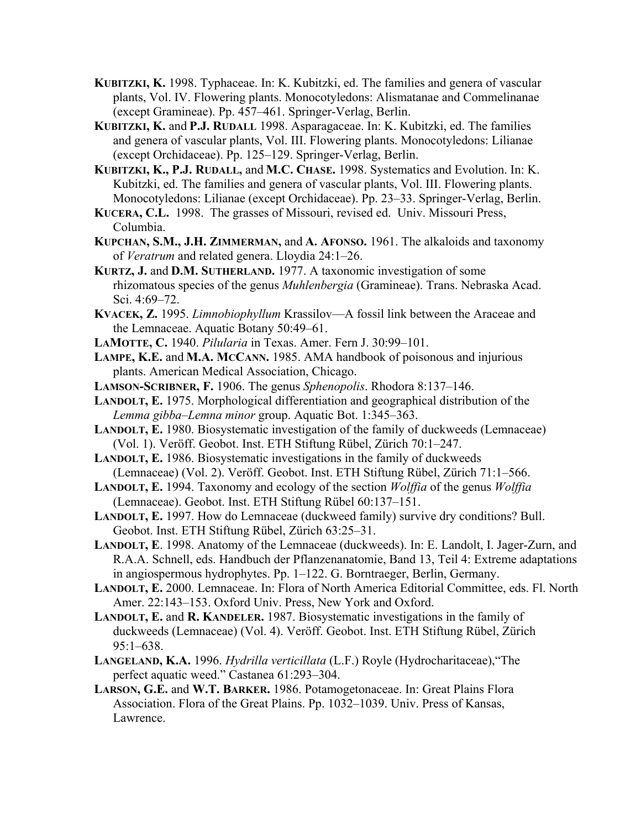- **KUBITZKI, K.** 1998. Typhaceae. In: K. Kubitzki, ed. The families and genera of vascular plants, Vol. IV. Flowering plants. Monocotyledons: Alismatanae and Commelinanae (except Gramineae). Pp. 457–461. Springer-Verlag, Berlin.
- **KUBITZKI, K.** and **P.J. RUDALL** 1998. Asparagaceae. In: K. Kubitzki, ed. The families and genera of vascular plants, Vol. III. Flowering plants. Monocotyledons: Lilianae (except Orchidaceae). Pp. 125–129. Springer-Verlag, Berlin.
- **KUBITZKI, K., P.J. RUDALL,** and **M.C. CHASE.** 1998. Systematics and Evolution. In: K. Kubitzki, ed. The families and genera of vascular plants, Vol. III. Flowering plants. Monocotyledons: Lilianae (except Orchidaceae). Pp. 23–33. Springer-Verlag, Berlin.
- **KUCERA, C.L.** 1998. The grasses of Missouri, revised ed. Univ. Missouri Press, Columbia.
- **KUPCHAN, S.M., J.H. ZIMMERMAN,** and **A. AFONSO.** 1961. The alkaloids and taxonomy of *Veratrum* and related genera. Lloydia 24:1–26.
- **KURTZ, J.** and **D.M. SUTHERLAND.** 1977. A taxonomic investigation of some rhizomatous species of the genus *Muhlenbergia* (Gramineae). Trans. Nebraska Acad. Sci. 4:69–72.
- **KVACEK, Z.** 1995. *Limnobiophyllum* Krassilov—A fossil link between the Araceae and the Lemnaceae. Aquatic Botany 50:49–61.
- **LAMOTTE, C.** 1940. *Pilularia* in Texas. Amer. Fern J. 30:99–101.
- **LAMPE, K.E.** and **M.A. MCCANN.** 1985. AMA handbook of poisonous and injurious plants. American Medical Association, Chicago.
- **LAMSON-SCRIBNER, F.** 1906. The genus *Sphenopolis*. Rhodora 8:137–146.
- **LANDOLT, E.** 1975. Morphological differentiation and geographical distribution of the *Lemma gibba*–*Lemna minor* group. Aquatic Bot. 1:345–363.
- **LANDOLT, E.** 1980. Biosystematic investigation of the family of duckweeds (Lemnaceae) (Vol. 1). Veröff. Geobot. Inst. ETH Stiftung Rübel, Zürich 70:1–247.
- **LANDOLT, E.** 1986. Biosystematic investigations in the family of duckweeds (Lemnaceae) (Vol. 2). Veröff. Geobot. Inst. ETH Stiftung Rübel, Zürich 71:1–566.
- **LANDOLT, E.** 1994. Taxonomy and ecology of the section *Wolffia* of the genus *Wolffia* (Lemnaceae). Geobot. Inst. ETH Stiftung Rübel 60:137–151.
- **LANDOLT, E.** 1997. How do Lemnaceae (duckweed family) survive dry conditions? Bull. Geobot. Inst. ETH Stiftung Rübel, Zürich 63:25–31.
- **LANDOLT, E**. 1998. Anatomy of the Lemnaceae (duckweeds). In: E. Landolt, I. Jager-Zurn, and R.A.A. Schnell, eds. Handbuch der Pflanzenanatomie, Band 13, Teil 4: Extreme adaptations in angiospermous hydrophytes. Pp. 1–122. G. Borntraeger, Berlin, Germany.
- **LANDOLT, E.** 2000. Lemnaceae. In: Flora of North America Editorial Committee, eds. Fl. North Amer. 22:143–153. Oxford Univ. Press, New York and Oxford.
- **LANDOLT, E. and R. KANDELER.** 1987. Biosystematic investigations in the family of duckweeds (Lemnaceae) (Vol. 4). Veröff. Geobot. Inst. ETH Stiftung Rübel, Zürich 95:1–638.
- **LANGELAND, K.A.** 1996. *Hydrilla verticillata* (L.F.) Royle (Hydrocharitaceae),"The perfect aquatic weed." Castanea 61:293–304.
- **LARSON, G.E.** and **W.T. BARKER.** 1986. Potamogetonaceae. In: Great Plains Flora Association. Flora of the Great Plains. Pp. 1032–1039. Univ. Press of Kansas, Lawrence.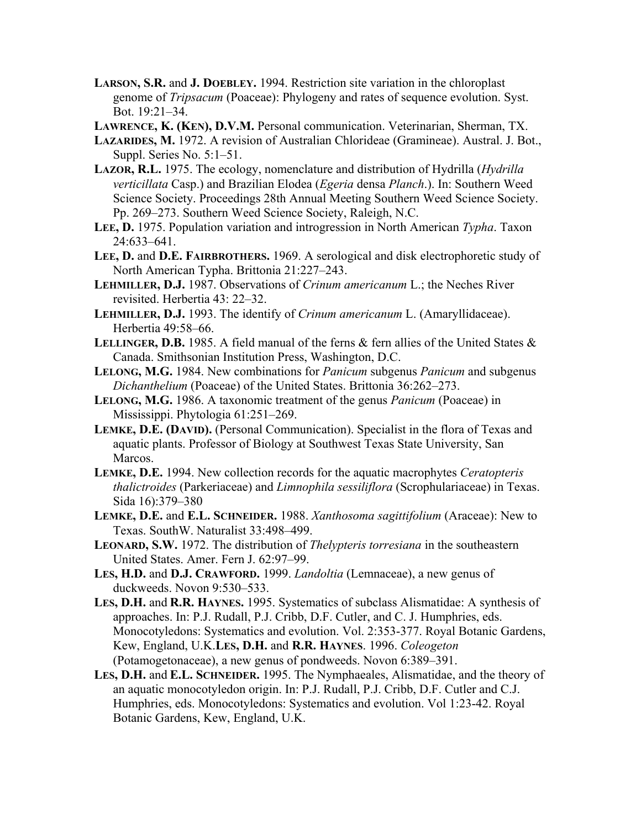- **LARSON, S.R.** and **J. DOEBLEY.** 1994. Restriction site variation in the chloroplast genome of *Tripsacum* (Poaceae): Phylogeny and rates of sequence evolution. Syst. Bot. 19:21–34.
- **LAWRENCE, K. (KEN), D.V.M.** Personal communication. Veterinarian, Sherman, TX.
- **LAZARIDES, M.** 1972. A revision of Australian Chlorideae (Gramineae). Austral. J. Bot., Suppl. Series No. 5:1–51.
- **LAZOR, R.L.** 1975. The ecology, nomenclature and distribution of Hydrilla (*Hydrilla verticillata* Casp.) and Brazilian Elodea (*Egeria* densa *Planch*.). In: Southern Weed Science Society. Proceedings 28th Annual Meeting Southern Weed Science Society. Pp. 269–273. Southern Weed Science Society, Raleigh, N.C.
- **LEE, D.** 1975. Population variation and introgression in North American *Typha*. Taxon 24:633–641.
- **LEE, D.** and **D.E. FAIRBROTHERS.** 1969. A serological and disk electrophoretic study of North American Typha. Brittonia 21:227–243.
- **LEHMILLER, D.J.** 1987. Observations of *Crinum americanum* L.; the Neches River revisited. Herbertia 43: 22–32.
- **LEHMILLER, D.J.** 1993. The identify of *Crinum americanum* L. (Amaryllidaceae). Herbertia 49:58–66.
- **LELLINGER, D.B.** 1985. A field manual of the ferns & fern allies of the United States & Canada. Smithsonian Institution Press, Washington, D.C.
- **LELONG, M.G.** 1984. New combinations for *Panicum* subgenus *Panicum* and subgenus *Dichanthelium* (Poaceae) of the United States. Brittonia 36:262–273.
- **LELONG, M.G.** 1986. A taxonomic treatment of the genus *Panicum* (Poaceae) in Mississippi. Phytologia 61:251–269.
- **LEMKE, D.E. (DAVID).** (Personal Communication). Specialist in the flora of Texas and aquatic plants. Professor of Biology at Southwest Texas State University, San Marcos.
- **LEMKE, D.E.** 1994. New collection records for the aquatic macrophytes *Ceratopteris thalictroides* (Parkeriaceae) and *Limnophila sessiliflora* (Scrophulariaceae) in Texas. Sida 16):379–380
- **LEMKE, D.E.** and **E.L. SCHNEIDER.** 1988. *Xanthosoma sagittifolium* (Araceae): New to Texas. SouthW. Naturalist 33:498–499.
- **LEONARD, S.W.** 1972. The distribution of *Thelypteris torresiana* in the southeastern United States. Amer. Fern J. 62:97–99.
- **LES, H.D.** and **D.J. CRAWFORD.** 1999. *Landoltia* (Lemnaceae), a new genus of duckweeds. Novon 9:530–533.
- **LES, D.H.** and **R.R. HAYNES.** 1995. Systematics of subclass Alismatidae: A synthesis of approaches. In: P.J. Rudall, P.J. Cribb, D.F. Cutler, and C. J. Humphries, eds. Monocotyledons: Systematics and evolution. Vol. 2:353-377. Royal Botanic Gardens, Kew, England, U.K.**LES, D.H.** and **R.R. HAYNES**. 1996. *Coleogeton* (Potamogetonaceae), a new genus of pondweeds. Novon 6:389–391.
- **LES, D.H.** and **E.L. SCHNEIDER.** 1995. The Nymphaeales, Alismatidae, and the theory of an aquatic monocotyledon origin. In: P.J. Rudall, P.J. Cribb, D.F. Cutler and C.J. Humphries, eds. Monocotyledons: Systematics and evolution. Vol 1:23-42. Royal Botanic Gardens, Kew, England, U.K.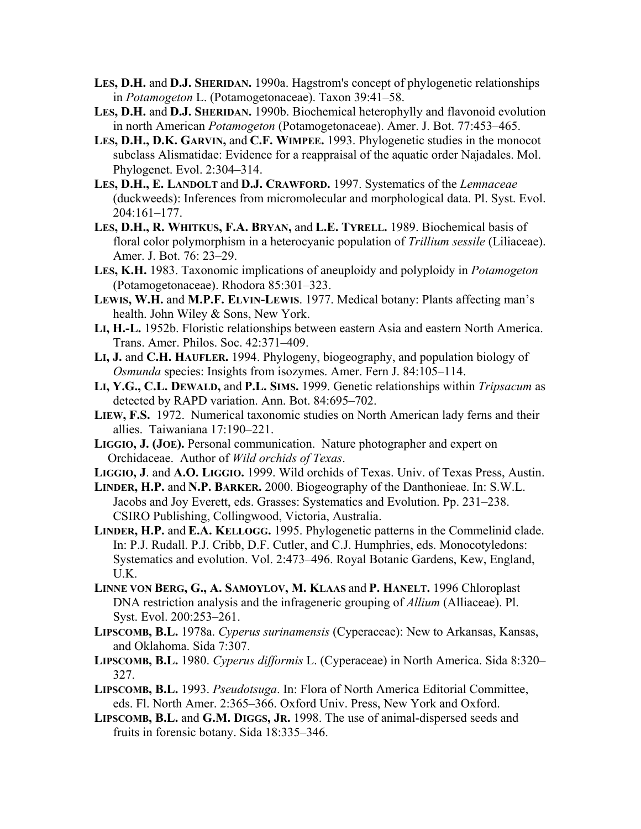- **LES, D.H.** and **D.J. SHERIDAN.** 1990a. Hagstrom's concept of phylogenetic relationships in *Potamogeton* L. (Potamogetonaceae). Taxon 39:41–58.
- **LES, D.H.** and **D.J. SHERIDAN.** 1990b. Biochemical heterophylly and flavonoid evolution in north American *Potamogeton* (Potamogetonaceae). Amer. J. Bot. 77:453–465.
- **LES, D.H., D.K. GARVIN,** and **C.F. WIMPEE.** 1993. Phylogenetic studies in the monocot subclass Alismatidae: Evidence for a reappraisal of the aquatic order Najadales. Mol. Phylogenet. Evol. 2:304–314.
- **LES, D.H., E. LANDOLT** and **D.J. CRAWFORD.** 1997. Systematics of the *Lemnaceae* (duckweeds): Inferences from micromolecular and morphological data. Pl. Syst. Evol. 204:161–177.
- **LES, D.H., R. WHITKUS, F.A. BRYAN,** and **L.E. TYRELL.** 1989. Biochemical basis of floral color polymorphism in a heterocyanic population of *Trillium sessile* (Liliaceae). Amer. J. Bot. 76: 23–29.
- **LES, K.H.** 1983. Taxonomic implications of aneuploidy and polyploidy in *Potamogeton* (Potamogetonaceae). Rhodora 85:301–323.
- **LEWIS, W.H.** and **M.P.F. ELVIN-LEWIS**. 1977. Medical botany: Plants affecting man's health. John Wiley & Sons, New York.
- **LI, H.-L.** 1952b. Floristic relationships between eastern Asia and eastern North America. Trans. Amer. Philos. Soc. 42:371–409.
- **LI, J.** and **C.H. HAUFLER.** 1994. Phylogeny, biogeography, and population biology of *Osmunda* species: Insights from isozymes. Amer. Fern J. 84:105–114.
- **LI, Y.G., C.L. DEWALD,** and **P.L. SIMS.** 1999. Genetic relationships within *Tripsacum* as detected by RAPD variation. Ann. Bot. 84:695–702.
- **LIEW, F.S.** 1972. Numerical taxonomic studies on North American lady ferns and their allies. Taiwaniana 17:190–221.
- **LIGGIO, J. (JOE).** Personal communication. Nature photographer and expert on Orchidaceae. Author of *Wild orchids of Texas*.
- **LIGGIO, J**. and **A.O. LIGGIO.** 1999. Wild orchids of Texas. Univ. of Texas Press, Austin.
- **LINDER, H.P.** and **N.P. BARKER.** 2000. Biogeography of the Danthonieae. In: S.W.L. Jacobs and Joy Everett, eds. Grasses: Systematics and Evolution. Pp. 231–238. CSIRO Publishing, Collingwood, Victoria, Australia.
- **LINDER, H.P.** and **E.A. KELLOGG.** 1995. Phylogenetic patterns in the Commelinid clade. In: P.J. Rudall. P.J. Cribb, D.F. Cutler, and C.J. Humphries, eds. Monocotyledons: Systematics and evolution. Vol. 2:473–496. Royal Botanic Gardens, Kew, England, U.K.
- **LINNE VON BERG, G., A. SAMOYLOV, M. KLAAS** and **P. HANELT.** 1996 Chloroplast DNA restriction analysis and the infrageneric grouping of *Allium* (Alliaceae). Pl. Syst. Evol. 200:253–261.
- **LIPSCOMB, B.L.** 1978a. *Cyperus surinamensis* (Cyperaceae): New to Arkansas, Kansas, and Oklahoma. Sida 7:307.
- **LIPSCOMB, B.L.** 1980. *Cyperus difformis* L. (Cyperaceae) in North America. Sida 8:320– 327.
- **LIPSCOMB, B.L.** 1993. *Pseudotsuga*. In: Flora of North America Editorial Committee, eds. Fl. North Amer. 2:365–366. Oxford Univ. Press, New York and Oxford.
- **LIPSCOMB, B.L.** and **G.M. DIGGS, JR.** 1998. The use of animal-dispersed seeds and fruits in forensic botany. Sida 18:335–346.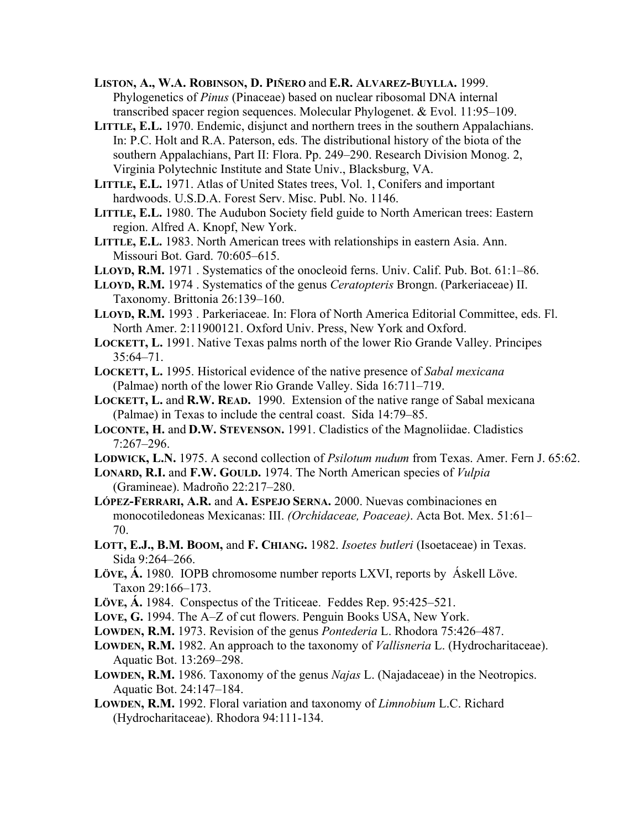**LISTON, A., W.A. ROBINSON, D. PIÑERO** and **E.R. ALVAREZ-BUYLLA.** 1999. Phylogenetics of *Pinus* (Pinaceae) based on nuclear ribosomal DNA internal transcribed spacer region sequences. Molecular Phylogenet. & Evol. 11:95–109.

**LITTLE, E.L.** 1970. Endemic, disjunct and northern trees in the southern Appalachians. In: P.C. Holt and R.A. Paterson, eds. The distributional history of the biota of the southern Appalachians, Part II: Flora. Pp. 249–290. Research Division Monog. 2, Virginia Polytechnic Institute and State Univ., Blacksburg, VA.

**LITTLE, E.L.** 1971. Atlas of United States trees, Vol. 1, Conifers and important hardwoods. U.S.D.A. Forest Serv. Misc. Publ. No. 1146.

**LITTLE, E.L.** 1980. The Audubon Society field guide to North American trees: Eastern region. Alfred A. Knopf, New York.

**LITTLE, E.L.** 1983. North American trees with relationships in eastern Asia. Ann. Missouri Bot. Gard. 70:605–615.

**LLOYD, R.M.** 1971 . Systematics of the onocleoid ferns. Univ. Calif. Pub. Bot. 61:1–86.

**LLOYD, R.M.** 1974 . Systematics of the genus *Ceratopteris* Brongn. (Parkeriaceae) II. Taxonomy. Brittonia 26:139–160.

**LLOYD, R.M.** 1993 . Parkeriaceae. In: Flora of North America Editorial Committee, eds. Fl. North Amer. 2:11900121. Oxford Univ. Press, New York and Oxford.

**LOCKETT, L.** 1991. Native Texas palms north of the lower Rio Grande Valley. Principes 35:64–71.

- **LOCKETT, L.** 1995. Historical evidence of the native presence of *Sabal mexicana* (Palmae) north of the lower Rio Grande Valley. Sida 16:711–719.
- **LOCKETT, L.** and **R.W. READ.** 1990. Extension of the native range of Sabal mexicana (Palmae) in Texas to include the central coast. Sida 14:79–85.
- **LOCONTE, H.** and **D.W. STEVENSON.** 1991. Cladistics of the Magnoliidae. Cladistics 7:267–296.

**LODWICK, L.N.** 1975. A second collection of *Psilotum nudum* from Texas. Amer. Fern J. 65:62.

**LONARD, R.I.** and **F.W. GOULD.** 1974. The North American species of *Vulpia* (Gramineae). Madroño 22:217–280.

**LÓPEZ-FERRARI, A.R.** and **A. ESPEJO SERNA.** 2000. Nuevas combinaciones en monocotiledoneas Mexicanas: III. *(Orchidaceae, Poaceae)*. Acta Bot. Mex. 51:61– 70.

**LOTT, E.J., B.M. BOOM,** and **F. CHIANG.** 1982. *Isoetes butleri* (Isoetaceae) in Texas. Sida 9:264–266.

**LÖVE, Á.** 1980. IOPB chromosome number reports LXVI, reports by Áskell Löve. Taxon 29:166–173.

**LÖVE, Á.** 1984. Conspectus of the Triticeae. Feddes Rep. 95:425–521.

**LOVE, G.** 1994. The A–Z of cut flowers. Penguin Books USA, New York.

**LOWDEN, R.M.** 1973. Revision of the genus *Pontederia* L. Rhodora 75:426–487.

**LOWDEN, R.M.** 1982. An approach to the taxonomy of *Vallisneria* L. (Hydrocharitaceae). Aquatic Bot. 13:269–298.

**LOWDEN, R.M.** 1986. Taxonomy of the genus *Najas* L. (Najadaceae) in the Neotropics. Aquatic Bot. 24:147–184.

**LOWDEN, R.M.** 1992. Floral variation and taxonomy of *Limnobium* L.C. Richard (Hydrocharitaceae). Rhodora 94:111-134.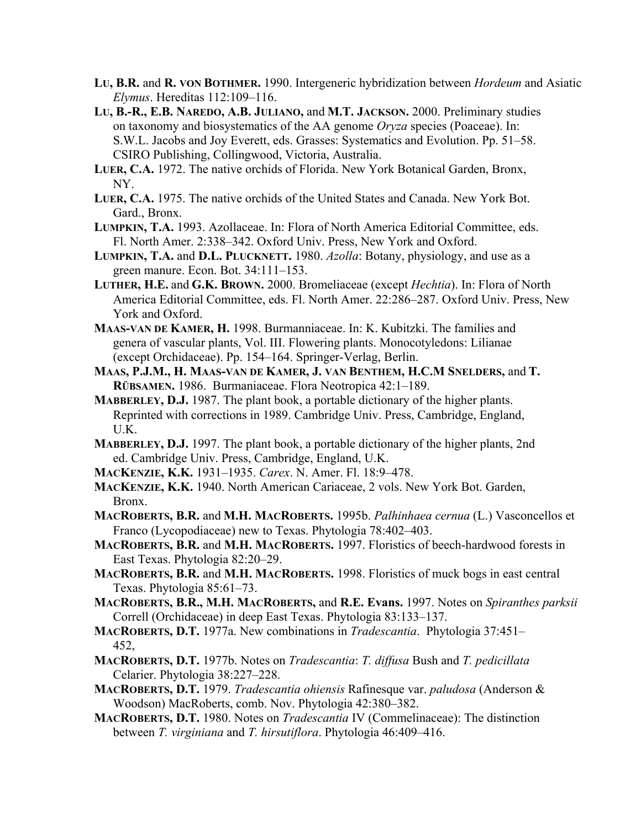- **LU, B.R.** and **R. VON BOTHMER.** 1990. Intergeneric hybridization between *Hordeum* and Asiatic *Elymus*. Hereditas 112:109–116.
- **LU, B.-R., E.B. NAREDO, A.B. JULIANO,** and **M.T. JACKSON.** 2000. Preliminary studies on taxonomy and biosystematics of the AA genome *Oryza* species (Poaceae). In: S.W.L. Jacobs and Joy Everett, eds. Grasses: Systematics and Evolution. Pp. 51–58. CSIRO Publishing, Collingwood, Victoria, Australia.
- **LUER, C.A.** 1972. The native orchids of Florida. New York Botanical Garden, Bronx, NY.
- **LUER, C.A.** 1975. The native orchids of the United States and Canada. New York Bot. Gard., Bronx.
- **LUMPKIN, T.A.** 1993. Azollaceae. In: Flora of North America Editorial Committee, eds. Fl. North Amer. 2:338–342. Oxford Univ. Press, New York and Oxford.
- **LUMPKIN, T.A.** and **D.L. PLUCKNETT.** 1980. *Azolla*: Botany, physiology, and use as a green manure. Econ. Bot. 34:111–153.
- **LUTHER, H.E.** and **G.K. BROWN.** 2000. Bromeliaceae (except *Hechtia*). In: Flora of North America Editorial Committee, eds. Fl. North Amer. 22:286–287. Oxford Univ. Press, New York and Oxford.
- **MAAS-VAN DE KAMER, H.** 1998. Burmanniaceae. In: K. Kubitzki. The families and genera of vascular plants, Vol. III. Flowering plants. Monocotyledons: Lilianae (except Orchidaceae). Pp. 154–164. Springer-Verlag, Berlin.
- **MAAS, P.J.M., H. MAAS-VAN DE KAMER, J. VAN BENTHEM, H.C.M SNELDERS,** and **T. RÜBSAMEN.** 1986. Burmaniaceae. Flora Neotropica 42:1–189.
- **MABBERLEY, D.J.** 1987. The plant book, a portable dictionary of the higher plants. Reprinted with corrections in 1989. Cambridge Univ. Press, Cambridge, England, U.K.
- **MABBERLEY, D.J.** 1997. The plant book, a portable dictionary of the higher plants, 2nd ed. Cambridge Univ. Press, Cambridge, England, U.K.
- **MACKENZIE, K.K.** 1931–1935. *Carex*. N. Amer. Fl. 18:9–478.
- **MACKENZIE, K.K.** 1940. North American Cariaceae, 2 vols. New York Bot. Garden, Bronx.
- **MACROBERTS, B.R.** and **M.H. MACROBERTS.** 1995b. *Palhinhaea cernua* (L.) Vasconcellos et Franco (Lycopodiaceae) new to Texas. Phytologia 78:402–403.
- **MACROBERTS, B.R.** and **M.H. MACROBERTS.** 1997. Floristics of beech-hardwood forests in East Texas. Phytologia 82:20–29.
- **MACROBERTS, B.R.** and **M.H. MACROBERTS.** 1998. Floristics of muck bogs in east central Texas. Phytologia 85:61–73.
- **MACROBERTS, B.R., M.H. MACROBERTS,** and **R.E. Evans.** 1997. Notes on *Spiranthes parksii* Correll (Orchidaceae) in deep East Texas. Phytologia 83:133–137.
- **MACROBERTS, D.T.** 1977a. New combinations in *Tradescantia*. Phytologia 37:451– 452,
- **MACROBERTS, D.T.** 1977b. Notes on *Tradescantia*: *T. diffusa* Bush and *T. pedicillata* Celarier. Phytologia 38:227–228.
- **MACROBERTS, D.T.** 1979. *Tradescantia ohiensis* Rafinesque var. *paludosa* (Anderson & Woodson) MacRoberts, comb. Nov. Phytologia 42:380–382.
- **MACROBERTS, D.T.** 1980. Notes on *Tradescantia* IV (Commelinaceae): The distinction between *T. virginiana* and *T. hirsutiflora*. Phytologia 46:409–416.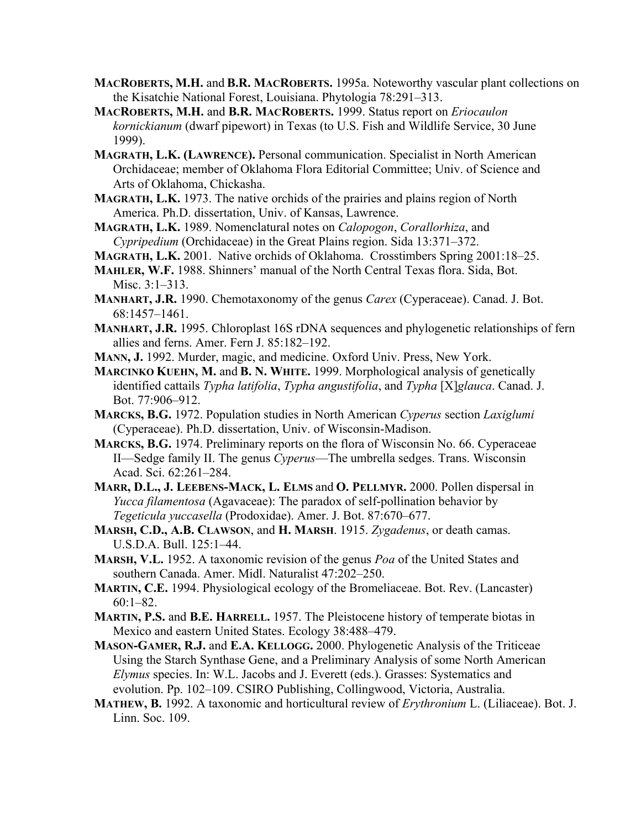- **MACROBERTS, M.H.** and **B.R. MACROBERTS.** 1995a. Noteworthy vascular plant collections on the Kisatchie National Forest, Louisiana. Phytologia 78:291–313.
- **MACROBERTS, M.H.** and **B.R. MACROBERTS.** 1999. Status report on *Eriocaulon kornickianum* (dwarf pipewort) in Texas (to U.S. Fish and Wildlife Service, 30 June 1999).
- **MAGRATH, L.K. (LAWRENCE).** Personal communication. Specialist in North American Orchidaceae; member of Oklahoma Flora Editorial Committee; Univ. of Science and Arts of Oklahoma, Chickasha.
- **MAGRATH, L.K.** 1973. The native orchids of the prairies and plains region of North America. Ph.D. dissertation, Univ. of Kansas, Lawrence.
- **MAGRATH, L.K.** 1989. Nomenclatural notes on *Calopogon*, *Corallorhiza*, and *Cypripedium* (Orchidaceae) in the Great Plains region. Sida 13:371–372.
- **MAGRATH, L.K.** 2001. Native orchids of Oklahoma. Crosstimbers Spring 2001:18–25.
- **MAHLER, W.F.** 1988. Shinners' manual of the North Central Texas flora. Sida, Bot. Misc. 3:1–313.
- **MANHART, J.R.** 1990. Chemotaxonomy of the genus *Carex* (Cyperaceae). Canad. J. Bot. 68:1457–1461.
- **MANHART, J.R.** 1995. Chloroplast 16S rDNA sequences and phylogenetic relationships of fern allies and ferns. Amer. Fern J. 85:182–192.
- **MANN, J.** 1992. Murder, magic, and medicine. Oxford Univ. Press, New York.
- **MARCINKO KUEHN, M.** and **B. N. WHITE.** 1999. Morphological analysis of genetically identified cattails *Typha latifolia*, *Typha angustifolia*, and *Typha* [X]*glauca*. Canad. J. Bot. 77:906–912.
- **MARCKS, B.G.** 1972. Population studies in North American *Cyperus* section *Laxiglumi* (Cyperaceae). Ph.D. dissertation, Univ. of Wisconsin-Madison.
- **MARCKS, B.G.** 1974. Preliminary reports on the flora of Wisconsin No. 66. Cyperaceae II—Sedge family II. The genus *Cyperus*—The umbrella sedges. Trans. Wisconsin Acad. Sci. 62:261–284.
- **MARR, D.L., J. LEEBENS-MACK, L. ELMS** and **O. PELLMYR.** 2000. Pollen dispersal in *Yucca filamentosa* (Agavaceae): The paradox of self-pollination behavior by *Tegeticula yuccasella* (Prodoxidae). Amer. J. Bot. 87:670–677.
- **MARSH, C.D., A.B. CLAWSON**, and **H. MARSH**. 1915. *Zygadenus*, or death camas. U.S.D.A. Bull. 125:1–44.
- **MARSH, V.L.** 1952. A taxonomic revision of the genus *Poa* of the United States and southern Canada. Amer. Midl. Naturalist 47:202–250.
- **MARTIN, C.E.** 1994. Physiological ecology of the Bromeliaceae. Bot. Rev. (Lancaster) 60:1–82.
- **MARTIN, P.S.** and **B.E. HARRELL.** 1957. The Pleistocene history of temperate biotas in Mexico and eastern United States. Ecology 38:488–479.
- **MASON-GAMER, R.J.** and **E.A. KELLOGG.** 2000. Phylogenetic Analysis of the Triticeae Using the Starch Synthase Gene, and a Preliminary Analysis of some North American *Elymus* species. In: W.L. Jacobs and J. Everett (eds.). Grasses: Systematics and evolution. Pp. 102–109. CSIRO Publishing, Collingwood, Victoria, Australia.
- **MATHEW, B.** 1992. A taxonomic and horticultural review of *Erythronium* L. (Liliaceae). Bot. J. Linn. Soc. 109.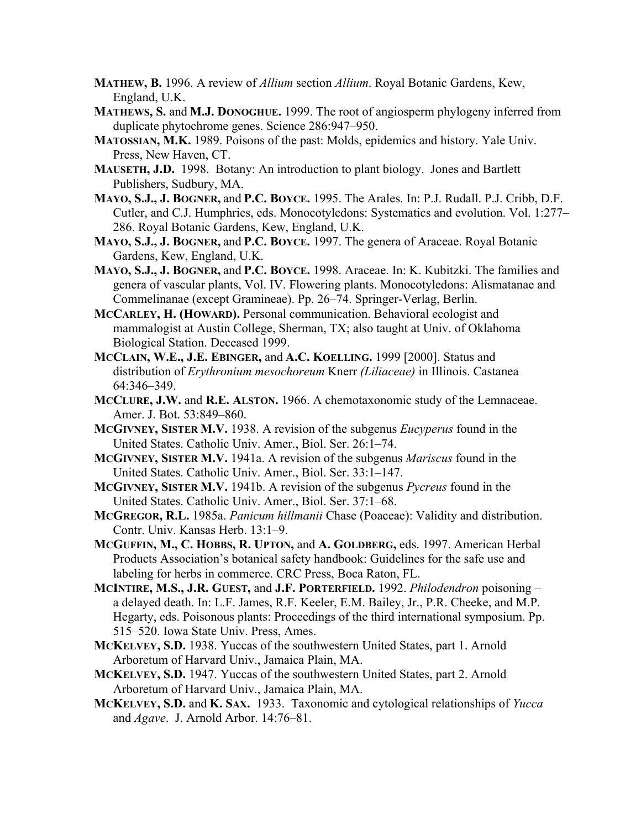- **MATHEW, B.** 1996. A review of *Allium* section *Allium*. Royal Botanic Gardens, Kew, England, U.K.
- **MATHEWS, S.** and **M.J. DONOGHUE.** 1999. The root of angiosperm phylogeny inferred from duplicate phytochrome genes. Science 286:947–950.
- **MATOSSIAN, M.K.** 1989. Poisons of the past: Molds, epidemics and history. Yale Univ. Press, New Haven, CT.
- **MAUSETH, J.D.** 1998. Botany: An introduction to plant biology. Jones and Bartlett Publishers, Sudbury, MA.
- **MAYO, S.J., J. BOGNER,** and **P.C. BOYCE.** 1995. The Arales. In: P.J. Rudall. P.J. Cribb, D.F. Cutler, and C.J. Humphries, eds. Monocotyledons: Systematics and evolution. Vol. 1:277– 286. Royal Botanic Gardens, Kew, England, U.K.
- **MAYO, S.J., J. BOGNER,** and **P.C. BOYCE.** 1997. The genera of Araceae. Royal Botanic Gardens, Kew, England, U.K.
- **MAYO, S.J., J. BOGNER,** and **P.C. BOYCE.** 1998. Araceae. In: K. Kubitzki. The families and genera of vascular plants, Vol. IV. Flowering plants. Monocotyledons: Alismatanae and Commelinanae (except Gramineae). Pp. 26–74. Springer-Verlag, Berlin.
- **MCCARLEY, H. (HOWARD).** Personal communication. Behavioral ecologist and mammalogist at Austin College, Sherman, TX; also taught at Univ. of Oklahoma Biological Station. Deceased 1999.
- **MCCLAIN, W.E., J.E. EBINGER,** and **A.C. KOELLING.** 1999 [2000]. Status and distribution of *Erythronium mesochoreum* Knerr *(Liliaceae)* in Illinois. Castanea 64:346–349.
- **MCCLURE, J.W.** and **R.E. ALSTON.** 1966. A chemotaxonomic study of the Lemnaceae. Amer. J. Bot. 53:849–860.
- **MCGIVNEY, SISTER M.V.** 1938. A revision of the subgenus *Eucyperus* found in the United States. Catholic Univ. Amer., Biol. Ser. 26:1–74.
- **MCGIVNEY, SISTER M.V.** 1941a. A revision of the subgenus *Mariscus* found in the United States. Catholic Univ. Amer., Biol. Ser. 33:1–147.
- **MCGIVNEY, SISTER M.V.** 1941b. A revision of the subgenus *Pycreus* found in the United States. Catholic Univ. Amer., Biol. Ser. 37:1–68.
- **MCGREGOR, R.L.** 1985a. *Panicum hillmanii* Chase (Poaceae): Validity and distribution. Contr. Univ. Kansas Herb. 13:1–9.
- **MCGUFFIN, M., C. HOBBS, R. UPTON,** and **A. GOLDBERG,** eds. 1997. American Herbal Products Association's botanical safety handbook: Guidelines for the safe use and labeling for herbs in commerce. CRC Press, Boca Raton, FL.
- **MCINTIRE, M.S., J.R. GUEST,** and **J.F. PORTERFIELD.** 1992. *Philodendron* poisoning a delayed death. In: L.F. James, R.F. Keeler, E.M. Bailey, Jr., P.R. Cheeke, and M.P. Hegarty, eds. Poisonous plants: Proceedings of the third international symposium. Pp. 515–520. Iowa State Univ. Press, Ames.
- **MCKELVEY, S.D.** 1938. Yuccas of the southwestern United States, part 1. Arnold Arboretum of Harvard Univ., Jamaica Plain, MA.
- **MCKELVEY, S.D.** 1947. Yuccas of the southwestern United States, part 2. Arnold Arboretum of Harvard Univ., Jamaica Plain, MA.
- **MCKELVEY, S.D.** and **K. SAX.** 1933. Taxonomic and cytological relationships of *Yucca* and *Agave*. J. Arnold Arbor. 14:76–81.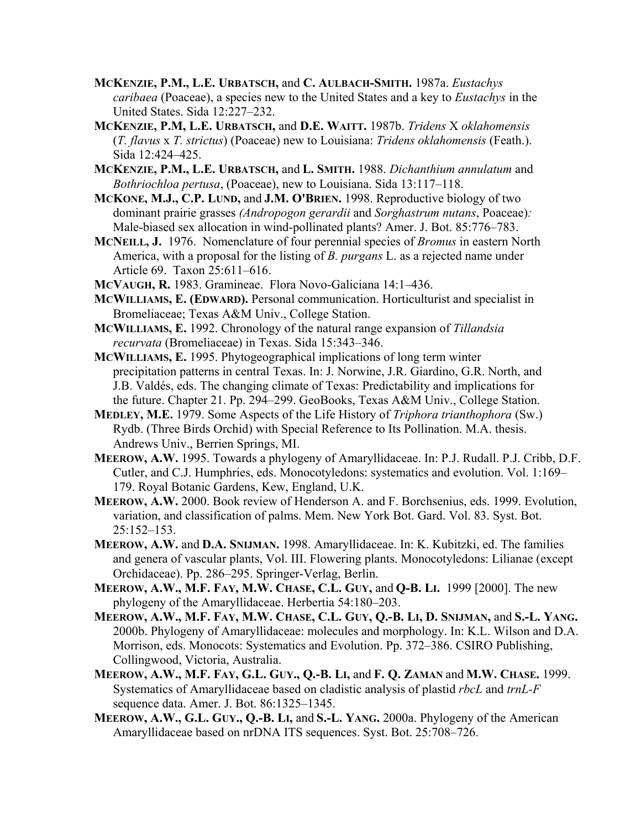- **MCKENZIE, P.M., L.E. URBATSCH,** and **C. AULBACH-SMITH.** 1987a. *Eustachys caribaea* (Poaceae), a species new to the United States and a key to *Eustachys* in the United States. Sida 12:227–232.
- **MCKENZIE, P.M, L.E. URBATSCH,** and **D.E. WAITT.** 1987b. *Tridens* X *oklahomensis* (*T. flavus* x *T. strictus*) (Poaceae) new to Louisiana: *Tridens oklahomensis* (Feath.). Sida 12:424–425.
- **MCKENZIE, P.M., L.E. URBATSCH,** and **L. SMITH.** 1988. *Dichanthium annulatum* and *Bothriochloa pertusa*, (Poaceae), new to Louisiana. Sida 13:117–118.
- **MCKONE, M.J., C.P. LUND,** and **J.M. O'BRIEN.** 1998. Reproductive biology of two dominant prairie grasses *(Andropogon gerardii* and *Sorghastrum nutans*, Poaceae)*:* Male-biased sex allocation in wind-pollinated plants? Amer. J. Bot. 85:776–783.
- **MCNEILL, J.** 1976. Nomenclature of four perennial species of *Bromus* in eastern North America, with a proposal for the listing of *B. purgans* L. as a rejected name under Article 69. Taxon 25:611–616.
- **MCVAUGH, R.** 1983. Gramineae. Flora Novo-Galiciana 14:1–436.
- **MCWILLIAMS, E. (EDWARD).** Personal communication. Horticulturist and specialist in Bromeliaceae; Texas A&M Univ., College Station.
- **MCWILLIAMS, E.** 1992. Chronology of the natural range expansion of *Tillandsia recurvata* (Bromeliaceae) in Texas. Sida 15:343–346.
- **MCWILLIAMS, E.** 1995. Phytogeographical implications of long term winter precipitation patterns in central Texas. In: J. Norwine, J.R. Giardino, G.R. North, and J.B. Valdés, eds. The changing climate of Texas: Predictability and implications for the future. Chapter 21. Pp. 294–299. GeoBooks, Texas A&M Univ., College Station.
- **MEDLEY, M.E.** 1979. Some Aspects of the Life History of *Triphora trianthophora* (Sw.) Rydb. (Three Birds Orchid) with Special Reference to Its Pollination. M.A. thesis. Andrews Univ., Berrien Springs, MI.
- **MEEROW, A.W.** 1995. Towards a phylogeny of Amaryllidaceae. In: P.J. Rudall. P.J. Cribb, D.F. Cutler, and C.J. Humphries, eds. Monocotyledons: systematics and evolution. Vol. 1:169– 179. Royal Botanic Gardens, Kew, England, U.K.
- **MEEROW, A.W.** 2000. Book review of Henderson A. and F. Borchsenius, eds. 1999. Evolution, variation, and classification of palms. Mem. New York Bot. Gard. Vol. 83. Syst. Bot. 25:152–153.
- **MEEROW, A.W.** and **D.A. SNIJMAN.** 1998. Amaryllidaceae. In: K. Kubitzki, ed. The families and genera of vascular plants, Vol. III. Flowering plants. Monocotyledons: Lilianae (except Orchidaceae). Pp. 286–295. Springer-Verlag, Berlin.
- **MEEROW, A.W., M.F. FAY, M.W. CHASE, C.L. GUY,** and **Q-B. LI.** 1999 [2000]. The new phylogeny of the Amaryllidaceae. Herbertia 54:180–203.
- **MEEROW, A.W., M.F. FAY, M.W. CHASE, C.L. GUY, Q.-B. LI, D. SNIJMAN,** and **S.-L. YANG.** 2000b. Phylogeny of Amaryllidaceae: molecules and morphology. In: K.L. Wilson and D.A. Morrison, eds. Monocots: Systematics and Evolution. Pp. 372–386. CSIRO Publishing, Collingwood, Victoria, Australia.
- **MEEROW, A.W., M.F. FAY, G.L. GUY., Q.-B. LI,** and **F. Q. ZAMAN** and **M.W. CHASE.** 1999. Systematics of Amaryllidaceae based on cladistic analysis of plastid *rbcL* and *trnL-F*  sequence data. Amer. J. Bot. 86:1325–1345.
- **MEEROW, A.W., G.L. GUY., Q.-B. LI,** and **S.-L. YANG.** 2000a. Phylogeny of the American Amaryllidaceae based on nrDNA ITS sequences. Syst. Bot. 25:708–726.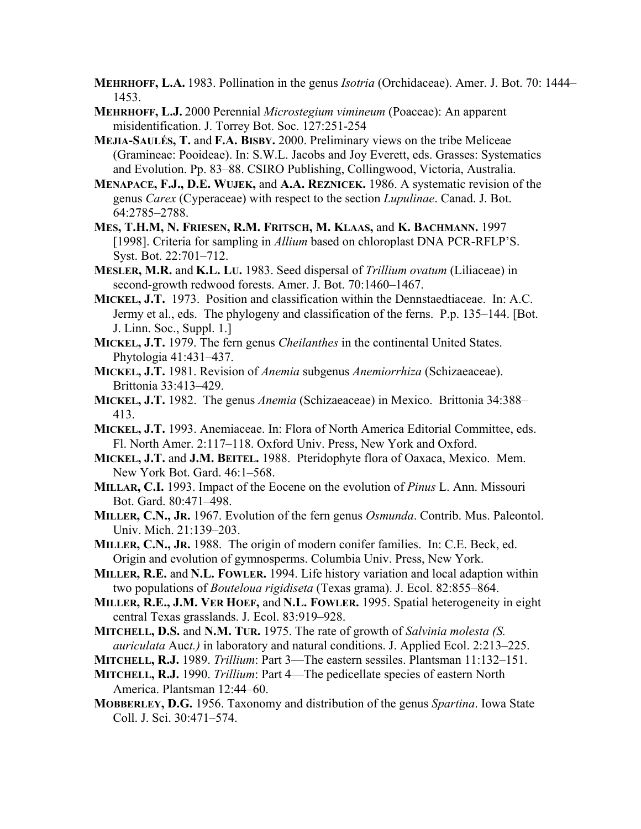- **MEHRHOFF, L.A.** 1983. Pollination in the genus *Isotria* (Orchidaceae). Amer. J. Bot. 70: 1444– 1453.
- **MEHRHOFF, L.J.** 2000 Perennial *Microstegium vimineum* (Poaceae): An apparent misidentification. J. Torrey Bot. Soc. 127:251-254
- **MEJIA-SAULÉS, T.** and **F.A. BISBY.** 2000. Preliminary views on the tribe Meliceae (Gramineae: Pooideae). In: S.W.L. Jacobs and Joy Everett, eds. Grasses: Systematics and Evolution. Pp. 83–88. CSIRO Publishing, Collingwood, Victoria, Australia.
- **MENAPACE, F.J., D.E. WUJEK,** and **A.A. REZNICEK.** 1986. A systematic revision of the genus *Carex* (Cyperaceae) with respect to the section *Lupulinae*. Canad. J. Bot. 64:2785–2788.
- **MES, T.H.M, N. FRIESEN, R.M. FRITSCH, M. KLAAS,** and **K. BACHMANN.** 1997 [1998]. Criteria for sampling in *Allium* based on chloroplast DNA PCR-RFLP'S. Syst. Bot. 22:701–712.
- **MESLER, M.R.** and **K.L. LU.** 1983. Seed dispersal of *Trillium ovatum* (Liliaceae) in second-growth redwood forests. Amer. J. Bot. 70:1460–1467.
- **MICKEL, J.T.** 1973. Position and classification within the Dennstaedtiaceae. In: A.C. Jermy et al., eds. The phylogeny and classification of the ferns. P.p. 135–144. [Bot. J. Linn. Soc., Suppl. 1.]
- **MICKEL, J.T.** 1979. The fern genus *Cheilanthes* in the continental United States. Phytologia 41:431–437.
- **MICKEL, J.T.** 1981. Revision of *Anemia* subgenus *Anemiorrhiza* (Schizaeaceae). Brittonia 33:413–429.
- **MICKEL, J.T.** 1982. The genus *Anemia* (Schizaeaceae) in Mexico. Brittonia 34:388– 413.
- **MICKEL, J.T.** 1993. Anemiaceae. In: Flora of North America Editorial Committee, eds. Fl. North Amer. 2:117–118. Oxford Univ. Press, New York and Oxford.
- **MICKEL, J.T.** and **J.M. BEITEL.** 1988. Pteridophyte flora of Oaxaca, Mexico. Mem. New York Bot. Gard. 46:1–568.
- **MILLAR, C.I.** 1993. Impact of the Eocene on the evolution of *Pinus* L. Ann. Missouri Bot. Gard. 80:471–498.
- **MILLER, C.N., JR.** 1967. Evolution of the fern genus *Osmunda*. Contrib. Mus. Paleontol. Univ. Mich. 21:139–203.
- **MILLER, C.N., JR.** 1988. The origin of modern conifer families. In: C.E. Beck, ed. Origin and evolution of gymnosperms. Columbia Univ. Press, New York.
- **MILLER, R.E.** and **N.L. FOWLER.** 1994. Life history variation and local adaption within two populations of *Bouteloua rigidiseta* (Texas grama). J. Ecol. 82:855–864.
- **MILLER, R.E., J.M. VER HOEF,** and **N.L. FOWLER.** 1995. Spatial heterogeneity in eight central Texas grasslands. J. Ecol. 83:919–928.
- **MITCHELL, D.S.** and **N.M. TUR.** 1975. The rate of growth of *Salvinia molesta (S. auriculata* Auc*t.)* in laboratory and natural conditions. J. Applied Ecol. 2:213–225.
- **MITCHELL, R.J.** 1989. *Trillium*: Part 3—The eastern sessiles. Plantsman 11:132–151.
- **MITCHELL, R.J.** 1990. *Trillium*: Part 4—The pedicellate species of eastern North America. Plantsman 12:44–60.
- **MOBBERLEY, D.G.** 1956. Taxonomy and distribution of the genus *Spartina*. Iowa State Coll. J. Sci. 30:471–574.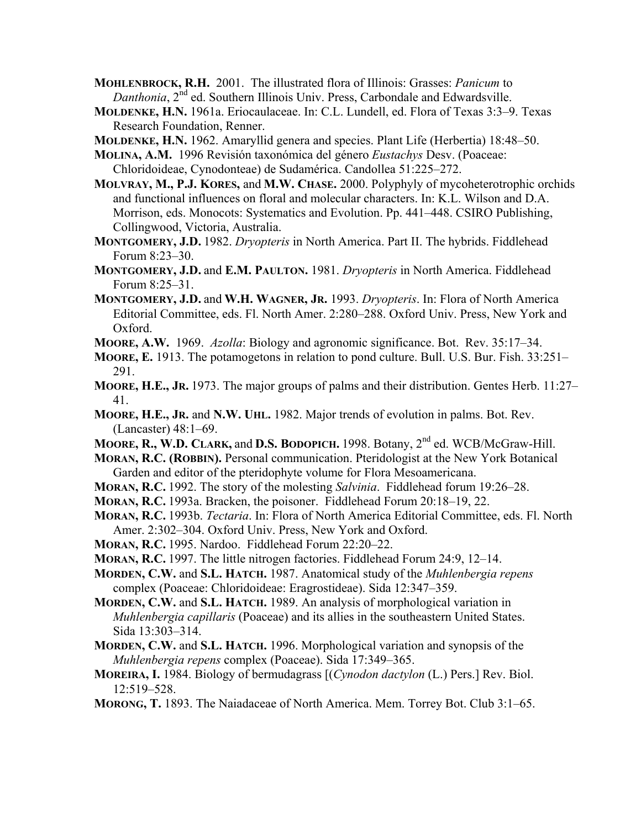**MOHLENBROCK, R.H.** 2001. The illustrated flora of Illinois: Grasses: *Panicum* to *Danthonia*, 2<sup>nd</sup> ed. Southern Illinois Univ. Press, Carbondale and Edwardsville.

- **MOLDENKE, H.N.** 1961a. Eriocaulaceae. In: C.L. Lundell, ed. Flora of Texas 3:3–9. Texas Research Foundation, Renner.
- **MOLDENKE, H.N.** 1962. Amaryllid genera and species. Plant Life (Herbertia) 18:48–50.
- **MOLINA, A.M.** 1996 Revisión taxonómica del género *Eustachys* Desv. (Poaceae: Chloridoideae, Cynodonteae) de Sudamérica. Candollea 51:225–272.
- **MOLVRAY, M., P.J. KORES,** and **M.W. CHASE.** 2000. Polyphyly of mycoheterotrophic orchids and functional influences on floral and molecular characters. In: K.L. Wilson and D.A. Morrison, eds. Monocots: Systematics and Evolution. Pp. 441–448. CSIRO Publishing, Collingwood, Victoria, Australia.
- **MONTGOMERY, J.D.** 1982. *Dryopteris* in North America. Part II. The hybrids. Fiddlehead Forum 8:23–30.
- **MONTGOMERY, J.D.** and **E.M. PAULTON.** 1981. *Dryopteris* in North America. Fiddlehead Forum 8:25–31.
- **MONTGOMERY, J.D.** and **W.H. WAGNER, JR.** 1993. *Dryopteris*. In: Flora of North America Editorial Committee, eds. Fl. North Amer. 2:280–288. Oxford Univ. Press, New York and Oxford.
- **MOORE, A.W.** 1969. *Azolla*: Biology and agronomic significance. Bot. Rev. 35:17–34.
- **MOORE, E.** 1913. The potamogetons in relation to pond culture. Bull. U.S. Bur. Fish. 33:251– 291.
- **MOORE, H.E., JR.** 1973. The major groups of palms and their distribution. Gentes Herb. 11:27– 41.
- **MOORE, H.E., JR.** and **N.W. UHL.** 1982. Major trends of evolution in palms. Bot. Rev. (Lancaster) 48:1–69.
- **MOORE, R., W.D. CLARK,** and **D.S. BODOPICH.** 1998. Botany, 2nd ed. WCB/McGraw-Hill.
- **MORAN, R.C. (ROBBIN).** Personal communication. Pteridologist at the New York Botanical Garden and editor of the pteridophyte volume for Flora Mesoamericana.
- **MORAN, R.C.** 1992. The story of the molesting *Salvinia*. Fiddlehead forum 19:26–28.
- **MORAN, R.C.** 1993a. Bracken, the poisoner. Fiddlehead Forum 20:18–19, 22.
- **MORAN, R.C.** 1993b. *Tectaria*. In: Flora of North America Editorial Committee, eds. Fl. North Amer. 2:302–304. Oxford Univ. Press, New York and Oxford.
- **MORAN, R.C.** 1995. Nardoo. Fiddlehead Forum 22:20–22.
- **MORAN, R.C.** 1997. The little nitrogen factories. Fiddlehead Forum 24:9, 12–14.
- **MORDEN, C.W.** and **S.L. HATCH.** 1987. Anatomical study of the *Muhlenbergia repens* complex (Poaceae: Chloridoideae: Eragrostideae). Sida 12:347–359.
- **MORDEN, C.W.** and **S.L. HATCH.** 1989. An analysis of morphological variation in *Muhlenbergia capillaris* (Poaceae) and its allies in the southeastern United States. Sida 13:303–314.
- **MORDEN, C.W.** and **S.L. HATCH.** 1996. Morphological variation and synopsis of the *Muhlenbergia repens* complex (Poaceae). Sida 17:349–365.
- **MOREIRA, I.** 1984. Biology of bermudagrass [(*Cynodon dactylon* (L.) Pers.] Rev. Biol. 12:519–528.
- **MORONG, T.** 1893. The Naiadaceae of North America. Mem. Torrey Bot. Club 3:1–65.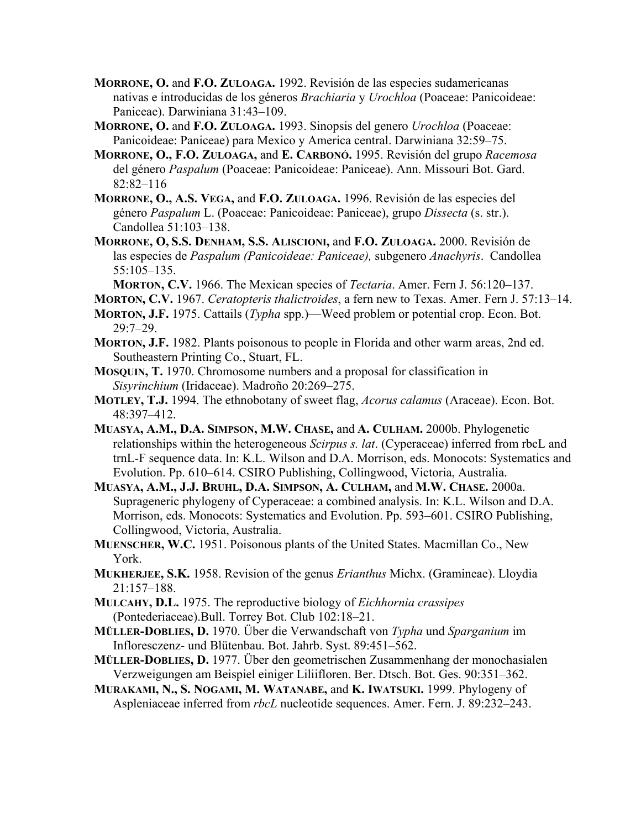- **MORRONE, O.** and **F.O. ZULOAGA.** 1992. Revisión de las especies sudamericanas nativas e introducidas de los géneros *Brachiaria* y *Urochloa* (Poaceae: Panicoideae: Paniceae). Darwiniana 31:43–109.
- **MORRONE, O.** and **F.O. ZULOAGA.** 1993. Sinopsis del genero *Urochloa* (Poaceae: Panicoideae: Paniceae) para Mexico y America central. Darwiniana 32:59–75.
- **MORRONE, O., F.O. ZULOAGA,** and **E. CARBONÓ.** 1995. Revisión del grupo *Racemosa* del género *Paspalum* (Poaceae: Panicoideae: Paniceae). Ann. Missouri Bot. Gard. 82:82–116
- **MORRONE, O., A.S. VEGA,** and **F.O. ZULOAGA.** 1996. Revisión de las especies del género *Paspalum* L. (Poaceae: Panicoideae: Paniceae), grupo *Dissecta* (s. str.). Candollea 51:103–138.
- **MORRONE, O, S.S. DENHAM, S.S. ALISCIONI,** and **F.O. ZULOAGA.** 2000. Revisión de las especies de *Paspalum (Panicoideae: Paniceae),* subgenero *Anachyris*. Candollea 55:105–135.

**MORTON, C.V.** 1966. The Mexican species of *Tectaria*. Amer. Fern J. 56:120–137.

- **MORTON, C.V.** 1967. *Ceratopteris thalictroides*, a fern new to Texas. Amer. Fern J. 57:13–14.
- **MORTON, J.F.** 1975. Cattails (*Typha* spp.)—Weed problem or potential crop. Econ. Bot. 29:7–29.
- **MORTON, J.F.** 1982. Plants poisonous to people in Florida and other warm areas, 2nd ed. Southeastern Printing Co., Stuart, FL.
- **MOSQUIN, T.** 1970. Chromosome numbers and a proposal for classification in *Sisyrinchium* (Iridaceae). Madroño 20:269–275.
- **MOTLEY, T.J.** 1994. The ethnobotany of sweet flag, *Acorus calamus* (Araceae). Econ. Bot. 48:397–412.
- **MUASYA, A.M., D.A. SIMPSON, M.W. CHASE,** and **A. CULHAM.** 2000b. Phylogenetic relationships within the heterogeneous *Scirpus s. lat*. (Cyperaceae) inferred from rbcL and trnL-F sequence data. In: K.L. Wilson and D.A. Morrison, eds. Monocots: Systematics and Evolution. Pp. 610–614. CSIRO Publishing, Collingwood, Victoria, Australia.
- **MUASYA, A.M., J.J. BRUHL, D.A. SIMPSON, A. CULHAM,** and **M.W. CHASE.** 2000a. Suprageneric phylogeny of Cyperaceae: a combined analysis. In: K.L. Wilson and D.A. Morrison, eds. Monocots: Systematics and Evolution. Pp. 593–601. CSIRO Publishing, Collingwood, Victoria, Australia.
- **MUENSCHER, W.C.** 1951. Poisonous plants of the United States. Macmillan Co., New York.
- **MUKHERJEE, S.K.** 1958. Revision of the genus *Erianthus* Michx. (Gramineae). Lloydia 21:157–188.
- **MULCAHY, D.L.** 1975. The reproductive biology of *Eichhornia crassipes* (Pontederiaceae).Bull. Torrey Bot. Club 102:18–21.
- **MÜLLER-DOBLIES, D.** 1970. Über die Verwandschaft von *Typha* und *Sparganium* im Infloresczenz- und Blütenbau. Bot. Jahrb. Syst. 89:451–562.
- **MÜLLER-DOBLIES, D.** 1977. Über den geometrischen Zusammenhang der monochasialen Verzweigungen am Beispiel einiger Liliifloren. Ber. Dtsch. Bot. Ges. 90:351–362.
- **MURAKAMI, N., S. NOGAMI, M. WATANABE,** and **K. IWATSUKI.** 1999. Phylogeny of Aspleniaceae inferred from *rbcL* nucleotide sequences. Amer. Fern. J. 89:232–243.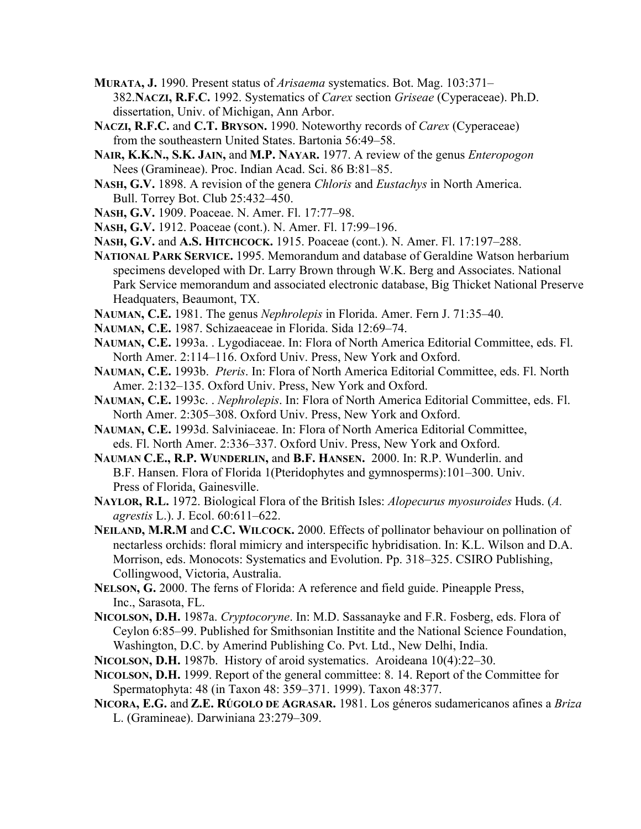- **MURATA, J.** 1990. Present status of *Arisaema* systematics. Bot. Mag. 103:371– 382.**NACZI, R.F.C.** 1992. Systematics of *Carex* section *Griseae* (Cyperaceae). Ph.D. dissertation, Univ. of Michigan, Ann Arbor.
- **NACZI, R.F.C.** and **C.T. BRYSON.** 1990. Noteworthy records of *Carex* (Cyperaceae) from the southeastern United States. Bartonia 56:49–58.
- **NAIR, K.K.N., S.K. JAIN,** and **M.P. NAYAR.** 1977. A review of the genus *Enteropogon* Nees (Gramineae). Proc. Indian Acad. Sci. 86 B:81–85.
- **NASH, G.V.** 1898. A revision of the genera *Chloris* and *Eustachys* in North America. Bull. Torrey Bot. Club 25:432–450.
- **NASH, G.V.** 1909. Poaceae. N. Amer. Fl. 17:77–98.
- **NASH, G.V.** 1912. Poaceae (cont.). N. Amer. Fl. 17:99–196.
- **NASH, G.V.** and **A.S. HITCHCOCK.** 1915. Poaceae (cont.). N. Amer. Fl. 17:197–288.
- **NATIONAL PARK SERVICE.** 1995. Memorandum and database of Geraldine Watson herbarium specimens developed with Dr. Larry Brown through W.K. Berg and Associates. National Park Service memorandum and associated electronic database, Big Thicket National Preserve Headquaters, Beaumont, TX.
- **NAUMAN, C.E.** 1981. The genus *Nephrolepis* in Florida. Amer. Fern J. 71:35–40.
- **NAUMAN, C.E.** 1987. Schizaeaceae in Florida. Sida 12:69–74.
- **NAUMAN, C.E.** 1993a. . Lygodiaceae. In: Flora of North America Editorial Committee, eds. Fl. North Amer. 2:114–116. Oxford Univ. Press, New York and Oxford.
- **NAUMAN, C.E.** 1993b. *Pteris*. In: Flora of North America Editorial Committee, eds. Fl. North Amer. 2:132–135. Oxford Univ. Press, New York and Oxford.
- **NAUMAN, C.E.** 1993c. . *Nephrolepis*. In: Flora of North America Editorial Committee, eds. Fl. North Amer. 2:305–308. Oxford Univ. Press, New York and Oxford.
- **NAUMAN, C.E.** 1993d. Salviniaceae. In: Flora of North America Editorial Committee, eds. Fl. North Amer. 2:336–337. Oxford Univ. Press, New York and Oxford.
- **NAUMAN C.E., R.P. WUNDERLIN,** and **B.F. HANSEN.** 2000. In: R.P. Wunderlin. and B.F. Hansen. Flora of Florida 1(Pteridophytes and gymnosperms):101–300. Univ. Press of Florida, Gainesville.
- **NAYLOR, R.L.** 1972. Biological Flora of the British Isles: *Alopecurus myosuroides* Huds. (*A. agrestis* L.). J. Ecol. 60:611–622.
- **NEILAND, M.R.M** and **C.C. WILCOCK.** 2000. Effects of pollinator behaviour on pollination of nectarless orchids: floral mimicry and interspecific hybridisation. In: K.L. Wilson and D.A. Morrison, eds. Monocots: Systematics and Evolution. Pp. 318–325. CSIRO Publishing, Collingwood, Victoria, Australia.
- **NELSON, G.** 2000. The ferns of Florida: A reference and field guide. Pineapple Press, Inc., Sarasota, FL.
- **NICOLSON, D.H.** 1987a. *Cryptocoryne*. In: M.D. Sassanayke and F.R. Fosberg, eds. Flora of Ceylon 6:85–99. Published for Smithsonian Institite and the National Science Foundation, Washington, D.C. by Amerind Publishing Co. Pvt. Ltd., New Delhi, India.
- **NICOLSON, D.H.** 1987b. History of aroid systematics. Aroideana 10(4):22–30.
- **NICOLSON, D.H.** 1999. Report of the general committee: 8. 14. Report of the Committee for Spermatophyta: 48 (in Taxon 48: 359–371. 1999). Taxon 48:377.
- **NICORA, E.G.** and **Z.E. RÚGOLO DE AGRASAR.** 1981. Los géneros sudamericanos afines a *Briza* L. (Gramineae). Darwiniana 23:279–309.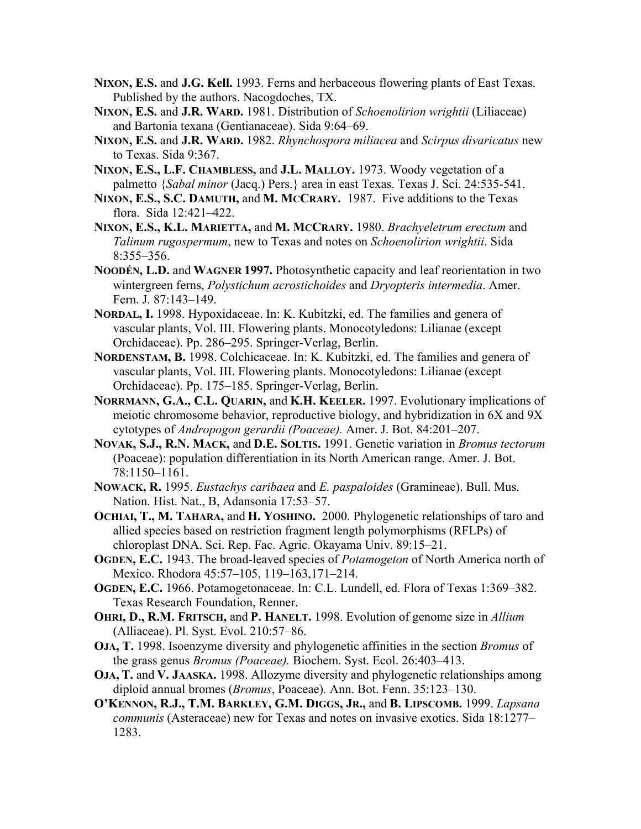- **NIXON, E.S.** and **J.G. Kell.** 1993. Ferns and herbaceous flowering plants of East Texas. Published by the authors. Nacogdoches, TX.
- **NIXON, E.S.** and **J.R. WARD.** 1981. Distribution of *Schoenolirion wrightii* (Liliaceae) and Bartonia texana (Gentianaceae). Sida 9:64–69.
- **NIXON, E.S.** and **J.R. WARD.** 1982. *Rhynchospora miliacea* and *Scirpus divaricatus* new to Texas. Sida 9:367.
- **NIXON, E.S., L.F. CHAMBLESS,** and **J.L. MALLOY.** 1973. Woody vegetation of a palmetto {*Sabal minor* (Jacq.) Pers.} area in east Texas. Texas J. Sci. 24:535-541.
- **NIXON, E.S., S.C. DAMUTH,** and **M. MCCRARY.** 1987. Five additions to the Texas flora. Sida 12:421–422.
- **NIXON, E.S., K.L. MARIETTA,** and **M. MCCRARY.** 1980. *Brachyeletrum erectum* and *Talinum rugospermum*, new to Texas and notes on *Schoenolirion wrightii*. Sida 8:355–356.
- **NOODÉN, L.D.** and **WAGNER 1997.** Photosynthetic capacity and leaf reorientation in two wintergreen ferns, *Polystichum acrostichoides* and *Dryopteris intermedia*. Amer. Fern. J. 87:143–149.
- **NORDAL, I.** 1998. Hypoxidaceae. In: K. Kubitzki, ed. The families and genera of vascular plants, Vol. III. Flowering plants. Monocotyledons: Lilianae (except Orchidaceae). Pp. 286–295. Springer-Verlag, Berlin.
- **NORDENSTAM, B.** 1998. Colchicaceae. In: K. Kubitzki, ed. The families and genera of vascular plants, Vol. III. Flowering plants. Monocotyledons: Lilianae (except Orchidaceae). Pp. 175–185. Springer-Verlag, Berlin.
- **NORRMANN, G.A., C.L. QUARIN,** and **K.H. KEELER.** 1997. Evolutionary implications of meiotic chromosome behavior, reproductive biology, and hybridization in 6X and 9X cytotypes of *Andropogon gerardii (Poaceae).* Amer. J. Bot. 84:201–207.
- **NOVAK, S.J., R.N. MACK,** and **D.E. SOLTIS.** 1991. Genetic variation in *Bromus tectorum* (Poaceae): population differentiation in its North American range. Amer. J. Bot. 78:1150–1161.
- **NOWACK, R.** 1995. *Eustachys caribaea* and *E. paspaloides* (Gramineae). Bull. Mus. Nation. Hist. Nat., B, Adansonia 17:53–57.
- **OCHIAI, T., M. TAHARA,** and **H. YOSHINO.** 2000. Phylogenetic relationships of taro and allied species based on restriction fragment length polymorphisms (RFLPs) of chloroplast DNA. Sci. Rep. Fac. Agric. Okayama Univ. 89:15–21.
- **OGDEN, E.C.** 1943. The broad-leaved species of *Potamogeton* of North America north of Mexico. Rhodora 45:57–105, 119–163,171–214.
- **OGDEN, E.C.** 1966. Potamogetonaceae. In: C.L. Lundell, ed. Flora of Texas 1:369–382. Texas Research Foundation, Renner.
- **OHRI, D., R.M. FRITSCH,** and **P. HANELT.** 1998. Evolution of genome size in *Allium* (Alliaceae). Pl. Syst. Evol. 210:57–86.
- **OJA, T.** 1998. Isoenzyme diversity and phylogenetic affinities in the section *Bromus* of the grass genus *Bromus (Poaceae).* Biochem. Syst. Ecol. 26:403–413.
- **OJA, T.** and **V. JAASKA.** 1998. Allozyme diversity and phylogenetic relationships among diploid annual bromes (*Bromus*, Poaceae)*.* Ann. Bot. Fenn. 35:123–130.
- **O'KENNON, R.J., T.M. BARKLEY, G.M. DIGGS, JR.,** and **B. LIPSCOMB.** 1999. *Lapsana communis* (Asteraceae) new for Texas and notes on invasive exotics. Sida 18:1277– 1283.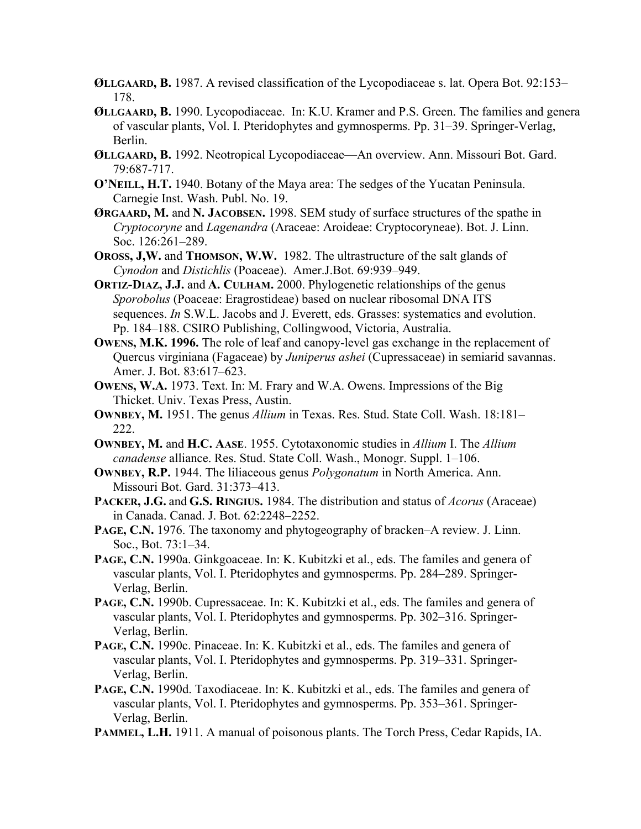- **ØLLGAARD, B.** 1987. A revised classification of the Lycopodiaceae s. lat. Opera Bot. 92:153– 178.
- **ØLLGAARD, B.** 1990. Lycopodiaceae. In: K.U. Kramer and P.S. Green. The families and genera of vascular plants, Vol. I. Pteridophytes and gymnosperms. Pp. 31–39. Springer-Verlag, Berlin.
- **ØLLGAARD, B.** 1992. Neotropical Lycopodiaceae—An overview. Ann. Missouri Bot. Gard. 79:687-717.
- **O'NEILL, H.T.** 1940. Botany of the Maya area: The sedges of the Yucatan Peninsula. Carnegie Inst. Wash. Publ. No. 19.
- **ØRGAARD, M.** and **N. JACOBSEN.** 1998. SEM study of surface structures of the spathe in *Cryptocoryne* and *Lagenandra* (Araceae: Aroideae: Cryptocoryneae). Bot. J. Linn. Soc. 126:261-289.
- **OROSS, J,W.** and **THOMSON, W.W.** 1982. The ultrastructure of the salt glands of *Cynodon* and *Distichlis* (Poaceae). Amer.J.Bot. 69:939–949.
- **ORTIZ-DIAZ, J.J.** and **A. CULHAM.** 2000. Phylogenetic relationships of the genus *Sporobolus* (Poaceae: Eragrostideae) based on nuclear ribosomal DNA ITS sequences. *In* S.W.L. Jacobs and J. Everett, eds. Grasses: systematics and evolution. Pp. 184–188. CSIRO Publishing, Collingwood, Victoria, Australia.
- **OWENS, M.K. 1996.** The role of leaf and canopy-level gas exchange in the replacement of Quercus virginiana (Fagaceae) by *Juniperus ashei* (Cupressaceae) in semiarid savannas. Amer. J. Bot. 83:617–623.
- **OWENS, W.A.** 1973. Text. In: M. Frary and W.A. Owens. Impressions of the Big Thicket. Univ. Texas Press, Austin.
- **OWNBEY, M.** 1951. The genus *Allium* in Texas. Res. Stud. State Coll. Wash. 18:181– 222.
- **OWNBEY, M.** and **H.C. AASE**. 1955. Cytotaxonomic studies in *Allium* I. The *Allium canadense* alliance. Res. Stud. State Coll. Wash., Monogr. Suppl. 1–106.
- **OWNBEY, R.P.** 1944. The liliaceous genus *Polygonatum* in North America. Ann. Missouri Bot. Gard. 31:373–413.
- **PACKER, J.G.** and **G.S. RINGIUS.** 1984. The distribution and status of *Acorus* (Araceae) in Canada. Canad. J. Bot. 62:2248–2252.
- **PAGE, C.N.** 1976. The taxonomy and phytogeography of bracken–A review. J. Linn. Soc., Bot. 73:1–34.
- PAGE, C.N. 1990a. Ginkgoaceae. In: K. Kubitzki et al., eds. The familes and genera of vascular plants, Vol. I. Pteridophytes and gymnosperms. Pp. 284–289. Springer-Verlag, Berlin.
- PAGE, C.N. 1990b. Cupressaceae. In: K. Kubitzki et al., eds. The familes and genera of vascular plants, Vol. I. Pteridophytes and gymnosperms. Pp. 302–316. Springer-Verlag, Berlin.
- PAGE, C.N. 1990c. Pinaceae. In: K. Kubitzki et al., eds. The familes and genera of vascular plants, Vol. I. Pteridophytes and gymnosperms. Pp. 319–331. Springer-Verlag, Berlin.
- **PAGE, C.N.** 1990d. Taxodiaceae. In: K. Kubitzki et al., eds. The familes and genera of vascular plants, Vol. I. Pteridophytes and gymnosperms. Pp. 353–361. Springer-Verlag, Berlin.
- **PAMMEL, L.H.** 1911. A manual of poisonous plants. The Torch Press, Cedar Rapids, IA.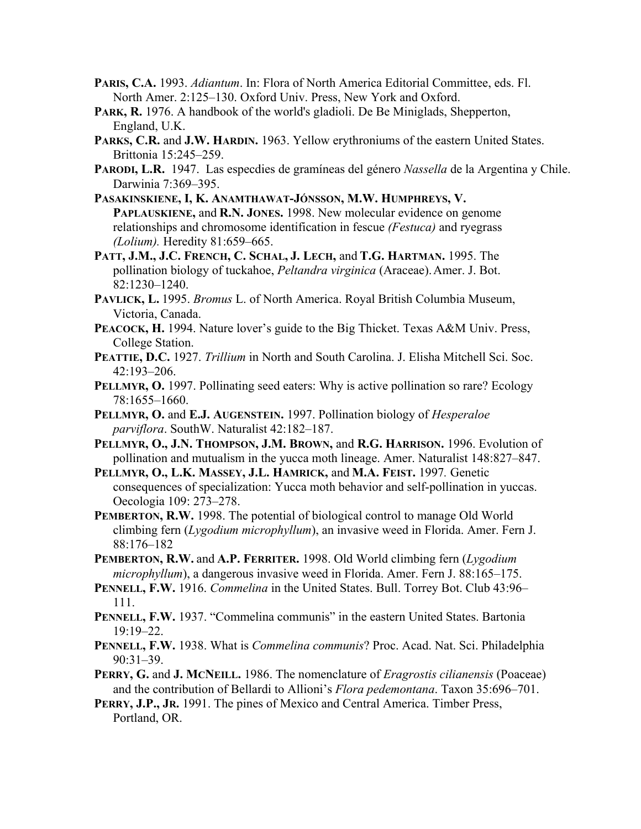- **PARIS, C.A.** 1993. *Adiantum*. In: Flora of North America Editorial Committee, eds. Fl. North Amer. 2:125–130. Oxford Univ. Press, New York and Oxford.
- PARK, R. 1976. A handbook of the world's gladioli. De Be Miniglads, Shepperton, England, U.K.
- **PARKS, C.R.** and **J.W. HARDIN.** 1963. Yellow erythroniums of the eastern United States. Brittonia 15:245–259.
- **PARODI, L.R.** 1947. Las especdies de gramíneas del género *Nassella* de la Argentina y Chile. Darwinia 7:369–395.
- **PASAKINSKIENE, I, K. ANAMTHAWAT-JÓNSSON, M.W. HUMPHREYS, V. PAPLAUSKIENE,** and **R.N. JONES.** 1998. New molecular evidence on genome relationships and chromosome identification in fescue *(Festuca)* and ryegrass *(Lolium).* Heredity 81:659–665.
- **PATT, J.M., J.C. FRENCH, C. SCHAL, J. LECH,** and **T.G. HARTMAN.** 1995. The pollination biology of tuckahoe, *Peltandra virginica* (Araceae). Amer. J. Bot. 82:1230–1240.
- **PAVLICK, L.** 1995. *Bromus* L. of North America. Royal British Columbia Museum, Victoria, Canada.
- PEACOCK, H. 1994. Nature lover's guide to the Big Thicket. Texas A&M Univ. Press, College Station.
- **PEATTIE, D.C.** 1927. *Trillium* in North and South Carolina. J. Elisha Mitchell Sci. Soc. 42:193–206.
- **PELLMYR, O.** 1997. Pollinating seed eaters: Why is active pollination so rare? Ecology 78:1655–1660.
- **PELLMYR, O.** and **E.J. AUGENSTEIN.** 1997. Pollination biology of *Hesperaloe parviflora*. SouthW. Naturalist 42:182–187.
- **PELLMYR, O., J.N. THOMPSON, J.M. BROWN,** and **R.G. HARRISON.** 1996. Evolution of pollination and mutualism in the yucca moth lineage. Amer. Naturalist 148:827–847.
- **PELLMYR, O., L.K. MASSEY, J.L. HAMRICK,** and **M.A. FEIST.** 1997*.* Genetic consequences of specialization: Yucca moth behavior and self-pollination in yuccas. Oecologia 109: 273–278.
- **PEMBERTON, R.W.** 1998. The potential of biological control to manage Old World climbing fern (*Lygodium microphyllum*), an invasive weed in Florida. Amer. Fern J. 88:176–182
- **PEMBERTON, R.W.** and **A.P. FERRITER.** 1998. Old World climbing fern (*Lygodium microphyllum*), a dangerous invasive weed in Florida. Amer. Fern J. 88:165–175.
- **PENNELL, F.W.** 1916. *Commelina* in the United States. Bull. Torrey Bot. Club 43:96– 111.
- PENNELL, F.W. 1937. "Commelina communis" in the eastern United States. Bartonia 19:19–22.
- **PENNELL, F.W.** 1938. What is *Commelina communis*? Proc. Acad. Nat. Sci. Philadelphia 90:31–39.
- **PERRY, G.** and **J. MCNEILL.** 1986. The nomenclature of *Eragrostis cilianensis* (Poaceae) and the contribution of Bellardi to Allioni's *Flora pedemontana*. Taxon 35:696–701.
- **PERRY, J.P., JR.** 1991. The pines of Mexico and Central America. Timber Press, Portland, OR.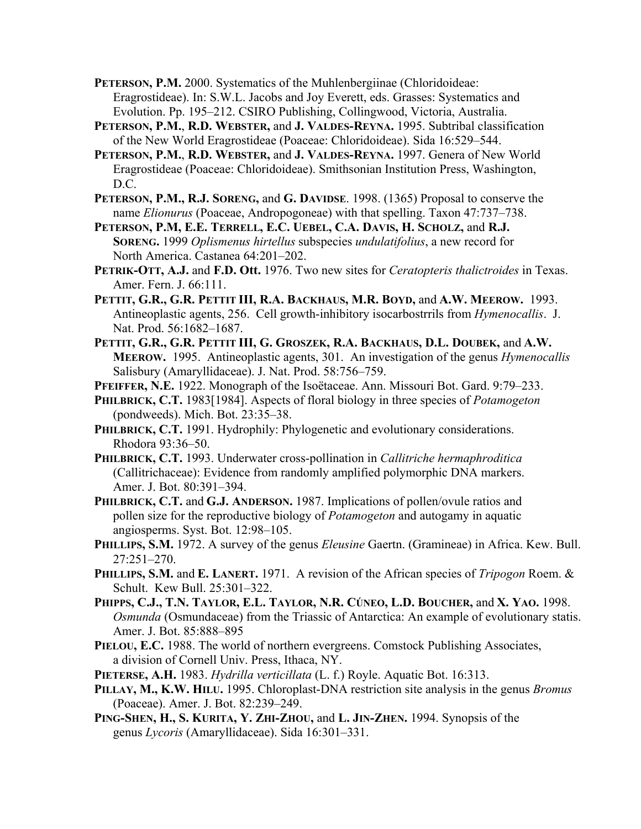**PETERSON, P.M.** 2000. Systematics of the Muhlenbergiinae (Chloridoideae: Eragrostideae). In: S.W.L. Jacobs and Joy Everett, eds. Grasses: Systematics and Evolution. Pp. 195–212. CSIRO Publishing, Collingwood, Victoria, Australia.

**PETERSON, P.M.**, **R.D. WEBSTER,** and **J. VALDES-REYNA.** 1995. Subtribal classification of the New World Eragrostideae (Poaceae: Chloridoideae). Sida 16:529–544.

**PETERSON, P.M.**, **R.D. WEBSTER,** and **J. VALDES-REYNA.** 1997. Genera of New World Eragrostideae (Poaceae: Chloridoideae). Smithsonian Institution Press, Washington, D.C.

**PETERSON, P.M., R.J. SORENG,** and **G. DAVIDSE**. 1998. (1365) Proposal to conserve the name *Elionurus* (Poaceae, Andropogoneae) with that spelling. Taxon 47:737–738.

**PETERSON, P.M, E.E. TERRELL, E.C. UEBEL, C.A. DAVIS, H. SCHOLZ,** and **R.J. SORENG.** 1999 *Oplismenus hirtellus* subspecies *undulatifolius*, a new record for North America. Castanea 64:201–202.

**PETRIK-OTT, A.J.** and **F.D. Ott.** 1976. Two new sites for *Ceratopteris thalictroides* in Texas. Amer. Fern. J. 66:111.

- **PETTIT, G.R., G.R. PETTIT III, R.A. BACKHAUS, M.R. BOYD,** and **A.W. MEEROW.** 1993. Antineoplastic agents, 256. Cell growth-inhibitory isocarbostrrils from *Hymenocallis*. J. Nat. Prod. 56:1682–1687.
- **PETTIT, G.R., G.R. PETTIT III, G. GROSZEK, R.A. BACKHAUS, D.L. DOUBEK,** and **A.W. MEEROW.** 1995. Antineoplastic agents, 301. An investigation of the genus *Hymenocallis* Salisbury (Amaryllidaceae). J. Nat. Prod. 58:756–759.

**PFEIFFER, N.E.** 1922. Monograph of the Isoëtaceae. Ann. Missouri Bot. Gard. 9:79–233.

**PHILBRICK, C.T.** 1983[1984]. Aspects of floral biology in three species of *Potamogeton* (pondweeds). Mich. Bot. 23:35–38.

PHILBRICK, C.T. 1991. Hydrophily: Phylogenetic and evolutionary considerations. Rhodora 93:36–50.

**PHILBRICK, C.T.** 1993. Underwater cross-pollination in *Callitriche hermaphroditica* (Callitrichaceae): Evidence from randomly amplified polymorphic DNA markers. Amer. J. Bot. 80:391–394.

**PHILBRICK, C.T.** and **G.J. ANDERSON.** 1987. Implications of pollen/ovule ratios and pollen size for the reproductive biology of *Potamogeton* and autogamy in aquatic angiosperms. Syst. Bot. 12:98–105.

**PHILLIPS, S.M.** 1972. A survey of the genus *Eleusine* Gaertn. (Gramineae) in Africa. Kew. Bull. 27:251–270.

**PHILLIPS, S.M.** and **E. LANERT.** 1971. A revision of the African species of *Tripogon* Roem. & Schult. Kew Bull. 25:301–322.

- **PHIPPS, C.J., T.N. TAYLOR, E.L. TAYLOR, N.R. CÚNEO, L.D. BOUCHER,** and **X. YAO.** 1998. *Osmunda* (Osmundaceae) from the Triassic of Antarctica: An example of evolutionary statis. Amer. J. Bot. 85:888-895
- PIELOU, E.C. 1988. The world of northern evergreens. Comstock Publishing Associates, a division of Cornell Univ. Press, Ithaca, NY.

**PIETERSE, A.H.** 1983. *Hydrilla verticillata* (L. f.) Royle. Aquatic Bot. 16:313.

- **PILLAY, M., K.W. HILU.** 1995. Chloroplast-DNA restriction site analysis in the genus *Bromus* (Poaceae). Amer. J. Bot. 82:239–249.
- **PING-SHEN, H., S. KURITA, Y. ZHI-ZHOU,** and **L. JIN-ZHEN.** 1994. Synopsis of the genus *Lycoris* (Amaryllidaceae). Sida 16:301–331.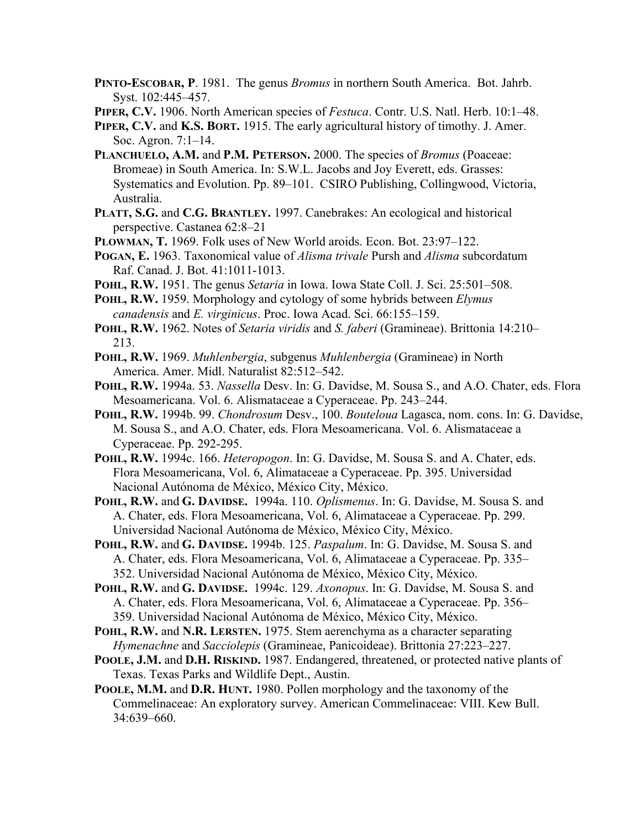**PINTO-ESCOBAR, P**. 1981. The genus *Bromus* in northern South America. Bot. Jahrb. Syst. 102:445–457.

**PIPER, C.V.** 1906. North American species of *Festuca*. Contr. U.S. Natl. Herb. 10:1–48.

- **PIPER, C.V.** and **K.S. BORT.** 1915. The early agricultural history of timothy. J. Amer. Soc. Agron. 7:1–14.
- **PLANCHUELO, A.M.** and **P.M. PETERSON.** 2000. The species of *Bromus* (Poaceae: Bromeae) in South America. In: S.W.L. Jacobs and Joy Everett, eds. Grasses: Systematics and Evolution. Pp. 89–101. CSIRO Publishing, Collingwood, Victoria, Australia.
- **PLATT, S.G.** and **C.G. BRANTLEY.** 1997. Canebrakes: An ecological and historical perspective. Castanea 62:8–21
- **PLOWMAN, T.** 1969. Folk uses of New World aroids. Econ. Bot. 23:97–122.
- **POGAN, E.** 1963. Taxonomical value of *Alisma trivale* Pursh and *Alisma* subcordatum Raf. Canad. J. Bot. 41:1011-1013.
- **POHL, R.W.** 1951. The genus *Setaria* in Iowa. Iowa State Coll. J. Sci. 25:501–508.
- **POHL, R.W.** 1959. Morphology and cytology of some hybrids between *Elymus canadensis* and *E. virginicus*. Proc. Iowa Acad. Sci. 66:155–159.
- **POHL, R.W.** 1962. Notes of *Setaria viridis* and *S. faberi* (Gramineae). Brittonia 14:210– 213.
- **POHL, R.W.** 1969. *Muhlenbergia*, subgenus *Muhlenbergia* (Gramineae) in North America. Amer. Midl. Naturalist 82:512–542.
- **POHL, R.W.** 1994a. 53. *Nassella* Desv. In: G. Davidse, M. Sousa S., and A.O. Chater, eds. Flora Mesoamericana. Vol. 6. Alismataceae a Cyperaceae. Pp. 243–244.
- **POHL, R.W.** 1994b. 99. *Chondrosum* Desv., 100. *Bouteloua* Lagasca, nom. cons. In: G. Davidse, M. Sousa S., and A.O. Chater, eds. Flora Mesoamericana. Vol. 6. Alismataceae a Cyperaceae. Pp. 292-295.
- **POHL, R.W.** 1994c. 166. *Heteropogon*. In: G. Davidse, M. Sousa S. and A. Chater, eds. Flora Mesoamericana, Vol. 6, Alimataceae a Cyperaceae. Pp. 395. Universidad Nacional Autónoma de México, México City, México.
- **POHL, R.W.** and **G. DAVIDSE.** 1994a. 110. *Oplismenus*. In: G. Davidse, M. Sousa S. and A. Chater, eds. Flora Mesoamericana, Vol. 6, Alimataceae a Cyperaceae. Pp. 299. Universidad Nacional Autónoma de México, México City, México.
- **POHL, R.W.** and **G. DAVIDSE.** 1994b. 125. *Paspalum*. In: G. Davidse, M. Sousa S. and A. Chater, eds. Flora Mesoamericana, Vol. 6, Alimataceae a Cyperaceae. Pp. 335– 352. Universidad Nacional Autónoma de México, México City, México.
- **POHL, R.W.** and **G. DAVIDSE.** 1994c. 129. *Axonopus*. In: G. Davidse, M. Sousa S. and A. Chater, eds. Flora Mesoamericana, Vol. 6, Alimataceae a Cyperaceae. Pp. 356– 359. Universidad Nacional Autónoma de México, México City, México.
- **POHL, R.W.** and **N.R. LERSTEN.** 1975. Stem aerenchyma as a character separating *Hymenachne* and *Sacciolepis* (Gramineae, Panicoideae). Brittonia 27:223–227.
- **POOLE, J.M.** and **D.H. RISKIND.** 1987. Endangered, threatened, or protected native plants of Texas. Texas Parks and Wildlife Dept., Austin.
- **POOLE, M.M.** and **D.R. HUNT.** 1980. Pollen morphology and the taxonomy of the Commelinaceae: An exploratory survey. American Commelinaceae: VIII. Kew Bull. 34:639–660.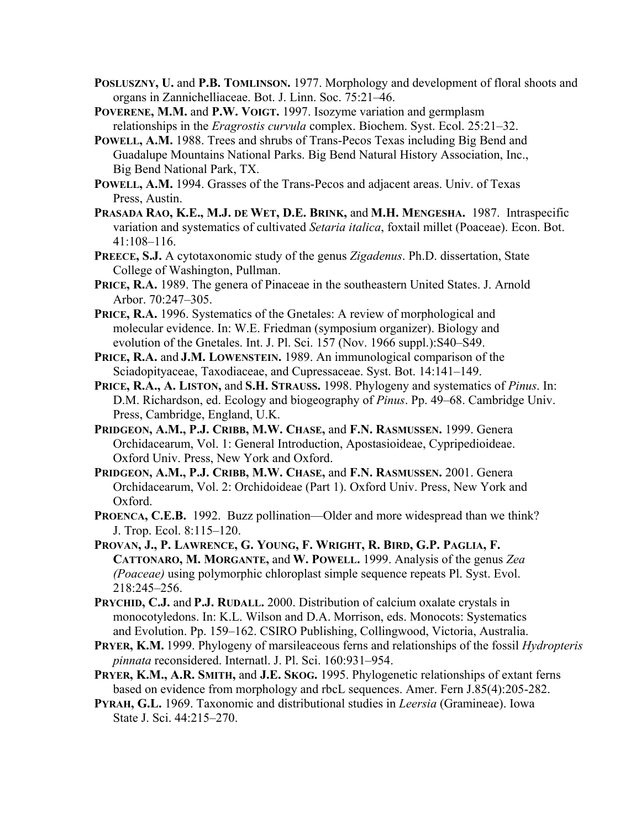- **POSLUSZNY, U.** and **P.B. TOMLINSON.** 1977. Morphology and development of floral shoots and organs in Zannichelliaceae. Bot. J. Linn. Soc. 75:21–46.
- **POVERENE, M.M.** and **P.W. VOIGT.** 1997. Isozyme variation and germplasm relationships in the *Eragrostis curvula* complex. Biochem. Syst. Ecol. 25:21–32.
- **POWELL, A.M.** 1988. Trees and shrubs of Trans-Pecos Texas including Big Bend and Guadalupe Mountains National Parks. Big Bend Natural History Association, Inc., Big Bend National Park, TX.
- **POWELL, A.M.** 1994. Grasses of the Trans-Pecos and adjacent areas. Univ. of Texas Press, Austin.
- **PRASADA RAO, K.E., M.J. DE WET, D.E. BRINK,** and **M.H. MENGESHA.** 1987. Intraspecific variation and systematics of cultivated *Setaria italica*, foxtail millet (Poaceae). Econ. Bot. 41:108–116.
- **PREECE, S.J.** A cytotaxonomic study of the genus *Zigadenus*. Ph.D. dissertation, State College of Washington, Pullman.
- PRICE, R.A. 1989. The genera of Pinaceae in the southeastern United States. J. Arnold Arbor. 70:247–305.
- PRICE, R.A. 1996. Systematics of the Gnetales: A review of morphological and molecular evidence. In: W.E. Friedman (symposium organizer). Biology and evolution of the Gnetales. Int. J. Pl. Sci. 157 (Nov. 1966 suppl.):S40–S49.
- **PRICE, R.A.** and **J.M. LOWENSTEIN.** 1989. An immunological comparison of the Sciadopityaceae, Taxodiaceae, and Cupressaceae. Syst. Bot. 14:141–149.
- **PRICE, R.A., A. LISTON,** and **S.H. STRAUSS.** 1998. Phylogeny and systematics of *Pinus*. In: D.M. Richardson, ed. Ecology and biogeography of *Pinus*. Pp. 49–68. Cambridge Univ. Press, Cambridge, England, U.K.
- **PRIDGEON, A.M., P.J. CRIBB, M.W. CHASE,** and **F.N. RASMUSSEN.** 1999. Genera Orchidacearum, Vol. 1: General Introduction, Apostasioideae, Cypripedioideae. Oxford Univ. Press, New York and Oxford.
- **PRIDGEON, A.M., P.J. CRIBB, M.W. CHASE,** and **F.N. RASMUSSEN.** 2001. Genera Orchidacearum, Vol. 2: Orchidoideae (Part 1). Oxford Univ. Press, New York and Oxford.
- **PROENCA, C.E.B.** 1992. Buzz pollination—Older and more widespread than we think? J. Trop. Ecol. 8:115–120.
- **PROVAN, J., P. LAWRENCE, G. YOUNG, F. WRIGHT, R. BIRD, G.P. PAGLIA, F. CATTONARO, M. MORGANTE,** and **W. POWELL.** 1999. Analysis of the genus *Zea (Poaceae)* using polymorphic chloroplast simple sequence repeats Pl. Syst. Evol. 218:245–256.
- **PRYCHID, C.J.** and **P.J. RUDALL.** 2000. Distribution of calcium oxalate crystals in monocotyledons. In: K.L. Wilson and D.A. Morrison, eds. Monocots: Systematics and Evolution. Pp. 159–162. CSIRO Publishing, Collingwood, Victoria, Australia.
- **PRYER, K.M.** 1999. Phylogeny of marsileaceous ferns and relationships of the fossil *Hydropteris pinnata* reconsidered. Internatl. J. Pl. Sci. 160:931–954.
- **PRYER, K.M., A.R. SMITH,** and **J.E. SKOG.** 1995. Phylogenetic relationships of extant ferns based on evidence from morphology and rbcL sequences. Amer. Fern J.85(4):205-282.
- **PYRAH, G.L.** 1969. Taxonomic and distributional studies in *Leersia* (Gramineae). Iowa State J. Sci. 44:215–270.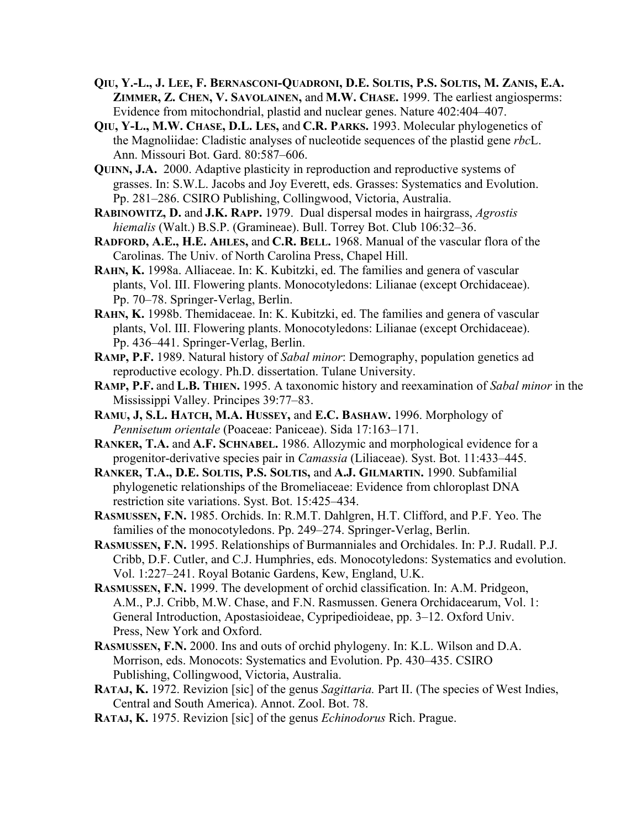- **QIU, Y.-L., J. LEE, F. BERNASCONI-QUADRONI, D.E. SOLTIS, P.S. SOLTIS, M. ZANIS, E.A. ZIMMER, Z. CHEN, V. SAVOLAINEN,** and **M.W. CHASE.** 1999. The earliest angiosperms: Evidence from mitochondrial, plastid and nuclear genes. Nature 402:404–407.
- **QIU, Y-L., M.W. CHASE, D.L. LES,** and **C.R. PARKS.** 1993. Molecular phylogenetics of the Magnoliidae: Cladistic analyses of nucleotide sequences of the plastid gene *rbc*L. Ann. Missouri Bot. Gard. 80:587–606.
- **QUINN, J.A.** 2000. Adaptive plasticity in reproduction and reproductive systems of grasses. In: S.W.L. Jacobs and Joy Everett, eds. Grasses: Systematics and Evolution. Pp. 281–286. CSIRO Publishing, Collingwood, Victoria, Australia.
- **RABINOWITZ, D.** and **J.K. RAPP.** 1979. Dual dispersal modes in hairgrass, *Agrostis hiemalis* (Walt.) B.S.P. (Gramineae). Bull. Torrey Bot. Club 106:32–36.
- **RADFORD, A.E., H.E. AHLES,** and **C.R. BELL.** 1968. Manual of the vascular flora of the Carolinas. The Univ. of North Carolina Press, Chapel Hill.
- **RAHN, K.** 1998a. Alliaceae. In: K. Kubitzki, ed. The families and genera of vascular plants, Vol. III. Flowering plants. Monocotyledons: Lilianae (except Orchidaceae). Pp. 70–78. Springer-Verlag, Berlin.
- **RAHN, K.** 1998b. Themidaceae. In: K. Kubitzki, ed. The families and genera of vascular plants, Vol. III. Flowering plants. Monocotyledons: Lilianae (except Orchidaceae). Pp. 436–441. Springer-Verlag, Berlin.
- **RAMP, P.F.** 1989. Natural history of *Sabal minor*: Demography, population genetics ad reproductive ecology. Ph.D. dissertation. Tulane University.
- **RAMP, P.F.** and **L.B. THIEN.** 1995. A taxonomic history and reexamination of *Sabal minor* in the Mississippi Valley. Principes 39:77–83.
- **RAMU, J, S.L. HATCH, M.A. HUSSEY,** and **E.C. BASHAW.** 1996. Morphology of *Pennisetum orientale* (Poaceae: Paniceae). Sida 17:163–171.
- **RANKER, T.A.** and **A.F. SCHNABEL.** 1986. Allozymic and morphological evidence for a progenitor-derivative species pair in *Camassia* (Liliaceae). Syst. Bot. 11:433–445.
- **RANKER, T.A., D.E. SOLTIS, P.S. SOLTIS,** and **A.J. GILMARTIN.** 1990. Subfamilial phylogenetic relationships of the Bromeliaceae: Evidence from chloroplast DNA restriction site variations. Syst. Bot. 15:425–434.
- **RASMUSSEN, F.N.** 1985. Orchids. In: R.M.T. Dahlgren, H.T. Clifford, and P.F. Yeo. The families of the monocotyledons. Pp. 249–274. Springer-Verlag, Berlin.
- **RASMUSSEN, F.N.** 1995. Relationships of Burmanniales and Orchidales. In: P.J. Rudall. P.J. Cribb, D.F. Cutler, and C.J. Humphries, eds. Monocotyledons: Systematics and evolution. Vol. 1:227–241. Royal Botanic Gardens, Kew, England, U.K.
- **RASMUSSEN, F.N.** 1999. The development of orchid classification. In: A.M. Pridgeon, A.M., P.J. Cribb, M.W. Chase, and F.N. Rasmussen. Genera Orchidacearum, Vol. 1: General Introduction, Apostasioideae, Cypripedioideae, pp. 3–12. Oxford Univ. Press, New York and Oxford.
- **RASMUSSEN, F.N.** 2000. Ins and outs of orchid phylogeny. In: K.L. Wilson and D.A. Morrison, eds. Monocots: Systematics and Evolution. Pp. 430–435. CSIRO Publishing, Collingwood, Victoria, Australia.
- **RATAJ, K.** 1972. Revizion [sic] of the genus *Sagittaria.* Part II. (The species of West Indies, Central and South America). Annot. Zool. Bot. 78.
- **RATAJ, K.** 1975. Revizion [sic] of the genus *Echinodorus* Rich. Prague.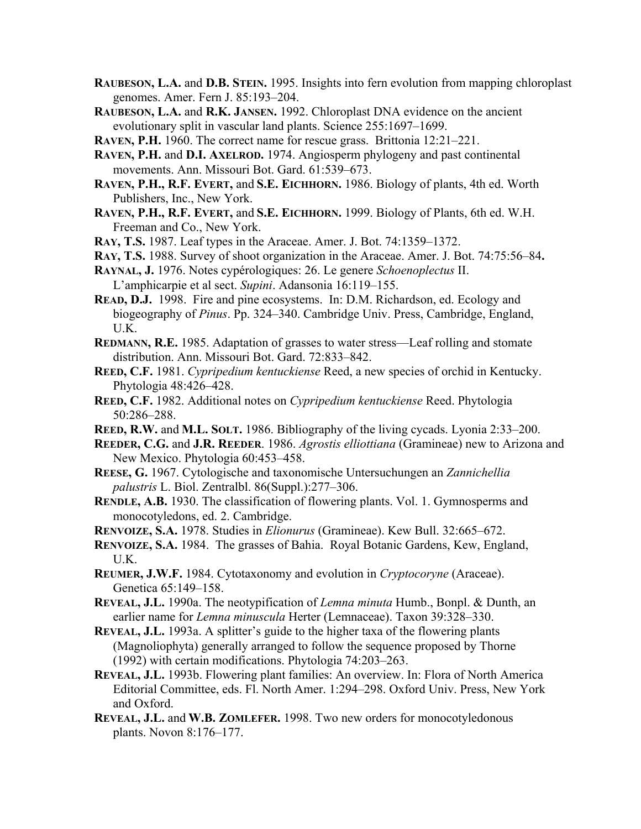- **RAUBESON, L.A.** and **D.B. STEIN.** 1995. Insights into fern evolution from mapping chloroplast genomes. Amer. Fern J. 85:193–204.
- **RAUBESON, L.A.** and **R.K. JANSEN.** 1992. Chloroplast DNA evidence on the ancient evolutionary split in vascular land plants. Science 255:1697–1699.
- **RAVEN, P.H.** 1960. The correct name for rescue grass. Brittonia 12:21–221.
- **RAVEN, P.H.** and **D.I. AXELROD.** 1974. Angiosperm phylogeny and past continental movements. Ann. Missouri Bot. Gard. 61:539–673.
- **RAVEN, P.H., R.F. EVERT,** and **S.E. EICHHORN.** 1986. Biology of plants, 4th ed. Worth Publishers, Inc., New York.
- **RAVEN, P.H., R.F. EVERT,** and **S.E. EICHHORN.** 1999. Biology of Plants, 6th ed. W.H. Freeman and Co., New York.
- **RAY, T.S.** 1987. Leaf types in the Araceae. Amer. J. Bot. 74:1359–1372.
- **RAY, T.S.** 1988. Survey of shoot organization in the Araceae. Amer. J. Bot. 74:75:56–84**.**
- **RAYNAL, J.** 1976. Notes cypérologiques: 26. Le genere *Schoenoplectus* II.

L'amphicarpie et al sect. *Supini*. Adansonia 16:119–155.

- **READ, D.J.** 1998. Fire and pine ecosystems. In: D.M. Richardson, ed. Ecology and biogeography of *Pinus*. Pp. 324–340. Cambridge Univ. Press, Cambridge, England, U.K.
- **REDMANN, R.E.** 1985. Adaptation of grasses to water stress—Leaf rolling and stomate distribution. Ann. Missouri Bot. Gard. 72:833–842.
- **REED, C.F.** 1981. *Cypripedium kentuckiense* Reed, a new species of orchid in Kentucky. Phytologia 48:426–428.
- **REED, C.F.** 1982. Additional notes on *Cypripedium kentuckiense* Reed. Phytologia 50:286–288.
- **REED, R.W.** and **M.L. SOLT.** 1986. Bibliography of the living cycads. Lyonia 2:33–200.
- **REEDER, C.G.** and **J.R. REEDER**. 1986. *Agrostis elliottiana* (Gramineae) new to Arizona and New Mexico. Phytologia 60:453–458.
- **REESE, G.** 1967. Cytologische and taxonomische Untersuchungen an *Zannichellia palustris* L. Biol. Zentralbl. 86(Suppl.):277–306.
- **RENDLE, A.B.** 1930. The classification of flowering plants. Vol. 1. Gymnosperms and monocotyledons, ed. 2. Cambridge.
- **RENVOIZE, S.A.** 1978. Studies in *Elionurus* (Gramineae). Kew Bull. 32:665–672.
- **RENVOIZE, S.A.** 1984. The grasses of Bahia. Royal Botanic Gardens, Kew, England, U.K.
- **REUMER, J.W.F.** 1984. Cytotaxonomy and evolution in *Cryptocoryne* (Araceae). Genetica 65:149–158.
- **REVEAL, J.L.** 1990a. The neotypification of *Lemna minuta* Humb., Bonpl. & Dunth, an earlier name for *Lemna minuscula* Herter (Lemnaceae). Taxon 39:328–330.
- **REVEAL, J.L.** 1993a. A splitter's guide to the higher taxa of the flowering plants (Magnoliophyta) generally arranged to follow the sequence proposed by Thorne (1992) with certain modifications. Phytologia 74:203–263.
- **REVEAL, J.L.** 1993b. Flowering plant families: An overview. In: Flora of North America Editorial Committee, eds. Fl. North Amer. 1:294–298. Oxford Univ. Press, New York and Oxford.
- **REVEAL, J.L.** and **W.B. ZOMLEFER.** 1998. Two new orders for monocotyledonous plants. Novon 8:176–177.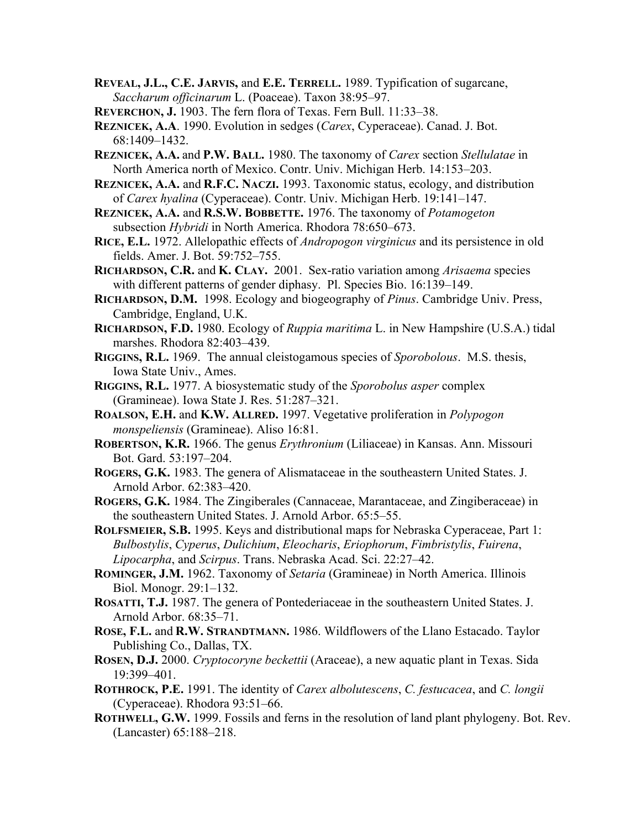- **REVEAL, J.L., C.E. JARVIS,** and **E.E. TERRELL.** 1989. Typification of sugarcane, *Saccharum officinarum* L. (Poaceae). Taxon 38:95–97.
- **REVERCHON, J.** 1903. The fern flora of Texas. Fern Bull. 11:33–38.
- **REZNICEK, A.A**. 1990. Evolution in sedges (*Carex*, Cyperaceae). Canad. J. Bot. 68:1409–1432.
- **REZNICEK, A.A.** and **P.W. BALL.** 1980. The taxonomy of *Carex* section *Stellulatae* in North America north of Mexico. Contr. Univ. Michigan Herb. 14:153–203.
- **REZNICEK, A.A.** and **R.F.C. NACZI.** 1993. Taxonomic status, ecology, and distribution of *Carex hyalina* (Cyperaceae). Contr. Univ. Michigan Herb. 19:141–147.
- **REZNICEK, A.A.** and **R.S.W. BOBBETTE.** 1976. The taxonomy of *Potamogeton* subsection *Hybridi* in North America. Rhodora 78:650–673.
- **RICE, E.L.** 1972. Allelopathic effects of *Andropogon virginicus* and its persistence in old fields. Amer. J. Bot. 59:752–755.
- **RICHARDSON, C.R.** and **K. CLAY.** 2001. Sex-ratio variation among *Arisaema* species with different patterns of gender diphasy. Pl. Species Bio. 16:139–149.
- **RICHARDSON, D.M.** 1998. Ecology and biogeography of *Pinus*. Cambridge Univ. Press, Cambridge, England, U.K.
- **RICHARDSON, F.D.** 1980. Ecology of *Ruppia maritima* L. in New Hampshire (U.S.A.) tidal marshes. Rhodora 82:403–439.
- **RIGGINS, R.L.** 1969. The annual cleistogamous species of *Sporobolous*. M.S. thesis, Iowa State Univ., Ames.
- **RIGGINS, R.L.** 1977. A biosystematic study of the *Sporobolus asper* complex (Gramineae). Iowa State J. Res. 51:287–321.
- **ROALSON, E.H.** and **K.W. ALLRED.** 1997. Vegetative proliferation in *Polypogon monspeliensis* (Gramineae). Aliso 16:81.
- **ROBERTSON, K.R.** 1966. The genus *Erythronium* (Liliaceae) in Kansas. Ann. Missouri Bot. Gard. 53:197–204.
- **ROGERS, G.K.** 1983. The genera of Alismataceae in the southeastern United States. J. Arnold Arbor. 62:383–420.
- **ROGERS, G.K.** 1984. The Zingiberales (Cannaceae, Marantaceae, and Zingiberaceae) in the southeastern United States. J. Arnold Arbor. 65:5–55.
- **ROLFSMEIER, S.B.** 1995. Keys and distributional maps for Nebraska Cyperaceae, Part 1: *Bulbostylis*, *Cyperus*, *Dulichium*, *Eleocharis*, *Eriophorum*, *Fimbristylis*, *Fuirena*, *Lipocarpha*, and *Scirpus*. Trans. Nebraska Acad. Sci. 22:27–42.
- **ROMINGER, J.M.** 1962. Taxonomy of *Setaria* (Gramineae) in North America. Illinois Biol. Monogr. 29:1–132.
- **ROSATTI, T.J.** 1987. The genera of Pontederiaceae in the southeastern United States. J. Arnold Arbor. 68:35–71.
- **ROSE, F.L.** and **R.W. STRANDTMANN.** 1986. Wildflowers of the Llano Estacado. Taylor Publishing Co., Dallas, TX.

**ROSEN, D.J.** 2000. *Cryptocoryne beckettii* (Araceae), a new aquatic plant in Texas. Sida 19:399–401.

- **ROTHROCK, P.E.** 1991. The identity of *Carex albolutescens*, *C. festucacea*, and *C. longii* (Cyperaceae). Rhodora 93:51–66.
- **ROTHWELL, G.W.** 1999. Fossils and ferns in the resolution of land plant phylogeny. Bot. Rev. (Lancaster) 65:188–218.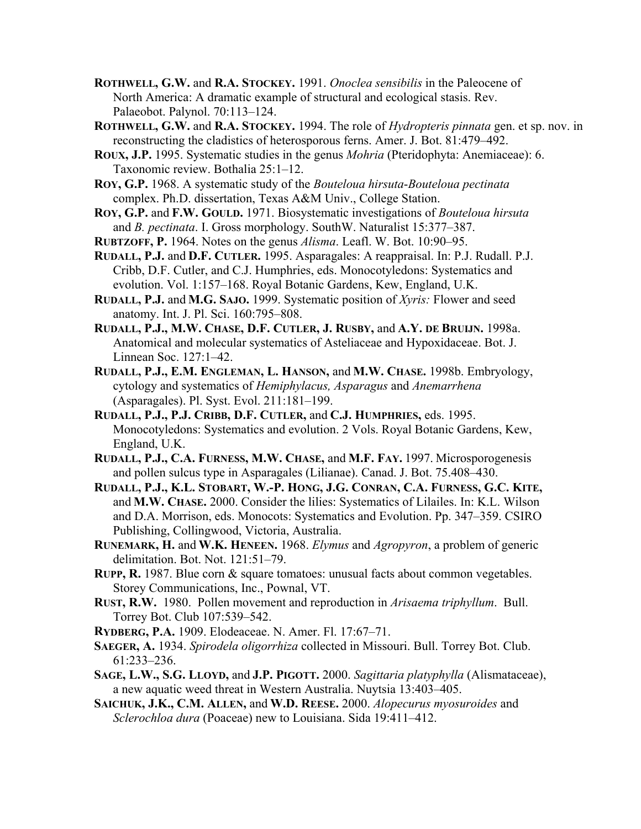- **ROTHWELL, G.W.** and **R.A. STOCKEY.** 1991. *Onoclea sensibilis* in the Paleocene of North America: A dramatic example of structural and ecological stasis. Rev. Palaeobot. Palynol. 70:113–124.
- **ROTHWELL, G.W.** and **R.A. STOCKEY.** 1994. The role of *Hydropteris pinnata* gen. et sp. nov. in reconstructing the cladistics of heterosporous ferns. Amer. J. Bot. 81:479–492.
- **ROUX, J.P.** 1995. Systematic studies in the genus *Mohria* (Pteridophyta: Anemiaceae): 6. Taxonomic review. Bothalia 25:1–12.
- **ROY, G.P.** 1968. A systematic study of the *Bouteloua hirsuta*-*Bouteloua pectinata* complex. Ph.D. dissertation, Texas A&M Univ., College Station.
- **ROY, G.P.** and **F.W. GOULD.** 1971. Biosystematic investigations of *Bouteloua hirsuta* and *B. pectinata*. I. Gross morphology. SouthW. Naturalist 15:377–387.
- **RUBTZOFF, P.** 1964. Notes on the genus *Alisma*. Leafl. W. Bot. 10:90–95.
- **RUDALL, P.J.** and **D.F. CUTLER.** 1995. Asparagales: A reappraisal. In: P.J. Rudall. P.J. Cribb, D.F. Cutler, and C.J. Humphries, eds. Monocotyledons: Systematics and evolution. Vol. 1:157–168. Royal Botanic Gardens, Kew, England, U.K.
- **RUDALL, P.J.** and **M.G. SAJO.** 1999. Systematic position of *Xyris:* Flower and seed anatomy. Int. J. Pl. Sci. 160:795–808.
- **RUDALL, P.J., M.W. CHASE, D.F. CUTLER, J. RUSBY,** and **A.Y. DE BRUIJN.** 1998a. Anatomical and molecular systematics of Asteliaceae and Hypoxidaceae. Bot. J. Linnean Soc. 127:1–42.
- **RUDALL, P.J., E.M. ENGLEMAN, L. HANSON,** and **M.W. CHASE.** 1998b. Embryology, cytology and systematics of *Hemiphylacus, Asparagus* and *Anemarrhena* (Asparagales). Pl. Syst. Evol. 211:181–199.
- **RUDALL, P.J., P.J. CRIBB, D.F. CUTLER,** and **C.J. HUMPHRIES,** eds. 1995. Monocotyledons: Systematics and evolution. 2 Vols. Royal Botanic Gardens, Kew, England, U.K.
- **RUDALL, P.J., C.A. FURNESS, M.W. CHASE,** and **M.F. FAY.** 1997. Microsporogenesis and pollen sulcus type in Asparagales (Lilianae). Canad. J. Bot. 75.408–430.
- **RUDALL, P.J., K.L. STOBART, W.-P. HONG, J.G. CONRAN, C.A. FURNESS, G.C. KITE,**  and **M.W. CHASE.** 2000. Consider the lilies: Systematics of Lilailes. In: K.L. Wilson and D.A. Morrison, eds. Monocots: Systematics and Evolution. Pp. 347–359. CSIRO Publishing, Collingwood, Victoria, Australia.
- **RUNEMARK, H.** and **W.K. HENEEN.** 1968. *Elymus* and *Agropyron*, a problem of generic delimitation. Bot. Not. 121:51–79.
- **RUPP, R.** 1987. Blue corn & square tomatoes: unusual facts about common vegetables. Storey Communications, Inc., Pownal, VT.
- **RUST, R.W.** 1980. Pollen movement and reproduction in *Arisaema triphyllum*. Bull. Torrey Bot. Club 107:539–542.
- **RYDBERG, P.A.** 1909. Elodeaceae. N. Amer. Fl. 17:67–71.
- **SAEGER, A.** 1934. *Spirodela oligorrhiza* collected in Missouri. Bull. Torrey Bot. Club. 61:233–236.
- **SAGE, L.W., S.G. LLOYD,** and **J.P. PIGOTT.** 2000. *Sagittaria platyphylla* (Alismataceae), a new aquatic weed threat in Western Australia. Nuytsia 13:403–405.
- **SAICHUK, J.K., C.M. ALLEN,** and **W.D. REESE.** 2000. *Alopecurus myosuroides* and *Sclerochloa dura* (Poaceae) new to Louisiana. Sida 19:411–412.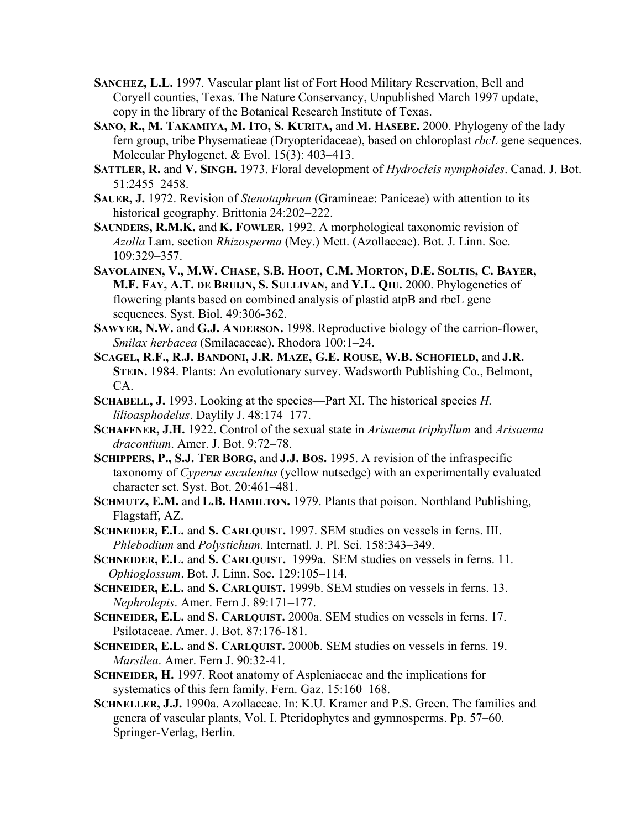- **SANCHEZ, L.L.** 1997. Vascular plant list of Fort Hood Military Reservation, Bell and Coryell counties, Texas. The Nature Conservancy, Unpublished March 1997 update, copy in the library of the Botanical Research Institute of Texas.
- **SANO, R., M. TAKAMIYA, M. ITO, S. KURITA,** and **M. HASEBE.** 2000. Phylogeny of the lady fern group, tribe Physematieae (Dryopteridaceae), based on chloroplast *rbcL* gene sequences. Molecular Phylogenet. & Evol. 15(3): 403–413.
- **SATTLER, R.** and **V. SINGH.** 1973. Floral development of *Hydrocleis nymphoides*. Canad. J. Bot. 51:2455–2458.
- **SAUER, J.** 1972. Revision of *Stenotaphrum* (Gramineae: Paniceae) with attention to its historical geography. Brittonia 24:202–222.
- **SAUNDERS, R.M.K.** and **K. FOWLER.** 1992. A morphological taxonomic revision of *Azolla* Lam. section *Rhizosperma* (Mey.) Mett. (Azollaceae). Bot. J. Linn. Soc. 109:329–357.
- **SAVOLAINEN, V., M.W. CHASE, S.B. HOOT, C.M. MORTON, D.E. SOLTIS, C. BAYER, M.F. FAY, A.T. DE BRUIJN, S. SULLIVAN,** and **Y.L. QIU.** 2000. Phylogenetics of flowering plants based on combined analysis of plastid atpB and rbcL gene sequences. Syst. Biol. 49:306-362.
- **SAWYER, N.W.** and **G.J. ANDERSON.** 1998. Reproductive biology of the carrion-flower, *Smilax herbacea* (Smilacaceae). Rhodora 100:1–24.
- **SCAGEL, R.F., R.J. BANDONI, J.R. MAZE, G.E. ROUSE, W.B. SCHOFIELD,** and **J.R. STEIN.** 1984. Plants: An evolutionary survey. Wadsworth Publishing Co., Belmont, CA.
- **SCHABELL, J.** 1993. Looking at the species—Part XI. The historical species *H. lilioasphodelus*. Daylily J. 48:174–177.
- **SCHAFFNER, J.H.** 1922. Control of the sexual state in *Arisaema triphyllum* and *Arisaema dracontium*. Amer. J. Bot. 9:72–78.
- **SCHIPPERS, P., S.J. TER BORG,** and **J.J. BOS.** 1995. A revision of the infraspecific taxonomy of *Cyperus esculentus* (yellow nutsedge) with an experimentally evaluated character set. Syst. Bot. 20:461–481.
- **SCHMUTZ, E.M.** and **L.B. HAMILTON.** 1979. Plants that poison. Northland Publishing, Flagstaff, AZ.
- **SCHNEIDER, E.L.** and **S. CARLQUIST.** 1997. SEM studies on vessels in ferns. III. *Phlebodium* and *Polystichum*. Internatl. J. Pl. Sci. 158:343–349.
- **SCHNEIDER, E.L.** and **S. CARLQUIST.** 1999a. SEM studies on vessels in ferns. 11. *Ophioglossum*. Bot. J. Linn. Soc. 129:105–114.
- **SCHNEIDER, E.L.** and **S. CARLQUIST.** 1999b. SEM studies on vessels in ferns. 13. *Nephrolepis*. Amer. Fern J. 89:171–177.
- **SCHNEIDER, E.L.** and **S. CARLQUIST.** 2000a. SEM studies on vessels in ferns. 17. Psilotaceae. Amer. J. Bot. 87:176-181.
- **SCHNEIDER, E.L.** and **S. CARLQUIST.** 2000b. SEM studies on vessels in ferns. 19. *Marsilea*. Amer. Fern J. 90:32-41.
- **SCHNEIDER, H.** 1997. Root anatomy of Aspleniaceae and the implications for systematics of this fern family. Fern. Gaz. 15:160–168.
- **SCHNELLER, J.J.** 1990a. Azollaceae. In: K.U. Kramer and P.S. Green. The families and genera of vascular plants, Vol. I. Pteridophytes and gymnosperms. Pp. 57–60. Springer-Verlag, Berlin.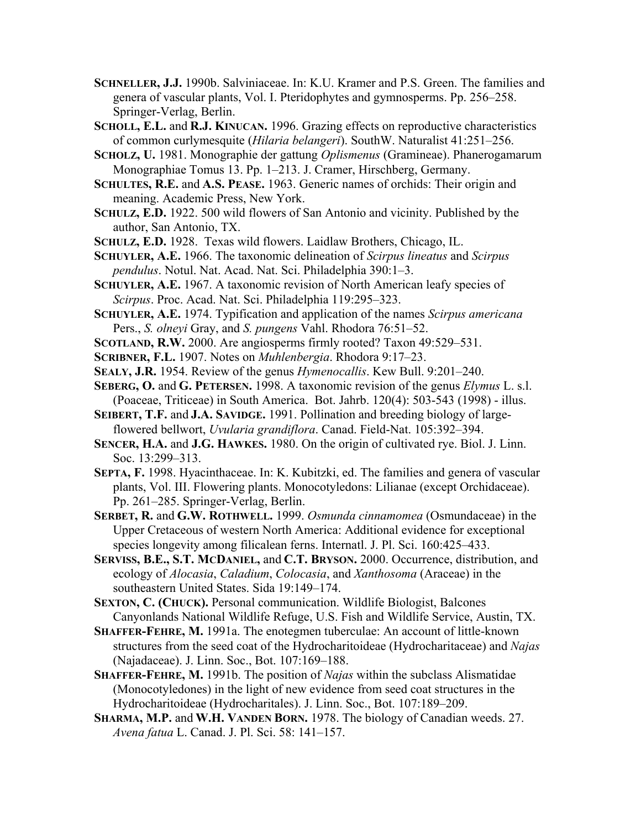- **SCHNELLER, J.J.** 1990b. Salviniaceae. In: K.U. Kramer and P.S. Green. The families and genera of vascular plants, Vol. I. Pteridophytes and gymnosperms. Pp. 256–258. Springer-Verlag, Berlin.
- **SCHOLL, E.L.** and **R.J. KINUCAN.** 1996. Grazing effects on reproductive characteristics of common curlymesquite (*Hilaria belangeri*). SouthW. Naturalist 41:251–256.
- **SCHOLZ, U.** 1981. Monographie der gattung *Oplismenus* (Gramineae). Phanerogamarum Monographiae Tomus 13. Pp. 1–213. J. Cramer, Hirschberg, Germany.
- **SCHULTES, R.E.** and **A.S. PEASE.** 1963. Generic names of orchids: Their origin and meaning. Academic Press, New York.
- **SCHULZ, E.D.** 1922. 500 wild flowers of San Antonio and vicinity. Published by the author, San Antonio, TX.
- **SCHULZ, E.D.** 1928. Texas wild flowers. Laidlaw Brothers, Chicago, IL.
- **SCHUYLER, A.E.** 1966. The taxonomic delineation of *Scirpus lineatus* and *Scirpus pendulus*. Notul. Nat. Acad. Nat. Sci. Philadelphia 390:1–3.
- **SCHUYLER, A.E.** 1967. A taxonomic revision of North American leafy species of *Scirpus*. Proc. Acad. Nat. Sci. Philadelphia 119:295–323.
- **SCHUYLER, A.E.** 1974. Typification and application of the names *Scirpus americana* Pers., *S. olneyi* Gray, and *S. pungens* Vahl. Rhodora 76:51–52.
- **SCOTLAND, R.W.** 2000. Are angiosperms firmly rooted? Taxon 49:529–531.
- **SCRIBNER, F.L.** 1907. Notes on *Muhlenbergia*. Rhodora 9:17–23.
- **SEALY, J.R.** 1954. Review of the genus *Hymenocallis*. Kew Bull. 9:201–240.
- **SEBERG, O.** and **G. PETERSEN.** 1998. A taxonomic revision of the genus *Elymus* L. s.l. (Poaceae, Triticeae) in South America. Bot. Jahrb. 120(4): 503-543 (1998) - illus.
- **SEIBERT, T.F.** and **J.A. SAVIDGE.** 1991. Pollination and breeding biology of largeflowered bellwort, *Uvularia grandiflora*. Canad. Field-Nat. 105:392–394.
- **SENCER, H.A.** and **J.G. HAWKES.** 1980. On the origin of cultivated rye. Biol. J. Linn. Soc. 13:299–313.
- **SEPTA, F.** 1998. Hyacinthaceae. In: K. Kubitzki, ed. The families and genera of vascular plants, Vol. III. Flowering plants. Monocotyledons: Lilianae (except Orchidaceae). Pp. 261–285. Springer-Verlag, Berlin.
- **SERBET, R.** and **G.W. ROTHWELL.** 1999. *Osmunda cinnamomea* (Osmundaceae) in the Upper Cretaceous of western North America: Additional evidence for exceptional species longevity among filicalean ferns. Internatl. J. Pl. Sci. 160:425–433.
- **SERVISS, B.E., S.T. MCDANIEL,** and **C.T. BRYSON.** 2000. Occurrence, distribution, and ecology of *Alocasia*, *Caladium*, *Colocasia*, and *Xanthosoma* (Araceae) in the southeastern United States. Sida 19:149–174.
- **SEXTON, C. (CHUCK).** Personal communication. Wildlife Biologist, Balcones Canyonlands National Wildlife Refuge, U.S. Fish and Wildlife Service, Austin, TX.
- **SHAFFER-FEHRE, M.** 1991a. The enotegmen tuberculae: An account of little-known structures from the seed coat of the Hydrocharitoideae (Hydrocharitaceae) and *Najas* (Najadaceae). J. Linn. Soc., Bot. 107:169–188.
- **SHAFFER-FEHRE, M.** 1991b. The position of *Najas* within the subclass Alismatidae (Monocotyledones) in the light of new evidence from seed coat structures in the Hydrocharitoideae (Hydrocharitales). J. Linn. Soc., Bot. 107:189–209.
- **SHARMA, M.P.** and **W.H. VANDEN BORN.** 1978. The biology of Canadian weeds. 27. *Avena fatua* L. Canad. J. Pl. Sci. 58: 141–157.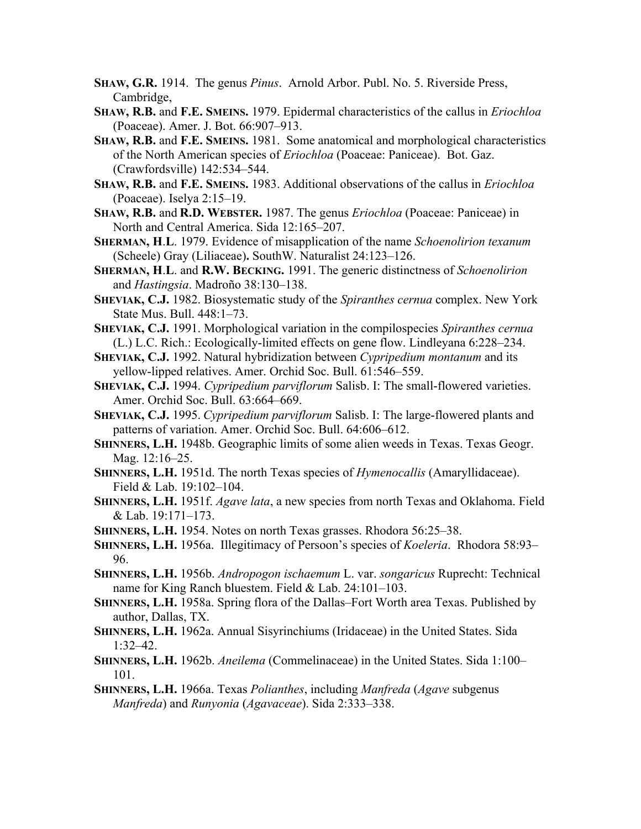- **SHAW, G.R.** 1914. The genus *Pinus*. Arnold Arbor. Publ. No. 5. Riverside Press, Cambridge,
- **SHAW, R.B.** and **F.E. SMEINS.** 1979. Epidermal characteristics of the callus in *Eriochloa* (Poaceae). Amer. J. Bot. 66:907–913.
- **SHAW, R.B.** and **F.E. SMEINS.** 1981. Some anatomical and morphological characteristics of the North American species of *Eriochloa* (Poaceae: Paniceae). Bot. Gaz. (Crawfordsville) 142:534–544.
- **SHAW, R.B.** and **F.E. SMEINS.** 1983. Additional observations of the callus in *Eriochloa* (Poaceae). Iselya 2:15–19.
- **SHAW, R.B.** and **R.D. WEBSTER.** 1987. The genus *Eriochloa* (Poaceae: Paniceae) in North and Central America. Sida 12:165–207.
- **SHERMAN, H**.**L**. 1979. Evidence of misapplication of the name *Schoenolirion texanum* (Scheele) Gray (Liliaceae)**.** SouthW. Naturalist 24:123–126.
- **SHERMAN, H**.**L**. and **R.W. BECKING.** 1991. The generic distinctness of *Schoenolirion* and *Hastingsia*. Madroño 38:130–138.
- **SHEVIAK, C.J.** 1982. Biosystematic study of the *Spiranthes cernua* complex. New York State Mus. Bull. 448:1–73.
- **SHEVIAK, C.J.** 1991. Morphological variation in the compilospecies *Spiranthes cernua* (L.) L.C. Rich.: Ecologically-limited effects on gene flow. Lindleyana 6:228–234.
- **SHEVIAK, C.J.** 1992. Natural hybridization between *Cypripedium montanum* and its yellow-lipped relatives. Amer. Orchid Soc. Bull. 61:546–559.
- **SHEVIAK, C.J.** 1994. *Cypripedium parviflorum* Salisb. I: The small-flowered varieties. Amer. Orchid Soc. Bull. 63:664–669.
- **SHEVIAK, C.J.** 1995. *Cypripedium parviflorum* Salisb. I: The large-flowered plants and patterns of variation. Amer. Orchid Soc. Bull. 64:606–612.
- **SHINNERS, L.H.** 1948b. Geographic limits of some alien weeds in Texas. Texas Geogr. Mag. 12:16–25.
- **SHINNERS, L.H.** 1951d. The north Texas species of *Hymenocallis* (Amaryllidaceae). Field & Lab. 19:102–104.
- **SHINNERS, L.H.** 1951f. *Agave lata*, a new species from north Texas and Oklahoma. Field & Lab. 19:171–173.
- **SHINNERS, L.H.** 1954. Notes on north Texas grasses. Rhodora 56:25–38.
- **SHINNERS, L.H.** 1956a. Illegitimacy of Persoon's species of *Koeleria*. Rhodora 58:93– 96.
- **SHINNERS, L.H.** 1956b. *Andropogon ischaemum* L. var. *songaricus* Ruprecht: Technical name for King Ranch bluestem. Field & Lab. 24:101–103.
- **SHINNERS, L.H.** 1958a. Spring flora of the Dallas–Fort Worth area Texas. Published by author, Dallas, TX.
- **SHINNERS, L.H.** 1962a. Annual Sisyrinchiums (Iridaceae) in the United States. Sida 1:32–42.
- **SHINNERS, L.H.** 1962b. *Aneilema* (Commelinaceae) in the United States. Sida 1:100– 101.
- **SHINNERS, L.H.** 1966a. Texas *Polianthes*, including *Manfreda* (*Agave* subgenus *Manfreda*) and *Runyonia* (*Agavaceae*). Sida 2:333–338.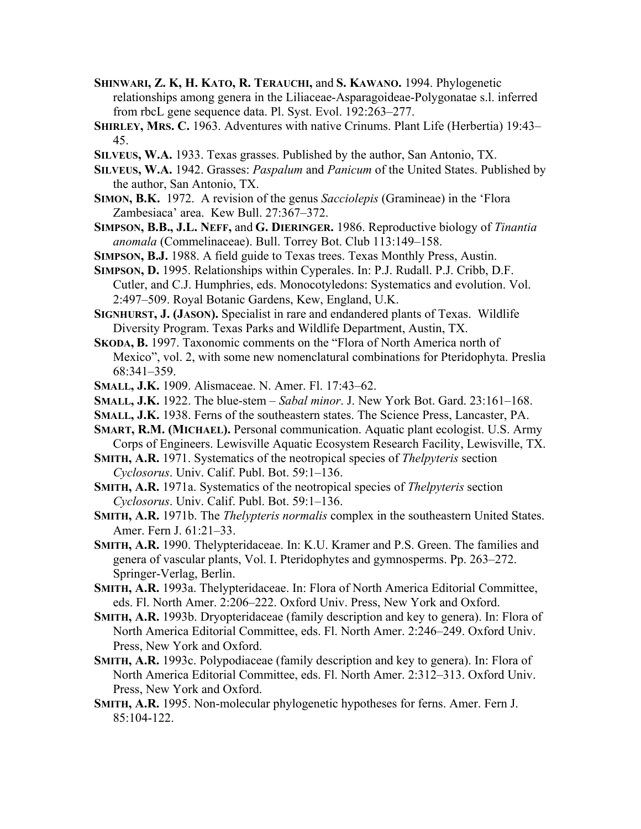- **SHINWARI, Z. K, H. KATO, R. TERAUCHI,** and **S. KAWANO.** 1994. Phylogenetic relationships among genera in the Liliaceae-Asparagoideae-Polygonatae s.l. inferred from rbcL gene sequence data. Pl. Syst. Evol. 192:263–277.
- **SHIRLEY, MRS. C.** 1963. Adventures with native Crinums. Plant Life (Herbertia) 19:43– 45.
- **SILVEUS, W.A.** 1933. Texas grasses. Published by the author, San Antonio, TX.
- **SILVEUS, W.A.** 1942. Grasses: *Paspalum* and *Panicum* of the United States. Published by the author, San Antonio, TX.
- **SIMON, B.K.** 1972. A revision of the genus *Sacciolepis* (Gramineae) in the 'Flora Zambesiaca' area. Kew Bull. 27:367–372.
- **SIMPSON, B.B., J.L. NEFF,** and **G. DIERINGER.** 1986. Reproductive biology of *Tinantia anomala* (Commelinaceae). Bull. Torrey Bot. Club 113:149–158.
- **SIMPSON, B.J.** 1988. A field guide to Texas trees. Texas Monthly Press, Austin.
- **SIMPSON, D.** 1995. Relationships within Cyperales. In: P.J. Rudall. P.J. Cribb, D.F. Cutler, and C.J. Humphries, eds. Monocotyledons: Systematics and evolution. Vol. 2:497–509. Royal Botanic Gardens, Kew, England, U.K.
- **SIGNHURST, J. (JASON).** Specialist in rare and endandered plants of Texas. Wildlife Diversity Program. Texas Parks and Wildlife Department, Austin, TX.
- **SKODA, B.** 1997. Taxonomic comments on the "Flora of North America north of Mexico", vol. 2, with some new nomenclatural combinations for Pteridophyta. Preslia 68:341–359.
- **SMALL, J.K.** 1909. Alismaceae. N. Amer. Fl. 17:43–62.
- **SMALL, J.K.** 1922. The blue-stem *Sabal minor*. J. New York Bot. Gard. 23:161–168.
- **SMALL, J.K.** 1938. Ferns of the southeastern states. The Science Press, Lancaster, PA.
- **SMART, R.M. (MICHAEL).** Personal communication. Aquatic plant ecologist. U.S. Army Corps of Engineers. Lewisville Aquatic Ecosystem Research Facility, Lewisville, TX.
- **SMITH, A.R.** 1971. Systematics of the neotropical species of *Thelpyteris* section *Cyclosorus*. Univ. Calif. Publ. Bot. 59:1–136.
- **SMITH, A.R.** 1971a. Systematics of the neotropical species of *Thelpyteris* section *Cyclosorus*. Univ. Calif. Publ. Bot. 59:1–136.
- **SMITH, A.R.** 1971b. The *Thelypteris normalis* complex in the southeastern United States. Amer. Fern J. 61:21–33.
- **SMITH, A.R.** 1990. Thelypteridaceae. In: K.U. Kramer and P.S. Green. The families and genera of vascular plants, Vol. I. Pteridophytes and gymnosperms. Pp. 263–272. Springer-Verlag, Berlin.
- **SMITH, A.R.** 1993a. Thelypteridaceae. In: Flora of North America Editorial Committee, eds. Fl. North Amer. 2:206–222. Oxford Univ. Press, New York and Oxford.
- **SMITH, A.R.** 1993b. Dryopteridaceae (family description and key to genera). In: Flora of North America Editorial Committee, eds. Fl. North Amer. 2:246–249. Oxford Univ. Press, New York and Oxford.
- **SMITH, A.R.** 1993c. Polypodiaceae (family description and key to genera). In: Flora of North America Editorial Committee, eds. Fl. North Amer. 2:312–313. Oxford Univ. Press, New York and Oxford.
- **SMITH, A.R.** 1995. Non-molecular phylogenetic hypotheses for ferns. Amer. Fern J. 85:104-122.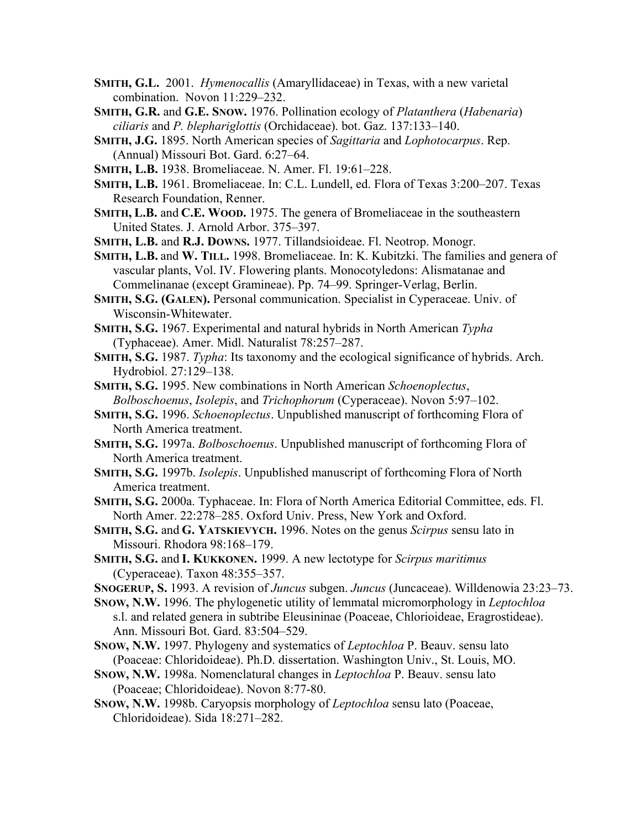- **SMITH, G.L.** 2001. *Hymenocallis* (Amaryllidaceae) in Texas, with a new varietal combination. Novon 11:229–232.
- **SMITH, G.R.** and **G.E. SNOW.** 1976. Pollination ecology of *Platanthera* (*Habenaria*) *ciliaris* and *P. blephariglottis* (Orchidaceae). bot. Gaz. 137:133–140.
- **SMITH, J.G.** 1895. North American species of *Sagittaria* and *Lophotocarpus*. Rep. (Annual) Missouri Bot. Gard. 6:27–64.
- **SMITH, L.B.** 1938. Bromeliaceae. N. Amer. Fl. 19:61–228.
- **SMITH, L.B.** 1961. Bromeliaceae. In: C.L. Lundell, ed. Flora of Texas 3:200–207. Texas Research Foundation, Renner.
- **SMITH, L.B.** and **C.E. WOOD.** 1975. The genera of Bromeliaceae in the southeastern United States. J. Arnold Arbor. 375–397.
- **SMITH, L.B.** and **R.J. DOWNS.** 1977. Tillandsioideae. Fl. Neotrop. Monogr.
- **SMITH, L.B.** and **W. TILL.** 1998. Bromeliaceae. In: K. Kubitzki. The families and genera of vascular plants, Vol. IV. Flowering plants. Monocotyledons: Alismatanae and Commelinanae (except Gramineae). Pp. 74–99. Springer-Verlag, Berlin.
- **SMITH, S.G. (GALEN).** Personal communication. Specialist in Cyperaceae. Univ. of Wisconsin-Whitewater.
- **SMITH, S.G.** 1967. Experimental and natural hybrids in North American *Typha* (Typhaceae). Amer. Midl. Naturalist 78:257–287.
- **SMITH, S.G.** 1987. *Typha*: Its taxonomy and the ecological significance of hybrids. Arch. Hydrobiol. 27:129–138.
- **SMITH, S.G.** 1995. New combinations in North American *Schoenoplectus*, *Bolboschoenus*, *Isolepis*, and *Trichophorum* (Cyperaceae). Novon 5:97–102.
- **SMITH, S.G.** 1996. *Schoenoplectus*. Unpublished manuscript of forthcoming Flora of North America treatment.
- **SMITH, S.G.** 1997a. *Bolboschoenus*. Unpublished manuscript of forthcoming Flora of North America treatment.
- **SMITH, S.G.** 1997b. *Isolepis*. Unpublished manuscript of forthcoming Flora of North America treatment.
- **SMITH, S.G.** 2000a. Typhaceae. In: Flora of North America Editorial Committee, eds. Fl. North Amer. 22:278–285. Oxford Univ. Press, New York and Oxford.
- **SMITH, S.G.** and **G. YATSKIEVYCH.** 1996. Notes on the genus *Scirpus* sensu lato in Missouri. Rhodora 98:168–179.
- **SMITH, S.G.** and **I. KUKKONEN.** 1999. A new lectotype for *Scirpus maritimus* (Cyperaceae). Taxon 48:355–357.
- **SNOGERUP, S.** 1993. A revision of *Juncus* subgen. *Juncus* (Juncaceae). Willdenowia 23:23–73.
- **SNOW, N.W.** 1996. The phylogenetic utility of lemmatal micromorphology in *Leptochloa* s.l. and related genera in subtribe Eleusininae (Poaceae, Chlorioideae, Eragrostideae). Ann. Missouri Bot. Gard. 83:504–529.
- **SNOW, N.W.** 1997. Phylogeny and systematics of *Leptochloa* P. Beauv. sensu lato (Poaceae: Chloridoideae). Ph.D. dissertation. Washington Univ., St. Louis, MO.
- **SNOW, N.W.** 1998a. Nomenclatural changes in *Leptochloa* P. Beauv. sensu lato (Poaceae; Chloridoideae). Novon 8:77-80.
- **SNOW, N.W.** 1998b. Caryopsis morphology of *Leptochloa* sensu lato (Poaceae, Chloridoideae). Sida 18:271–282.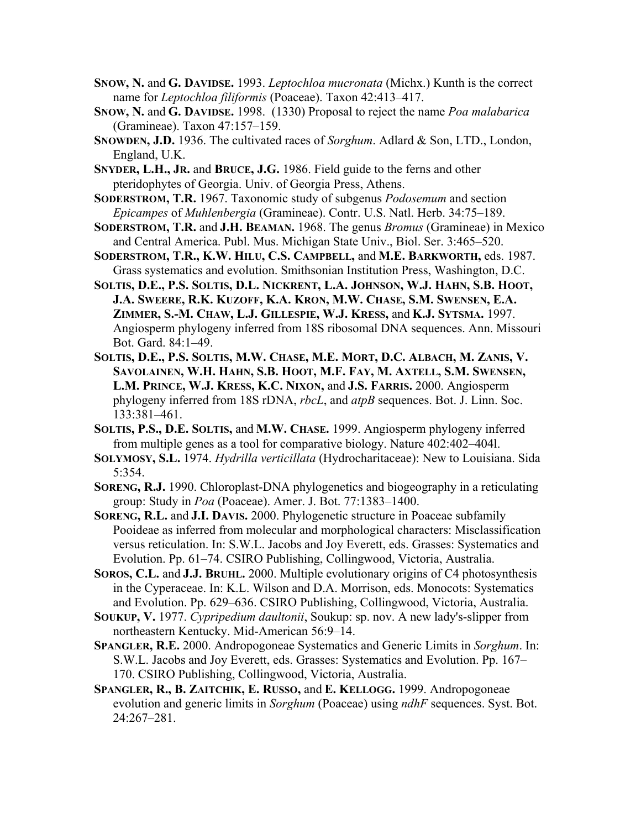- **SNOW, N.** and **G. DAVIDSE.** 1993. *Leptochloa mucronata* (Michx.) Kunth is the correct name for *Leptochloa filiformis* (Poaceae). Taxon 42:413–417.
- **SNOW, N.** and **G. DAVIDSE.** 1998. (1330) Proposal to reject the name *Poa malabarica* (Gramineae). Taxon 47:157–159.
- **SNOWDEN, J.D.** 1936. The cultivated races of *Sorghum*. Adlard & Son, LTD., London, England, U.K.

**SNYDER, L.H., JR.** and **BRUCE, J.G.** 1986. Field guide to the ferns and other pteridophytes of Georgia. Univ. of Georgia Press, Athens.

**SODERSTROM, T.R.** 1967. Taxonomic study of subgenus *Podosemum* and section *Epicampes* of *Muhlenbergia* (Gramineae). Contr. U.S. Natl. Herb. 34:75–189.

**SODERSTROM, T.R.** and **J.H. BEAMAN.** 1968. The genus *Bromus* (Gramineae) in Mexico and Central America. Publ. Mus. Michigan State Univ., Biol. Ser. 3:465–520.

**SODERSTROM, T.R., K.W. HILU, C.S. CAMPBELL,** and **M.E. BARKWORTH,** eds. 1987. Grass systematics and evolution. Smithsonian Institution Press, Washington, D.C.

- **SOLTIS, D.E., P.S. SOLTIS, D.L. NICKRENT, L.A. JOHNSON, W.J. HAHN, S.B. HOOT, J.A. SWEERE, R.K. KUZOFF, K.A. KRON, M.W. CHASE, S.M. SWENSEN, E.A. ZIMMER, S.-M. CHAW, L.J. GILLESPIE, W.J. KRESS,** and **K.J. SYTSMA.** 1997. Angiosperm phylogeny inferred from 18S ribosomal DNA sequences. Ann. Missouri Bot. Gard. 84:1–49.
- **SOLTIS, D.E., P.S. SOLTIS, M.W. CHASE, M.E. MORT, D.C. ALBACH, M. ZANIS, V. SAVOLAINEN, W.H. HAHN, S.B. HOOT, M.F. FAY, M. AXTELL, S.M. SWENSEN, L.M. PRINCE, W.J. KRESS, K.C. NIXON,** and **J.S. FARRIS.** 2000. Angiosperm phylogeny inferred from 18S rDNA, *rbcL*, and *atpB* sequences. Bot. J. Linn. Soc. 133:381–461.
- **SOLTIS, P.S., D.E. SOLTIS,** and **M.W. CHASE.** 1999. Angiosperm phylogeny inferred from multiple genes as a tool for comparative biology. Nature 402:402–404l.
- **SOLYMOSY, S.L.** 1974. *Hydrilla verticillata* (Hydrocharitaceae): New to Louisiana. Sida 5:354.
- **SORENG, R.J.** 1990. Chloroplast-DNA phylogenetics and biogeography in a reticulating group: Study in *Poa* (Poaceae). Amer. J. Bot. 77:1383–1400.
- **SORENG, R.L.** and **J.I. DAVIS.** 2000. Phylogenetic structure in Poaceae subfamily Pooideae as inferred from molecular and morphological characters: Misclassification versus reticulation. In: S.W.L. Jacobs and Joy Everett, eds. Grasses: Systematics and Evolution. Pp. 61–74. CSIRO Publishing, Collingwood, Victoria, Australia.

**SOROS, C.L.** and **J.J. BRUHL.** 2000. Multiple evolutionary origins of C4 photosynthesis in the Cyperaceae. In: K.L. Wilson and D.A. Morrison, eds. Monocots: Systematics and Evolution. Pp. 629–636. CSIRO Publishing, Collingwood, Victoria, Australia.

**SOUKUP, V.** 1977. *Cypripedium daultonii*, Soukup: sp. nov. A new lady's-slipper from northeastern Kentucky. Mid-American 56:9–14.

- **SPANGLER, R.E.** 2000. Andropogoneae Systematics and Generic Limits in *Sorghum*. In: S.W.L. Jacobs and Joy Everett, eds. Grasses: Systematics and Evolution. Pp. 167– 170. CSIRO Publishing, Collingwood, Victoria, Australia.
- **SPANGLER, R., B. ZAITCHIK, E. RUSSO,** and **E. KELLOGG.** 1999. Andropogoneae evolution and generic limits in *Sorghum* (Poaceae) using *ndhF* sequences. Syst. Bot. 24:267–281.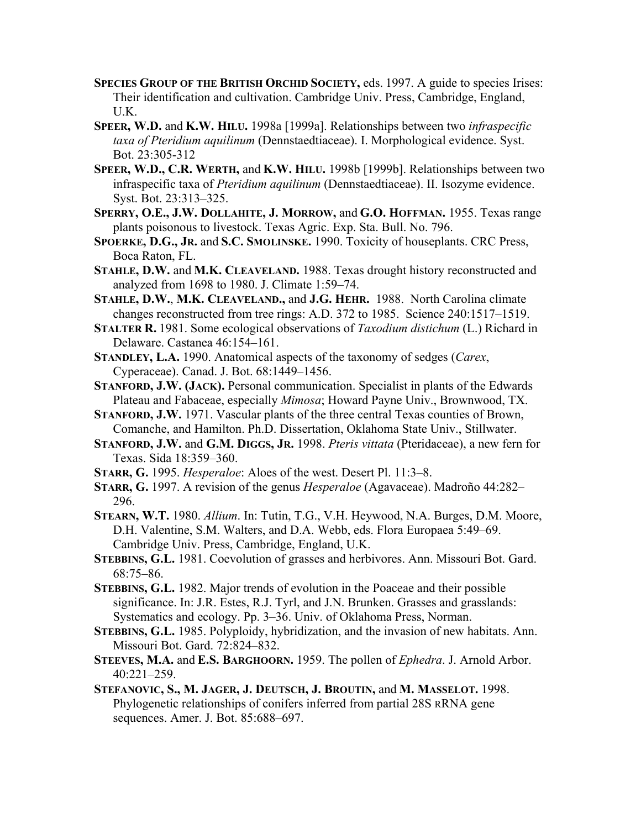- **SPECIES GROUP OF THE BRITISH ORCHID SOCIETY,** eds. 1997. A guide to species Irises: Their identification and cultivation. Cambridge Univ. Press, Cambridge, England, U.K.
- **SPEER, W.D.** and **K.W. HILU.** 1998a [1999a]. Relationships between two *infraspecific taxa of Pteridium aquilinum* (Dennstaedtiaceae). I. Morphological evidence. Syst. Bot. 23:305-312
- **SPEER, W.D., C.R. WERTH,** and **K.W. HILU.** 1998b [1999b]. Relationships between two infraspecific taxa of *Pteridium aquilinum* (Dennstaedtiaceae). II. Isozyme evidence. Syst. Bot. 23:313–325.
- **SPERRY, O.E., J.W. DOLLAHITE, J. MORROW,** and **G.O. HOFFMAN.** 1955. Texas range plants poisonous to livestock. Texas Agric. Exp. Sta. Bull. No. 796.
- **SPOERKE, D.G., JR.** and **S.C. SMOLINSKE.** 1990. Toxicity of houseplants. CRC Press, Boca Raton, FL.
- **STAHLE, D.W.** and **M.K. CLEAVELAND.** 1988. Texas drought history reconstructed and analyzed from 1698 to 1980. J. Climate 1:59–74.
- **STAHLE, D.W.**, **M.K. CLEAVELAND.,** and **J.G. HEHR.** 1988. North Carolina climate changes reconstructed from tree rings: A.D. 372 to 1985. Science 240:1517–1519.
- **STALTER R.** 1981. Some ecological observations of *Taxodium distichum* (L.) Richard in Delaware. Castanea 46:154–161.
- **STANDLEY, L.A.** 1990. Anatomical aspects of the taxonomy of sedges (*Carex*, Cyperaceae). Canad. J. Bot. 68:1449–1456.
- **STANFORD, J.W. (JACK).** Personal communication. Specialist in plants of the Edwards Plateau and Fabaceae, especially *Mimosa*; Howard Payne Univ., Brownwood, TX.
- **STANFORD, J.W.** 1971. Vascular plants of the three central Texas counties of Brown, Comanche, and Hamilton. Ph.D. Dissertation, Oklahoma State Univ., Stillwater.
- **STANFORD, J.W.** and **G.M. DIGGS, JR.** 1998. *Pteris vittata* (Pteridaceae), a new fern for Texas. Sida 18:359–360.
- **STARR, G.** 1995. *Hesperaloe*: Aloes of the west. Desert Pl. 11:3–8.
- **STARR, G.** 1997. A revision of the genus *Hesperaloe* (Agavaceae). Madroño 44:282– 296.
- **STEARN, W.T.** 1980. *Allium*. In: Tutin, T.G., V.H. Heywood, N.A. Burges, D.M. Moore, D.H. Valentine, S.M. Walters, and D.A. Webb, eds. Flora Europaea 5:49–69. Cambridge Univ. Press, Cambridge, England, U.K.
- **STEBBINS, G.L.** 1981. Coevolution of grasses and herbivores. Ann. Missouri Bot. Gard. 68:75–86.
- **STEBBINS, G.L.** 1982. Major trends of evolution in the Poaceae and their possible significance. In: J.R. Estes, R.J. Tyrl, and J.N. Brunken. Grasses and grasslands: Systematics and ecology. Pp. 3–36. Univ. of Oklahoma Press, Norman.
- **STEBBINS, G.L.** 1985. Polyploidy, hybridization, and the invasion of new habitats. Ann. Missouri Bot. Gard. 72:824–832.
- **STEEVES, M.A.** and **E.S. BARGHOORN.** 1959. The pollen of *Ephedra*. J. Arnold Arbor. 40:221–259.
- **STEFANOVIC, S., M. JAGER, J. DEUTSCH, J. BROUTIN,** and **M. MASSELOT.** 1998. Phylogenetic relationships of conifers inferred from partial 28S RRNA gene sequences. Amer. J. Bot. 85:688–697.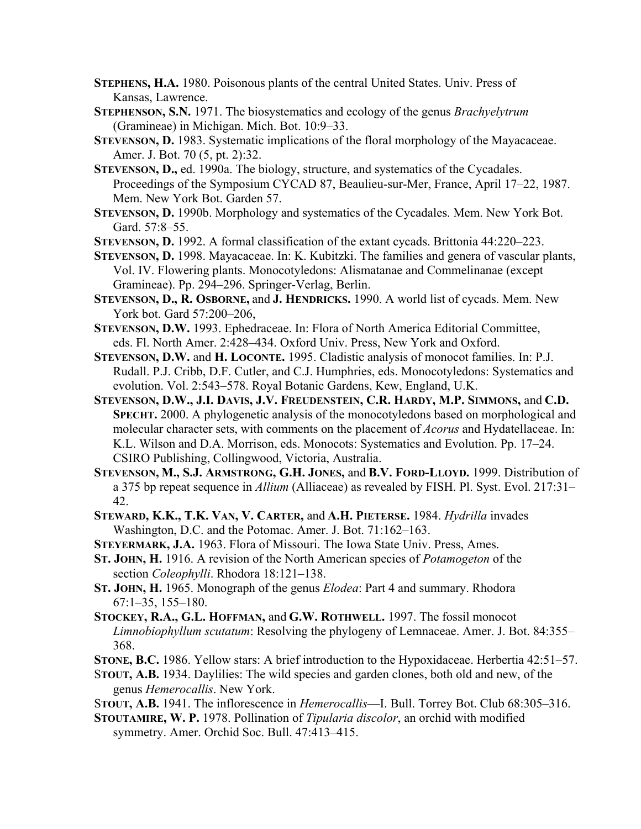- **STEPHENS, H.A.** 1980. Poisonous plants of the central United States. Univ. Press of Kansas, Lawrence.
- **STEPHENSON, S.N.** 1971. The biosystematics and ecology of the genus *Brachyelytrum* (Gramineae) in Michigan. Mich. Bot. 10:9–33.
- **STEVENSON, D.** 1983. Systematic implications of the floral morphology of the Mayacaceae. Amer. J. Bot. 70 (5, pt. 2):32.
- **STEVENSON, D.,** ed. 1990a. The biology, structure, and systematics of the Cycadales. Proceedings of the Symposium CYCAD 87, Beaulieu-sur-Mer, France, April 17–22, 1987. Mem. New York Bot. Garden 57.
- **STEVENSON, D.** 1990b. Morphology and systematics of the Cycadales. Mem. New York Bot. Gard. 57:8–55.
- **STEVENSON, D.** 1992. A formal classification of the extant cycads. Brittonia 44:220–223.
- **STEVENSON, D.** 1998. Mayacaceae. In: K. Kubitzki. The families and genera of vascular plants, Vol. IV. Flowering plants. Monocotyledons: Alismatanae and Commelinanae (except Gramineae). Pp. 294–296. Springer-Verlag, Berlin.
- **STEVENSON, D., R. OSBORNE,** and **J. HENDRICKS.** 1990. A world list of cycads. Mem. New York bot. Gard 57:200–206,
- **STEVENSON, D.W.** 1993. Ephedraceae. In: Flora of North America Editorial Committee, eds. Fl. North Amer. 2:428–434. Oxford Univ. Press, New York and Oxford.
- **STEVENSON, D.W.** and **H. LOCONTE.** 1995. Cladistic analysis of monocot families. In: P.J. Rudall. P.J. Cribb, D.F. Cutler, and C.J. Humphries, eds. Monocotyledons: Systematics and evolution. Vol. 2:543–578. Royal Botanic Gardens, Kew, England, U.K.
- **STEVENSON, D.W., J.I. DAVIS, J.V. FREUDENSTEIN, C.R. HARDY, M.P. SIMMONS,** and **C.D. SPECHT.** 2000. A phylogenetic analysis of the monocotyledons based on morphological and molecular character sets, with comments on the placement of *Acorus* and Hydatellaceae. In: K.L. Wilson and D.A. Morrison, eds. Monocots: Systematics and Evolution. Pp. 17–24. CSIRO Publishing, Collingwood, Victoria, Australia.
- **STEVENSON, M., S.J. ARMSTRONG, G.H. JONES,** and **B.V. FORD-LLOYD.** 1999. Distribution of a 375 bp repeat sequence in *Allium* (Alliaceae) as revealed by FISH. Pl. Syst. Evol. 217:31– 42.
- **STEWARD, K.K., T.K. VAN, V. CARTER,** and **A.H. PIETERSE.** 1984. *Hydrilla* invades Washington, D.C. and the Potomac. Amer. J. Bot. 71:162–163.
- **STEYERMARK, J.A.** 1963. Flora of Missouri. The Iowa State Univ. Press, Ames.
- **ST. JOHN, H.** 1916. A revision of the North American species of *Potamogeton* of the section *Coleophylli*. Rhodora 18:121–138.
- **ST. JOHN, H.** 1965. Monograph of the genus *Elodea*: Part 4 and summary. Rhodora 67:1–35, 155–180.
- **STOCKEY, R.A., G.L. HOFFMAN,** and **G.W. ROTHWELL.** 1997. The fossil monocot *Limnobiophyllum scutatum*: Resolving the phylogeny of Lemnaceae. Amer. J. Bot. 84:355– 368.
- **STONE, B.C.** 1986. Yellow stars: A brief introduction to the Hypoxidaceae. Herbertia 42:51–57.
- S**TOUT, A.B.** 1934. Daylilies: The wild species and garden clones, both old and new, of the genus *Hemerocallis*. New York.
- S**TOUT, A.B.** 1941. The inflorescence in *Hemerocallis*—I. Bull. Torrey Bot. Club 68:305–316.
- **STOUTAMIRE, W. P.** 1978. Pollination of *Tipularia discolor*, an orchid with modified symmetry. Amer. Orchid Soc. Bull. 47:413–415.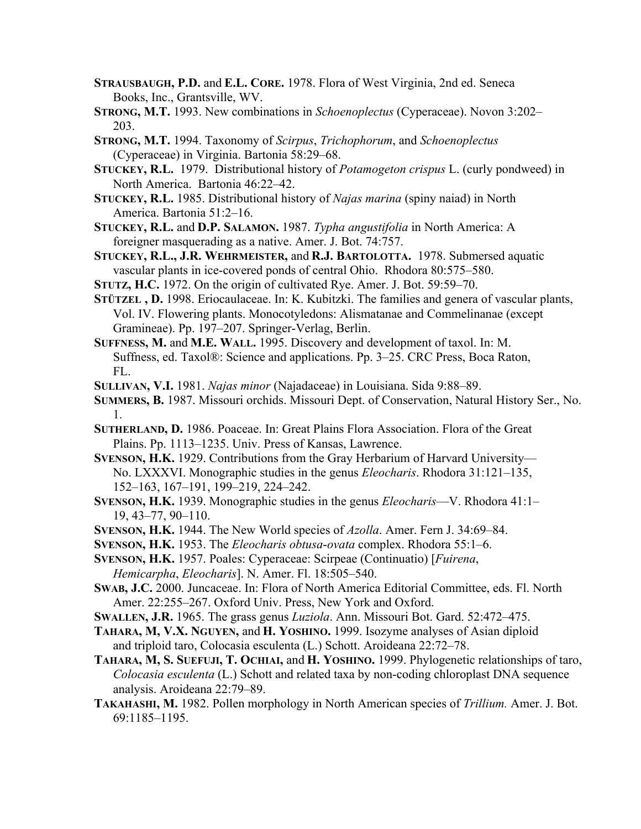- **STRAUSBAUGH, P.D.** and **E.L. CORE.** 1978. Flora of West Virginia, 2nd ed. Seneca Books, Inc., Grantsville, WV.
- **STRONG, M.T.** 1993. New combinations in *Schoenoplectus* (Cyperaceae). Novon 3:202– 203.
- **STRONG, M.T.** 1994. Taxonomy of *Scirpus*, *Trichophorum*, and *Schoenoplectus* (Cyperaceae) in Virginia. Bartonia 58:29–68.
- **STUCKEY, R.L.** 1979. Distributional history of *Potamogeton crispus* L. (curly pondweed) in North America. Bartonia 46:22–42.
- **STUCKEY, R.L.** 1985. Distributional history of *Najas marina* (spiny naiad) in North America. Bartonia 51:2–16.
- **STUCKEY, R.L.** and **D.P. SALAMON.** 1987. *Typha angustifolia* in North America: A foreigner masquerading as a native. Amer. J. Bot. 74:757.
- **STUCKEY, R.L., J.R. WEHRMEISTER,** and **R.J. BARTOLOTTA.** 1978. Submersed aquatic vascular plants in ice-covered ponds of central Ohio. Rhodora 80:575–580.
- **STUTZ, H.C.** 1972. On the origin of cultivated Rye. Amer. J. Bot. 59:59–70.
- **STÜTZEL , D.** 1998. Eriocaulaceae. In: K. Kubitzki. The families and genera of vascular plants, Vol. IV. Flowering plants. Monocotyledons: Alismatanae and Commelinanae (except Gramineae). Pp. 197–207. Springer-Verlag, Berlin.
- **SUFFNESS, M.** and **M.E. WALL.** 1995. Discovery and development of taxol. In: M. Suffness, ed. Taxol®: Science and applications. Pp. 3–25. CRC Press, Boca Raton, FL.
- **SULLIVAN, V.I.** 1981. *Najas minor* (Najadaceae) in Louisiana. Sida 9:88–89.
- **SUMMERS, B.** 1987. Missouri orchids. Missouri Dept. of Conservation, Natural History Ser., No. 1.
- **SUTHERLAND, D.** 1986. Poaceae. In: Great Plains Flora Association. Flora of the Great Plains. Pp. 1113–1235. Univ. Press of Kansas, Lawrence.
- **SVENSON, H.K.** 1929. Contributions from the Gray Herbarium of Harvard University— No. LXXXVI. Monographic studies in the genus *Eleocharis*. Rhodora 31:121–135, 152–163, 167–191, 199–219, 224–242.
- **SVENSON, H.K.** 1939. Monographic studies in the genus *Eleocharis*—V. Rhodora 41:1– 19, 43–77, 90–110.
- **SVENSON, H.K.** 1944. The New World species of *Azolla*. Amer. Fern J. 34:69–84.
- **SVENSON, H.K.** 1953. The *Eleocharis obtusa*-*ovata* complex. Rhodora 55:1–6.
- **SVENSON, H.K.** 1957. Poales: Cyperaceae: Scirpeae (Continuatio) [*Fuirena*, *Hemicarpha*, *Eleocharis*]. N. Amer. Fl. 18:505–540.
- **SWAB, J.C.** 2000. Juncaceae. In: Flora of North America Editorial Committee, eds. Fl. North Amer. 22:255–267. Oxford Univ. Press, New York and Oxford.
- **SWALLEN, J.R.** 1965. The grass genus *Luziola*. Ann. Missouri Bot. Gard. 52:472–475.
- **TAHARA, M, V.X. NGUYEN,** and **H. YOSHINO.** 1999. Isozyme analyses of Asian diploid and triploid taro, Colocasia esculenta (L.) Schott. Aroideana 22:72–78.
- **TAHARA, M, S. SUEFUJI, T. OCHIAI,** and **H. YOSHINO.** 1999. Phylogenetic relationships of taro, *Colocasia esculenta* (L.) Schott and related taxa by non-coding chloroplast DNA sequence analysis. Aroideana 22:79–89.
- **TAKAHASHI, M.** 1982. Pollen morphology in North American species of *Trillium.* Amer. J. Bot. 69:1185–1195.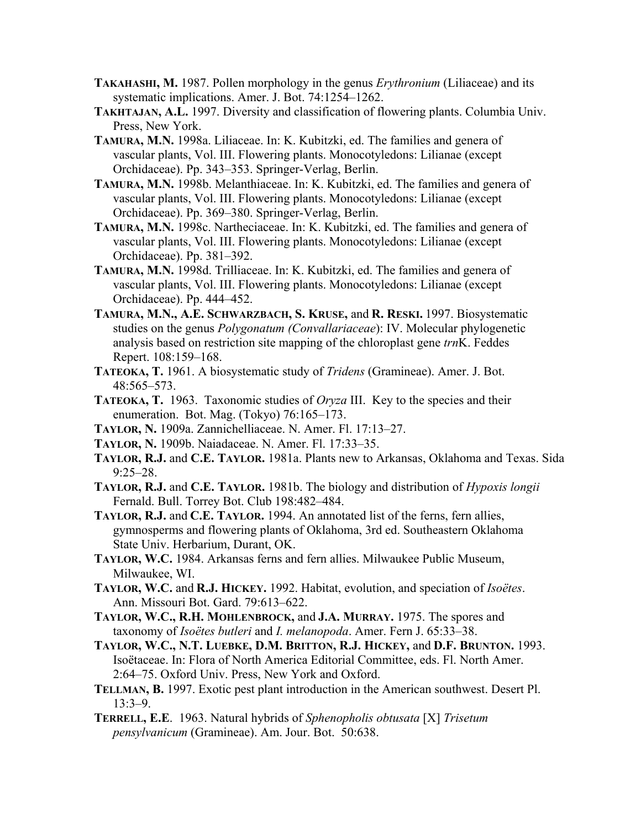- **TAKAHASHI, M.** 1987. Pollen morphology in the genus *Erythronium* (Liliaceae) and its systematic implications. Amer. J. Bot. 74:1254–1262.
- **TAKHTAJAN, A.L.** 1997. Diversity and classification of flowering plants. Columbia Univ. Press, New York.
- **TAMURA, M.N.** 1998a. Liliaceae. In: K. Kubitzki, ed. The families and genera of vascular plants, Vol. III. Flowering plants. Monocotyledons: Lilianae (except Orchidaceae). Pp. 343–353. Springer-Verlag, Berlin.
- **TAMURA, M.N.** 1998b. Melanthiaceae. In: K. Kubitzki, ed. The families and genera of vascular plants, Vol. III. Flowering plants. Monocotyledons: Lilianae (except Orchidaceae). Pp. 369–380. Springer-Verlag, Berlin.
- **TAMURA, M.N.** 1998c. Nartheciaceae. In: K. Kubitzki, ed. The families and genera of vascular plants, Vol. III. Flowering plants. Monocotyledons: Lilianae (except Orchidaceae). Pp. 381–392.
- **TAMURA, M.N.** 1998d. Trilliaceae. In: K. Kubitzki, ed. The families and genera of vascular plants, Vol. III. Flowering plants. Monocotyledons: Lilianae (except Orchidaceae). Pp. 444–452.
- **TAMURA, M.N., A.E. SCHWARZBACH, S. KRUSE,** and **R. RESKI.** 1997. Biosystematic studies on the genus *Polygonatum (Convallariaceae*): IV. Molecular phylogenetic analysis based on restriction site mapping of the chloroplast gene *trn*K. Feddes Repert. 108:159–168.
- **TATEOKA, T.** 1961. A biosystematic study of *Tridens* (Gramineae). Amer. J. Bot. 48:565–573.
- **TATEOKA, T.** 1963. Taxonomic studies of *Oryza* III. Key to the species and their enumeration. Bot. Mag. (Tokyo) 76:165–173.
- **TAYLOR, N.** 1909a. Zannichelliaceae. N. Amer. Fl. 17:13–27.
- **TAYLOR, N.** 1909b. Naiadaceae. N. Amer. Fl. 17:33–35.
- **TAYLOR, R.J.** and **C.E. TAYLOR.** 1981a. Plants new to Arkansas, Oklahoma and Texas. Sida 9:25–28.
- **TAYLOR, R.J.** and **C.E. TAYLOR.** 1981b. The biology and distribution of *Hypoxis longii* Fernald. Bull. Torrey Bot. Club 198:482–484.
- **TAYLOR, R.J.** and **C.E. TAYLOR.** 1994. An annotated list of the ferns, fern allies, gymnosperms and flowering plants of Oklahoma, 3rd ed. Southeastern Oklahoma State Univ. Herbarium, Durant, OK.
- **TAYLOR, W.C.** 1984. Arkansas ferns and fern allies. Milwaukee Public Museum, Milwaukee, WI.
- **TAYLOR, W.C.** and **R.J. HICKEY.** 1992. Habitat, evolution, and speciation of *Isoëtes*. Ann. Missouri Bot. Gard. 79:613–622.
- **TAYLOR, W.C., R.H. MOHLENBROCK,** and **J.A. MURRAY.** 1975. The spores and taxonomy of *Isoëtes butleri* and *I. melanopoda*. Amer. Fern J. 65:33–38.
- **TAYLOR, W.C., N.T. LUEBKE, D.M. BRITTON, R.J. HICKEY,** and **D.F. BRUNTON.** 1993. Isoëtaceae. In: Flora of North America Editorial Committee, eds. Fl. North Amer. 2:64–75. Oxford Univ. Press, New York and Oxford.
- **TELLMAN, B.** 1997. Exotic pest plant introduction in the American southwest. Desert Pl. 13:3–9.
- **TERRELL, E.E**. 1963. Natural hybrids of *Sphenopholis obtusata* [X] *Trisetum pensylvanicum* (Gramineae). Am. Jour. Bot. 50:638.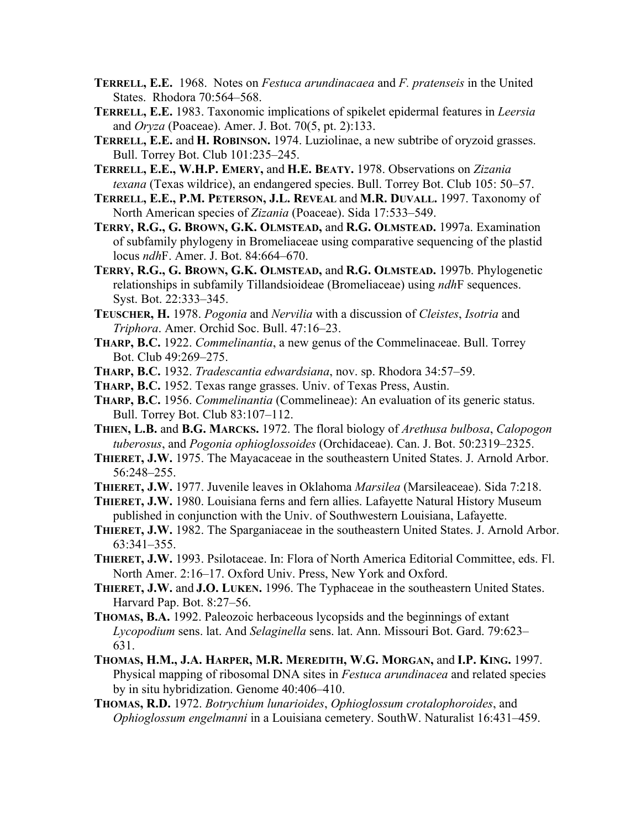- **TERRELL, E.E.** 1968. Notes on *Festuca arundinacaea* and *F. pratenseis* in the United States. Rhodora 70:564–568.
- **TERRELL, E.E.** 1983. Taxonomic implications of spikelet epidermal features in *Leersia* and *Oryza* (Poaceae). Amer. J. Bot. 70(5, pt. 2):133.
- **TERRELL, E.E.** and **H. ROBINSON.** 1974. Luziolinae, a new subtribe of oryzoid grasses. Bull. Torrey Bot. Club 101:235–245.
- **TERRELL, E.E., W.H.P. EMERY,** and **H.E. BEATY.** 1978. Observations on *Zizania texana* (Texas wildrice), an endangered species. Bull. Torrey Bot. Club 105: 50–57.
- **TERRELL, E.E., P.M. PETERSON, J.L. REVEAL** and **M.R. DUVALL.** 1997. Taxonomy of North American species of *Zizania* (Poaceae). Sida 17:533–549.
- **TERRY, R.G., G. BROWN, G.K. OLMSTEAD,** and **R.G. OLMSTEAD.** 1997a. Examination of subfamily phylogeny in Bromeliaceae using comparative sequencing of the plastid locus *ndh*F. Amer. J. Bot. 84:664–670.
- **TERRY, R.G., G. BROWN, G.K. OLMSTEAD,** and **R.G. OLMSTEAD.** 1997b. Phylogenetic relationships in subfamily Tillandsioideae (Bromeliaceae) using *ndh*F sequences. Syst. Bot. 22:333–345.
- **TEUSCHER, H.** 1978. *Pogonia* and *Nervilia* with a discussion of *Cleistes*, *Isotria* and *Triphora*. Amer. Orchid Soc. Bull. 47:16–23.
- **THARP, B.C.** 1922. *Commelinantia*, a new genus of the Commelinaceae. Bull. Torrey Bot. Club 49:269–275.
- **THARP, B.C.** 1932. *Tradescantia edwardsiana*, nov. sp. Rhodora 34:57–59.
- **THARP, B.C.** 1952. Texas range grasses. Univ. of Texas Press, Austin.
- **THARP, B.C.** 1956. *Commelinantia* (Commelineae): An evaluation of its generic status. Bull. Torrey Bot. Club 83:107–112.
- **THIEN, L.B.** and **B.G. MARCKS.** 1972. The floral biology of *Arethusa bulbosa*, *Calopogon tuberosus*, and *Pogonia ophioglossoides* (Orchidaceae). Can. J. Bot. 50:2319–2325.
- **THIERET, J.W.** 1975. The Mayacaceae in the southeastern United States. J. Arnold Arbor. 56:248–255.
- **THIERET, J.W.** 1977. Juvenile leaves in Oklahoma *Marsilea* (Marsileaceae). Sida 7:218.
- **THIERET, J.W.** 1980. Louisiana ferns and fern allies. Lafayette Natural History Museum published in conjunction with the Univ. of Southwestern Louisiana, Lafayette.
- **THIERET, J.W.** 1982. The Sparganiaceae in the southeastern United States. J. Arnold Arbor. 63:341–355.
- **THIERET, J.W.** 1993. Psilotaceae. In: Flora of North America Editorial Committee, eds. Fl. North Amer. 2:16–17. Oxford Univ. Press, New York and Oxford.
- **THIERET, J.W.** and **J.O. LUKEN.** 1996. The Typhaceae in the southeastern United States. Harvard Pap. Bot. 8:27–56.
- **THOMAS, B.A.** 1992. Paleozoic herbaceous lycopsids and the beginnings of extant *Lycopodium* sens. lat. And *Selaginella* sens. lat. Ann. Missouri Bot. Gard. 79:623– 631.
- **THOMAS, H.M., J.A. HARPER, M.R. MEREDITH, W.G. MORGAN,** and **I.P. KING.** 1997. Physical mapping of ribosomal DNA sites in *Festuca arundinacea* and related species by in situ hybridization. Genome 40:406–410.
- **THOMAS, R.D.** 1972. *Botrychium lunarioides*, *Ophioglossum crotalophoroides*, and *Ophioglossum engelmanni* in a Louisiana cemetery. SouthW. Naturalist 16:431–459.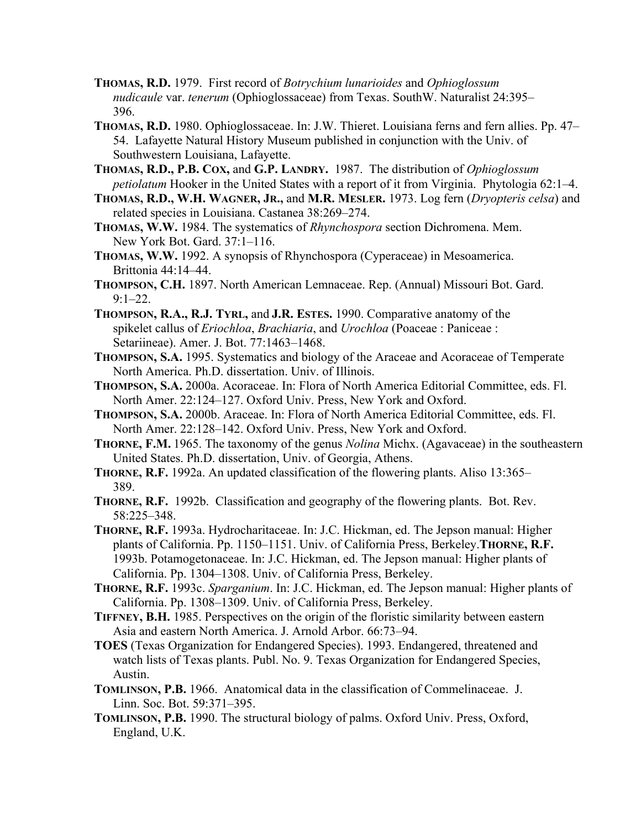- **THOMAS, R.D.** 1979. First record of *Botrychium lunarioides* and *Ophioglossum nudicaule* var. *tenerum* (Ophioglossaceae) from Texas. SouthW. Naturalist 24:395– 396.
- **THOMAS, R.D.** 1980. Ophioglossaceae. In: J.W. Thieret. Louisiana ferns and fern allies. Pp. 47– 54. Lafayette Natural History Museum published in conjunction with the Univ. of Southwestern Louisiana, Lafayette.
- **THOMAS, R.D., P.B. COX,** and **G.P. LANDRY.** 1987. The distribution of *Ophioglossum petiolatum* Hooker in the United States with a report of it from Virginia. Phytologia 62:1–4.
- **THOMAS, R.D., W.H. WAGNER, JR.,** and **M.R. MESLER.** 1973. Log fern (*Dryopteris celsa*) and related species in Louisiana. Castanea 38:269–274.
- **THOMAS, W.W.** 1984. The systematics of *Rhynchospora* section Dichromena. Mem. New York Bot. Gard. 37:1–116.
- **THOMAS, W.W.** 1992. A synopsis of Rhynchospora (Cyperaceae) in Mesoamerica. Brittonia 44:14–44.
- **THOMPSON, C.H.** 1897. North American Lemnaceae. Rep. (Annual) Missouri Bot. Gard.  $9:1-22.$
- **THOMPSON, R.A., R.J. TYRL,** and **J.R. ESTES.** 1990. Comparative anatomy of the spikelet callus of *Eriochloa*, *Brachiaria*, and *Urochloa* (Poaceae : Paniceae : Setariineae). Amer. J. Bot. 77:1463–1468.
- **THOMPSON, S.A.** 1995. Systematics and biology of the Araceae and Acoraceae of Temperate North America. Ph.D. dissertation. Univ. of Illinois.
- **THOMPSON, S.A.** 2000a. Acoraceae. In: Flora of North America Editorial Committee, eds. Fl. North Amer. 22:124–127. Oxford Univ. Press, New York and Oxford.
- **THOMPSON, S.A.** 2000b. Araceae. In: Flora of North America Editorial Committee, eds. Fl. North Amer. 22:128–142. Oxford Univ. Press, New York and Oxford.
- **THORNE, F.M.** 1965. The taxonomy of the genus *Nolina* Michx. (Agavaceae) in the southeastern United States. Ph.D. dissertation, Univ. of Georgia, Athens.
- **THORNE, R.F.** 1992a. An updated classification of the flowering plants. Aliso 13:365– 389.
- **THORNE, R.F.** 1992b. Classification and geography of the flowering plants. Bot. Rev. 58:225–348.
- **THORNE, R.F.** 1993a. Hydrocharitaceae. In: J.C. Hickman, ed. The Jepson manual: Higher plants of California. Pp. 1150-1151. Univ. of California Press, Berkeley.THORNE, R.F. 1993b. Potamogetonaceae. In: J.C. Hickman, ed. The Jepson manual: Higher plants of California. Pp. 1304–1308. Univ. of California Press, Berkeley.
- **THORNE, R.F.** 1993c. *Sparganium*. In: J.C. Hickman, ed. The Jepson manual: Higher plants of California. Pp. 1308–1309. Univ. of California Press, Berkeley.
- **TIFFNEY, B.H.** 1985. Perspectives on the origin of the floristic similarity between eastern Asia and eastern North America. J. Arnold Arbor. 66:73–94.
- **TOES** (Texas Organization for Endangered Species). 1993. Endangered, threatened and watch lists of Texas plants. Publ. No. 9. Texas Organization for Endangered Species, Austin.
- **TOMLINSON, P.B.** 1966. Anatomical data in the classification of Commelinaceae. J. Linn. Soc. Bot. 59:371–395.
- **TOMLINSON, P.B.** 1990. The structural biology of palms. Oxford Univ. Press, Oxford, England, U.K.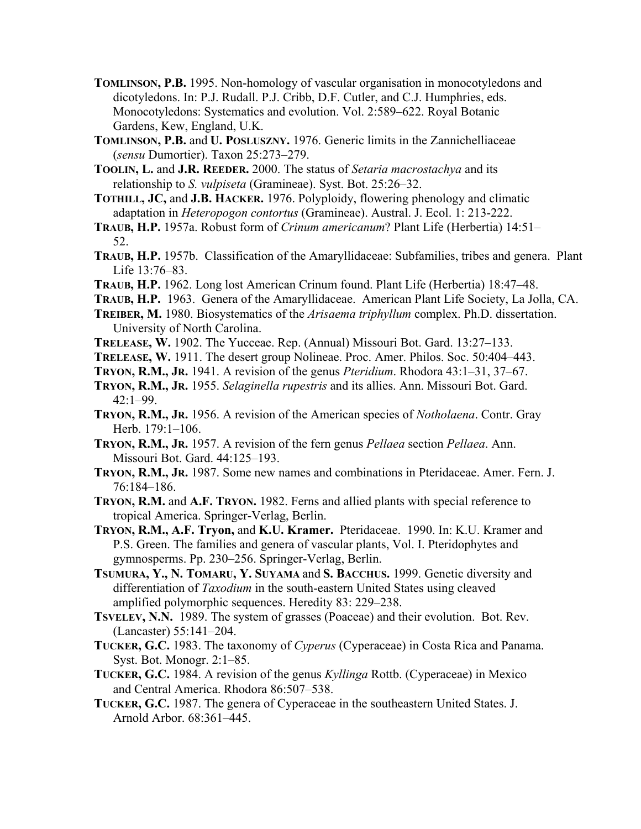- **TOMLINSON, P.B.** 1995. Non-homology of vascular organisation in monocotyledons and dicotyledons. In: P.J. Rudall. P.J. Cribb, D.F. Cutler, and C.J. Humphries, eds. Monocotyledons: Systematics and evolution. Vol. 2:589–622. Royal Botanic Gardens, Kew, England, U.K.
- **TOMLINSON, P.B.** and **U. POSLUSZNY.** 1976. Generic limits in the Zannichelliaceae (*sensu* Dumortier). Taxon 25:273–279.
- **TOOLIN, L.** and **J.R. REEDER.** 2000. The status of *Setaria macrostachya* and its relationship to *S. vulpiseta* (Gramineae). Syst. Bot. 25:26–32.
- **TOTHILL, JC,** and **J.B. HACKER.** 1976. Polyploidy, flowering phenology and climatic adaptation in *Heteropogon contortus* (Gramineae). Austral. J. Ecol. 1: 213-222.
- **TRAUB, H.P.** 1957a. Robust form of *Crinum americanum*? Plant Life (Herbertia) 14:51– 52.
- **TRAUB, H.P.** 1957b. Classification of the Amaryllidaceae: Subfamilies, tribes and genera. Plant Life 13:76–83.
- **TRAUB, H.P.** 1962. Long lost American Crinum found. Plant Life (Herbertia) 18:47–48.
- **TRAUB, H.P.** 1963. Genera of the Amaryllidaceae. American Plant Life Society, La Jolla, CA.
- **TREIBER, M.** 1980. Biosystematics of the *Arisaema triphyllum* complex. Ph.D. dissertation. University of North Carolina.
- **TRELEASE, W.** 1902. The Yucceae. Rep. (Annual) Missouri Bot. Gard. 13:27–133.
- **TRELEASE, W.** 1911. The desert group Nolineae. Proc. Amer. Philos. Soc. 50:404–443.
- **TRYON, R.M., JR.** 1941. A revision of the genus *Pteridium*. Rhodora 43:1–31, 37–67.
- **TRYON, R.M., JR.** 1955. *Selaginella rupestris* and its allies. Ann. Missouri Bot. Gard.  $42:1-99.$
- **TRYON, R.M., JR.** 1956. A revision of the American species of *Notholaena*. Contr. Gray Herb. 179:1–106.
- **TRYON, R.M., JR.** 1957. A revision of the fern genus *Pellaea* section *Pellaea*. Ann. Missouri Bot. Gard. 44:125–193.
- **TRYON, R.M., JR.** 1987. Some new names and combinations in Pteridaceae. Amer. Fern. J. 76:184–186.
- **TRYON, R.M.** and **A.F. TRYON.** 1982. Ferns and allied plants with special reference to tropical America. Springer-Verlag, Berlin.
- **TRYON, R.M., A.F. Tryon,** and **K.U. Kramer.** Pteridaceae. 1990. In: K.U. Kramer and P.S. Green. The families and genera of vascular plants, Vol. I. Pteridophytes and gymnosperms. Pp. 230–256. Springer-Verlag, Berlin.
- **TSUMURA, Y., N. TOMARU, Y. SUYAMA** and **S. BACCHUS.** 1999. Genetic diversity and differentiation of *Taxodium* in the south-eastern United States using cleaved amplified polymorphic sequences. Heredity 83: 229–238.
- **TSVELEV, N.N.** 1989. The system of grasses (Poaceae) and their evolution. Bot. Rev. (Lancaster) 55:141–204.
- **TUCKER, G.C.** 1983. The taxonomy of *Cyperus* (Cyperaceae) in Costa Rica and Panama. Syst. Bot. Monogr. 2:1–85.
- **TUCKER, G.C.** 1984. A revision of the genus *Kyllinga* Rottb. (Cyperaceae) in Mexico and Central America. Rhodora 86:507–538.
- **TUCKER, G.C.** 1987. The genera of Cyperaceae in the southeastern United States. J. Arnold Arbor. 68:361–445.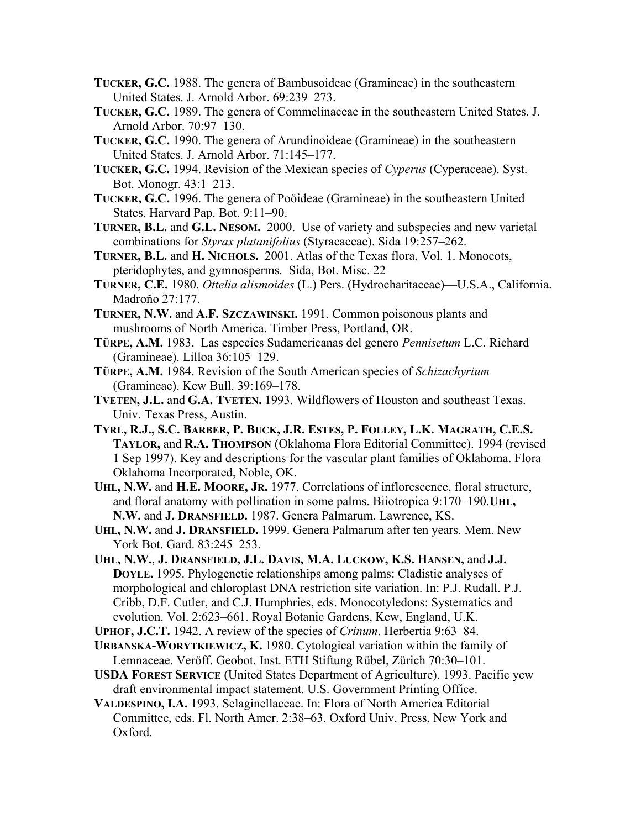- **TUCKER, G.C.** 1988. The genera of Bambusoideae (Gramineae) in the southeastern United States. J. Arnold Arbor. 69:239–273.
- **TUCKER, G.C.** 1989. The genera of Commelinaceae in the southeastern United States. J. Arnold Arbor. 70:97–130.
- **TUCKER, G.C.** 1990. The genera of Arundinoideae (Gramineae) in the southeastern United States. J. Arnold Arbor. 71:145–177.
- **TUCKER, G.C.** 1994. Revision of the Mexican species of *Cyperus* (Cyperaceae). Syst. Bot. Monogr. 43:1–213.
- **TUCKER, G.C.** 1996. The genera of Poöideae (Gramineae) in the southeastern United States. Harvard Pap. Bot. 9:11–90.
- **TURNER, B.L.** and **G.L. NESOM.** 2000. Use of variety and subspecies and new varietal combinations for *Styrax platanifolius* (Styracaceae). Sida 19:257–262.
- **TURNER, B.L.** and **H. NICHOLS.** 2001. Atlas of the Texas flora, Vol. 1. Monocots, pteridophytes, and gymnosperms. Sida, Bot. Misc. 22
- **TURNER, C.E.** 1980. *Ottelia alismoides* (L.) Pers. (Hydrocharitaceae)—U.S.A., California. Madroño 27:177.
- **TURNER, N.W.** and **A.F. SZCZAWINSKI.** 1991. Common poisonous plants and mushrooms of North America. Timber Press, Portland, OR.
- **TÜRPE, A.M.** 1983. Las especies Sudamericanas del genero *Pennisetum* L.C. Richard (Gramineae). Lilloa 36:105–129.
- **TÜRPE, A.M.** 1984. Revision of the South American species of *Schizachyrium* (Gramineae). Kew Bull. 39:169–178.
- **TVETEN, J.L.** and **G.A. TVETEN.** 1993. Wildflowers of Houston and southeast Texas. Univ. Texas Press, Austin.
- **TYRL, R.J., S.C. BARBER, P. BUCK, J.R. ESTES, P. FOLLEY, L.K. MAGRATH, C.E.S. TAYLOR,** and **R.A. THOMPSON** (Oklahoma Flora Editorial Committee). 1994 (revised 1 Sep 1997). Key and descriptions for the vascular plant families of Oklahoma. Flora Oklahoma Incorporated, Noble, OK.
- **UHL, N.W.** and **H.E. MOORE, JR.** 1977. Correlations of inflorescence, floral structure, and floral anatomy with pollination in some palms. Biiotropica 9:170–190.**UHL, N.W.** and **J. DRANSFIELD.** 1987. Genera Palmarum. Lawrence, KS.
- **UHL, N.W.** and **J. DRANSFIELD.** 1999. Genera Palmarum after ten years. Mem. New York Bot. Gard. 83:245–253.
- **UHL, N.W.**, **J. DRANSFIELD, J.L. DAVIS, M.A. LUCKOW, K.S. HANSEN,** and **J.J. DOYLE.** 1995. Phylogenetic relationships among palms: Cladistic analyses of morphological and chloroplast DNA restriction site variation. In: P.J. Rudall. P.J. Cribb, D.F. Cutler, and C.J. Humphries, eds. Monocotyledons: Systematics and evolution. Vol. 2:623–661. Royal Botanic Gardens, Kew, England, U.K.
- **UPHOF, J.C.T.** 1942. A review of the species of *Crinum*. Herbertia 9:63–84.
- **URBANSKA-WORYTKIEWICZ, K.** 1980. Cytological variation within the family of Lemnaceae. Veröff. Geobot. Inst. ETH Stiftung Rübel, Zürich 70:30–101.
- **USDA FOREST SERVICE** (United States Department of Agriculture). 1993. Pacific yew draft environmental impact statement. U.S. Government Printing Office.
- **VALDESPINO, I.A.** 1993. Selaginellaceae. In: Flora of North America Editorial Committee, eds. Fl. North Amer. 2:38–63. Oxford Univ. Press, New York and Oxford.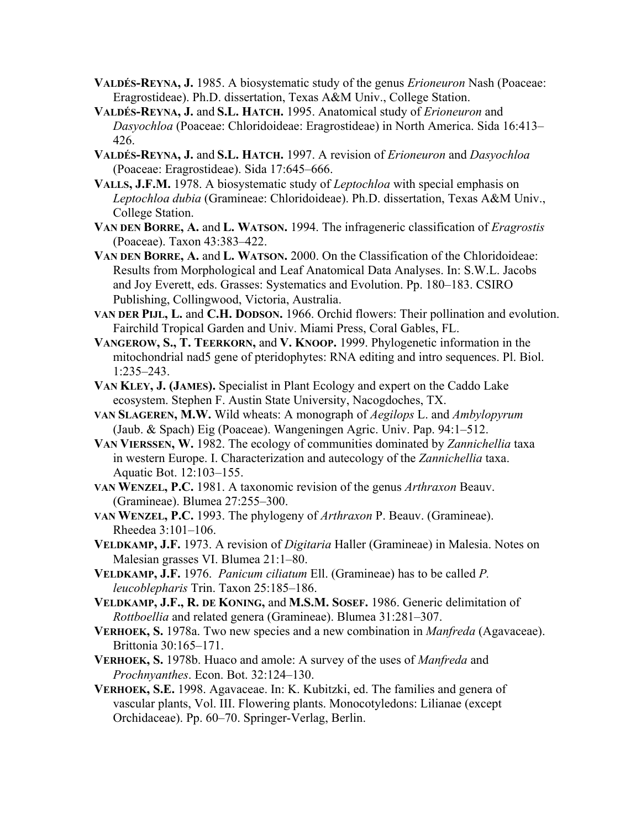- **VALDÉS-REYNA, J.** 1985. A biosystematic study of the genus *Erioneuron* Nash (Poaceae: Eragrostideae). Ph.D. dissertation, Texas A&M Univ., College Station.
- **VALDÉS-REYNA, J.** and **S.L. HATCH.** 1995. Anatomical study of *Erioneuron* and *Dasyochloa* (Poaceae: Chloridoideae: Eragrostideae) in North America. Sida 16:413– 426.
- **VALDÉS-REYNA, J.** and **S.L. HATCH.** 1997. A revision of *Erioneuron* and *Dasyochloa* (Poaceae: Eragrostideae). Sida 17:645–666.
- **VALLS, J.F.M.** 1978. A biosystematic study of *Leptochloa* with special emphasis on *Leptochloa dubia* (Gramineae: Chloridoideae). Ph.D. dissertation, Texas A&M Univ., College Station.
- **VAN DEN BORRE, A.** and **L. WATSON.** 1994. The infrageneric classification of *Eragrostis* (Poaceae). Taxon 43:383–422.
- **VAN DEN BORRE, A.** and **L. WATSON.** 2000. On the Classification of the Chloridoideae: Results from Morphological and Leaf Anatomical Data Analyses. In: S.W.L. Jacobs and Joy Everett, eds. Grasses: Systematics and Evolution. Pp. 180–183. CSIRO Publishing, Collingwood, Victoria, Australia.
- **VAN DER PIJL, L.** and **C.H. DODSON.** 1966. Orchid flowers: Their pollination and evolution. Fairchild Tropical Garden and Univ. Miami Press, Coral Gables, FL.
- **VANGEROW, S., T. TEERKORN,** and **V. KNOOP.** 1999. Phylogenetic information in the mitochondrial nad5 gene of pteridophytes: RNA editing and intro sequences. Pl. Biol. 1:235–243.
- **VAN KLEY, J. (JAMES).** Specialist in Plant Ecology and expert on the Caddo Lake ecosystem. Stephen F. Austin State University, Nacogdoches, TX.
- **VAN SLAGEREN, M.W.** Wild wheats: A monograph of *Aegilops* L. and *Ambylopyrum* (Jaub. & Spach) Eig (Poaceae). Wangeningen Agric. Univ. Pap. 94:1–512.
- **VAN VIERSSEN, W.** 1982. The ecology of communities dominated by *Zannichellia* taxa in western Europe. I. Characterization and autecology of the *Zannichellia* taxa. Aquatic Bot. 12:103–155.
- **VAN WENZEL, P.C.** 1981. A taxonomic revision of the genus *Arthraxon* Beauv. (Gramineae). Blumea 27:255–300.
- **VAN WENZEL, P.C.** 1993. The phylogeny of *Arthraxon* P. Beauv. (Gramineae). Rheedea 3:101–106.
- **VELDKAMP, J.F.** 1973. A revision of *Digitaria* Haller (Gramineae) in Malesia. Notes on Malesian grasses VI. Blumea 21:1–80.
- **VELDKAMP, J.F.** 1976. *Panicum ciliatum* Ell. (Gramineae) has to be called *P. leucoblepharis* Trin. Taxon 25:185–186.
- **VELDKAMP, J.F., R. DE KONING,** and **M.S.M. SOSEF.** 1986. Generic delimitation of *Rottboellia* and related genera (Gramineae). Blumea 31:281–307.
- **VERHOEK, S.** 1978a. Two new species and a new combination in *Manfreda* (Agavaceae). Brittonia 30:165–171.
- **VERHOEK, S.** 1978b. Huaco and amole: A survey of the uses of *Manfreda* and *Prochnyanthes*. Econ. Bot. 32:124–130.
- **VERHOEK, S.E.** 1998. Agavaceae. In: K. Kubitzki, ed. The families and genera of vascular plants, Vol. III. Flowering plants. Monocotyledons: Lilianae (except Orchidaceae). Pp. 60–70. Springer-Verlag, Berlin.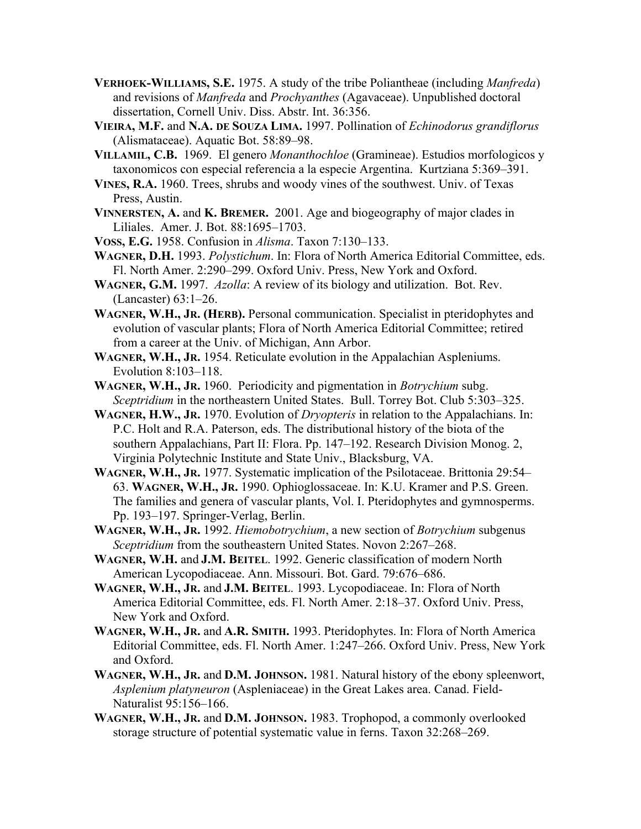- **VERHOEK-WILLIAMS, S.E.** 1975. A study of the tribe Poliantheae (including *Manfreda*) and revisions of *Manfreda* and *Prochyanthes* (Agavaceae). Unpublished doctoral dissertation, Cornell Univ. Diss. Abstr. Int. 36:356.
- **VIEIRA, M.F.** and **N.A. DE SOUZA LIMA.** 1997. Pollination of *Echinodorus grandiflorus* (Alismataceae). Aquatic Bot. 58:89–98.
- **VILLAMIL, C.B.** 1969. El genero *Monanthochloe* (Gramineae). Estudios morfologicos y taxonomicos con especial referencia a la especie Argentina. Kurtziana 5:369–391.
- **VINES, R.A.** 1960. Trees, shrubs and woody vines of the southwest. Univ. of Texas Press, Austin.
- **VINNERSTEN, A.** and **K. BREMER.** 2001. Age and biogeography of major clades in Liliales. Amer. J. Bot. 88:1695–1703.
- **VOSS, E.G.** 1958. Confusion in *Alisma*. Taxon 7:130–133.
- **WAGNER, D.H.** 1993. *Polystichum*. In: Flora of North America Editorial Committee, eds. Fl. North Amer. 2:290–299. Oxford Univ. Press, New York and Oxford.
- **WAGNER, G.M.** 1997. *Azolla*: A review of its biology and utilization. Bot. Rev. (Lancaster) 63:1–26.
- **WAGNER, W.H., JR. (HERB).** Personal communication. Specialist in pteridophytes and evolution of vascular plants; Flora of North America Editorial Committee; retired from a career at the Univ. of Michigan, Ann Arbor.
- **WAGNER, W.H., JR.** 1954. Reticulate evolution in the Appalachian Aspleniums. Evolution 8:103–118.
- **WAGNER, W.H., JR.** 1960. Periodicity and pigmentation in *Botrychium* subg. *Sceptridium* in the northeastern United States. Bull. Torrey Bot. Club 5:303–325.
- **WAGNER, H.W., JR.** 1970. Evolution of *Dryopteris* in relation to the Appalachians. In: P.C. Holt and R.A. Paterson, eds. The distributional history of the biota of the southern Appalachians, Part II: Flora. Pp. 147–192. Research Division Monog. 2, Virginia Polytechnic Institute and State Univ., Blacksburg, VA.
- **WAGNER, W.H., JR.** 1977. Systematic implication of the Psilotaceae. Brittonia 29:54– 63. **WAGNER, W.H., JR.** 1990. Ophioglossaceae. In: K.U. Kramer and P.S. Green. The families and genera of vascular plants, Vol. I. Pteridophytes and gymnosperms. Pp. 193–197. Springer-Verlag, Berlin.
- **WAGNER, W.H., JR.** 1992. *Hiemobotrychium*, a new section of *Botrychium* subgenus *Sceptridium* from the southeastern United States. Novon 2:267–268.
- **WAGNER, W.H.** and **J.M. BEITEL**. 1992. Generic classification of modern North American Lycopodiaceae. Ann. Missouri. Bot. Gard. 79:676–686.
- **WAGNER, W.H., JR.** and **J.M. BEITEL**. 1993. Lycopodiaceae. In: Flora of North America Editorial Committee, eds. Fl. North Amer. 2:18–37. Oxford Univ. Press, New York and Oxford.
- **WAGNER, W.H., JR.** and **A.R. SMITH.** 1993. Pteridophytes. In: Flora of North America Editorial Committee, eds. Fl. North Amer. 1:247–266. Oxford Univ. Press, New York and Oxford.
- **WAGNER, W.H., JR.** and **D.M. JOHNSON.** 1981. Natural history of the ebony spleenwort, *Asplenium platyneuron* (Aspleniaceae) in the Great Lakes area. Canad. Field-Naturalist 95:156–166.
- **WAGNER, W.H., JR.** and **D.M. JOHNSON.** 1983. Trophopod, a commonly overlooked storage structure of potential systematic value in ferns. Taxon 32:268–269.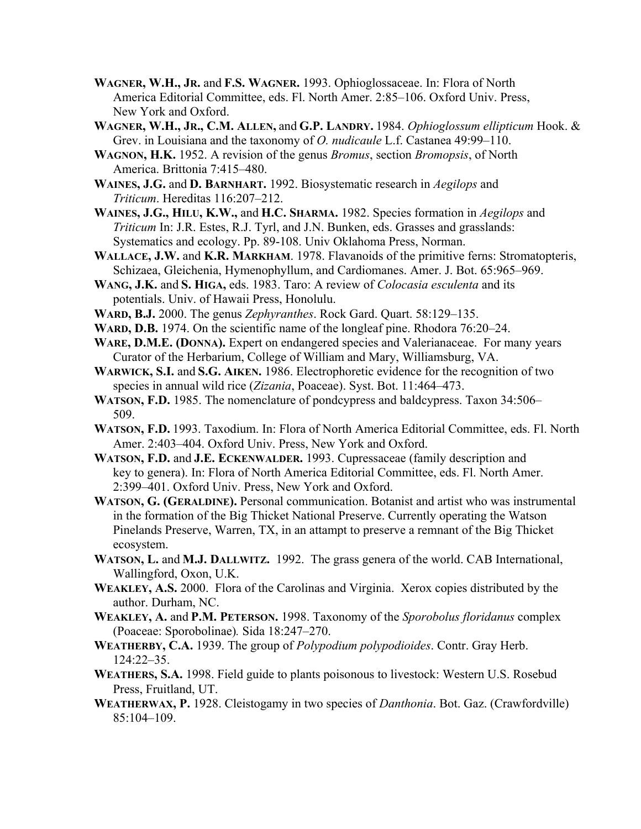- **WAGNER, W.H., JR.** and **F.S. WAGNER.** 1993. Ophioglossaceae. In: Flora of North America Editorial Committee, eds. Fl. North Amer. 2:85–106. Oxford Univ. Press, New York and Oxford.
- **WAGNER, W.H., JR., C.M. ALLEN,** and **G.P. LANDRY.** 1984. *Ophioglossum ellipticum* Hook. & Grev. in Louisiana and the taxonomy of *O. nudicaule* L.f. Castanea 49:99–110.
- **WAGNON, H.K.** 1952. A revision of the genus *Bromus*, section *Bromopsis*, of North America. Brittonia 7:415–480.
- **WAINES, J.G.** and **D. BARNHART.** 1992. Biosystematic research in *Aegilops* and *Triticum*. Hereditas 116:207–212.
- **WAINES, J.G., HILU, K.W.,** and **H.C. SHARMA.** 1982. Species formation in *Aegilops* and *Triticum* In: J.R. Estes, R.J. Tyrl, and J.N. Bunken, eds. Grasses and grasslands: Systematics and ecology. Pp. 89-108. Univ Oklahoma Press, Norman.
- **WALLACE, J.W.** and **K.R. MARKHAM**. 1978. Flavanoids of the primitive ferns: Stromatopteris, Schizaea, Gleichenia, Hymenophyllum, and Cardiomanes. Amer. J. Bot. 65:965–969.
- **WANG, J.K.** and **S. HIGA,** eds. 1983. Taro: A review of *Colocasia esculenta* and its potentials. Univ. of Hawaii Press, Honolulu.
- **WARD, B.J.** 2000. The genus *Zephyranthes*. Rock Gard. Quart. 58:129–135.
- **WARD, D.B.** 1974. On the scientific name of the longleaf pine. Rhodora 76:20–24.
- WARE, D.M.E. (DONNA). Expert on endangered species and Valerianaceae. For many years Curator of the Herbarium, College of William and Mary, Williamsburg, VA.
- **WARWICK, S.I.** and **S.G. AIKEN.** 1986. Electrophoretic evidence for the recognition of two species in annual wild rice (*Zizania*, Poaceae). Syst. Bot. 11:464–473.
- **WATSON, F.D.** 1985. The nomenclature of pondcypress and baldcypress. Taxon 34:506– 509.
- **WATSON, F.D.** 1993. Taxodium. In: Flora of North America Editorial Committee, eds. Fl. North Amer. 2:403–404. Oxford Univ. Press, New York and Oxford.
- **WATSON, F.D.** and **J.E. ECKENWALDER.** 1993. Cupressaceae (family description and key to genera). In: Flora of North America Editorial Committee, eds. Fl. North Amer. 2:399–401. Oxford Univ. Press, New York and Oxford.
- **WATSON, G. (GERALDINE).** Personal communication. Botanist and artist who was instrumental in the formation of the Big Thicket National Preserve. Currently operating the Watson Pinelands Preserve, Warren, TX, in an attampt to preserve a remnant of the Big Thicket ecosystem.
- **WATSON, L.** and **M.J. DALLWITZ.** 1992. The grass genera of the world. CAB International, Wallingford, Oxon, U.K.
- **WEAKLEY, A.S.** 2000. Flora of the Carolinas and Virginia. Xerox copies distributed by the author. Durham, NC.
- **WEAKLEY, A.** and **P.M. PETERSON.** 1998. Taxonomy of the *Sporobolus floridanus* complex (Poaceae: Sporobolinae)*.* Sida 18:247–270.
- **WEATHERBY, C.A.** 1939. The group of *Polypodium polypodioides*. Contr. Gray Herb. 124:22–35.
- **WEATHERS, S.A.** 1998. Field guide to plants poisonous to livestock: Western U.S. Rosebud Press, Fruitland, UT.
- **WEATHERWAX, P.** 1928. Cleistogamy in two species of *Danthonia*. Bot. Gaz. (Crawfordville) 85:104–109.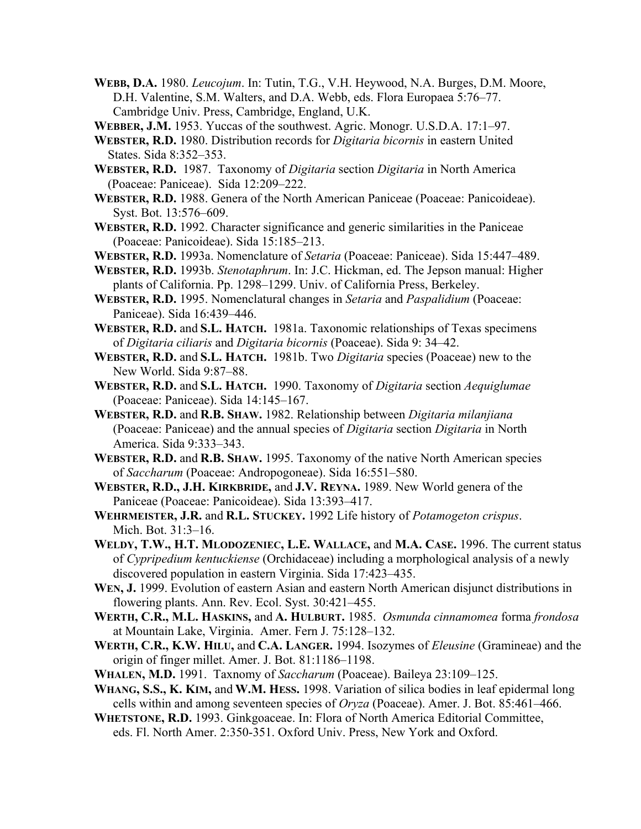- **WEBB, D.A.** 1980. *Leucojum*. In: Tutin, T.G., V.H. Heywood, N.A. Burges, D.M. Moore, D.H. Valentine, S.M. Walters, and D.A. Webb, eds. Flora Europaea 5:76–77. Cambridge Univ. Press, Cambridge, England, U.K.
- **WEBBER, J.M.** 1953. Yuccas of the southwest. Agric. Monogr. U.S.D.A. 17:1–97.
- **WEBSTER, R.D.** 1980. Distribution records for *Digitaria bicornis* in eastern United States. Sida 8:352–353.
- **WEBSTER, R.D.** 1987. Taxonomy of *Digitaria* section *Digitaria* in North America (Poaceae: Paniceae). Sida 12:209–222.
- **WEBSTER, R.D.** 1988. Genera of the North American Paniceae (Poaceae: Panicoideae). Syst. Bot. 13:576–609.
- **WEBSTER, R.D.** 1992. Character significance and generic similarities in the Paniceae (Poaceae: Panicoideae). Sida 15:185–213.
- **WEBSTER, R.D.** 1993a. Nomenclature of *Setaria* (Poaceae: Paniceae). Sida 15:447–489.
- **WEBSTER, R.D.** 1993b. *Stenotaphrum*. In: J.C. Hickman, ed. The Jepson manual: Higher plants of California. Pp. 1298–1299. Univ. of California Press, Berkeley.
- **WEBSTER, R.D.** 1995. Nomenclatural changes in *Setaria* and *Paspalidium* (Poaceae: Paniceae). Sida 16:439–446.
- **WEBSTER, R.D.** and **S.L. HATCH.** 1981a. Taxonomic relationships of Texas specimens of *Digitaria ciliaris* and *Digitaria bicornis* (Poaceae). Sida 9: 34–42.
- **WEBSTER, R.D.** and **S.L. HATCH.** 1981b. Two *Digitaria* species (Poaceae) new to the New World. Sida 9:87–88.
- **WEBSTER, R.D.** and **S.L. HATCH.** 1990. Taxonomy of *Digitaria* section *Aequiglumae* (Poaceae: Paniceae). Sida 14:145–167.
- **WEBSTER, R.D.** and **R.B. SHAW.** 1982. Relationship between *Digitaria milanjiana* (Poaceae: Paniceae) and the annual species of *Digitaria* section *Digitaria* in North America. Sida 9:333–343.
- **WEBSTER, R.D.** and **R.B. SHAW.** 1995. Taxonomy of the native North American species of *Saccharum* (Poaceae: Andropogoneae). Sida 16:551–580.
- **WEBSTER, R.D., J.H. KIRKBRIDE,** and **J.V. REYNA.** 1989. New World genera of the Paniceae (Poaceae: Panicoideae). Sida 13:393–417.
- **WEHRMEISTER, J.R.** and **R.L. STUCKEY.** 1992 Life history of *Potamogeton crispus*. Mich. Bot. 31:3–16.
- **WELDY, T.W., H.T. MLODOZENIEC, L.E. WALLACE,** and **M.A. CASE.** 1996. The current status of *Cypripedium kentuckiense* (Orchidaceae) including a morphological analysis of a newly discovered population in eastern Virginia. Sida 17:423–435.
- **WEN, J.** 1999. Evolution of eastern Asian and eastern North American disjunct distributions in flowering plants. Ann. Rev. Ecol. Syst. 30:421–455.
- **WERTH, C.R., M.L. HASKINS,** and **A. HULBURT.** 1985. *Osmunda cinnamomea* forma *frondosa* at Mountain Lake, Virginia. Amer. Fern J. 75:128–132.
- **WERTH, C.R., K.W. HILU,** and **C.A. LANGER.** 1994. Isozymes of *Eleusine* (Gramineae) and the origin of finger millet. Amer. J. Bot. 81:1186–1198.
- **WHALEN, M.D.** 1991. Taxnomy of *Saccharum* (Poaceae). Baileya 23:109–125.
- **WHANG, S.S., K. KIM,** and **W.M. HESS.** 1998. Variation of silica bodies in leaf epidermal long cells within and among seventeen species of *Oryza* (Poaceae). Amer. J. Bot. 85:461–466.
- **WHETSTONE, R.D.** 1993. Ginkgoaceae. In: Flora of North America Editorial Committee, eds. Fl. North Amer. 2:350-351. Oxford Univ. Press, New York and Oxford.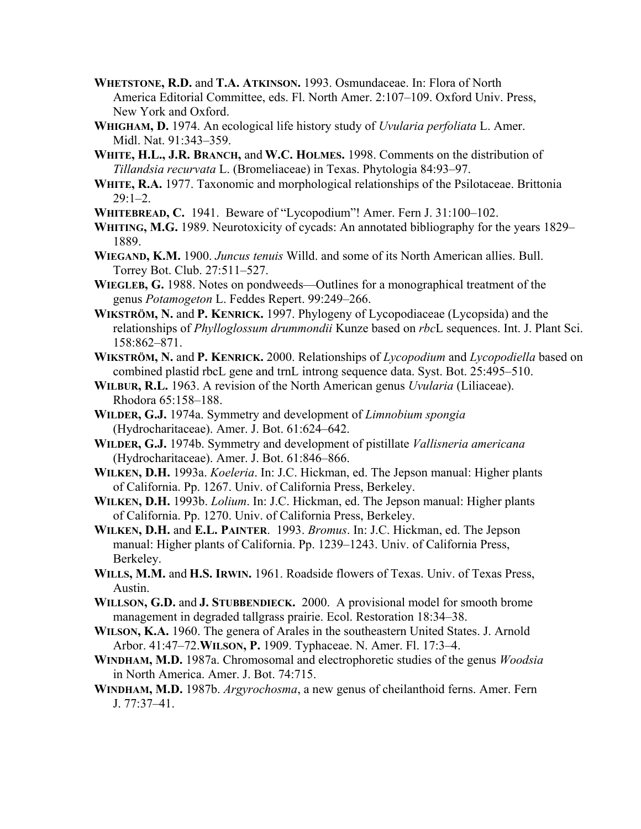- **WHETSTONE, R.D.** and **T.A. ATKINSON.** 1993. Osmundaceae. In: Flora of North America Editorial Committee, eds. Fl. North Amer. 2:107–109. Oxford Univ. Press, New York and Oxford.
- **WHIGHAM, D.** 1974. An ecological life history study of *Uvularia perfoliata* L. Amer. Midl. Nat. 91:343–359.
- **WHITE, H.L., J.R. BRANCH,** and **W.C. HOLMES.** 1998. Comments on the distribution of *Tillandsia recurvata* L. (Bromeliaceae) in Texas. Phytologia 84:93–97.
- **WHITE, R.A.** 1977. Taxonomic and morphological relationships of the Psilotaceae. Brittonia  $29.1 - 2$
- **WHITEBREAD, C.** 1941. Beware of "Lycopodium"! Amer. Fern J. 31:100–102.
- **WHITING, M.G.** 1989. Neurotoxicity of cycads: An annotated bibliography for the years 1829– 1889.
- **WIEGAND, K.M.** 1900. *Juncus tenuis* Willd. and some of its North American allies. Bull. Torrey Bot. Club. 27:511–527.
- **WIEGLEB, G.** 1988. Notes on pondweeds—Outlines for a monographical treatment of the genus *Potamogeton* L. Feddes Repert. 99:249–266.
- **WIKSTRÖM, N.** and **P. KENRICK.** 1997. Phylogeny of Lycopodiaceae (Lycopsida) and the relationships of *Phylloglossum drummondii* Kunze based on *rbc*L sequences. Int. J. Plant Sci. 158:862–871.
- **WIKSTRÖM, N.** and **P. KENRICK.** 2000. Relationships of *Lycopodium* and *Lycopodiella* based on combined plastid rbcL gene and trnL introng sequence data. Syst. Bot. 25:495–510.
- **WILBUR, R.L.** 1963. A revision of the North American genus *Uvularia* (Liliaceae). Rhodora 65:158–188.
- **WILDER, G.J.** 1974a. Symmetry and development of *Limnobium spongia* (Hydrocharitaceae). Amer. J. Bot. 61:624–642.
- **WILDER, G.J.** 1974b. Symmetry and development of pistillate *Vallisneria americana* (Hydrocharitaceae). Amer. J. Bot. 61:846–866.
- **WILKEN, D.H.** 1993a. *Koeleria*. In: J.C. Hickman, ed. The Jepson manual: Higher plants of California. Pp. 1267. Univ. of California Press, Berkeley.
- **WILKEN, D.H.** 1993b. *Lolium*. In: J.C. Hickman, ed. The Jepson manual: Higher plants of California. Pp. 1270. Univ. of California Press, Berkeley.
- **WILKEN, D.H.** and **E.L. PAINTER**. 1993. *Bromus*. In: J.C. Hickman, ed. The Jepson manual: Higher plants of California. Pp. 1239–1243. Univ. of California Press, Berkeley.
- **WILLS, M.M.** and **H.S. IRWIN.** 1961. Roadside flowers of Texas. Univ. of Texas Press, Austin.
- **WILLSON, G.D.** and **J. STUBBENDIECK.** 2000. A provisional model for smooth brome management in degraded tallgrass prairie. Ecol. Restoration 18:34–38.
- **WILSON, K.A.** 1960. The genera of Arales in the southeastern United States. J. Arnold Arbor. 41:47–72.**WILSON, P.** 1909. Typhaceae. N. Amer. Fl. 17:3–4.
- **WINDHAM, M.D.** 1987a. Chromosomal and electrophoretic studies of the genus *Woodsia* in North America. Amer. J. Bot. 74:715.
- **WINDHAM, M.D.** 1987b. *Argyrochosma*, a new genus of cheilanthoid ferns. Amer. Fern J. 77:37–41.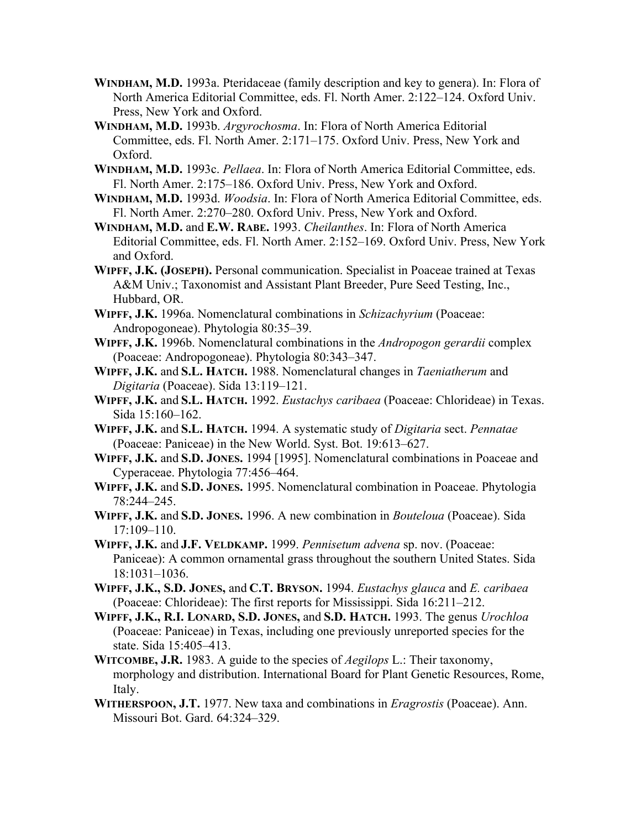- **WINDHAM, M.D.** 1993a. Pteridaceae (family description and key to genera). In: Flora of North America Editorial Committee, eds. Fl. North Amer. 2:122–124. Oxford Univ. Press, New York and Oxford.
- **WINDHAM, M.D.** 1993b. *Argyrochosma*. In: Flora of North America Editorial Committee, eds. Fl. North Amer. 2:171–175. Oxford Univ. Press, New York and Oxford.
- **WINDHAM, M.D.** 1993c. *Pellaea*. In: Flora of North America Editorial Committee, eds. Fl. North Amer. 2:175–186. Oxford Univ. Press, New York and Oxford.
- **WINDHAM, M.D.** 1993d. *Woodsia*. In: Flora of North America Editorial Committee, eds. Fl. North Amer. 2:270–280. Oxford Univ. Press, New York and Oxford.
- **WINDHAM, M.D.** and **E.W. RABE.** 1993. *Cheilanthes*. In: Flora of North America Editorial Committee, eds. Fl. North Amer. 2:152–169. Oxford Univ. Press, New York and Oxford.
- **WIPFF, J.K. (JOSEPH).** Personal communication. Specialist in Poaceae trained at Texas A&M Univ.; Taxonomist and Assistant Plant Breeder, Pure Seed Testing, Inc., Hubbard, OR.
- **WIPFF, J.K.** 1996a. Nomenclatural combinations in *Schizachyrium* (Poaceae: Andropogoneae). Phytologia 80:35–39.
- **WIPFF, J.K.** 1996b. Nomenclatural combinations in the *Andropogon gerardii* complex (Poaceae: Andropogoneae). Phytologia 80:343–347.
- **WIPFF, J.K.** and **S.L. HATCH.** 1988. Nomenclatural changes in *Taeniatherum* and *Digitaria* (Poaceae). Sida 13:119–121.
- **WIPFF, J.K.** and **S.L. HATCH.** 1992. *Eustachys caribaea* (Poaceae: Chlorideae) in Texas. Sida 15:160–162.
- **WIPFF, J.K.** and **S.L. HATCH.** 1994. A systematic study of *Digitaria* sect. *Pennatae* (Poaceae: Paniceae) in the New World. Syst. Bot. 19:613–627.
- **WIPFF, J.K.** and **S.D. JONES.** 1994 [1995]. Nomenclatural combinations in Poaceae and Cyperaceae. Phytologia 77:456–464.
- **WIPFF, J.K.** and **S.D. JONES.** 1995. Nomenclatural combination in Poaceae. Phytologia 78:244–245.
- **WIPFF, J.K.** and **S.D. JONES.** 1996. A new combination in *Bouteloua* (Poaceae). Sida 17:109–110.
- **WIPFF, J.K.** and **J.F. VELDKAMP.** 1999. *Pennisetum advena* sp. nov. (Poaceae: Paniceae): A common ornamental grass throughout the southern United States. Sida 18:1031–1036.
- **WIPFF, J.K., S.D. JONES,** and **C.T. BRYSON.** 1994. *Eustachys glauca* and *E. caribaea* (Poaceae: Chlorideae): The first reports for Mississippi. Sida 16:211–212.
- **WIPFF, J.K., R.I. LONARD, S.D. JONES,** and **S.D. HATCH.** 1993. The genus *Urochloa* (Poaceae: Paniceae) in Texas, including one previously unreported species for the state. Sida 15:405–413.
- **WITCOMBE, J.R.** 1983. A guide to the species of *Aegilops* L.: Their taxonomy, morphology and distribution. International Board for Plant Genetic Resources, Rome, Italy.
- **WITHERSPOON, J.T.** 1977. New taxa and combinations in *Eragrostis* (Poaceae). Ann. Missouri Bot. Gard. 64:324–329.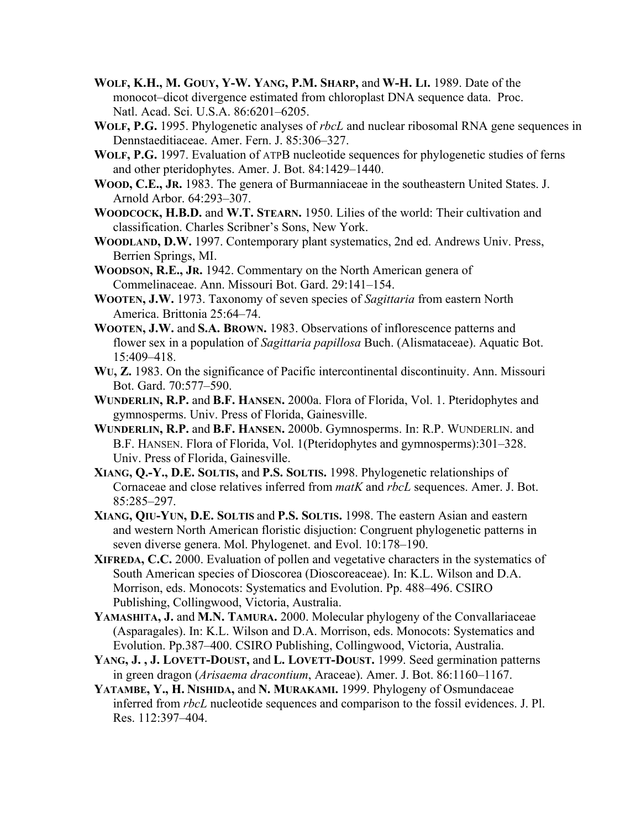- **WOLF, K.H., M. GOUY, Y-W. YANG, P.M. SHARP,** and **W-H. LI.** 1989. Date of the monocot–dicot divergence estimated from chloroplast DNA sequence data. Proc. Natl. Acad. Sci. U.S.A. 86:6201–6205.
- **WOLF, P.G.** 1995. Phylogenetic analyses of *rbcL* and nuclear ribosomal RNA gene sequences in Dennstaeditiaceae. Amer. Fern. J. 85:306–327.
- **WOLF, P.G.** 1997. Evaluation of ATPB nucleotide sequences for phylogenetic studies of ferns and other pteridophytes. Amer. J. Bot. 84:1429–1440.
- **WOOD, C.E., JR.** 1983. The genera of Burmanniaceae in the southeastern United States. J. Arnold Arbor. 64:293–307.
- **WOODCOCK, H.B.D.** and **W.T. STEARN.** 1950. Lilies of the world: Their cultivation and classification. Charles Scribner's Sons, New York.
- **WOODLAND, D.W.** 1997. Contemporary plant systematics, 2nd ed. Andrews Univ. Press, Berrien Springs, MI.
- **WOODSON, R.E., JR.** 1942. Commentary on the North American genera of Commelinaceae. Ann. Missouri Bot. Gard. 29:141–154.
- **WOOTEN, J.W.** 1973. Taxonomy of seven species of *Sagittaria* from eastern North America. Brittonia 25:64–74.
- **WOOTEN, J.W.** and **S.A. BROWN.** 1983. Observations of inflorescence patterns and flower sex in a population of *Sagittaria papillosa* Buch. (Alismataceae). Aquatic Bot. 15:409–418.
- **WU, Z.** 1983. On the significance of Pacific intercontinental discontinuity. Ann. Missouri Bot. Gard. 70:577–590.
- **WUNDERLIN, R.P.** and **B.F. HANSEN.** 2000a. Flora of Florida, Vol. 1. Pteridophytes and gymnosperms. Univ. Press of Florida, Gainesville.
- **WUNDERLIN, R.P.** and **B.F. HANSEN.** 2000b. Gymnosperms. In: R.P. WUNDERLIN. and B.F. HANSEN. Flora of Florida, Vol. 1(Pteridophytes and gymnosperms):301–328. Univ. Press of Florida, Gainesville.
- **XIANG, Q.-Y., D.E. SOLTIS,** and **P.S. SOLTIS.** 1998. Phylogenetic relationships of Cornaceae and close relatives inferred from *matK* and *rbcL* sequences. Amer. J. Bot. 85:285–297.
- **XIANG, QIU-YUN, D.E. SOLTIS** and **P.S. SOLTIS.** 1998. The eastern Asian and eastern and western North American floristic disjuction: Congruent phylogenetic patterns in seven diverse genera. Mol. Phylogenet. and Evol. 10:178–190.
- **XIFREDA, C.C.** 2000. Evaluation of pollen and vegetative characters in the systematics of South American species of Dioscorea (Dioscoreaceae). In: K.L. Wilson and D.A. Morrison, eds. Monocots: Systematics and Evolution. Pp. 488–496. CSIRO Publishing, Collingwood, Victoria, Australia.
- **YAMASHITA, J.** and **M.N. TAMURA.** 2000. Molecular phylogeny of the Convallariaceae (Asparagales). In: K.L. Wilson and D.A. Morrison, eds. Monocots: Systematics and Evolution. Pp.387–400. CSIRO Publishing, Collingwood, Victoria, Australia.
- **YANG, J. , J. LOVETT-DOUST,** and **L. LOVETT-DOUST.** 1999. Seed germination patterns in green dragon (*Arisaema dracontium*, Araceae). Amer. J. Bot. 86:1160–1167.
- **YATAMBE, Y., H. NISHIDA,** and **N. MURAKAMI.** 1999. Phylogeny of Osmundaceae inferred from *rbcL* nucleotide sequences and comparison to the fossil evidences. J. Pl. Res. 112:397–404.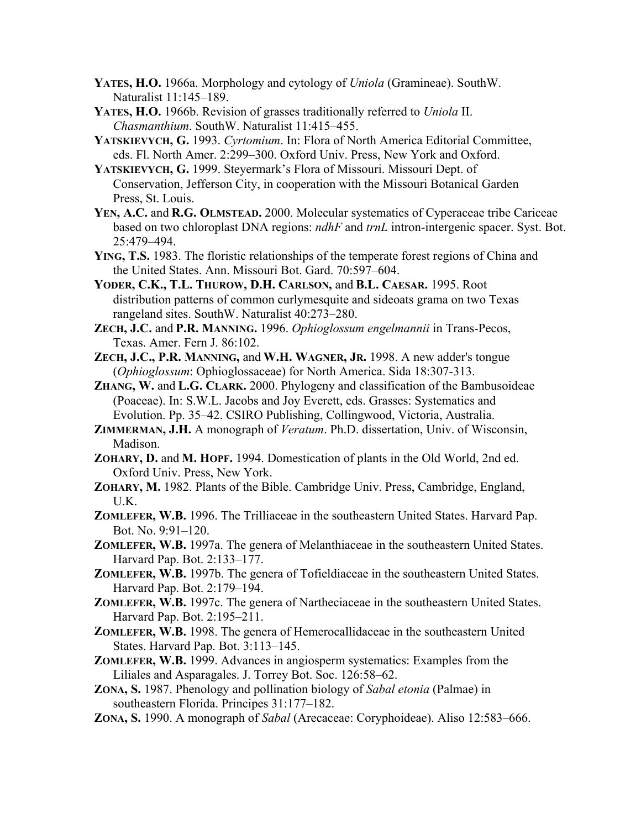- **YATES, H.O.** 1966a. Morphology and cytology of *Uniola* (Gramineae). SouthW. Naturalist 11:145–189.
- **YATES, H.O.** 1966b. Revision of grasses traditionally referred to *Uniola* II. *Chasmanthium*. SouthW. Naturalist 11:415–455.
- **YATSKIEVYCH, G.** 1993. *Cyrtomium*. In: Flora of North America Editorial Committee, eds. Fl. North Amer. 2:299–300. Oxford Univ. Press, New York and Oxford.
- **YATSKIEVYCH, G.** 1999. Steyermark's Flora of Missouri. Missouri Dept. of Conservation, Jefferson City, in cooperation with the Missouri Botanical Garden Press, St. Louis.
- **YEN, A.C.** and **R.G. OLMSTEAD.** 2000. Molecular systematics of Cyperaceae tribe Cariceae based on two chloroplast DNA regions: *ndhF* and *trnL* intron-intergenic spacer. Syst. Bot. 25:479–494.
- **YING, T.S.** 1983. The floristic relationships of the temperate forest regions of China and the United States. Ann. Missouri Bot. Gard. 70:597–604.
- **YODER, C.K., T.L. THUROW, D.H. CARLSON,** and **B.L. CAESAR.** 1995. Root distribution patterns of common curlymesquite and sideoats grama on two Texas rangeland sites. SouthW. Naturalist 40:273–280.
- **ZECH, J.C.** and **P.R. MANNING.** 1996. *Ophioglossum engelmannii* in Trans-Pecos, Texas. Amer. Fern J. 86:102.
- **ZECH, J.C., P.R. MANNING,** and **W.H. WAGNER, JR.** 1998. A new adder's tongue (*Ophioglossum*: Ophioglossaceae) for North America. Sida 18:307-313.
- **ZHANG, W.** and **L.G. CLARK.** 2000. Phylogeny and classification of the Bambusoideae (Poaceae). In: S.W.L. Jacobs and Joy Everett, eds. Grasses: Systematics and Evolution. Pp. 35–42. CSIRO Publishing, Collingwood, Victoria, Australia.
- **ZIMMERMAN, J.H.** A monograph of *Veratum*. Ph.D. dissertation, Univ. of Wisconsin, Madison.
- **ZOHARY, D.** and **M. HOPF.** 1994. Domestication of plants in the Old World, 2nd ed. Oxford Univ. Press, New York.
- **ZOHARY, M.** 1982. Plants of the Bible. Cambridge Univ. Press, Cambridge, England, U.K.
- **ZOMLEFER, W.B.** 1996. The Trilliaceae in the southeastern United States. Harvard Pap. Bot. No. 9:91–120.
- **ZOMLEFER, W.B.** 1997a. The genera of Melanthiaceae in the southeastern United States. Harvard Pap. Bot. 2:133–177.
- **ZOMLEFER, W.B.** 1997b. The genera of Tofieldiaceae in the southeastern United States. Harvard Pap. Bot. 2:179–194.
- **ZOMLEFER, W.B.** 1997c. The genera of Nartheciaceae in the southeastern United States. Harvard Pap. Bot. 2:195–211.
- **ZOMLEFER, W.B.** 1998. The genera of Hemerocallidaceae in the southeastern United States. Harvard Pap. Bot. 3:113–145.
- **ZOMLEFER, W.B.** 1999. Advances in angiosperm systematics: Examples from the Liliales and Asparagales. J. Torrey Bot. Soc. 126:58–62.
- **ZONA, S.** 1987. Phenology and pollination biology of *Sabal etonia* (Palmae) in southeastern Florida. Principes 31:177–182.
- **ZONA, S.** 1990. A monograph of *Sabal* (Arecaceae: Coryphoideae). Aliso 12:583–666.